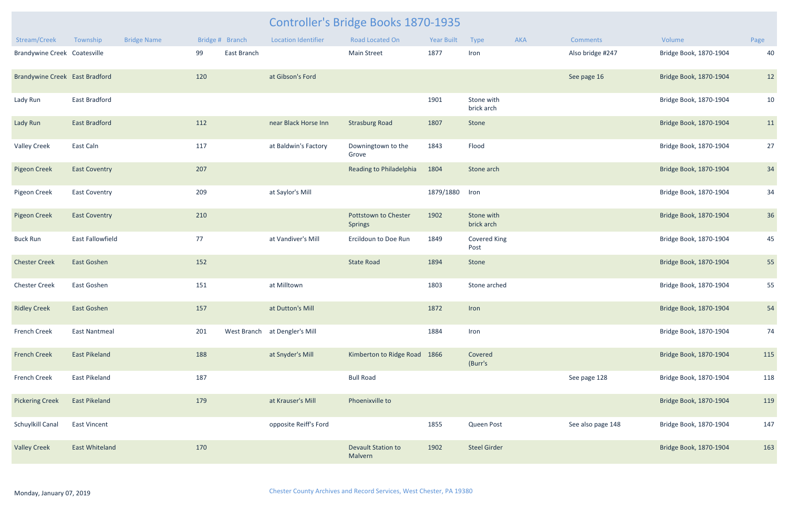| <b>Year Built</b> | <b>Type</b>                 | <b>AKA</b> | <b>Comments</b>   | Volume                 | Page |
|-------------------|-----------------------------|------------|-------------------|------------------------|------|
| 1877              | Iron                        |            | Also bridge #247  | Bridge Book, 1870-1904 | 40   |
|                   |                             |            | See page 16       | Bridge Book, 1870-1904 | 12   |
| 1901              | Stone with<br>brick arch    |            |                   | Bridge Book, 1870-1904 | 10   |
| 1807              | Stone                       |            |                   | Bridge Book, 1870-1904 | 11   |
| 1843              | Flood                       |            |                   | Bridge Book, 1870-1904 | 27   |
| 1804              | Stone arch                  |            |                   | Bridge Book, 1870-1904 | 34   |
| 1879/1880         | Iron                        |            |                   | Bridge Book, 1870-1904 | 34   |
| 1902              | Stone with<br>brick arch    |            |                   | Bridge Book, 1870-1904 | 36   |
| 1849              | <b>Covered King</b><br>Post |            |                   | Bridge Book, 1870-1904 | 45   |
| 1894              | Stone                       |            |                   | Bridge Book, 1870-1904 | 55   |
| 1803              | Stone arched                |            |                   | Bridge Book, 1870-1904 | 55   |
| 1872              | Iron                        |            |                   | Bridge Book, 1870-1904 | 54   |
| 1884              | Iron                        |            |                   | Bridge Book, 1870-1904 | 74   |
| 1866              | Covered<br>(Burr's          |            |                   | Bridge Book, 1870-1904 | 115  |
|                   |                             |            | See page 128      | Bridge Book, 1870-1904 | 118  |
|                   |                             |            |                   | Bridge Book, 1870-1904 | 119  |
| 1855              | Queen Post                  |            | See also page 148 | Bridge Book, 1870-1904 | 147  |
| 1902              | <b>Steel Girder</b>         |            |                   | Bridge Book, 1870-1904 | 163  |

|                                |                       |                    |     |                 |                               | <b>Controller's Bridge Books 1870-1935</b> |            |                             |     |                   |                        |      |
|--------------------------------|-----------------------|--------------------|-----|-----------------|-------------------------------|--------------------------------------------|------------|-----------------------------|-----|-------------------|------------------------|------|
| Stream/Creek                   | Township              | <b>Bridge Name</b> |     | Bridge # Branch | <b>Location Identifier</b>    | Road Located On                            | Year Built | Type                        | AKA | <b>Comments</b>   | Volume                 | Page |
| Brandywine Creek Coatesville   |                       |                    | 99  | East Branch     |                               | <b>Main Street</b>                         | 1877       | Iron                        |     | Also bridge #247  | Bridge Book, 1870-1904 | 40   |
| Brandywine Creek East Bradford |                       |                    | 120 |                 | at Gibson's Ford              |                                            |            |                             |     | See page 16       | Bridge Book, 1870-1904 | 12   |
| Lady Run                       | <b>East Bradford</b>  |                    |     |                 |                               |                                            | 1901       | Stone with<br>brick arch    |     |                   | Bridge Book, 1870-1904 | 10   |
| Lady Run                       | <b>East Bradford</b>  |                    | 112 |                 | near Black Horse Inn          | <b>Strasburg Road</b>                      | 1807       | Stone                       |     |                   | Bridge Book, 1870-1904 | 11   |
| <b>Valley Creek</b>            | East Caln             |                    | 117 |                 | at Baldwin's Factory          | Downingtown to the<br>Grove                | 1843       | Flood                       |     |                   | Bridge Book, 1870-1904 | 27   |
| <b>Pigeon Creek</b>            | <b>East Coventry</b>  |                    | 207 |                 |                               | Reading to Philadelphia                    | 1804       | Stone arch                  |     |                   | Bridge Book, 1870-1904 | 34   |
| Pigeon Creek                   | <b>East Coventry</b>  |                    | 209 |                 | at Saylor's Mill              |                                            | 1879/1880  | Iron                        |     |                   | Bridge Book, 1870-1904 | 34   |
| <b>Pigeon Creek</b>            | <b>East Coventry</b>  |                    | 210 |                 |                               | Pottstown to Chester<br><b>Springs</b>     | 1902       | Stone with<br>brick arch    |     |                   | Bridge Book, 1870-1904 | 36   |
| <b>Buck Run</b>                | East Fallowfield      |                    | 77  |                 | at Vandiver's Mill            | Ercildoun to Doe Run                       | 1849       | <b>Covered King</b><br>Post |     |                   | Bridge Book, 1870-1904 | 45   |
| <b>Chester Creek</b>           | East Goshen           |                    | 152 |                 |                               | <b>State Road</b>                          | 1894       | Stone                       |     |                   | Bridge Book, 1870-1904 | 55   |
| <b>Chester Creek</b>           | East Goshen           |                    | 151 |                 | at Milltown                   |                                            | 1803       | Stone arched                |     |                   | Bridge Book, 1870-1904 | 55   |
| <b>Ridley Creek</b>            | East Goshen           |                    | 157 |                 | at Dutton's Mill              |                                            | 1872       | Iron                        |     |                   | Bridge Book, 1870-1904 | 54   |
| French Creek                   | <b>East Nantmeal</b>  |                    | 201 |                 | West Branch at Dengler's Mill |                                            | 1884       | Iron                        |     |                   | Bridge Book, 1870-1904 | 74   |
| <b>French Creek</b>            | <b>East Pikeland</b>  |                    | 188 |                 | at Snyder's Mill              | Kimberton to Ridge Road 1866               |            | Covered<br>(Burr's          |     |                   | Bridge Book, 1870-1904 | 115  |
| French Creek                   | East Pikeland         |                    | 187 |                 |                               | <b>Bull Road</b>                           |            |                             |     | See page 128      | Bridge Book, 1870-1904 | 118  |
| <b>Pickering Creek</b>         | <b>East Pikeland</b>  |                    | 179 |                 | at Krauser's Mill             | Phoenixville to                            |            |                             |     |                   | Bridge Book, 1870-1904 | 119  |
| Schuylkill Canal               | <b>East Vincent</b>   |                    |     |                 | opposite Reiff's Ford         |                                            | 1855       | Queen Post                  |     | See also page 148 | Bridge Book, 1870-1904 | 147  |
| <b>Valley Creek</b>            | <b>East Whiteland</b> |                    | 170 |                 |                               | Devault Station to<br>Malvern              | 1902       | <b>Steel Girder</b>         |     |                   | Bridge Book, 1870-1904 | 163  |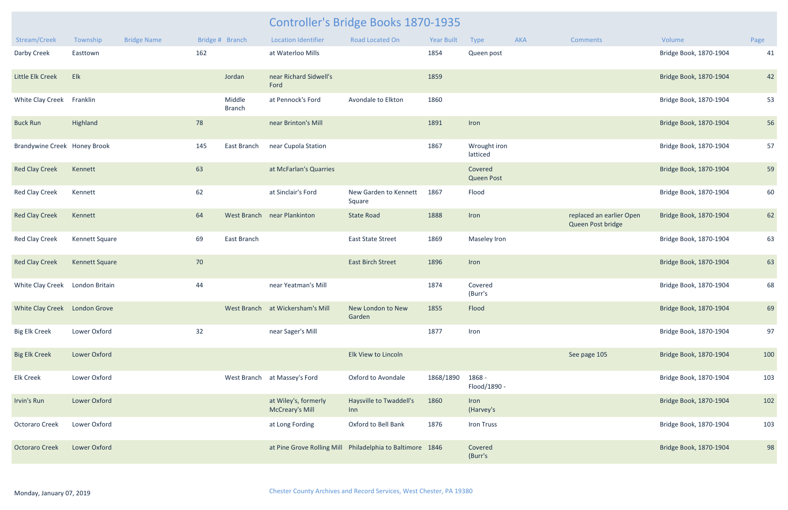|                                 |                       |                    |     |                         |                                                | <b>Controller's Bridge Books 1870-1935</b>                |            |                              |     |                                               |                        |      |
|---------------------------------|-----------------------|--------------------|-----|-------------------------|------------------------------------------------|-----------------------------------------------------------|------------|------------------------------|-----|-----------------------------------------------|------------------------|------|
| Stream/Creek                    | Township              | <b>Bridge Name</b> |     | Bridge # Branch         | <b>Location Identifier</b>                     | Road Located On                                           | Year Built | Type                         | AKA | <b>Comments</b>                               | Volume                 | Page |
| Darby Creek                     | Easttown              |                    | 162 |                         | at Waterloo Mills                              |                                                           | 1854       | Queen post                   |     |                                               | Bridge Book, 1870-1904 | 41   |
| Little Elk Creek                | Elk                   |                    |     | Jordan                  | near Richard Sidwell's<br>Ford                 |                                                           | 1859       |                              |     |                                               | Bridge Book, 1870-1904 | 42   |
| White Clay Creek Franklin       |                       |                    |     | Middle<br><b>Branch</b> | at Pennock's Ford                              | Avondale to Elkton                                        | 1860       |                              |     |                                               | Bridge Book, 1870-1904 | 53   |
| <b>Buck Run</b>                 | Highland              |                    | 78  |                         | near Brinton's Mill                            |                                                           | 1891       | Iron                         |     |                                               | Bridge Book, 1870-1904 | 56   |
| Brandywine Creek Honey Brook    |                       |                    | 145 | East Branch             | near Cupola Station                            |                                                           | 1867       | Wrought iron<br>latticed     |     |                                               | Bridge Book, 1870-1904 | 57   |
| <b>Red Clay Creek</b>           | Kennett               |                    | 63  |                         | at McFarlan's Quarries                         |                                                           |            | Covered<br><b>Queen Post</b> |     |                                               | Bridge Book, 1870-1904 | 59   |
| <b>Red Clay Creek</b>           | Kennett               |                    | 62  |                         | at Sinclair's Ford                             | New Garden to Kennett<br>Square                           | 1867       | Flood                        |     |                                               | Bridge Book, 1870-1904 | 60   |
| <b>Red Clay Creek</b>           | Kennett               |                    | 64  |                         | West Branch near Plankinton                    | <b>State Road</b>                                         | 1888       | Iron                         |     | replaced an earlier Open<br>Queen Post bridge | Bridge Book, 1870-1904 | 62   |
| <b>Red Clay Creek</b>           | <b>Kennett Square</b> |                    | 69  | East Branch             |                                                | <b>East State Street</b>                                  | 1869       | Maseley Iron                 |     |                                               | Bridge Book, 1870-1904 | 63   |
| <b>Red Clay Creek</b>           | <b>Kennett Square</b> |                    | 70  |                         |                                                | <b>East Birch Street</b>                                  | 1896       | Iron                         |     |                                               | Bridge Book, 1870-1904 | 63   |
| White Clay Creek London Britain |                       |                    | 44  |                         | near Yeatman's Mill                            |                                                           | 1874       | Covered<br>(Burr's           |     |                                               | Bridge Book, 1870-1904 | 68   |
| White Clay Creek London Grove   |                       |                    |     |                         | West Branch at Wickersham's Mill               | New London to New<br>Garden                               | 1855       | Flood                        |     |                                               | Bridge Book, 1870-1904 | 69   |
| <b>Big Elk Creek</b>            | Lower Oxford          |                    | 32  |                         | near Sager's Mill                              |                                                           | 1877       | Iron                         |     |                                               | Bridge Book, 1870-1904 | 97   |
| <b>Big Elk Creek</b>            | <b>Lower Oxford</b>   |                    |     |                         |                                                | Elk View to Lincoln                                       |            |                              |     | See page 105                                  | Bridge Book, 1870-1904 | 100  |
| <b>Elk Creek</b>                | Lower Oxford          |                    |     |                         | West Branch at Massey's Ford                   | Oxford to Avondale                                        | 1868/1890  | 1868 -<br>Flood/1890 -       |     |                                               | Bridge Book, 1870-1904 | 103  |
| Irvin's Run                     | <b>Lower Oxford</b>   |                    |     |                         | at Wiley's, formerly<br><b>McCreary's Mill</b> | Haysville to Twaddell's<br>Inn                            | 1860       | Iron<br>(Harvey's            |     |                                               | Bridge Book, 1870-1904 | 102  |
| Octoraro Creek                  | Lower Oxford          |                    |     |                         | at Long Fording                                | Oxford to Bell Bank                                       | 1876       | Iron Truss                   |     |                                               | Bridge Book, 1870-1904 | 103  |
| <b>Octoraro Creek</b>           | <b>Lower Oxford</b>   |                    |     |                         |                                                | at Pine Grove Rolling Mill Philadelphia to Baltimore 1846 |            | Covered<br>(Burr's           |     |                                               | Bridge Book, 1870-1904 | 98   |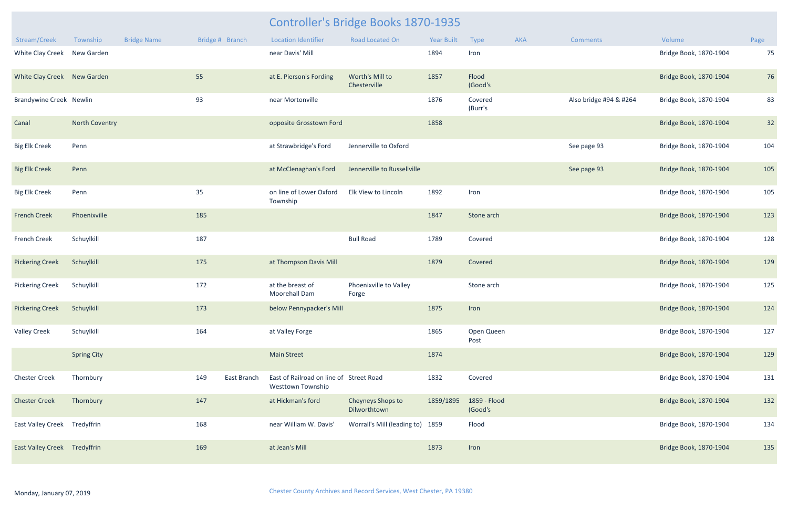|                                     |                    |                    | <b>Controller's Bridge Books 1870-1935</b> |                 |                                                              |                                   |            |                         |     |                        |                        |      |
|-------------------------------------|--------------------|--------------------|--------------------------------------------|-----------------|--------------------------------------------------------------|-----------------------------------|------------|-------------------------|-----|------------------------|------------------------|------|
| Stream/Creek                        | Township           | <b>Bridge Name</b> |                                            | Bridge # Branch | <b>Location Identifier</b>                                   | <b>Road Located On</b>            | Year Built | Type                    | AKA | <b>Comments</b>        | Volume                 | Page |
| White Clay Creek                    | New Garden         |                    |                                            |                 | near Davis' Mill                                             |                                   | 1894       | Iron                    |     |                        | Bridge Book, 1870-1904 | 75   |
| White Clay Creek New Garden         |                    |                    | 55                                         |                 | at E. Pierson's Fording                                      | Worth's Mill to<br>Chesterville   | 1857       | Flood<br>(Good's        |     |                        | Bridge Book, 1870-1904 | 76   |
| <b>Brandywine Creek Newlin</b>      |                    |                    | 93                                         |                 | near Mortonville                                             |                                   | 1876       | Covered<br>(Burr's      |     | Also bridge #94 & #264 | Bridge Book, 1870-1904 | 83   |
| Canal                               | North Coventry     |                    |                                            |                 | opposite Grosstown Ford                                      |                                   | 1858       |                         |     |                        | Bridge Book, 1870-1904 | 32   |
| <b>Big Elk Creek</b>                | Penn               |                    |                                            |                 | at Strawbridge's Ford                                        | Jennerville to Oxford             |            |                         |     | See page 93            | Bridge Book, 1870-1904 | 104  |
| <b>Big Elk Creek</b>                | Penn               |                    |                                            |                 | at McClenaghan's Ford                                        | Jennerville to Russellville       |            |                         |     | See page 93            | Bridge Book, 1870-1904 | 105  |
| <b>Big Elk Creek</b>                | Penn               |                    | 35                                         |                 | on line of Lower Oxford<br>Township                          | Elk View to Lincoln               | 1892       | Iron                    |     |                        | Bridge Book, 1870-1904 | 105  |
| <b>French Creek</b>                 | Phoenixville       |                    | 185                                        |                 |                                                              |                                   | 1847       | Stone arch              |     |                        | Bridge Book, 1870-1904 | 123  |
| <b>French Creek</b>                 | Schuylkill         |                    | 187                                        |                 |                                                              | <b>Bull Road</b>                  | 1789       | Covered                 |     |                        | Bridge Book, 1870-1904 | 128  |
| <b>Pickering Creek</b>              | Schuylkill         |                    | 175                                        |                 | at Thompson Davis Mill                                       |                                   | 1879       | Covered                 |     |                        | Bridge Book, 1870-1904 | 129  |
| <b>Pickering Creek</b>              | Schuylkill         |                    | 172                                        |                 | at the breast of<br><b>Moorehall Dam</b>                     | Phoenixville to Valley<br>Forge   |            | Stone arch              |     |                        | Bridge Book, 1870-1904 | 125  |
| <b>Pickering Creek</b>              | Schuylkill         |                    | 173                                        |                 | below Pennypacker's Mill                                     |                                   | 1875       | Iron                    |     |                        | Bridge Book, 1870-1904 | 124  |
| <b>Valley Creek</b>                 | Schuylkill         |                    | 164                                        |                 | at Valley Forge                                              |                                   | 1865       | Open Queen<br>Post      |     |                        | Bridge Book, 1870-1904 | 127  |
|                                     | <b>Spring City</b> |                    |                                            |                 | <b>Main Street</b>                                           |                                   | 1874       |                         |     |                        | Bridge Book, 1870-1904 | 129  |
| <b>Chester Creek</b>                | Thornbury          |                    | 149                                        | East Branch     | East of Railroad on line of Street Road<br>Westtown Township |                                   | 1832       | Covered                 |     |                        | Bridge Book, 1870-1904 | 131  |
| <b>Chester Creek</b>                | Thornbury          |                    | 147                                        |                 | at Hickman's ford                                            | Cheyneys Shops to<br>Dilworthtown | 1859/1895  | 1859 - Flood<br>(Good's |     |                        | Bridge Book, 1870-1904 | 132  |
| East Valley Creek Tredyffrin        |                    |                    | 168                                        |                 | near William W. Davis'                                       | Worrall's Mill (leading to) 1859  |            | Flood                   |     |                        | Bridge Book, 1870-1904 | 134  |
| <b>East Valley Creek Tredyffrin</b> |                    |                    | 169                                        |                 | at Jean's Mill                                               |                                   | 1873       | Iron                    |     |                        | Bridge Book, 1870-1904 | 135  |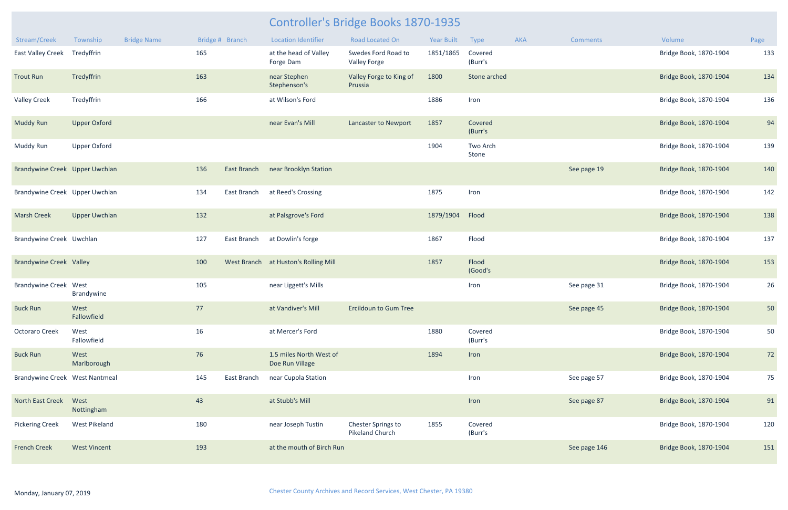| Stream/Creek                   | Township             | <b>Bridge Name</b> |     | Bridge # Branch    | <b>Location Identifier</b>                 | <b>Road Located On</b>                       | <b>Year Built</b> | Type               | <b>AKA</b> | <b>Comments</b> | Volume                 | Page |
|--------------------------------|----------------------|--------------------|-----|--------------------|--------------------------------------------|----------------------------------------------|-------------------|--------------------|------------|-----------------|------------------------|------|
| <b>East Valley Creek</b>       | Tredyffrin           |                    | 165 |                    | at the head of Valley<br>Forge Dam         | Swedes Ford Road to<br>Valley Forge          | 1851/1865         | Covered<br>(Burr's |            |                 | Bridge Book, 1870-1904 | 133  |
| <b>Trout Run</b>               | Tredyffrin           |                    | 163 |                    | near Stephen<br>Stephenson's               | Valley Forge to King of<br>Prussia           | 1800              | Stone arched       |            |                 | Bridge Book, 1870-1904 | 134  |
| <b>Valley Creek</b>            | Tredyffrin           |                    | 166 |                    | at Wilson's Ford                           |                                              | 1886              | Iron               |            |                 | Bridge Book, 1870-1904 | 136  |
| <b>Muddy Run</b>               | <b>Upper Oxford</b>  |                    |     |                    | near Evan's Mill                           | <b>Lancaster to Newport</b>                  | 1857              | Covered<br>(Burr's |            |                 | Bridge Book, 1870-1904 | 94   |
| Muddy Run                      | <b>Upper Oxford</b>  |                    |     |                    |                                            |                                              | 1904              | Two Arch<br>Stone  |            |                 | Bridge Book, 1870-1904 | 139  |
| Brandywine Creek Upper Uwchlan |                      |                    | 136 | <b>East Branch</b> | near Brooklyn Station                      |                                              |                   |                    |            | See page 19     | Bridge Book, 1870-1904 | 140  |
| Brandywine Creek Upper Uwchlan |                      |                    | 134 | East Branch        | at Reed's Crossing                         |                                              | 1875              | Iron               |            |                 | Bridge Book, 1870-1904 | 142  |
| <b>Marsh Creek</b>             | <b>Upper Uwchlan</b> |                    | 132 |                    | at Palsgrove's Ford                        |                                              | 1879/1904         | Flood              |            |                 | Bridge Book, 1870-1904 | 138  |
| Brandywine Creek Uwchlan       |                      |                    | 127 | East Branch        | at Dowlin's forge                          |                                              | 1867              | Flood              |            |                 | Bridge Book, 1870-1904 | 137  |
| <b>Brandywine Creek Valley</b> |                      |                    | 100 |                    | West Branch at Huston's Rolling Mill       |                                              | 1857              | Flood<br>(Good's   |            |                 | Bridge Book, 1870-1904 | 153  |
| <b>Brandywine Creek West</b>   | Brandywine           |                    | 105 |                    | near Liggett's Mills                       |                                              |                   | Iron               |            | See page 31     | Bridge Book, 1870-1904 | 26   |
| <b>Buck Run</b>                | West<br>Fallowfield  |                    | 77  |                    | at Vandiver's Mill                         | <b>Ercildoun to Gum Tree</b>                 |                   |                    |            | See page 45     | Bridge Book, 1870-1904 | 50   |
| Octoraro Creek                 | West<br>Fallowfield  |                    | 16  |                    | at Mercer's Ford                           |                                              | 1880              | Covered<br>(Burr's |            |                 | Bridge Book, 1870-1904 | 50   |
| <b>Buck Run</b>                | West<br>Marlborough  |                    | 76  |                    | 1.5 miles North West of<br>Doe Run Village |                                              | 1894              | Iron               |            |                 | Bridge Book, 1870-1904 | 72   |
| Brandywine Creek West Nantmeal |                      |                    | 145 | East Branch        | near Cupola Station                        |                                              |                   | Iron               |            | See page 57     | Bridge Book, 1870-1904 | 75   |
| North East Creek               | West<br>Nottingham   |                    | 43  |                    | at Stubb's Mill                            |                                              |                   | Iron               |            | See page 87     | Bridge Book, 1870-1904 | 91   |
| <b>Pickering Creek</b>         | <b>West Pikeland</b> |                    | 180 |                    | near Joseph Tustin                         | Chester Springs to<br><b>Pikeland Church</b> | 1855              | Covered<br>(Burr's |            |                 | Bridge Book, 1870-1904 | 120  |
| <b>French Creek</b>            | <b>West Vincent</b>  |                    | 193 |                    | at the mouth of Birch Run                  |                                              |                   |                    |            | See page 146    | Bridge Book, 1870-1904 | 151  |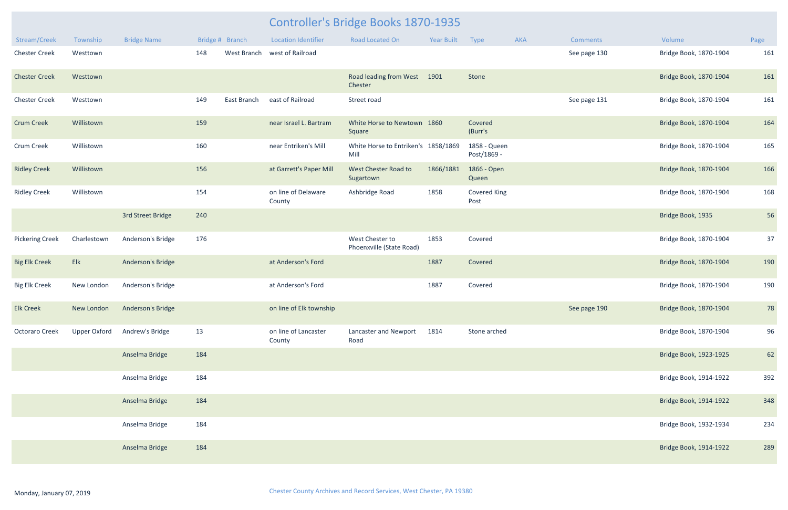| Stream/Creek           | Township     | <b>Bridge Name</b> |     | Bridge # Branch | <b>Location Identifier</b>     | <b>Road Located On</b>                      | <b>Year Built</b> | Type                        | AKA | <b>Comments</b> | Volume                 | Page |
|------------------------|--------------|--------------------|-----|-----------------|--------------------------------|---------------------------------------------|-------------------|-----------------------------|-----|-----------------|------------------------|------|
| <b>Chester Creek</b>   | Westtown     |                    | 148 | West Branch     | west of Railroad               |                                             |                   |                             |     | See page 130    | Bridge Book, 1870-1904 | 161  |
| <b>Chester Creek</b>   | Westtown     |                    |     |                 |                                | Road leading from West<br>Chester           | 1901              | Stone                       |     |                 | Bridge Book, 1870-1904 | 161  |
| <b>Chester Creek</b>   | Westtown     |                    | 149 | East Branch     | east of Railroad               | Street road                                 |                   |                             |     | See page 131    | Bridge Book, 1870-1904 | 161  |
| <b>Crum Creek</b>      | Willistown   |                    | 159 |                 | near Israel L. Bartram         | White Horse to Newtown<br>Square            | 1860              | Covered<br>(Burr's          |     |                 | Bridge Book, 1870-1904 | 164  |
| Crum Creek             | Willistown   |                    | 160 |                 | near Entriken's Mill           | White Horse to Entriken's 1858/1869<br>Mill |                   | 1858 - Queen<br>Post/1869 - |     |                 | Bridge Book, 1870-1904 | 165  |
| <b>Ridley Creek</b>    | Willistown   |                    | 156 |                 | at Garrett's Paper Mill        | West Chester Road to<br>Sugartown           | 1866/1881         | 1866 - Open<br>Queen        |     |                 | Bridge Book, 1870-1904 | 166  |
| <b>Ridley Creek</b>    | Willistown   |                    | 154 |                 | on line of Delaware<br>County  | Ashbridge Road                              | 1858              | <b>Covered King</b><br>Post |     |                 | Bridge Book, 1870-1904 | 168  |
|                        |              | 3rd Street Bridge  | 240 |                 |                                |                                             |                   |                             |     |                 | Bridge Book, 1935      | 56   |
| <b>Pickering Creek</b> | Charlestown  | Anderson's Bridge  | 176 |                 |                                | West Chester to<br>Phoenxville (State Road) | 1853              | Covered                     |     |                 | Bridge Book, 1870-1904 | 37   |
| <b>Big Elk Creek</b>   | Elk          | Anderson's Bridge  |     |                 | at Anderson's Ford             |                                             | 1887              | Covered                     |     |                 | Bridge Book, 1870-1904 | 190  |
| <b>Big Elk Creek</b>   | New London   | Anderson's Bridge  |     |                 | at Anderson's Ford             |                                             | 1887              | Covered                     |     |                 | Bridge Book, 1870-1904 | 190  |
| <b>Elk Creek</b>       | New London   | Anderson's Bridge  |     |                 | on line of Elk township        |                                             |                   |                             |     | See page 190    | Bridge Book, 1870-1904 | 78   |
| Octoraro Creek         | Upper Oxford | Andrew's Bridge    | 13  |                 | on line of Lancaster<br>County | Lancaster and Newport<br>Road               | 1814              | Stone arched                |     |                 | Bridge Book, 1870-1904 | 96   |
|                        |              | Anselma Bridge     | 184 |                 |                                |                                             |                   |                             |     |                 | Bridge Book, 1923-1925 | 62   |
|                        |              | Anselma Bridge     | 184 |                 |                                |                                             |                   |                             |     |                 | Bridge Book, 1914-1922 | 392  |
|                        |              | Anselma Bridge     | 184 |                 |                                |                                             |                   |                             |     |                 | Bridge Book, 1914-1922 | 348  |
|                        |              | Anselma Bridge     | 184 |                 |                                |                                             |                   |                             |     |                 | Bridge Book, 1932-1934 | 234  |
|                        |              | Anselma Bridge     | 184 |                 |                                |                                             |                   |                             |     |                 | Bridge Book, 1914-1922 | 289  |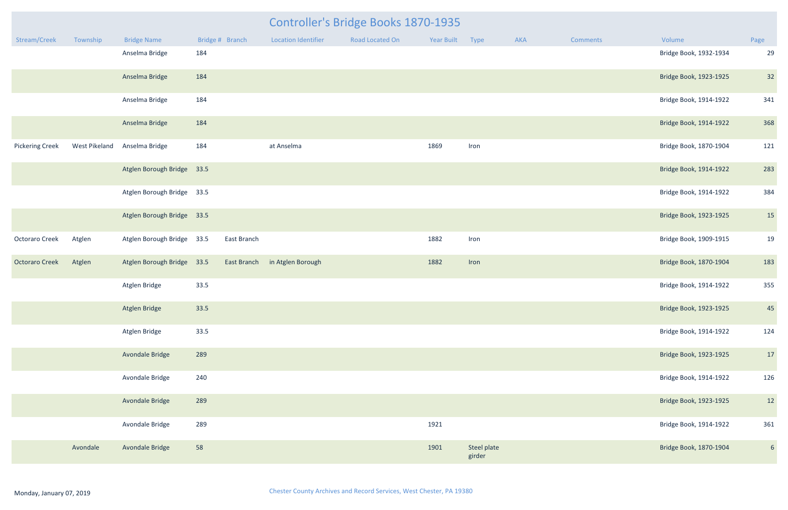|                        |               |                            |      |                 | <b>Controller's Bridge Books 1870-1935</b> |                 |                 |                       |     |                 |                        |                |
|------------------------|---------------|----------------------------|------|-----------------|--------------------------------------------|-----------------|-----------------|-----------------------|-----|-----------------|------------------------|----------------|
| Stream/Creek           | Township      | <b>Bridge Name</b>         |      | Bridge # Branch | Location Identifier                        | Road Located On | Year Built Type |                       | AKA | <b>Comments</b> | Volume                 | Page           |
|                        |               | Anselma Bridge             | 184  |                 |                                            |                 |                 |                       |     |                 | Bridge Book, 1932-1934 | 29             |
|                        |               | Anselma Bridge             | 184  |                 |                                            |                 |                 |                       |     |                 | Bridge Book, 1923-1925 | 32             |
|                        |               | Anselma Bridge             | 184  |                 |                                            |                 |                 |                       |     |                 | Bridge Book, 1914-1922 | 341            |
|                        |               | Anselma Bridge             | 184  |                 |                                            |                 |                 |                       |     |                 | Bridge Book, 1914-1922 | 368            |
| <b>Pickering Creek</b> | West Pikeland | Anselma Bridge             | 184  |                 | at Anselma                                 |                 | 1869            | Iron                  |     |                 | Bridge Book, 1870-1904 | 121            |
|                        |               | Atglen Borough Bridge 33.5 |      |                 |                                            |                 |                 |                       |     |                 | Bridge Book, 1914-1922 | 283            |
|                        |               | Atglen Borough Bridge 33.5 |      |                 |                                            |                 |                 |                       |     |                 | Bridge Book, 1914-1922 | 384            |
|                        |               | Atglen Borough Bridge 33.5 |      |                 |                                            |                 |                 |                       |     |                 | Bridge Book, 1923-1925 | 15             |
| Octoraro Creek         | Atglen        | Atglen Borough Bridge 33.5 |      | East Branch     |                                            |                 | 1882            | Iron                  |     |                 | Bridge Book, 1909-1915 | 19             |
| <b>Octoraro Creek</b>  | Atglen        | Atglen Borough Bridge 33.5 |      | East Branch     | in Atglen Borough                          |                 | 1882            | Iron                  |     |                 | Bridge Book, 1870-1904 | 183            |
|                        |               | Atglen Bridge              | 33.5 |                 |                                            |                 |                 |                       |     |                 | Bridge Book, 1914-1922 | 355            |
|                        |               | Atglen Bridge              | 33.5 |                 |                                            |                 |                 |                       |     |                 | Bridge Book, 1923-1925 | 45             |
|                        |               | Atglen Bridge              | 33.5 |                 |                                            |                 |                 |                       |     |                 | Bridge Book, 1914-1922 | 124            |
|                        |               | Avondale Bridge            | 289  |                 |                                            |                 |                 |                       |     |                 | Bridge Book, 1923-1925 | 17             |
|                        |               | Avondale Bridge            | 240  |                 |                                            |                 |                 |                       |     |                 | Bridge Book, 1914-1922 | 126            |
|                        |               | Avondale Bridge            | 289  |                 |                                            |                 |                 |                       |     |                 | Bridge Book, 1923-1925 | 12             |
|                        |               | Avondale Bridge            | 289  |                 |                                            |                 | 1921            |                       |     |                 | Bridge Book, 1914-1922 | 361            |
|                        | Avondale      | Avondale Bridge            | 58   |                 |                                            |                 | 1901            | Steel plate<br>girder |     |                 | Bridge Book, 1870-1904 | 6 <sup>1</sup> |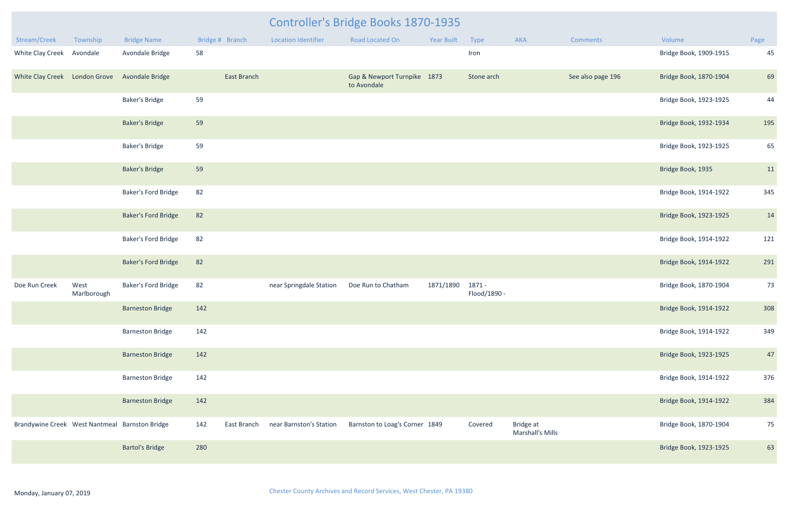| Stream/Creek                                   | Township            | <b>Bridge Name</b>         | Bridge # Branch |                    | <b>Location Identifier</b> | <b>Road Located On</b>                     | <b>Year Built</b> | Type                   | <b>AKA</b>                    | Comments          | Volume                 | Page |
|------------------------------------------------|---------------------|----------------------------|-----------------|--------------------|----------------------------|--------------------------------------------|-------------------|------------------------|-------------------------------|-------------------|------------------------|------|
| White Clay Creek Avondale                      |                     | Avondale Bridge            | 58              |                    |                            |                                            |                   | Iron                   |                               |                   | Bridge Book, 1909-1915 | 45   |
| White Clay Creek London Grove Avondale Bridge  |                     |                            |                 | <b>East Branch</b> |                            | Gap & Newport Turnpike 1873<br>to Avondale |                   | Stone arch             |                               | See also page 196 | Bridge Book, 1870-1904 | 69   |
|                                                |                     | <b>Baker's Bridge</b>      | 59              |                    |                            |                                            |                   |                        |                               |                   | Bridge Book, 1923-1925 | 44   |
|                                                |                     | <b>Baker's Bridge</b>      | 59              |                    |                            |                                            |                   |                        |                               |                   | Bridge Book, 1932-1934 | 195  |
|                                                |                     | <b>Baker's Bridge</b>      | 59              |                    |                            |                                            |                   |                        |                               |                   | Bridge Book, 1923-1925 | 65   |
|                                                |                     | <b>Baker's Bridge</b>      | 59              |                    |                            |                                            |                   |                        |                               |                   | Bridge Book, 1935      | 11   |
|                                                |                     | <b>Baker's Ford Bridge</b> | 82              |                    |                            |                                            |                   |                        |                               |                   | Bridge Book, 1914-1922 | 345  |
|                                                |                     | <b>Baker's Ford Bridge</b> | 82              |                    |                            |                                            |                   |                        |                               |                   | Bridge Book, 1923-1925 | 14   |
|                                                |                     | Baker's Ford Bridge        | 82              |                    |                            |                                            |                   |                        |                               |                   | Bridge Book, 1914-1922 | 121  |
|                                                |                     | <b>Baker's Ford Bridge</b> | 82              |                    |                            |                                            |                   |                        |                               |                   | Bridge Book, 1914-1922 | 291  |
| Doe Run Creek                                  | West<br>Marlborough | Baker's Ford Bridge        | 82              |                    | near Springdale Station    | Doe Run to Chatham                         | 1871/1890         | 1871 -<br>Flood/1890 - |                               |                   | Bridge Book, 1870-1904 | 73   |
|                                                |                     | <b>Barneston Bridge</b>    | 142             |                    |                            |                                            |                   |                        |                               |                   | Bridge Book, 1914-1922 | 308  |
|                                                |                     | <b>Barneston Bridge</b>    | 142             |                    |                            |                                            |                   |                        |                               |                   | Bridge Book, 1914-1922 | 349  |
|                                                |                     | <b>Barneston Bridge</b>    | 142             |                    |                            |                                            |                   |                        |                               |                   | Bridge Book, 1923-1925 | 47   |
|                                                |                     | <b>Barneston Bridge</b>    | 142             |                    |                            |                                            |                   |                        |                               |                   | Bridge Book, 1914-1922 | 376  |
|                                                |                     | <b>Barneston Bridge</b>    | 142             |                    |                            |                                            |                   |                        |                               |                   | Bridge Book, 1914-1922 | 384  |
| Brandywine Creek West Nantmeal Barnston Bridge |                     |                            | 142             | East Branch        | near Barnston's Station    | Barnston to Loag's Corner 1849             |                   | Covered                | Bridge at<br>Marshall's Mills |                   | Bridge Book, 1870-1904 | 75   |
|                                                |                     | <b>Bartol's Bridge</b>     | 280             |                    |                            |                                            |                   |                        |                               |                   | Bridge Book, 1923-1925 | 63   |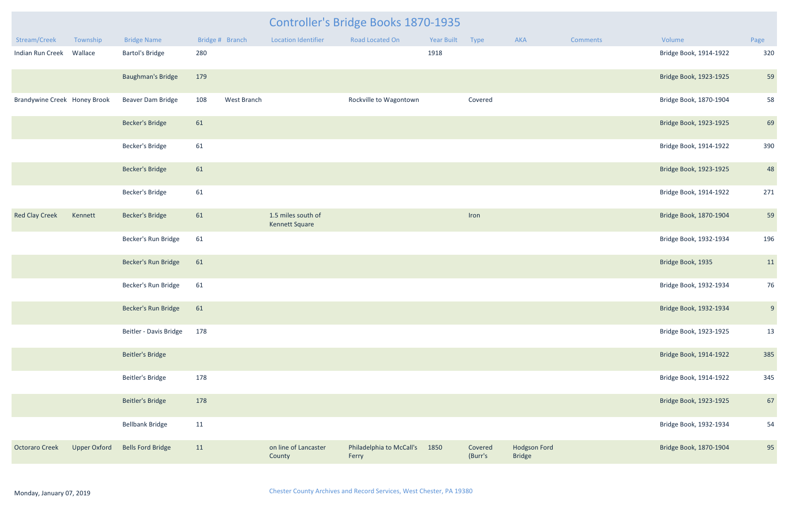| Controller's Bridge Books 1870-1935 |                     |                          |     |                 |                                      |                                   |            |                    |                                      |                 |                        |      |
|-------------------------------------|---------------------|--------------------------|-----|-----------------|--------------------------------------|-----------------------------------|------------|--------------------|--------------------------------------|-----------------|------------------------|------|
| Stream/Creek                        | Township            | <b>Bridge Name</b>       |     | Bridge # Branch | <b>Location Identifier</b>           | <b>Road Located On</b>            | Year Built | Type               | AKA                                  | <b>Comments</b> | Volume                 | Page |
| Indian Run Creek Wallace            |                     | <b>Bartol's Bridge</b>   | 280 |                 |                                      |                                   | 1918       |                    |                                      |                 | Bridge Book, 1914-1922 | 320  |
|                                     |                     | <b>Baughman's Bridge</b> | 179 |                 |                                      |                                   |            |                    |                                      |                 | Bridge Book, 1923-1925 | 59   |
| Brandywine Creek Honey Brook        |                     | Beaver Dam Bridge        | 108 | West Branch     |                                      | Rockville to Wagontown            |            | Covered            |                                      |                 | Bridge Book, 1870-1904 | 58   |
|                                     |                     | <b>Becker's Bridge</b>   | 61  |                 |                                      |                                   |            |                    |                                      |                 | Bridge Book, 1923-1925 | 69   |
|                                     |                     | Becker's Bridge          | 61  |                 |                                      |                                   |            |                    |                                      |                 | Bridge Book, 1914-1922 | 390  |
|                                     |                     | <b>Becker's Bridge</b>   | 61  |                 |                                      |                                   |            |                    |                                      |                 | Bridge Book, 1923-1925 | 48   |
|                                     |                     | Becker's Bridge          | 61  |                 |                                      |                                   |            |                    |                                      |                 | Bridge Book, 1914-1922 | 271  |
| <b>Red Clay Creek</b>               | Kennett             | <b>Becker's Bridge</b>   | 61  |                 | 1.5 miles south of<br>Kennett Square |                                   |            | Iron               |                                      |                 | Bridge Book, 1870-1904 | 59   |
|                                     |                     | Becker's Run Bridge      | 61  |                 |                                      |                                   |            |                    |                                      |                 | Bridge Book, 1932-1934 | 196  |
|                                     |                     | Becker's Run Bridge      | 61  |                 |                                      |                                   |            |                    |                                      |                 | Bridge Book, 1935      | 11   |
|                                     |                     | Becker's Run Bridge      | 61  |                 |                                      |                                   |            |                    |                                      |                 | Bridge Book, 1932-1934 | 76   |
|                                     |                     | Becker's Run Bridge      | 61  |                 |                                      |                                   |            |                    |                                      |                 | Bridge Book, 1932-1934 | 9    |
|                                     |                     | Beitler - Davis Bridge   | 178 |                 |                                      |                                   |            |                    |                                      |                 | Bridge Book, 1923-1925 | 13   |
|                                     |                     | <b>Beitler's Bridge</b>  |     |                 |                                      |                                   |            |                    |                                      |                 | Bridge Book, 1914-1922 | 385  |
|                                     |                     | <b>Beitler's Bridge</b>  | 178 |                 |                                      |                                   |            |                    |                                      |                 | Bridge Book, 1914-1922 | 345  |
|                                     |                     | <b>Beitler's Bridge</b>  | 178 |                 |                                      |                                   |            |                    |                                      |                 | Bridge Book, 1923-1925 | 67   |
|                                     |                     | <b>Bellbank Bridge</b>   | 11  |                 |                                      |                                   |            |                    |                                      |                 | Bridge Book, 1932-1934 | 54   |
| <b>Octoraro Creek</b>               | <b>Upper Oxford</b> | <b>Bells Ford Bridge</b> | 11  |                 | on line of Lancaster<br>County       | Philadelphia to McCall's<br>Ferry | 1850       | Covered<br>(Burr's | <b>Hodgson Ford</b><br><b>Bridge</b> |                 | Bridge Book, 1870-1904 | 95   |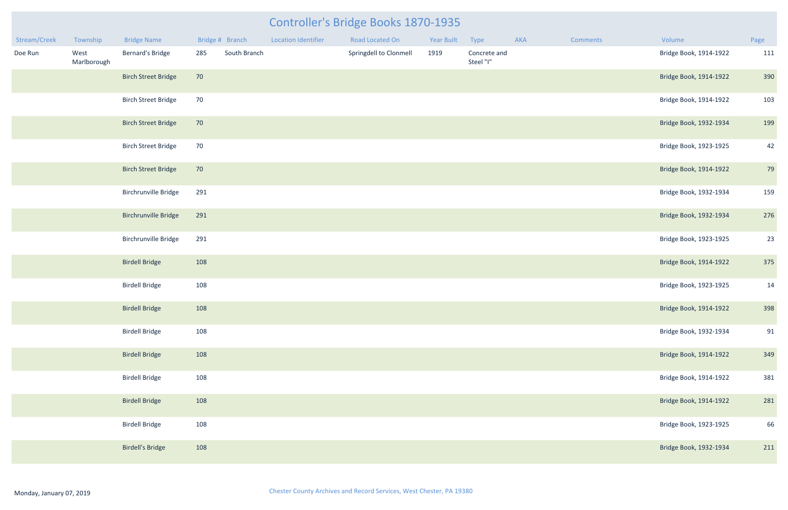| Stream/Creek | Township            | <b>Bridge Name</b>          | Bridge # Branch |              | <b>Location Identifier</b> | Road Located On        | Year Built | Type                      | AKA | Comments | Volume                 | Page |
|--------------|---------------------|-----------------------------|-----------------|--------------|----------------------------|------------------------|------------|---------------------------|-----|----------|------------------------|------|
| Doe Run      | West<br>Marlborough | <b>Bernard's Bridge</b>     | 285             | South Branch |                            | Springdell to Clonmell | 1919       | Concrete and<br>Steel "I" |     |          | Bridge Book, 1914-1922 | 111  |
|              |                     | <b>Birch Street Bridge</b>  | 70              |              |                            |                        |            |                           |     |          | Bridge Book, 1914-1922 | 390  |
|              |                     | <b>Birch Street Bridge</b>  | 70              |              |                            |                        |            |                           |     |          | Bridge Book, 1914-1922 | 103  |
|              |                     | <b>Birch Street Bridge</b>  | 70              |              |                            |                        |            |                           |     |          | Bridge Book, 1932-1934 | 199  |
|              |                     | <b>Birch Street Bridge</b>  | 70              |              |                            |                        |            |                           |     |          | Bridge Book, 1923-1925 | 42   |
|              |                     | <b>Birch Street Bridge</b>  | 70              |              |                            |                        |            |                           |     |          | Bridge Book, 1914-1922 | 79   |
|              |                     | <b>Birchrunville Bridge</b> | 291             |              |                            |                        |            |                           |     |          | Bridge Book, 1932-1934 | 159  |
|              |                     | <b>Birchrunville Bridge</b> | 291             |              |                            |                        |            |                           |     |          | Bridge Book, 1932-1934 | 276  |
|              |                     | <b>Birchrunville Bridge</b> | 291             |              |                            |                        |            |                           |     |          | Bridge Book, 1923-1925 | 23   |
|              |                     | <b>Birdell Bridge</b>       | 108             |              |                            |                        |            |                           |     |          | Bridge Book, 1914-1922 | 375  |
|              |                     | <b>Birdell Bridge</b>       | 108             |              |                            |                        |            |                           |     |          | Bridge Book, 1923-1925 | 14   |
|              |                     | <b>Birdell Bridge</b>       | 108             |              |                            |                        |            |                           |     |          | Bridge Book, 1914-1922 | 398  |
|              |                     | <b>Birdell Bridge</b>       | 108             |              |                            |                        |            |                           |     |          | Bridge Book, 1932-1934 | 91   |
|              |                     | <b>Birdell Bridge</b>       | 108             |              |                            |                        |            |                           |     |          | Bridge Book, 1914-1922 | 349  |
|              |                     | <b>Birdell Bridge</b>       | 108             |              |                            |                        |            |                           |     |          | Bridge Book, 1914-1922 | 381  |
|              |                     | <b>Birdell Bridge</b>       | 108             |              |                            |                        |            |                           |     |          | Bridge Book, 1914-1922 | 281  |
|              |                     | <b>Birdell Bridge</b>       | 108             |              |                            |                        |            |                           |     |          | Bridge Book, 1923-1925 | 66   |
|              |                     | <b>Birdell's Bridge</b>     | 108             |              |                            |                        |            |                           |     |          | Bridge Book, 1932-1934 | 211  |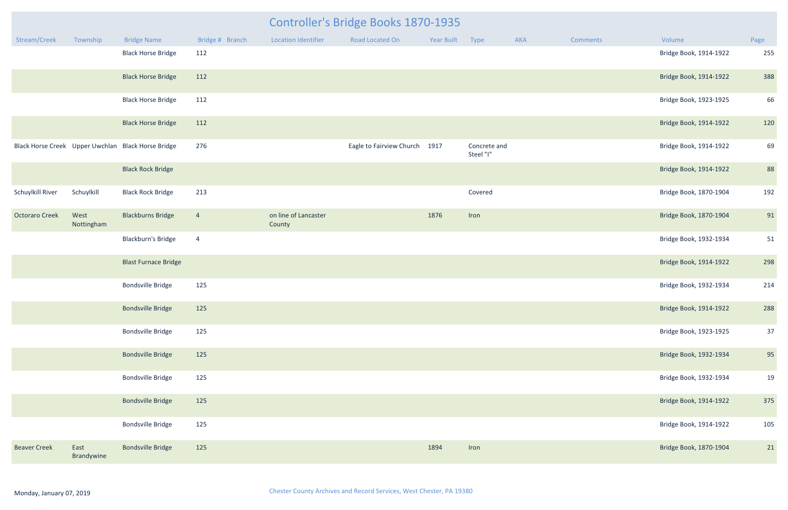| <b>Controller's Bridge Books 1870-1935</b> |                    |                                                    |                 |                                |                               |                 |                           |     |                 |                        |      |
|--------------------------------------------|--------------------|----------------------------------------------------|-----------------|--------------------------------|-------------------------------|-----------------|---------------------------|-----|-----------------|------------------------|------|
| Stream/Creek                               | Township           | <b>Bridge Name</b>                                 | Bridge # Branch | <b>Location Identifier</b>     | Road Located On               | Year Built Type |                           | AKA | <b>Comments</b> | Volume                 | Page |
|                                            |                    | <b>Black Horse Bridge</b>                          | 112             |                                |                               |                 |                           |     |                 | Bridge Book, 1914-1922 | 255  |
|                                            |                    | <b>Black Horse Bridge</b>                          | 112             |                                |                               |                 |                           |     |                 | Bridge Book, 1914-1922 | 388  |
|                                            |                    | <b>Black Horse Bridge</b>                          | 112             |                                |                               |                 |                           |     |                 | Bridge Book, 1923-1925 | 66   |
|                                            |                    | <b>Black Horse Bridge</b>                          | 112             |                                |                               |                 |                           |     |                 | Bridge Book, 1914-1922 | 120  |
|                                            |                    | Black Horse Creek Upper Uwchlan Black Horse Bridge | 276             |                                | Eagle to Fairview Church 1917 |                 | Concrete and<br>Steel "I" |     |                 | Bridge Book, 1914-1922 | 69   |
|                                            |                    | <b>Black Rock Bridge</b>                           |                 |                                |                               |                 |                           |     |                 | Bridge Book, 1914-1922 | 88   |
| Schuylkill River                           | Schuylkill         | <b>Black Rock Bridge</b>                           | 213             |                                |                               |                 | Covered                   |     |                 | Bridge Book, 1870-1904 | 192  |
| <b>Octoraro Creek</b>                      | West<br>Nottingham | <b>Blackburns Bridge</b>                           | $\overline{4}$  | on line of Lancaster<br>County |                               | 1876            | Iron                      |     |                 | Bridge Book, 1870-1904 | 91   |
|                                            |                    | <b>Blackburn's Bridge</b>                          | $\overline{4}$  |                                |                               |                 |                           |     |                 | Bridge Book, 1932-1934 | 51   |
|                                            |                    | <b>Blast Furnace Bridge</b>                        |                 |                                |                               |                 |                           |     |                 | Bridge Book, 1914-1922 | 298  |
|                                            |                    | <b>Bondsville Bridge</b>                           | 125             |                                |                               |                 |                           |     |                 | Bridge Book, 1932-1934 | 214  |
|                                            |                    | <b>Bondsville Bridge</b>                           | 125             |                                |                               |                 |                           |     |                 | Bridge Book, 1914-1922 | 288  |
|                                            |                    | <b>Bondsville Bridge</b>                           | 125             |                                |                               |                 |                           |     |                 | Bridge Book, 1923-1925 | 37   |
|                                            |                    | <b>Bondsville Bridge</b>                           | 125             |                                |                               |                 |                           |     |                 | Bridge Book, 1932-1934 | 95   |
|                                            |                    | <b>Bondsville Bridge</b>                           | 125             |                                |                               |                 |                           |     |                 | Bridge Book, 1932-1934 | 19   |
|                                            |                    | <b>Bondsville Bridge</b>                           | 125             |                                |                               |                 |                           |     |                 | Bridge Book, 1914-1922 | 375  |
|                                            |                    | <b>Bondsville Bridge</b>                           | 125             |                                |                               |                 |                           |     |                 | Bridge Book, 1914-1922 | 105  |
| <b>Beaver Creek</b>                        | East<br>Brandywine | <b>Bondsville Bridge</b>                           | 125             |                                |                               | 1894            | Iron                      |     |                 | Bridge Book, 1870-1904 | 21   |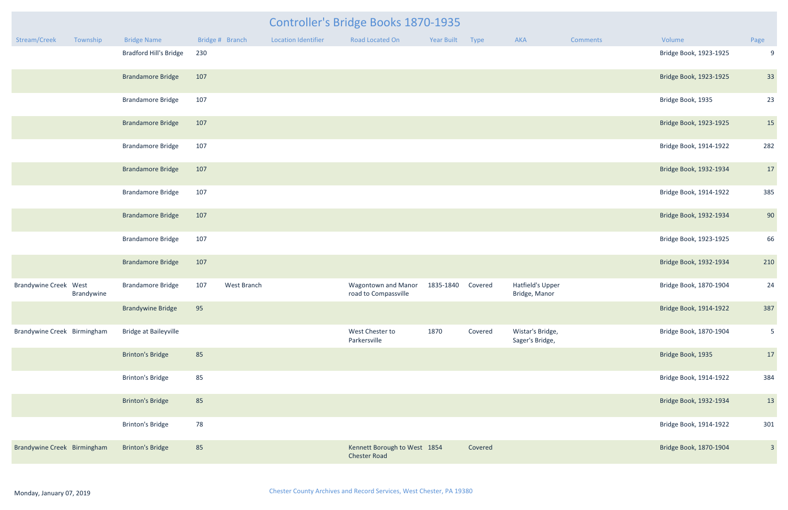| <b>Year Built</b> | <b>Type</b> | <b>AKA</b>                          | <b>Comments</b> | Volume                 | Page           |
|-------------------|-------------|-------------------------------------|-----------------|------------------------|----------------|
|                   |             |                                     |                 | Bridge Book, 1923-1925 | 9              |
|                   |             |                                     |                 | Bridge Book, 1923-1925 | 33             |
|                   |             |                                     |                 | Bridge Book, 1935      | 23             |
|                   |             |                                     |                 | Bridge Book, 1923-1925 | 15             |
|                   |             |                                     |                 | Bridge Book, 1914-1922 | 282            |
|                   |             |                                     |                 | Bridge Book, 1932-1934 | $17$           |
|                   |             |                                     |                 | Bridge Book, 1914-1922 | 385            |
|                   |             |                                     |                 | Bridge Book, 1932-1934 | 90             |
|                   |             |                                     |                 | Bridge Book, 1923-1925 | 66             |
|                   |             |                                     |                 | Bridge Book, 1932-1934 | 210            |
| 1835-1840         | Covered     | Hatfield's Upper<br>Bridge, Manor   |                 | Bridge Book, 1870-1904 | 24             |
|                   |             |                                     |                 | Bridge Book, 1914-1922 | 387            |
| 1870              | Covered     | Wistar's Bridge,<br>Sager's Bridge, |                 | Bridge Book, 1870-1904 | 5              |
|                   |             |                                     |                 | Bridge Book, 1935      | 17             |
|                   |             |                                     |                 | Bridge Book, 1914-1922 | 384            |
|                   |             |                                     |                 | Bridge Book, 1932-1934 | 13             |
|                   |             |                                     |                 | Bridge Book, 1914-1922 | 301            |
| 1854              | Covered     |                                     |                 | Bridge Book, 1870-1904 | $\overline{3}$ |

|                              |                          |                               |                 |             |                            | Controller's Bridge Books 1870-1935                 |            |         |                                          |                        |                        |                |
|------------------------------|--------------------------|-------------------------------|-----------------|-------------|----------------------------|-----------------------------------------------------|------------|---------|------------------------------------------|------------------------|------------------------|----------------|
| Stream/Creek                 | Township                 | <b>Bridge Name</b>            | Bridge # Branch |             | <b>Location Identifier</b> | Road Located On                                     | Year Built | Type    | AKA                                      | <b>Comments</b>        | Volume                 | Page           |
|                              |                          | <b>Bradford Hill's Bridge</b> | 230             |             |                            |                                                     |            |         |                                          |                        | Bridge Book, 1923-1925 | $\mathsf{C}$   |
|                              |                          | <b>Brandamore Bridge</b>      | 107             |             |                            |                                                     |            |         |                                          |                        | Bridge Book, 1923-1925 | 33             |
|                              |                          | <b>Brandamore Bridge</b>      | 107             |             |                            |                                                     |            |         |                                          |                        | Bridge Book, 1935      | 2 <sup>3</sup> |
|                              |                          | <b>Brandamore Bridge</b>      | 107             |             |                            |                                                     |            |         |                                          |                        | Bridge Book, 1923-1925 | 15             |
|                              |                          | <b>Brandamore Bridge</b>      | 107             |             |                            |                                                     |            |         |                                          |                        | Bridge Book, 1914-1922 | 282            |
|                              |                          | <b>Brandamore Bridge</b>      | 107             |             |                            |                                                     |            |         |                                          |                        | Bridge Book, 1932-1934 | 17             |
|                              |                          | <b>Brandamore Bridge</b>      | 107             |             |                            |                                                     |            |         |                                          |                        | Bridge Book, 1914-1922 | 385            |
|                              | <b>Brandamore Bridge</b> | 107                           |                 |             |                            |                                                     |            |         |                                          | Bridge Book, 1932-1934 | 90                     |                |
|                              | <b>Brandamore Bridge</b> | 107                           |                 |             |                            |                                                     |            |         |                                          | Bridge Book, 1923-1925 | 66                     |                |
|                              |                          | <b>Brandamore Bridge</b>      | 107             |             |                            |                                                     |            |         |                                          |                        | Bridge Book, 1932-1934 | 210            |
| <b>Brandywine Creek West</b> | Brandywine               | <b>Brandamore Bridge</b>      | 107             | West Branch |                            | <b>Wagontown and Manor</b><br>road to Compassville  | 1835-1840  | Covered | <b>Hatfield's Upper</b><br>Bridge, Manor |                        | Bridge Book, 1870-1904 | 24             |
|                              |                          | <b>Brandywine Bridge</b>      | 95              |             |                            |                                                     |            |         |                                          |                        | Bridge Book, 1914-1922 | 387            |
| Brandywine Creek Birmingham  |                          | <b>Bridge at Baileyville</b>  |                 |             |                            | West Chester to<br>Parkersville                     | 1870       | Covered | Wistar's Bridge,<br>Sager's Bridge,      |                        | Bridge Book, 1870-1904 | 5              |
|                              |                          | <b>Brinton's Bridge</b>       | 85              |             |                            |                                                     |            |         |                                          |                        | Bridge Book, 1935      | 17             |
|                              |                          | <b>Brinton's Bridge</b>       | 85              |             |                            |                                                     |            |         |                                          |                        | Bridge Book, 1914-1922 | 384            |
|                              |                          | <b>Brinton's Bridge</b>       | 85              |             |                            |                                                     |            |         |                                          |                        | Bridge Book, 1932-1934 | 13             |
|                              |                          | <b>Brinton's Bridge</b>       | 78              |             |                            |                                                     |            |         |                                          |                        | Bridge Book, 1914-1922 | 301            |
| Brandywine Creek Birmingham  |                          | <b>Brinton's Bridge</b>       | 85              |             |                            | Kennett Borough to West 1854<br><b>Chester Road</b> |            | Covered |                                          |                        | Bridge Book, 1870-1904 | $\beta$        |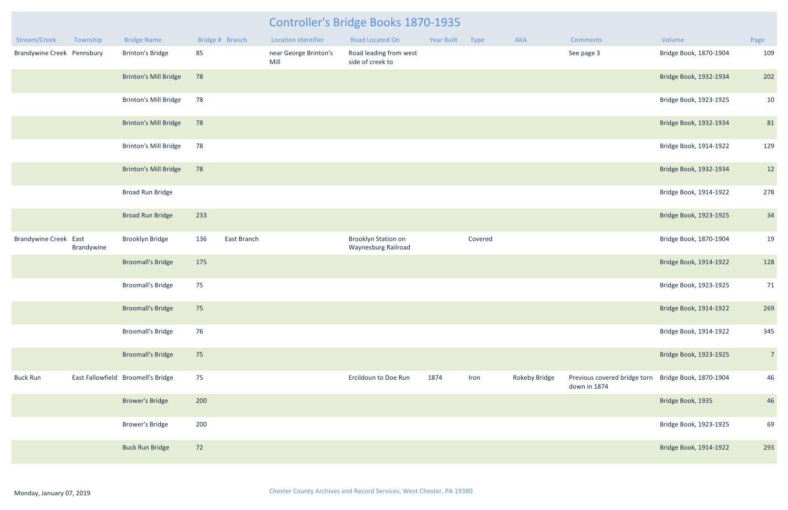| Stream/Creek                      | Township   | <b>Bridge Name</b>                 |     | Bridge # Branch | <b>Location Identifier</b>    | Road Located On                                   | Year Built | Type    | <b>AKA</b>           | <b>Comments</b>                                                     | Volume                 | Page           |
|-----------------------------------|------------|------------------------------------|-----|-----------------|-------------------------------|---------------------------------------------------|------------|---------|----------------------|---------------------------------------------------------------------|------------------------|----------------|
| <b>Brandywine Creek Pennsbury</b> |            | <b>Brinton's Bridge</b>            | 85  |                 | near George Brinton's<br>Mill | Road leading from west<br>side of creek to        |            |         |                      | See page 3                                                          | Bridge Book, 1870-1904 | 109            |
|                                   |            | <b>Brinton's Mill Bridge</b>       | 78  |                 |                               |                                                   |            |         |                      |                                                                     | Bridge Book, 1932-1934 | 202            |
|                                   |            | <b>Brinton's Mill Bridge</b>       | 78  |                 |                               |                                                   |            |         |                      |                                                                     | Bridge Book, 1923-1925 | 10             |
|                                   |            | <b>Brinton's Mill Bridge</b>       | 78  |                 |                               |                                                   |            |         |                      |                                                                     | Bridge Book, 1932-1934 | 81             |
|                                   |            | <b>Brinton's Mill Bridge</b>       | 78  |                 |                               |                                                   |            |         |                      |                                                                     | Bridge Book, 1914-1922 | 129            |
|                                   |            | <b>Brinton's Mill Bridge</b>       | 78  |                 |                               |                                                   |            |         |                      |                                                                     | Bridge Book, 1932-1934 | 12             |
|                                   |            | Broad Run Bridge                   |     |                 |                               |                                                   |            |         |                      |                                                                     | Bridge Book, 1914-1922 | 278            |
|                                   |            | <b>Broad Run Bridge</b>            | 233 |                 |                               |                                                   |            |         |                      |                                                                     | Bridge Book, 1923-1925 | 34             |
| <b>Brandywine Creek East</b>      | Brandywine | <b>Brooklyn Bridge</b>             | 136 | East Branch     |                               | <b>Brooklyn Station on</b><br>Waynesburg Railroad |            | Covered |                      |                                                                     | Bridge Book, 1870-1904 | 19             |
|                                   |            | <b>Broomall's Bridge</b>           | 175 |                 |                               |                                                   |            |         |                      |                                                                     | Bridge Book, 1914-1922 | 128            |
|                                   |            | <b>Broomall's Bridge</b>           | 75  |                 |                               |                                                   |            |         |                      |                                                                     | Bridge Book, 1923-1925 | 71             |
|                                   |            | <b>Broomall's Bridge</b>           | 75  |                 |                               |                                                   |            |         |                      |                                                                     | Bridge Book, 1914-1922 | 269            |
|                                   |            | <b>Broomall's Bridge</b>           | 76  |                 |                               |                                                   |            |         |                      |                                                                     | Bridge Book, 1914-1922 | 345            |
|                                   |            | <b>Broomall's Bridge</b>           | 75  |                 |                               |                                                   |            |         |                      |                                                                     | Bridge Book, 1923-1925 | 7 <sup>7</sup> |
| <b>Buck Run</b>                   |            | East Fallowfield Broomell's Bridge | 75  |                 |                               | Ercildoun to Doe Run                              | 1874       | Iron    | <b>Rokeby Bridge</b> | Previous covered bridge torn Bridge Book, 1870-1904<br>down in 1874 |                        | 46             |
|                                   |            | <b>Brower's Bridge</b>             | 200 |                 |                               |                                                   |            |         |                      |                                                                     | Bridge Book, 1935      | 46             |
|                                   |            | <b>Brower's Bridge</b>             | 200 |                 |                               |                                                   |            |         |                      |                                                                     | Bridge Book, 1923-1925 | 69             |
|                                   |            | <b>Buck Run Bridge</b>             | 72  |                 |                               |                                                   |            |         |                      |                                                                     | Bridge Book, 1914-1922 | 293            |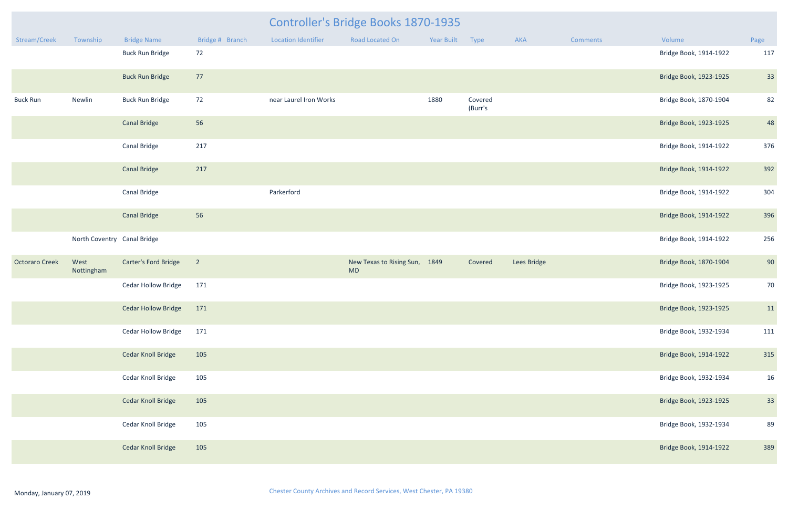|                       |                             |                            |                 | Controller's Bridge Books 1870-1935 |                                            |            |                    |             |          |                        |      |  |  |
|-----------------------|-----------------------------|----------------------------|-----------------|-------------------------------------|--------------------------------------------|------------|--------------------|-------------|----------|------------------------|------|--|--|
| Stream/Creek          | Township                    | <b>Bridge Name</b>         | Bridge # Branch | <b>Location Identifier</b>          | <b>Road Located On</b>                     | Year Built | Type               | AKA         | Comments | Volume                 | Page |  |  |
|                       |                             | <b>Buck Run Bridge</b>     | 72              |                                     |                                            |            |                    |             |          | Bridge Book, 1914-1922 | 117  |  |  |
|                       |                             | <b>Buck Run Bridge</b>     | 77              |                                     |                                            |            |                    |             |          | Bridge Book, 1923-1925 | 33   |  |  |
| <b>Buck Run</b>       | Newlin                      | <b>Buck Run Bridge</b>     | 72              | near Laurel Iron Works              |                                            | 1880       | Covered<br>(Burr's |             |          | Bridge Book, 1870-1904 | 82   |  |  |
|                       |                             | <b>Canal Bridge</b>        | 56              |                                     |                                            |            |                    |             |          | Bridge Book, 1923-1925 | 48   |  |  |
|                       |                             | <b>Canal Bridge</b>        | 217             |                                     |                                            |            |                    |             |          | Bridge Book, 1914-1922 | 376  |  |  |
|                       |                             | <b>Canal Bridge</b>        | 217             |                                     |                                            |            |                    |             |          | Bridge Book, 1914-1922 | 392  |  |  |
|                       |                             | <b>Canal Bridge</b>        |                 | Parkerford                          |                                            |            |                    |             |          | Bridge Book, 1914-1922 | 304  |  |  |
|                       |                             | <b>Canal Bridge</b>        | 56              |                                     |                                            |            |                    |             |          | Bridge Book, 1914-1922 | 396  |  |  |
|                       | North Coventry Canal Bridge |                            |                 |                                     |                                            |            |                    |             |          | Bridge Book, 1914-1922 | 256  |  |  |
| <b>Octoraro Creek</b> | West<br>Nottingham          | Carter's Ford Bridge       | $\overline{2}$  |                                     | New Texas to Rising Sun, 1849<br><b>MD</b> |            | Covered            | Lees Bridge |          | Bridge Book, 1870-1904 | 90   |  |  |
|                       |                             | <b>Cedar Hollow Bridge</b> | 171             |                                     |                                            |            |                    |             |          | Bridge Book, 1923-1925 | 70   |  |  |
|                       |                             | <b>Cedar Hollow Bridge</b> | 171             |                                     |                                            |            |                    |             |          | Bridge Book, 1923-1925 | 11   |  |  |
|                       |                             | <b>Cedar Hollow Bridge</b> | 171             |                                     |                                            |            |                    |             |          | Bridge Book, 1932-1934 | 111  |  |  |
|                       |                             | Cedar Knoll Bridge         | 105             |                                     |                                            |            |                    |             |          | Bridge Book, 1914-1922 | 315  |  |  |
|                       |                             | Cedar Knoll Bridge         | 105             |                                     |                                            |            |                    |             |          | Bridge Book, 1932-1934 | 16   |  |  |
|                       |                             | <b>Cedar Knoll Bridge</b>  | 105             |                                     |                                            |            |                    |             |          | Bridge Book, 1923-1925 | 33   |  |  |
|                       |                             | Cedar Knoll Bridge         | 105             |                                     |                                            |            |                    |             |          | Bridge Book, 1932-1934 | 89   |  |  |
|                       |                             | <b>Cedar Knoll Bridge</b>  | 105             |                                     |                                            |            |                    |             |          | Bridge Book, 1914-1922 | 389  |  |  |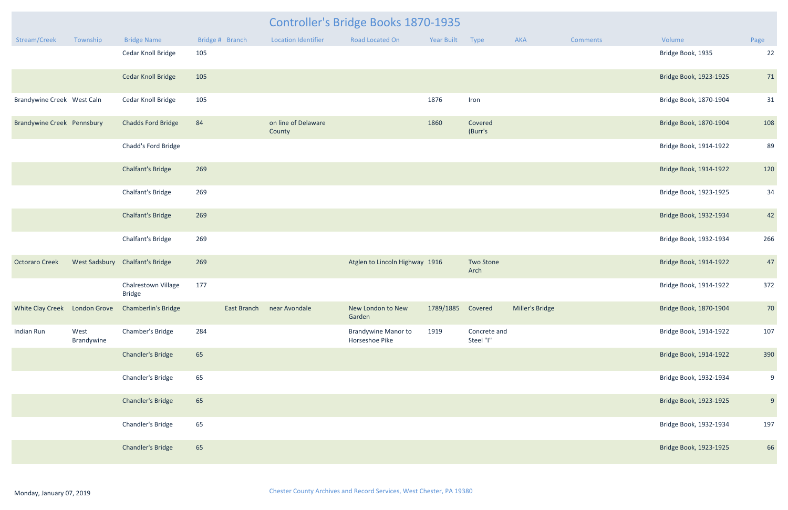| <b>Year Built</b> | <b>Type</b>               | <b>AKA</b>      | <b>Comments</b> | Volume                 | Page           |
|-------------------|---------------------------|-----------------|-----------------|------------------------|----------------|
|                   |                           |                 |                 | Bridge Book, 1935      | 22             |
|                   |                           |                 |                 | Bridge Book, 1923-1925 | $71\,$         |
| 1876              | Iron                      |                 |                 | Bridge Book, 1870-1904 | 31             |
| 1860              | Covered<br>(Burr's        |                 |                 | Bridge Book, 1870-1904 | 108            |
|                   |                           |                 |                 | Bridge Book, 1914-1922 | 89             |
|                   |                           |                 |                 | Bridge Book, 1914-1922 | 120            |
|                   |                           |                 |                 | Bridge Book, 1923-1925 | 34             |
|                   |                           |                 |                 | Bridge Book, 1932-1934 | 42             |
|                   |                           |                 |                 | Bridge Book, 1932-1934 | 266            |
| 1916              | <b>Two Stone</b><br>Arch  |                 |                 | Bridge Book, 1914-1922 | 47             |
|                   |                           |                 |                 | Bridge Book, 1914-1922 | 372            |
| 1789/1885         | Covered                   | Miller's Bridge |                 | Bridge Book, 1870-1904 | $70\,$         |
| 1919              | Concrete and<br>Steel "I" |                 |                 | Bridge Book, 1914-1922 | 107            |
|                   |                           |                 |                 | Bridge Book, 1914-1922 | 390            |
|                   |                           |                 |                 | Bridge Book, 1932-1934 | $9\,$          |
|                   |                           |                 |                 | Bridge Book, 1923-1925 | $\overline{9}$ |
|                   |                           |                 |                 | Bridge Book, 1932-1934 | 197            |
|                   |                           |                 |                 | Bridge Book, 1923-1925 | 66             |

|                                   |                    | <b>Controller's Bridge Books 1870-1935</b>        |                 |                               |                                              |                   |                           |                 |                 |                        |                         |
|-----------------------------------|--------------------|---------------------------------------------------|-----------------|-------------------------------|----------------------------------------------|-------------------|---------------------------|-----------------|-----------------|------------------------|-------------------------|
| Stream/Creek                      | Township           | <b>Bridge Name</b>                                | Bridge # Branch | <b>Location Identifier</b>    | Road Located On                              | Year Built        | Type                      | AKA             | <b>Comments</b> | Volume                 | Page                    |
|                                   |                    | Cedar Knoll Bridge                                | 105             |                               |                                              |                   |                           |                 |                 | Bridge Book, 1935      | 22                      |
|                                   |                    | <b>Cedar Knoll Bridge</b>                         | 105             |                               |                                              |                   |                           |                 |                 | Bridge Book, 1923-1925 | 71                      |
| Brandywine Creek West Caln        |                    | Cedar Knoll Bridge                                | 105             |                               |                                              | 1876              | Iron                      |                 |                 | Bridge Book, 1870-1904 | 31                      |
| <b>Brandywine Creek Pennsbury</b> |                    | <b>Chadds Ford Bridge</b>                         | 84              | on line of Delaware<br>County |                                              | 1860              | Covered<br>(Burr's        |                 |                 | Bridge Book, 1870-1904 | 108                     |
|                                   |                    | Chadd's Ford Bridge                               |                 |                               |                                              |                   |                           |                 |                 | Bridge Book, 1914-1922 | <b>89</b>               |
|                                   |                    | <b>Chalfant's Bridge</b>                          | 269             |                               |                                              |                   |                           |                 |                 | Bridge Book, 1914-1922 | 120                     |
|                                   |                    | Chalfant's Bridge                                 | 269             |                               |                                              |                   |                           |                 |                 | Bridge Book, 1923-1925 | 34                      |
|                                   |                    | <b>Chalfant's Bridge</b>                          | 269             |                               |                                              |                   |                           |                 |                 | Bridge Book, 1932-1934 | 42                      |
|                                   |                    | Chalfant's Bridge                                 | 269             |                               |                                              |                   |                           |                 |                 | Bridge Book, 1932-1934 | 266                     |
| <b>Octoraro Creek</b>             |                    | West Sadsbury Chalfant's Bridge                   | 269             |                               | Atglen to Lincoln Highway 1916               |                   | <b>Two Stone</b><br>Arch  |                 |                 | Bridge Book, 1914-1922 | 47                      |
|                                   |                    | Chalrestown Village<br><b>Bridge</b>              | 177             |                               |                                              |                   |                           |                 |                 | Bridge Book, 1914-1922 | 372                     |
|                                   |                    | White Clay Creek London Grove Chamberlin's Bridge | East Branch     | near Avondale                 | New London to New<br>Garden                  | 1789/1885 Covered |                           | Miller's Bridge |                 | Bridge Book, 1870-1904 | 70                      |
| Indian Run                        | West<br>Brandywine | Chamber's Bridge                                  | 284             |                               | <b>Brandywine Manor to</b><br>Horseshoe Pike | 1919              | Concrete and<br>Steel "I" |                 |                 | Bridge Book, 1914-1922 | 107                     |
|                                   |                    | <b>Chandler's Bridge</b>                          | 65              |                               |                                              |                   |                           |                 |                 | Bridge Book, 1914-1922 | 390                     |
|                                   |                    | Chandler's Bridge                                 | 65              |                               |                                              |                   |                           |                 |                 | Bridge Book, 1932-1934 | $\mathbf{c}$            |
|                                   |                    | <b>Chandler's Bridge</b>                          | 65              |                               |                                              |                   |                           |                 |                 | Bridge Book, 1923-1925 | $\overline{\mathsf{c}}$ |
|                                   |                    | Chandler's Bridge                                 | 65              |                               |                                              |                   |                           |                 |                 | Bridge Book, 1932-1934 | 197                     |
|                                   |                    | <b>Chandler's Bridge</b>                          | 65              |                               |                                              |                   |                           |                 |                 | Bridge Book, 1923-1925 | 66                      |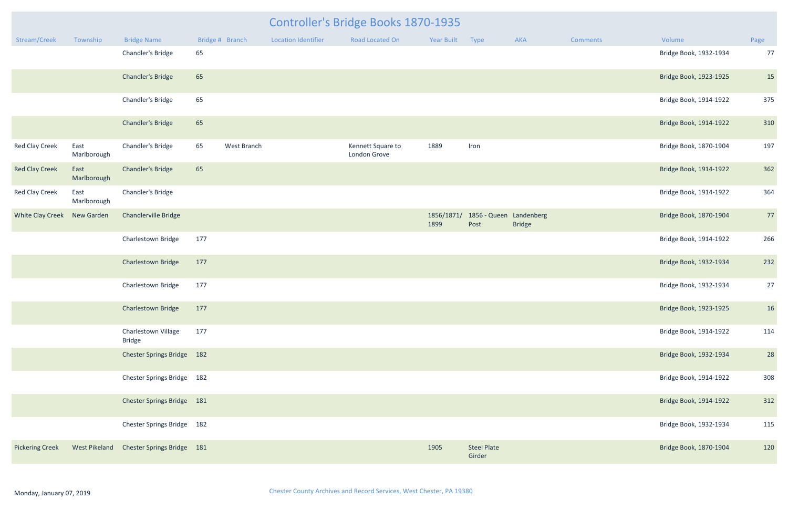| <b>Controller's Bridge Books 1870-1935</b> |                     |                                      |                 |             |                            |                                   |                    |                                 |               |          |                        |      |  |
|--------------------------------------------|---------------------|--------------------------------------|-----------------|-------------|----------------------------|-----------------------------------|--------------------|---------------------------------|---------------|----------|------------------------|------|--|
| Stream/Creek                               | Township            | <b>Bridge Name</b>                   | Bridge # Branch |             | <b>Location Identifier</b> | Road Located On                   | Year Built Type    |                                 | AKA           | Comments | Volume                 | Page |  |
|                                            |                     | Chandler's Bridge                    | 65              |             |                            |                                   |                    |                                 |               |          | Bridge Book, 1932-1934 | 77   |  |
|                                            |                     | <b>Chandler's Bridge</b>             | 65              |             |                            |                                   |                    |                                 |               |          | Bridge Book, 1923-1925 | 15   |  |
|                                            |                     | Chandler's Bridge                    | 65              |             |                            |                                   |                    |                                 |               |          | Bridge Book, 1914-1922 | 375  |  |
|                                            |                     | <b>Chandler's Bridge</b>             | 65              |             |                            |                                   |                    |                                 |               |          | Bridge Book, 1914-1922 | 310  |  |
| <b>Red Clay Creek</b>                      | East<br>Marlborough | Chandler's Bridge                    | 65              | West Branch |                            | Kennett Square to<br>London Grove | 1889               | Iron                            |               |          | Bridge Book, 1870-1904 | 197  |  |
| <b>Red Clay Creek</b>                      | East<br>Marlborough | <b>Chandler's Bridge</b>             | 65              |             |                            |                                   |                    |                                 |               |          | Bridge Book, 1914-1922 | 362  |  |
| <b>Red Clay Creek</b>                      | East<br>Marlborough | Chandler's Bridge                    |                 |             |                            |                                   |                    |                                 |               |          | Bridge Book, 1914-1922 | 364  |  |
| White Clay Creek New Garden                |                     | Chandlerville Bridge                 |                 |             |                            |                                   | 1856/1871/<br>1899 | 1856 - Queen Landenberg<br>Post | <b>Bridge</b> |          | Bridge Book, 1870-1904 | 77   |  |
|                                            |                     | Charlestown Bridge                   | 177             |             |                            |                                   |                    |                                 |               |          | Bridge Book, 1914-1922 | 266  |  |
|                                            |                     | Charlestown Bridge                   | 177             |             |                            |                                   |                    |                                 |               |          | Bridge Book, 1932-1934 | 232  |  |
|                                            |                     | Charlestown Bridge                   | 177             |             |                            |                                   |                    |                                 |               |          | Bridge Book, 1932-1934 | 27   |  |
|                                            |                     | Charlestown Bridge 177               |                 |             |                            |                                   |                    |                                 |               |          | Bridge Book, 1923-1925 | 16   |  |
|                                            |                     | Charlestown Village<br><b>Bridge</b> | 177             |             |                            |                                   |                    |                                 |               |          | Bridge Book, 1914-1922 | 114  |  |
|                                            |                     | Chester Springs Bridge 182           |                 |             |                            |                                   |                    |                                 |               |          | Bridge Book, 1932-1934 | 28   |  |
|                                            |                     | Chester Springs Bridge 182           |                 |             |                            |                                   |                    |                                 |               |          | Bridge Book, 1914-1922 | 308  |  |
|                                            |                     | Chester Springs Bridge 181           |                 |             |                            |                                   |                    |                                 |               |          | Bridge Book, 1914-1922 | 312  |  |
|                                            |                     | Chester Springs Bridge 182           |                 |             |                            |                                   |                    |                                 |               |          | Bridge Book, 1932-1934 | 115  |  |
| <b>Pickering Creek</b>                     | West Pikeland       | Chester Springs Bridge 181           |                 |             |                            |                                   | 1905               | <b>Steel Plate</b><br>Girder    |               |          | Bridge Book, 1870-1904 | 120  |  |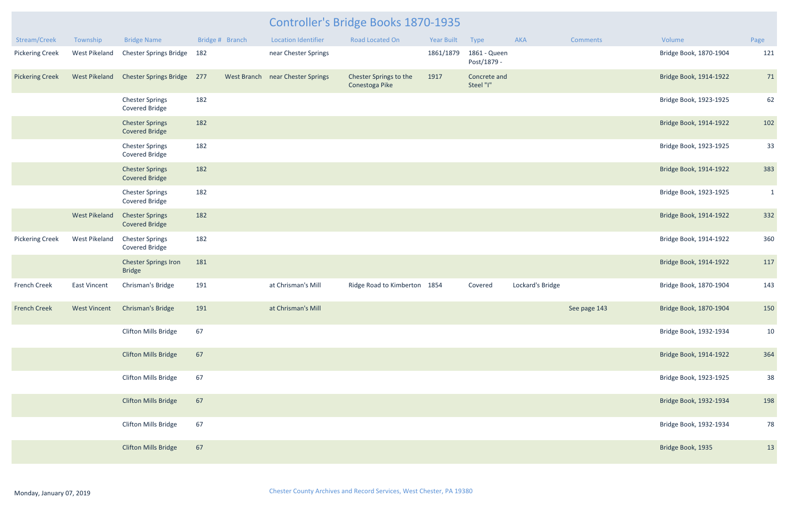| Stream/Creek           | Township             | <b>Bridge Name</b>                              | Bridge # Branch | <b>Location Identifier</b>       | <b>Road Located On</b>                   | <b>Year Built</b> | Type                        | <b>AKA</b>       | <b>Comments</b> | Volume                 | Page         |
|------------------------|----------------------|-------------------------------------------------|-----------------|----------------------------------|------------------------------------------|-------------------|-----------------------------|------------------|-----------------|------------------------|--------------|
| <b>Pickering Creek</b> | West Pikeland        | <b>Chester Springs Bridge</b>                   | 182             | near Chester Springs             |                                          | 1861/1879         | 1861 - Queen<br>Post/1879 - |                  |                 | Bridge Book, 1870-1904 | 121          |
| <b>Pickering Creek</b> | <b>West Pikeland</b> | <b>Chester Springs Bridge</b>                   | 277             | West Branch near Chester Springs | Chester Springs to the<br>Conestoga Pike | 1917              | Concrete and<br>Steel "I"   |                  |                 | Bridge Book, 1914-1922 | 71           |
|                        |                      | <b>Chester Springs</b><br><b>Covered Bridge</b> | 182             |                                  |                                          |                   |                             |                  |                 | Bridge Book, 1923-1925 | 62           |
|                        |                      | <b>Chester Springs</b><br><b>Covered Bridge</b> | 182             |                                  |                                          |                   |                             |                  |                 | Bridge Book, 1914-1922 | 102          |
|                        |                      | <b>Chester Springs</b><br>Covered Bridge        | 182             |                                  |                                          |                   |                             |                  |                 | Bridge Book, 1923-1925 | 33           |
|                        |                      | <b>Chester Springs</b><br><b>Covered Bridge</b> | 182             |                                  |                                          |                   |                             |                  |                 | Bridge Book, 1914-1922 | 383          |
|                        |                      | <b>Chester Springs</b><br>Covered Bridge        | 182             |                                  |                                          |                   |                             |                  |                 | Bridge Book, 1923-1925 | $\mathbf{1}$ |
|                        | <b>West Pikeland</b> | <b>Chester Springs</b><br><b>Covered Bridge</b> | 182             |                                  |                                          |                   |                             |                  |                 | Bridge Book, 1914-1922 | 332          |
| <b>Pickering Creek</b> | <b>West Pikeland</b> | <b>Chester Springs</b><br>Covered Bridge        | 182             |                                  |                                          |                   |                             |                  |                 | Bridge Book, 1914-1922 | 360          |
|                        |                      | Chester Springs Iron<br><b>Bridge</b>           | 181             |                                  |                                          |                   |                             |                  |                 | Bridge Book, 1914-1922 | 117          |
| <b>French Creek</b>    | <b>East Vincent</b>  | Chrisman's Bridge                               | 191             | at Chrisman's Mill               | Ridge Road to Kimberton 1854             |                   | Covered                     | Lockard's Bridge |                 | Bridge Book, 1870-1904 | 143          |
| <b>French Creek</b>    | <b>West Vincent</b>  | Chrisman's Bridge                               | 191             | at Chrisman's Mill               |                                          |                   |                             |                  | See page 143    | Bridge Book, 1870-1904 | 150          |
|                        |                      | Clifton Mills Bridge                            | 67              |                                  |                                          |                   |                             |                  |                 | Bridge Book, 1932-1934 | 10           |
|                        |                      | <b>Clifton Mills Bridge</b>                     | 67              |                                  |                                          |                   |                             |                  |                 | Bridge Book, 1914-1922 | 364          |
|                        |                      | <b>Clifton Mills Bridge</b>                     | 67              |                                  |                                          |                   |                             |                  |                 | Bridge Book, 1923-1925 | 38           |
|                        |                      | <b>Clifton Mills Bridge</b>                     | 67              |                                  |                                          |                   |                             |                  |                 | Bridge Book, 1932-1934 | 198          |
|                        |                      | <b>Clifton Mills Bridge</b>                     | 67              |                                  |                                          |                   |                             |                  |                 | Bridge Book, 1932-1934 | 78           |
|                        |                      | <b>Clifton Mills Bridge</b>                     | 67              |                                  |                                          |                   |                             |                  |                 | Bridge Book, 1935      | 13           |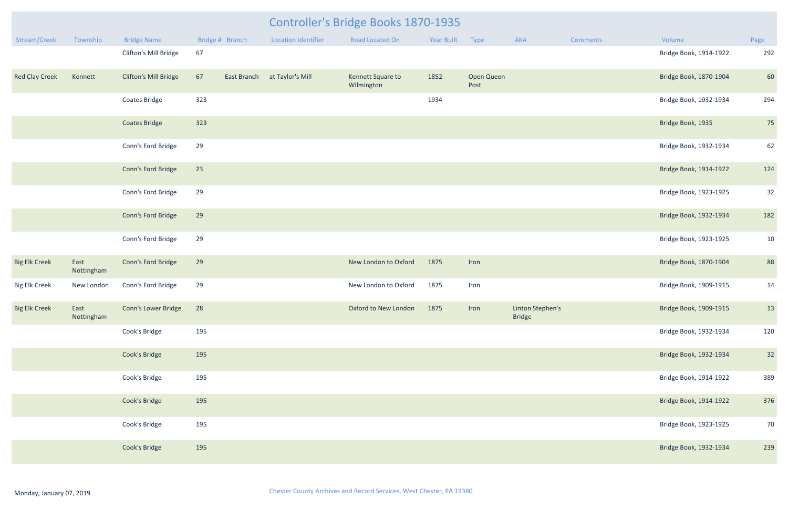|                       |                    |                              |     |                 | <b>Controller's Bridge Books 1870-1935</b> |                                 |            |                    |                                   |                 |                        |      |
|-----------------------|--------------------|------------------------------|-----|-----------------|--------------------------------------------|---------------------------------|------------|--------------------|-----------------------------------|-----------------|------------------------|------|
| Stream/Creek          | Township           | <b>Bridge Name</b>           |     | Bridge # Branch | <b>Location Identifier</b>                 | Road Located On                 | Year Built | Type               | AKA                               | <b>Comments</b> | Volume                 | Page |
|                       |                    | Clifton's Mill Bridge        | 67  |                 |                                            |                                 |            |                    |                                   |                 | Bridge Book, 1914-1922 | 292  |
| <b>Red Clay Creek</b> | Kennett            | <b>Clifton's Mill Bridge</b> | 67  |                 | East Branch at Taylor's Mill               | Kennett Square to<br>Wilmington | 1852       | Open Queen<br>Post |                                   |                 | Bridge Book, 1870-1904 | 60   |
|                       |                    | <b>Coates Bridge</b>         | 323 |                 |                                            |                                 | 1934       |                    |                                   |                 | Bridge Book, 1932-1934 | 294  |
|                       |                    | <b>Coates Bridge</b>         | 323 |                 |                                            |                                 |            |                    |                                   |                 | Bridge Book, 1935      | 75   |
|                       |                    | Conn's Ford Bridge           | 29  |                 |                                            |                                 |            |                    |                                   |                 | Bridge Book, 1932-1934 | 62   |
|                       |                    | Conn's Ford Bridge           | 23  |                 |                                            |                                 |            |                    |                                   |                 | Bridge Book, 1914-1922 | 124  |
|                       |                    | Conn's Ford Bridge           | 29  |                 |                                            |                                 |            |                    |                                   |                 | Bridge Book, 1923-1925 | 32   |
|                       |                    | Conn's Ford Bridge           | 29  |                 |                                            |                                 |            |                    |                                   |                 | Bridge Book, 1932-1934 | 182  |
|                       |                    | Conn's Ford Bridge           | 29  |                 |                                            |                                 |            |                    |                                   |                 | Bridge Book, 1923-1925 | 10   |
| <b>Big Elk Creek</b>  | East<br>Nottingham | Conn's Ford Bridge           | 29  |                 |                                            | New London to Oxford            | 1875       | Iron               |                                   |                 | Bridge Book, 1870-1904 | 88   |
| <b>Big Elk Creek</b>  | New London         | Conn's Ford Bridge           | 29  |                 |                                            | New London to Oxford            | 1875       | Iron               |                                   |                 | Bridge Book, 1909-1915 | 14   |
| <b>Big Elk Creek</b>  | East<br>Nottingham | Conn's Lower Bridge          | 28  |                 |                                            | Oxford to New London            | 1875       | Iron               | Linton Stephen's<br><b>Bridge</b> |                 | Bridge Book, 1909-1915 | 13   |
|                       |                    | Cook's Bridge                | 195 |                 |                                            |                                 |            |                    |                                   |                 | Bridge Book, 1932-1934 | 120  |
|                       |                    | Cook's Bridge                | 195 |                 |                                            |                                 |            |                    |                                   |                 | Bridge Book, 1932-1934 | 32   |
|                       |                    | Cook's Bridge                | 195 |                 |                                            |                                 |            |                    |                                   |                 | Bridge Book, 1914-1922 | 389  |
|                       |                    | Cook's Bridge                | 195 |                 |                                            |                                 |            |                    |                                   |                 | Bridge Book, 1914-1922 | 376  |
|                       |                    | Cook's Bridge                | 195 |                 |                                            |                                 |            |                    |                                   |                 | Bridge Book, 1923-1925 | 70   |
|                       |                    | Cook's Bridge                | 195 |                 |                                            |                                 |            |                    |                                   |                 | Bridge Book, 1932-1934 | 239  |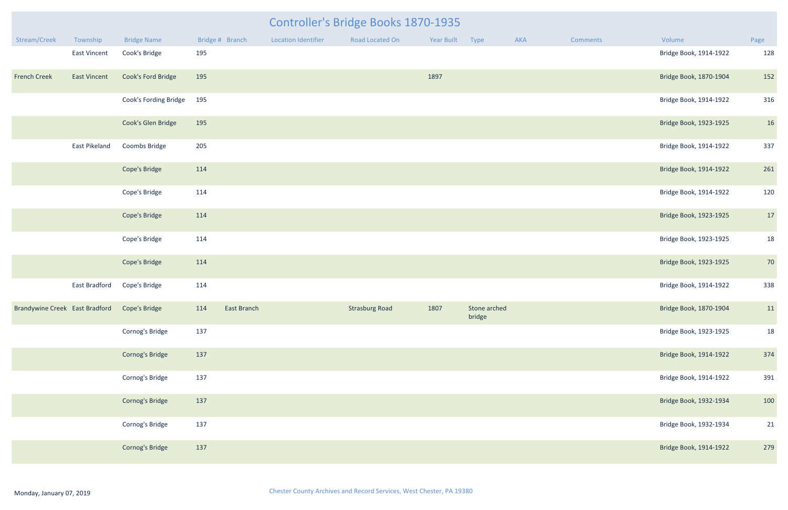|                                              |               | <b>Controller's Bridge Books 1870-1935</b> |                 |                     |                       |                 |                        |     |                 |                        |      |  |  |  |
|----------------------------------------------|---------------|--------------------------------------------|-----------------|---------------------|-----------------------|-----------------|------------------------|-----|-----------------|------------------------|------|--|--|--|
| Stream/Creek                                 | Township      | <b>Bridge Name</b>                         | Bridge # Branch | Location Identifier | Road Located On       | Year Built Type |                        | AKA | <b>Comments</b> | Volume                 | Page |  |  |  |
|                                              | East Vincent  | Cook's Bridge                              | 195             |                     |                       |                 |                        |     |                 | Bridge Book, 1914-1922 | 128  |  |  |  |
| <b>French Creek</b>                          | East Vincent  | Cook's Ford Bridge                         | 195             |                     |                       | 1897            |                        |     |                 | Bridge Book, 1870-1904 | 152  |  |  |  |
|                                              |               | Cook's Fording Bridge                      | 195             |                     |                       |                 |                        |     |                 | Bridge Book, 1914-1922 | 316  |  |  |  |
|                                              |               | Cook's Glen Bridge                         | 195             |                     |                       |                 |                        |     |                 | Bridge Book, 1923-1925 | 16   |  |  |  |
|                                              | East Pikeland | Coombs Bridge                              | 205             |                     |                       |                 |                        |     |                 | Bridge Book, 1914-1922 | 337  |  |  |  |
|                                              |               | Cope's Bridge                              | 114             |                     |                       |                 |                        |     |                 | Bridge Book, 1914-1922 | 261  |  |  |  |
|                                              |               | Cope's Bridge                              | 114             |                     |                       |                 |                        |     |                 | Bridge Book, 1914-1922 | 120  |  |  |  |
|                                              |               | Cope's Bridge                              | 114             |                     |                       |                 |                        |     |                 | Bridge Book, 1923-1925 | 17   |  |  |  |
|                                              |               | Cope's Bridge                              | 114             |                     |                       |                 |                        |     |                 | Bridge Book, 1923-1925 | 18   |  |  |  |
|                                              |               | Cope's Bridge                              | 114             |                     |                       |                 |                        |     |                 | Bridge Book, 1923-1925 | 70   |  |  |  |
|                                              | East Bradford | Cope's Bridge                              | 114             |                     |                       |                 |                        |     |                 | Bridge Book, 1914-1922 | 338  |  |  |  |
| Brandywine Creek East Bradford Cope's Bridge |               |                                            | 114 East Branch |                     | <b>Strasburg Road</b> | 1807            | Stone arched<br>bridge |     |                 | Bridge Book, 1870-1904 | 11   |  |  |  |
|                                              |               | Cornog's Bridge                            | 137             |                     |                       |                 |                        |     |                 | Bridge Book, 1923-1925 | 18   |  |  |  |
|                                              |               | Cornog's Bridge                            | 137             |                     |                       |                 |                        |     |                 | Bridge Book, 1914-1922 | 374  |  |  |  |
|                                              |               | Cornog's Bridge                            | 137             |                     |                       |                 |                        |     |                 | Bridge Book, 1914-1922 | 391  |  |  |  |
|                                              |               | Cornog's Bridge                            | 137             |                     |                       |                 |                        |     |                 | Bridge Book, 1932-1934 | 100  |  |  |  |
|                                              |               | Cornog's Bridge                            | 137             |                     |                       |                 |                        |     |                 | Bridge Book, 1932-1934 | 21   |  |  |  |
|                                              |               | <b>Cornog's Bridge</b>                     | 137             |                     |                       |                 |                        |     |                 | Bridge Book, 1914-1922 | 279  |  |  |  |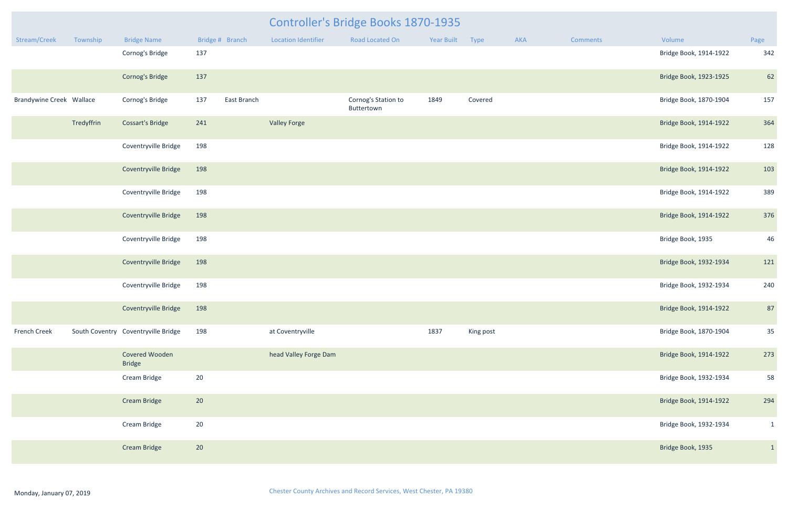|                          |            |                                     |     |                 | Controller's Bridge Books 1870-1935 |                                   |            |           |     |          |                        |              |
|--------------------------|------------|-------------------------------------|-----|-----------------|-------------------------------------|-----------------------------------|------------|-----------|-----|----------|------------------------|--------------|
| Stream/Creek             | Township   | <b>Bridge Name</b>                  |     | Bridge # Branch | <b>Location Identifier</b>          | Road Located On                   | Year Built | Type      | AKA | Comments | Volume                 | Page         |
|                          |            | Cornog's Bridge                     | 137 |                 |                                     |                                   |            |           |     |          | Bridge Book, 1914-1922 | 342          |
|                          |            | Cornog's Bridge                     | 137 |                 |                                     |                                   |            |           |     |          | Bridge Book, 1923-1925 | 62           |
| Brandywine Creek Wallace |            | Cornog's Bridge                     | 137 | East Branch     |                                     | Cornog's Station to<br>Buttertown | 1849       | Covered   |     |          | Bridge Book, 1870-1904 | 157          |
|                          | Tredyffrin | <b>Cossart's Bridge</b>             | 241 |                 | <b>Valley Forge</b>                 |                                   |            |           |     |          | Bridge Book, 1914-1922 | 364          |
|                          |            | Coventryville Bridge                | 198 |                 |                                     |                                   |            |           |     |          | Bridge Book, 1914-1922 | 128          |
|                          |            | Coventryville Bridge                | 198 |                 |                                     |                                   |            |           |     |          | Bridge Book, 1914-1922 | 103          |
|                          |            | Coventryville Bridge                | 198 |                 |                                     |                                   |            |           |     |          | Bridge Book, 1914-1922 | 389          |
|                          |            | Coventryville Bridge                | 198 |                 |                                     |                                   |            |           |     |          | Bridge Book, 1914-1922 | 376          |
|                          |            | Coventryville Bridge                | 198 |                 |                                     |                                   |            |           |     |          | Bridge Book, 1935      | 46           |
|                          |            | Coventryville Bridge                | 198 |                 |                                     |                                   |            |           |     |          | Bridge Book, 1932-1934 | 121          |
|                          |            | Coventryville Bridge                | 198 |                 |                                     |                                   |            |           |     |          | Bridge Book, 1932-1934 | 240          |
|                          |            | Coventryville Bridge                | 198 |                 |                                     |                                   |            |           |     |          | Bridge Book, 1914-1922 | 87           |
| French Creek             |            | South Coventry Coventryville Bridge | 198 |                 | at Coventryville                    |                                   | 1837       | King post |     |          | Bridge Book, 1870-1904 | 35           |
|                          |            | Covered Wooden<br><b>Bridge</b>     |     |                 | head Valley Forge Dam               |                                   |            |           |     |          | Bridge Book, 1914-1922 | 273          |
|                          |            | Cream Bridge                        | 20  |                 |                                     |                                   |            |           |     |          | Bridge Book, 1932-1934 | 58           |
|                          |            | <b>Cream Bridge</b>                 | 20  |                 |                                     |                                   |            |           |     |          | Bridge Book, 1914-1922 | 294          |
|                          |            | Cream Bridge                        | 20  |                 |                                     |                                   |            |           |     |          | Bridge Book, 1932-1934 | $\mathbf{1}$ |
|                          |            | <b>Cream Bridge</b>                 | 20  |                 |                                     |                                   |            |           |     |          | Bridge Book, 1935      | $\mathbf{1}$ |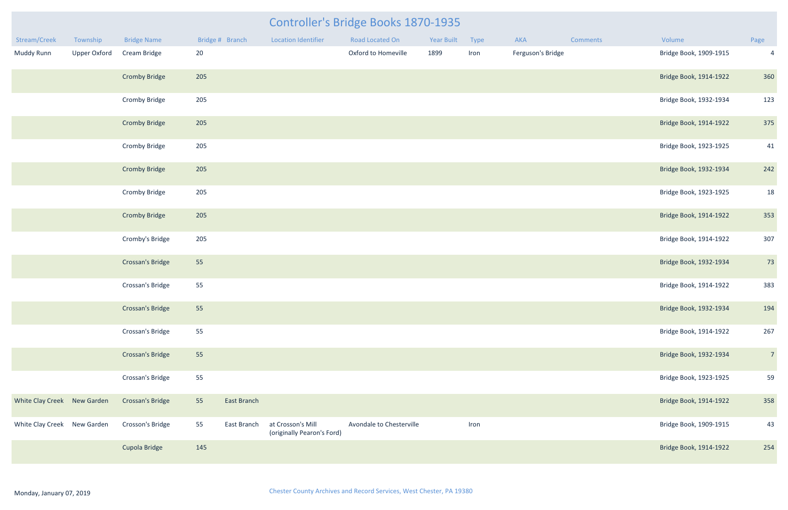| Stream/Creek                | Township            | <b>Bridge Name</b>      |     | Bridge # Branch | <b>Location Identifier</b>                      | Road Located On            | <b>Year Built</b> | Type | <b>AKA</b>        | Comments | Volume                 | Page           |
|-----------------------------|---------------------|-------------------------|-----|-----------------|-------------------------------------------------|----------------------------|-------------------|------|-------------------|----------|------------------------|----------------|
| Muddy Runn                  | <b>Upper Oxford</b> | Cream Bridge            | 20  |                 |                                                 | <b>Oxford to Homeville</b> | 1899              | Iron | Ferguson's Bridge |          | Bridge Book, 1909-1915 | $\overline{4}$ |
|                             |                     | <b>Cromby Bridge</b>    | 205 |                 |                                                 |                            |                   |      |                   |          | Bridge Book, 1914-1922 | 360            |
|                             |                     | Cromby Bridge           | 205 |                 |                                                 |                            |                   |      |                   |          | Bridge Book, 1932-1934 | 123            |
|                             |                     | <b>Cromby Bridge</b>    | 205 |                 |                                                 |                            |                   |      |                   |          | Bridge Book, 1914-1922 | 375            |
|                             |                     | <b>Cromby Bridge</b>    | 205 |                 |                                                 |                            |                   |      |                   |          | Bridge Book, 1923-1925 | 41             |
|                             |                     | <b>Cromby Bridge</b>    | 205 |                 |                                                 |                            |                   |      |                   |          | Bridge Book, 1932-1934 | 242            |
|                             |                     | <b>Cromby Bridge</b>    | 205 |                 |                                                 |                            |                   |      |                   |          | Bridge Book, 1923-1925 | 18             |
|                             |                     | <b>Cromby Bridge</b>    | 205 |                 |                                                 |                            |                   |      |                   |          | Bridge Book, 1914-1922 | 353            |
|                             |                     | Cromby's Bridge         | 205 |                 |                                                 |                            |                   |      |                   |          | Bridge Book, 1914-1922 | 307            |
|                             |                     | Crossan's Bridge        | 55  |                 |                                                 |                            |                   |      |                   |          | Bridge Book, 1932-1934 | 73             |
|                             |                     | Crossan's Bridge        | 55  |                 |                                                 |                            |                   |      |                   |          | Bridge Book, 1914-1922 | 383            |
|                             |                     | Crossan's Bridge        | 55  |                 |                                                 |                            |                   |      |                   |          | Bridge Book, 1932-1934 | 194            |
|                             |                     | Crossan's Bridge        | 55  |                 |                                                 |                            |                   |      |                   |          | Bridge Book, 1914-1922 | 267            |
|                             |                     | Crossan's Bridge        | 55  |                 |                                                 |                            |                   |      |                   |          | Bridge Book, 1932-1934 | $\overline{7}$ |
|                             |                     | Crossan's Bridge        | 55  |                 |                                                 |                            |                   |      |                   |          | Bridge Book, 1923-1925 | 59             |
| White Clay Creek New Garden |                     | <b>Crossan's Bridge</b> | 55  | East Branch     |                                                 |                            |                   |      |                   |          | Bridge Book, 1914-1922 | 358            |
| White Clay Creek New Garden |                     | Crosson's Bridge        | 55  | East Branch     | at Crosson's Mill<br>(originally Pearon's Ford) | Avondale to Chesterville   |                   | Iron |                   |          | Bridge Book, 1909-1915 | 43             |
|                             |                     | Cupola Bridge           | 145 |                 |                                                 |                            |                   |      |                   |          | Bridge Book, 1914-1922 | 254            |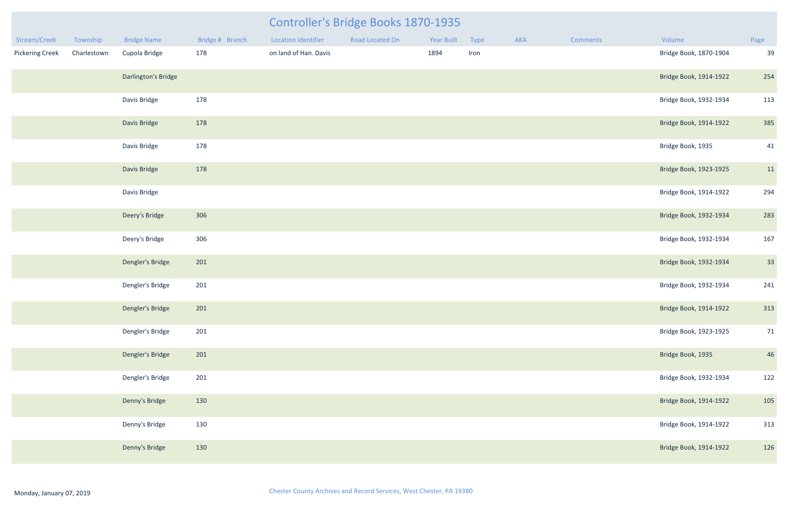| Stream/Creek           | Township    | <b>Bridge Name</b>  | Bridge # Branch | <b>Location Identifier</b> | Road Located On | Year Built | Type | AKA | <b>Comments</b> | Volume                 | Page |
|------------------------|-------------|---------------------|-----------------|----------------------------|-----------------|------------|------|-----|-----------------|------------------------|------|
| <b>Pickering Creek</b> | Charlestown | Cupola Bridge       | 178             | on land of Han. Davis      |                 | 1894       | Iron |     |                 | Bridge Book, 1870-1904 | 39   |
|                        |             | Darlington's Bridge |                 |                            |                 |            |      |     |                 | Bridge Book, 1914-1922 | 254  |
|                        |             | Davis Bridge        | 178             |                            |                 |            |      |     |                 | Bridge Book, 1932-1934 | 113  |
|                        |             | Davis Bridge        | 178             |                            |                 |            |      |     |                 | Bridge Book, 1914-1922 | 385  |
|                        |             | Davis Bridge        | 178             |                            |                 |            |      |     |                 | Bridge Book, 1935      | 41   |
|                        |             | Davis Bridge        | 178             |                            |                 |            |      |     |                 | Bridge Book, 1923-1925 | 11   |
|                        |             | Davis Bridge        |                 |                            |                 |            |      |     |                 | Bridge Book, 1914-1922 | 294  |
|                        |             | Deery's Bridge      | 306             |                            |                 |            |      |     |                 | Bridge Book, 1932-1934 | 283  |
|                        |             | Deery's Bridge      | 306             |                            |                 |            |      |     |                 | Bridge Book, 1932-1934 | 167  |
|                        |             | Dengler's Bridge    | 201             |                            |                 |            |      |     |                 | Bridge Book, 1932-1934 | 33   |
|                        |             | Dengler's Bridge    | 201             |                            |                 |            |      |     |                 | Bridge Book, 1932-1934 | 241  |
|                        |             | Dengler's Bridge    | 201             |                            |                 |            |      |     |                 | Bridge Book, 1914-1922 | 313  |
|                        |             | Dengler's Bridge    | 201             |                            |                 |            |      |     |                 | Bridge Book, 1923-1925 | 71   |
|                        |             | Dengler's Bridge    | 201             |                            |                 |            |      |     |                 | Bridge Book, 1935      | 46   |
|                        |             | Dengler's Bridge    | 201             |                            |                 |            |      |     |                 | Bridge Book, 1932-1934 | 122  |
|                        |             | Denny's Bridge      | 130             |                            |                 |            |      |     |                 | Bridge Book, 1914-1922 | 105  |
|                        |             | Denny's Bridge      | 130             |                            |                 |            |      |     |                 | Bridge Book, 1914-1922 | 313  |
|                        |             | Denny's Bridge      | 130             |                            |                 |            |      |     |                 | Bridge Book, 1914-1922 | 126  |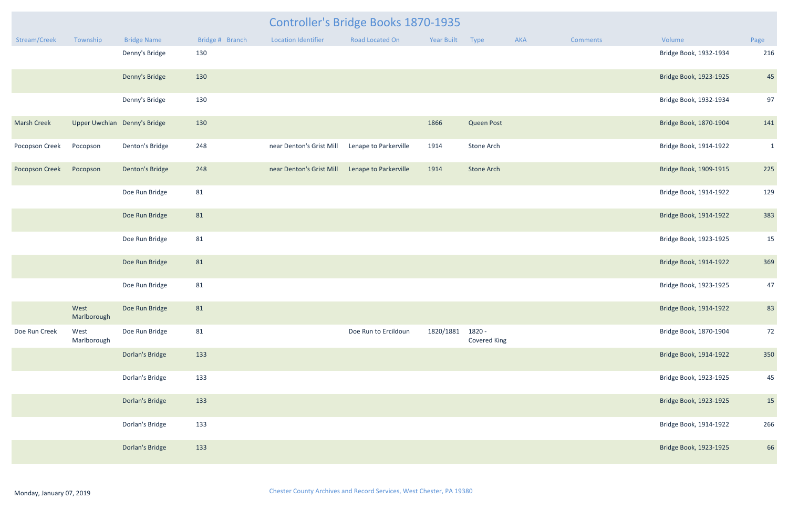|                       |                     |                              |                 |                            | Controller's Bridge Books 1870-1935 |            |                        |     |                 |                        |              |
|-----------------------|---------------------|------------------------------|-----------------|----------------------------|-------------------------------------|------------|------------------------|-----|-----------------|------------------------|--------------|
| Stream/Creek          | Township            | <b>Bridge Name</b>           | Bridge # Branch | <b>Location Identifier</b> | Road Located On                     | Year Built | Type                   | AKA | <b>Comments</b> | Volume                 | Page         |
|                       |                     | Denny's Bridge               | 130             |                            |                                     |            |                        |     |                 | Bridge Book, 1932-1934 | 216          |
|                       |                     | Denny's Bridge               | 130             |                            |                                     |            |                        |     |                 | Bridge Book, 1923-1925 | 45           |
|                       |                     | Denny's Bridge               | 130             |                            |                                     |            |                        |     |                 | Bridge Book, 1932-1934 | 97           |
| <b>Marsh Creek</b>    |                     | Upper Uwchlan Denny's Bridge | 130             |                            |                                     | 1866       | <b>Queen Post</b>      |     |                 | Bridge Book, 1870-1904 | 141          |
| Pocopson Creek        | Pocopson            | Denton's Bridge              | 248             | near Denton's Grist Mill   | Lenape to Parkerville               | 1914       | Stone Arch             |     |                 | Bridge Book, 1914-1922 | $\mathbf{1}$ |
| <b>Pocopson Creek</b> | Pocopson            | <b>Denton's Bridge</b>       | 248             | near Denton's Grist Mill   | Lenape to Parkerville               | 1914       | Stone Arch             |     |                 | Bridge Book, 1909-1915 | 225          |
|                       |                     | Doe Run Bridge               | 81              |                            |                                     |            |                        |     |                 | Bridge Book, 1914-1922 | 129          |
|                       |                     | Doe Run Bridge               | 81              |                            |                                     |            |                        |     |                 | Bridge Book, 1914-1922 | 383          |
|                       |                     | Doe Run Bridge               | 81              |                            |                                     |            |                        |     |                 | Bridge Book, 1923-1925 | 15           |
|                       |                     | Doe Run Bridge               | 81              |                            |                                     |            |                        |     |                 | Bridge Book, 1914-1922 | 369          |
|                       |                     | Doe Run Bridge               | 81              |                            |                                     |            |                        |     |                 | Bridge Book, 1923-1925 | 47           |
|                       | West<br>Marlborough | Doe Run Bridge               | 81              |                            |                                     |            |                        |     |                 | Bridge Book, 1914-1922 | 83           |
| Doe Run Creek         | West<br>Marlborough | Doe Run Bridge               | 81              |                            | Doe Run to Ercildoun                | 1820/1881  | 1820 -<br>Covered King |     |                 | Bridge Book, 1870-1904 | 72           |
|                       |                     | Dorlan's Bridge              | 133             |                            |                                     |            |                        |     |                 | Bridge Book, 1914-1922 | 350          |
|                       |                     | Dorlan's Bridge              | 133             |                            |                                     |            |                        |     |                 | Bridge Book, 1923-1925 | 45           |
|                       |                     | Dorlan's Bridge              | 133             |                            |                                     |            |                        |     |                 | Bridge Book, 1923-1925 | 15           |
|                       |                     | Dorlan's Bridge              | 133             |                            |                                     |            |                        |     |                 | Bridge Book, 1914-1922 | 266          |
|                       |                     | Dorlan's Bridge              | 133             |                            |                                     |            |                        |     |                 | Bridge Book, 1923-1925 | 66           |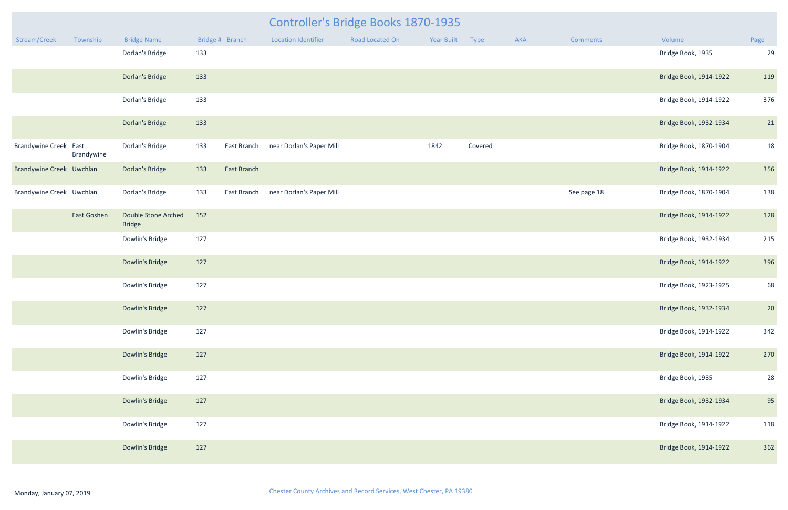| mments  | Volume                 | Page |
|---------|------------------------|------|
|         | Bridge Book, 1935      | 29   |
|         | Bridge Book, 1914-1922 | 119  |
|         | Bridge Book, 1914-1922 | 376  |
|         | Bridge Book, 1932-1934 | 21   |
|         | Bridge Book, 1870-1904 | 18   |
|         | Bridge Book, 1914-1922 | 356  |
| page 18 | Bridge Book, 1870-1904 | 138  |
|         | Bridge Book, 1914-1922 | 128  |
|         | Bridge Book, 1932-1934 | 215  |
|         | Bridge Book, 1914-1922 | 396  |
|         | Bridge Book, 1923-1925 | 68   |
|         | Bridge Book, 1932-1934 | 20   |
|         | Bridge Book, 1914-1922 | 342  |
|         | Bridge Book, 1914-1922 | 270  |
|         | Bridge Book, 1935      | 28   |
|         | Bridge Book, 1932-1934 | 95   |
|         | Bridge Book, 1914-1922 | 118  |
|         | Bridge Book, 1914-1922 | 362  |

|                              |                    |                                             |     |                 | Controller's Bridge Books 1870-1935 |                 |            |         |     |                 |                        |                |  |
|------------------------------|--------------------|---------------------------------------------|-----|-----------------|-------------------------------------|-----------------|------------|---------|-----|-----------------|------------------------|----------------|--|
| Stream/Creek                 | Township           | <b>Bridge Name</b>                          |     | Bridge # Branch | <b>Location Identifier</b>          | Road Located On | Year Built | Type    | AKA | <b>Comments</b> | Volume                 | Page           |  |
|                              |                    | Dorlan's Bridge                             | 133 |                 |                                     |                 |            |         |     |                 | Bridge Book, 1935      | 2 <sup>c</sup> |  |
|                              |                    | Dorlan's Bridge                             | 133 |                 |                                     |                 |            |         |     |                 | Bridge Book, 1914-1922 | 119            |  |
|                              |                    | Dorlan's Bridge                             | 133 |                 |                                     |                 |            |         |     |                 | Bridge Book, 1914-1922 | 376            |  |
|                              |                    | Dorlan's Bridge                             | 133 |                 |                                     |                 |            |         |     |                 | Bridge Book, 1932-1934 | 21             |  |
| <b>Brandywine Creek East</b> | Brandywine         | Dorlan's Bridge                             | 133 | East Branch     | near Dorlan's Paper Mill            |                 | 1842       | Covered |     |                 | Bridge Book, 1870-1904 | 18             |  |
| Brandywine Creek Uwchlan     |                    | Dorlan's Bridge                             | 133 | East Branch     |                                     |                 |            |         |     |                 | Bridge Book, 1914-1922 | 356            |  |
| Brandywine Creek Uwchlan     |                    | Dorlan's Bridge                             | 133 | East Branch     | near Dorlan's Paper Mill            |                 |            |         |     | See page 18     | Bridge Book, 1870-1904 | 138            |  |
|                              | <b>East Goshen</b> | <b>Double Stone Arched</b><br><b>Bridge</b> | 152 |                 |                                     |                 |            |         |     |                 | Bridge Book, 1914-1922 | 128            |  |
|                              |                    | Dowlin's Bridge                             | 127 |                 |                                     |                 |            |         |     |                 | Bridge Book, 1932-1934 | 215            |  |
|                              |                    | Dowlin's Bridge                             | 127 |                 |                                     |                 |            |         |     |                 | Bridge Book, 1914-1922 | 396            |  |
|                              |                    | Dowlin's Bridge                             | 127 |                 |                                     |                 |            |         |     |                 | Bridge Book, 1923-1925 | 68             |  |
|                              |                    | Dowlin's Bridge                             | 127 |                 |                                     |                 |            |         |     |                 | Bridge Book, 1932-1934 | 20             |  |
|                              |                    | Dowlin's Bridge                             | 127 |                 |                                     |                 |            |         |     |                 | Bridge Book, 1914-1922 | 342            |  |
|                              |                    | Dowlin's Bridge                             | 127 |                 |                                     |                 |            |         |     |                 | Bridge Book, 1914-1922 | 270            |  |
|                              |                    | Dowlin's Bridge                             | 127 |                 |                                     |                 |            |         |     |                 | Bridge Book, 1935      | 28             |  |
|                              |                    | Dowlin's Bridge                             | 127 |                 |                                     |                 |            |         |     |                 | Bridge Book, 1932-1934 | 95             |  |
|                              |                    | Dowlin's Bridge                             | 127 |                 |                                     |                 |            |         |     |                 | Bridge Book, 1914-1922 | 118            |  |
|                              |                    | Dowlin's Bridge                             | 127 |                 |                                     |                 |            |         |     |                 | Bridge Book, 1914-1922 | 362            |  |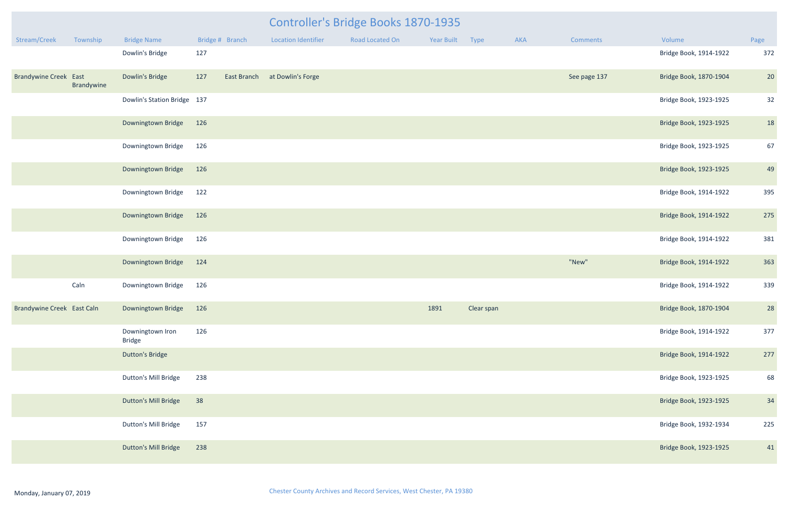|                                   |                             |                                   |     | Controller's Bridge Books 1870-1935 |                            |                 |            |            |     |              |                        |      |
|-----------------------------------|-----------------------------|-----------------------------------|-----|-------------------------------------|----------------------------|-----------------|------------|------------|-----|--------------|------------------------|------|
| Stream/Creek                      | Township                    | <b>Bridge Name</b>                |     | Bridge # Branch                     | <b>Location Identifier</b> | Road Located On | Year Built | Type       | AKA | Comments     | Volume                 | Page |
|                                   |                             | Dowlin's Bridge                   | 127 |                                     |                            |                 |            |            |     |              | Bridge Book, 1914-1922 | 372  |
| <b>Brandywine Creek East</b>      | Brandywine                  | Dowlin's Bridge                   | 127 | East Branch                         | at Dowlin's Forge          |                 |            |            |     | See page 137 | Bridge Book, 1870-1904 | 20   |
|                                   |                             | Dowlin's Station Bridge 137       |     |                                     |                            |                 |            |            |     |              | Bridge Book, 1923-1925 | 32   |
|                                   |                             | Downingtown Bridge                | 126 |                                     |                            |                 |            |            |     |              | Bridge Book, 1923-1925 | 18   |
|                                   |                             | Downingtown Bridge                | 126 |                                     |                            |                 |            |            |     |              | Bridge Book, 1923-1925 | 67   |
|                                   |                             | Downingtown Bridge                | 126 |                                     |                            |                 |            |            |     |              | Bridge Book, 1923-1925 | 49   |
|                                   |                             | Downingtown Bridge                | 122 |                                     |                            |                 |            |            |     |              | Bridge Book, 1914-1922 | 395  |
|                                   |                             | Downingtown Bridge                | 126 |                                     |                            |                 |            |            |     |              | Bridge Book, 1914-1922 | 275  |
|                                   |                             | Downingtown Bridge                | 126 |                                     |                            |                 |            |            |     |              | Bridge Book, 1914-1922 | 381  |
|                                   |                             | Downingtown Bridge                | 124 |                                     |                            |                 |            |            |     | "New"        | Bridge Book, 1914-1922 | 363  |
|                                   | Caln                        | Downingtown Bridge                | 126 |                                     |                            |                 |            |            |     |              | Bridge Book, 1914-1922 | 339  |
| <b>Brandywine Creek East Caln</b> |                             | Downingtown Bridge                | 126 |                                     |                            |                 | 1891       | Clear span |     |              | Bridge Book, 1870-1904 | 28   |
|                                   |                             | Downingtown Iron<br><b>Bridge</b> | 126 |                                     |                            |                 |            |            |     |              | Bridge Book, 1914-1922 | 377  |
|                                   |                             | <b>Dutton's Bridge</b>            |     |                                     |                            |                 |            |            |     |              | Bridge Book, 1914-1922 | 277  |
|                                   |                             | Dutton's Mill Bridge              | 238 |                                     |                            |                 |            |            |     |              | Bridge Book, 1923-1925 | 68   |
|                                   |                             | Dutton's Mill Bridge              | 38  |                                     |                            |                 |            |            |     |              | Bridge Book, 1923-1925 | 34   |
|                                   | 157<br>Dutton's Mill Bridge |                                   |     |                                     |                            |                 |            |            |     |              | Bridge Book, 1932-1934 | 225  |
|                                   |                             | Dutton's Mill Bridge              | 238 |                                     |                            |                 |            |            |     |              | Bridge Book, 1923-1925 | 41   |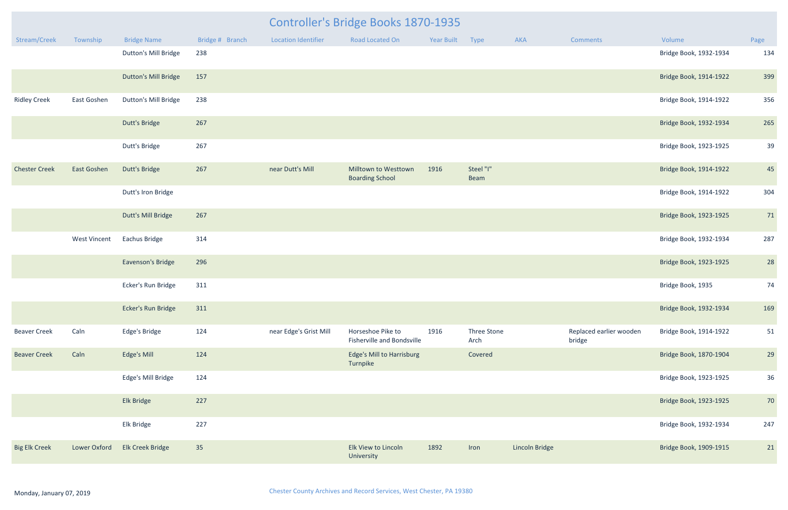|                      |                     | Controller's Bridge Books 1870-1935 |                 |                            |                                                 |            |                     |                |                                   |                        |      |
|----------------------|---------------------|-------------------------------------|-----------------|----------------------------|-------------------------------------------------|------------|---------------------|----------------|-----------------------------------|------------------------|------|
| Stream/Creek         | Township            | <b>Bridge Name</b>                  | Bridge # Branch | <b>Location Identifier</b> | Road Located On                                 | Year Built | Type                | <b>AKA</b>     | <b>Comments</b>                   | Volume                 | Page |
|                      |                     | Dutton's Mill Bridge                | 238             |                            |                                                 |            |                     |                |                                   | Bridge Book, 1932-1934 | 134  |
|                      |                     | <b>Dutton's Mill Bridge</b>         | 157             |                            |                                                 |            |                     |                |                                   | Bridge Book, 1914-1922 | 399  |
| <b>Ridley Creek</b>  | East Goshen         | <b>Dutton's Mill Bridge</b>         | 238             |                            |                                                 |            |                     |                |                                   | Bridge Book, 1914-1922 | 356  |
|                      |                     | Dutt's Bridge                       | 267             |                            |                                                 |            |                     |                |                                   | Bridge Book, 1932-1934 | 265  |
|                      |                     | Dutt's Bridge                       | 267             |                            |                                                 |            |                     |                |                                   | Bridge Book, 1923-1925 | 39   |
| <b>Chester Creek</b> | East Goshen         | Dutt's Bridge                       | 267             | near Dutt's Mill           | Milltown to Westtown<br><b>Boarding School</b>  | 1916       | Steel "I"<br>Beam   |                |                                   | Bridge Book, 1914-1922 | 45   |
|                      |                     | Dutt's Iron Bridge                  |                 |                            |                                                 |            |                     |                |                                   | Bridge Book, 1914-1922 | 304  |
|                      |                     | Dutt's Mill Bridge                  | 267             |                            |                                                 |            |                     |                |                                   | Bridge Book, 1923-1925 | 71   |
|                      | <b>West Vincent</b> | Eachus Bridge                       | 314             |                            |                                                 |            |                     |                |                                   | Bridge Book, 1932-1934 | 287  |
|                      |                     | Eavenson's Bridge                   | 296             |                            |                                                 |            |                     |                |                                   | Bridge Book, 1923-1925 | 28   |
|                      |                     | Ecker's Run Bridge                  | 311             |                            |                                                 |            |                     |                |                                   | Bridge Book, 1935      | 74   |
|                      |                     | Ecker's Run Bridge                  | 311             |                            |                                                 |            |                     |                |                                   | Bridge Book, 1932-1934 | 169  |
| <b>Beaver Creek</b>  | Caln                | Edge's Bridge                       | 124             | near Edge's Grist Mill     | Horseshoe Pike to<br>Fisherville and Bondsville | 1916       | Three Stone<br>Arch |                | Replaced earlier wooden<br>bridge | Bridge Book, 1914-1922 | 51   |
| <b>Beaver Creek</b>  | Caln                | Edge's Mill                         | 124             |                            | <b>Edge's Mill to Harrisburg</b><br>Turnpike    |            | Covered             |                |                                   | Bridge Book, 1870-1904 | 29   |
|                      |                     | Edge's Mill Bridge                  | 124             |                            |                                                 |            |                     |                |                                   | Bridge Book, 1923-1925 | 36   |
|                      |                     | Elk Bridge                          | 227             |                            |                                                 |            |                     |                |                                   | Bridge Book, 1923-1925 | 70   |
|                      |                     | Elk Bridge                          | 227             |                            |                                                 |            |                     |                |                                   | Bridge Book, 1932-1934 | 247  |
| <b>Big Elk Creek</b> | <b>Lower Oxford</b> | Elk Creek Bridge                    | 35              |                            | Elk View to Lincoln<br>University               | 1892       | Iron                | Lincoln Bridge |                                   | Bridge Book, 1909-1915 | 21   |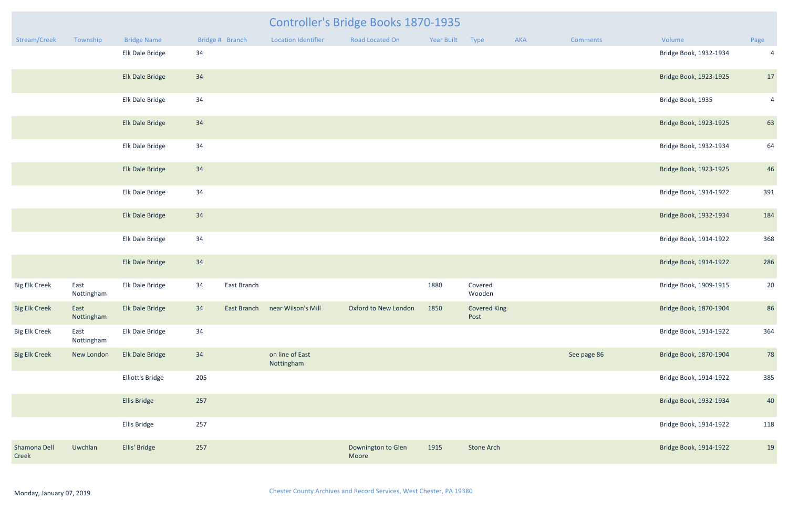|                       |                    |                     |     |                 |                               | Controller's Bridge Books 1870-1935 |            |                             |     |                 |                        |                |
|-----------------------|--------------------|---------------------|-----|-----------------|-------------------------------|-------------------------------------|------------|-----------------------------|-----|-----------------|------------------------|----------------|
| Stream/Creek          | Township           | <b>Bridge Name</b>  |     | Bridge # Branch | Location Identifier           | Road Located On                     | Year Built | Type                        | AKA | <b>Comments</b> | Volume                 | Page           |
|                       |                    | Elk Dale Bridge     | 34  |                 |                               |                                     |            |                             |     |                 | Bridge Book, 1932-1934 | $\overline{4}$ |
|                       |                    | Elk Dale Bridge     | 34  |                 |                               |                                     |            |                             |     |                 | Bridge Book, 1923-1925 | 17             |
|                       |                    | Elk Dale Bridge     | 34  |                 |                               |                                     |            |                             |     |                 | Bridge Book, 1935      | $\overline{4}$ |
|                       |                    | Elk Dale Bridge     | 34  |                 |                               |                                     |            |                             |     |                 | Bridge Book, 1923-1925 | 63             |
|                       |                    | Elk Dale Bridge     | 34  |                 |                               |                                     |            |                             |     |                 | Bridge Book, 1932-1934 | 64             |
|                       |                    | Elk Dale Bridge     | 34  |                 |                               |                                     |            |                             |     |                 | Bridge Book, 1923-1925 | 46             |
|                       |                    | Elk Dale Bridge     | 34  |                 |                               |                                     |            |                             |     |                 | Bridge Book, 1914-1922 | 391            |
|                       |                    | Elk Dale Bridge     | 34  |                 |                               |                                     |            |                             |     |                 | Bridge Book, 1932-1934 | 184            |
|                       |                    | Elk Dale Bridge     | 34  |                 |                               |                                     |            |                             |     |                 | Bridge Book, 1914-1922 | 368            |
|                       |                    | Elk Dale Bridge     | 34  |                 |                               |                                     |            |                             |     |                 | Bridge Book, 1914-1922 | 286            |
| <b>Big Elk Creek</b>  | East<br>Nottingham | Elk Dale Bridge     | 34  | East Branch     |                               |                                     | 1880       | Covered<br>Wooden           |     |                 | Bridge Book, 1909-1915 | 20             |
| <b>Big Elk Creek</b>  | East<br>Nottingham | Elk Dale Bridge     | 34  | East Branch     | near Wilson's Mill            | Oxford to New London                | 1850       | <b>Covered King</b><br>Post |     |                 | Bridge Book, 1870-1904 | 86             |
| <b>Big Elk Creek</b>  | East<br>Nottingham | Elk Dale Bridge     | 34  |                 |                               |                                     |            |                             |     |                 | Bridge Book, 1914-1922 | 364            |
| <b>Big Elk Creek</b>  | New London         | Elk Dale Bridge     | 34  |                 | on line of East<br>Nottingham |                                     |            |                             |     | See page 86     | Bridge Book, 1870-1904 | 78             |
|                       |                    | Elliott's Bridge    | 205 |                 |                               |                                     |            |                             |     |                 | Bridge Book, 1914-1922 | 385            |
|                       |                    | <b>Ellis Bridge</b> | 257 |                 |                               |                                     |            |                             |     |                 | Bridge Book, 1932-1934 | 40             |
|                       |                    | Ellis Bridge        | 257 |                 |                               |                                     |            |                             |     |                 | Bridge Book, 1914-1922 | 118            |
| Shamona Dell<br>Creek | Uwchlan            | Ellis' Bridge       | 257 |                 |                               | Downington to Glen<br>Moore         | 1915       | <b>Stone Arch</b>           |     |                 | Bridge Book, 1914-1922 | 19             |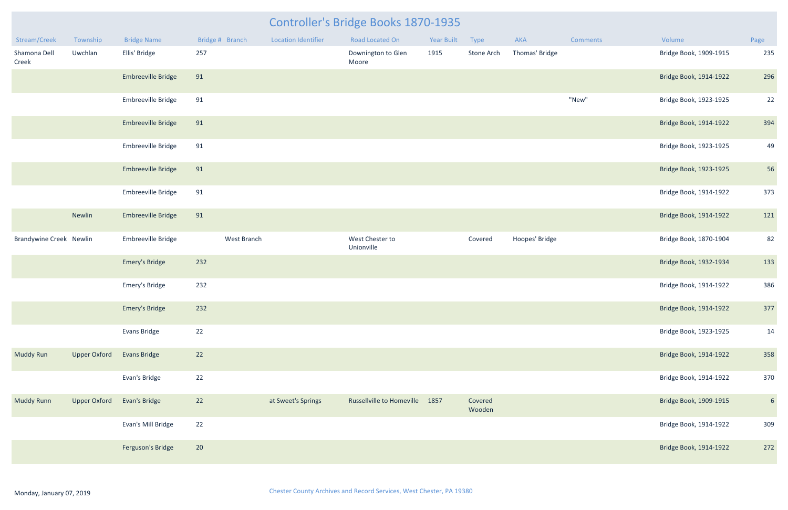| Stream/Creek                   | Township            | <b>Bridge Name</b>        | Bridge # Branch |             | <b>Location Identifier</b> | Road Located On                  | <b>Year Built</b> | Type              | <b>AKA</b>     | <b>Comments</b> | Volume                 | Page            |
|--------------------------------|---------------------|---------------------------|-----------------|-------------|----------------------------|----------------------------------|-------------------|-------------------|----------------|-----------------|------------------------|-----------------|
| Shamona Dell<br>Creek          | Uwchlan             | Ellis' Bridge             | 257             |             |                            | Downington to Glen<br>Moore      | 1915              | Stone Arch        | Thomas' Bridge |                 | Bridge Book, 1909-1915 | 235             |
|                                |                     | Embreeville Bridge        | 91              |             |                            |                                  |                   |                   |                |                 | Bridge Book, 1914-1922 | 296             |
|                                |                     | Embreeville Bridge        | 91              |             |                            |                                  |                   |                   |                | "New"           | Bridge Book, 1923-1925 | 22              |
|                                |                     | Embreeville Bridge        | 91              |             |                            |                                  |                   |                   |                |                 | Bridge Book, 1914-1922 | 394             |
|                                |                     | Embreeville Bridge        | 91              |             |                            |                                  |                   |                   |                |                 | Bridge Book, 1923-1925 | 49              |
|                                |                     | <b>Embreeville Bridge</b> | 91              |             |                            |                                  |                   |                   |                |                 | Bridge Book, 1923-1925 | 56              |
|                                |                     | Embreeville Bridge        | 91              |             |                            |                                  |                   |                   |                |                 | Bridge Book, 1914-1922 | 373             |
|                                | Newlin              | <b>Embreeville Bridge</b> | 91              |             |                            |                                  |                   |                   |                |                 | Bridge Book, 1914-1922 | 121             |
| <b>Brandywine Creek Newlin</b> |                     | Embreeville Bridge        |                 | West Branch |                            | West Chester to<br>Unionville    |                   | Covered           | Hoopes' Bridge |                 | Bridge Book, 1870-1904 | 82              |
|                                |                     | <b>Emery's Bridge</b>     | 232             |             |                            |                                  |                   |                   |                |                 | Bridge Book, 1932-1934 | 133             |
|                                |                     | Emery's Bridge            | 232             |             |                            |                                  |                   |                   |                |                 | Bridge Book, 1914-1922 | 386             |
|                                |                     | <b>Emery's Bridge</b>     | 232             |             |                            |                                  |                   |                   |                |                 | Bridge Book, 1914-1922 | 377             |
|                                |                     | Evans Bridge              | $22$            |             |                            |                                  |                   |                   |                |                 | Bridge Book, 1923-1925 | 14              |
| <b>Muddy Run</b>               | <b>Upper Oxford</b> | <b>Evans Bridge</b>       | 22              |             |                            |                                  |                   |                   |                |                 | Bridge Book, 1914-1922 | 358             |
|                                |                     | Evan's Bridge             | 22              |             |                            |                                  |                   |                   |                |                 | Bridge Book, 1914-1922 | 370             |
| <b>Muddy Runn</b>              | <b>Upper Oxford</b> | Evan's Bridge             | 22              |             | at Sweet's Springs         | <b>Russellville to Homeville</b> | 1857              | Covered<br>Wooden |                |                 | Bridge Book, 1909-1915 | $6\overline{6}$ |
|                                |                     | Evan's Mill Bridge        | $22$            |             |                            |                                  |                   |                   |                |                 | Bridge Book, 1914-1922 | 309             |
|                                |                     | Ferguson's Bridge         | 20              |             |                            |                                  |                   |                   |                |                 | Bridge Book, 1914-1922 | 272             |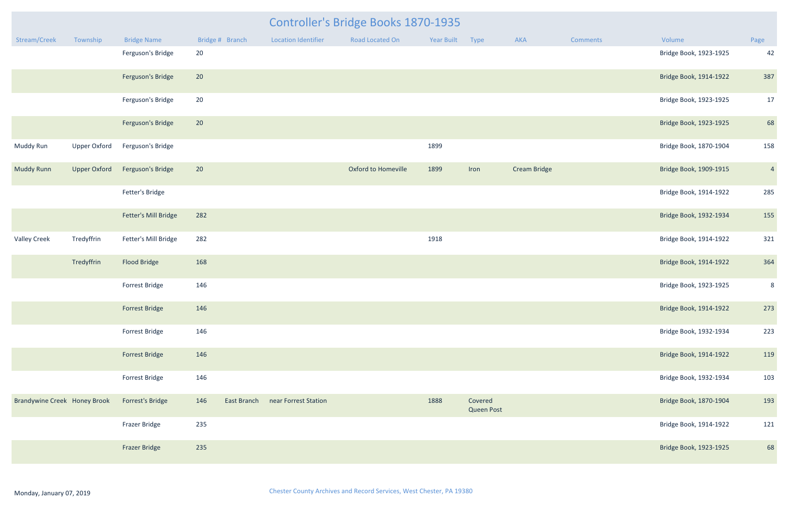|                              |                     |                       |     |                 |                            | <b>Controller's Bridge Books 1870-1935</b> |                 |                              |                     |                 |                        |                |
|------------------------------|---------------------|-----------------------|-----|-----------------|----------------------------|--------------------------------------------|-----------------|------------------------------|---------------------|-----------------|------------------------|----------------|
| Stream/Creek                 | Township            | <b>Bridge Name</b>    |     | Bridge # Branch | <b>Location Identifier</b> | Road Located On                            | Year Built Type |                              | AKA                 | <b>Comments</b> | Volume                 | Page           |
|                              |                     | Ferguson's Bridge     | 20  |                 |                            |                                            |                 |                              |                     |                 | Bridge Book, 1923-1925 | 42             |
|                              |                     | Ferguson's Bridge     | 20  |                 |                            |                                            |                 |                              |                     |                 | Bridge Book, 1914-1922 | 387            |
|                              |                     | Ferguson's Bridge     | 20  |                 |                            |                                            |                 |                              |                     |                 | Bridge Book, 1923-1925 | 17             |
|                              |                     | Ferguson's Bridge     | 20  |                 |                            |                                            |                 |                              |                     |                 | Bridge Book, 1923-1925 | 68             |
| Muddy Run                    | <b>Upper Oxford</b> | Ferguson's Bridge     |     |                 |                            |                                            | 1899            |                              |                     |                 | Bridge Book, 1870-1904 | 158            |
| <b>Muddy Runn</b>            | <b>Upper Oxford</b> | Ferguson's Bridge     | 20  |                 |                            | <b>Oxford to Homeville</b>                 | 1899            | Iron                         | <b>Cream Bridge</b> |                 | Bridge Book, 1909-1915 | $\overline{4}$ |
|                              |                     | Fetter's Bridge       |     |                 |                            |                                            |                 |                              |                     |                 | Bridge Book, 1914-1922 | 285            |
|                              |                     | Fetter's Mill Bridge  | 282 |                 |                            |                                            |                 |                              |                     |                 | Bridge Book, 1932-1934 | 155            |
| <b>Valley Creek</b>          | Tredyffrin          | Fetter's Mill Bridge  | 282 |                 |                            |                                            | 1918            |                              |                     |                 | Bridge Book, 1914-1922 | 321            |
|                              | Tredyffrin          | Flood Bridge          | 168 |                 |                            |                                            |                 |                              |                     |                 | Bridge Book, 1914-1922 | 364            |
|                              |                     | Forrest Bridge        | 146 |                 |                            |                                            |                 |                              |                     |                 | Bridge Book, 1923-1925 | 8              |
|                              |                     | Forrest Bridge        | 146 |                 |                            |                                            |                 |                              |                     |                 | Bridge Book, 1914-1922 | 273            |
|                              |                     | Forrest Bridge        | 146 |                 |                            |                                            |                 |                              |                     |                 | Bridge Book, 1932-1934 | 223            |
|                              |                     | <b>Forrest Bridge</b> | 146 |                 |                            |                                            |                 |                              |                     |                 | Bridge Book, 1914-1922 | 119            |
|                              |                     | Forrest Bridge        | 146 |                 |                            |                                            |                 |                              |                     |                 | Bridge Book, 1932-1934 | 103            |
| Brandywine Creek Honey Brook |                     | Forrest's Bridge      | 146 | East Branch     | near Forrest Station       |                                            | 1888            | Covered<br><b>Queen Post</b> |                     |                 | Bridge Book, 1870-1904 | 193            |
|                              |                     | Frazer Bridge         | 235 |                 |                            |                                            |                 |                              |                     |                 | Bridge Book, 1914-1922 | 121            |
|                              |                     | <b>Frazer Bridge</b>  | 235 |                 |                            |                                            |                 |                              |                     |                 | Bridge Book, 1923-1925 | 68             |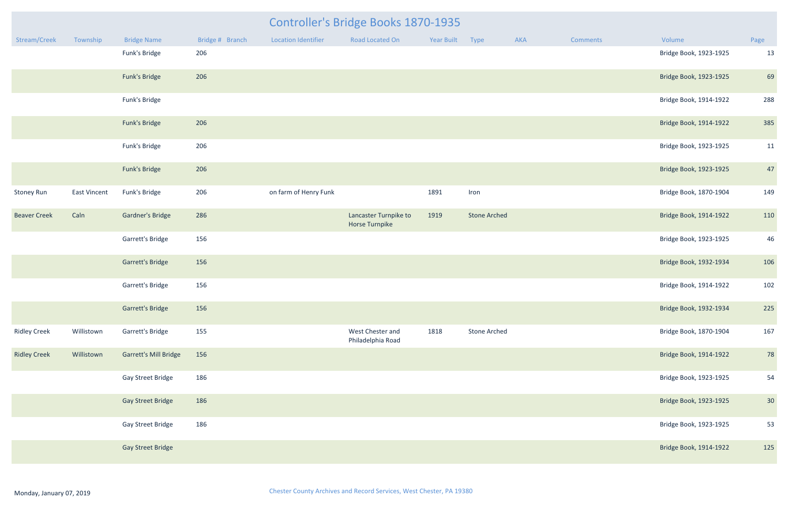|                     |                     |                              |                 |                       | <b>Controller's Bridge Books 1870-1935</b>     |                 |                     |     |                 |                        |                 |
|---------------------|---------------------|------------------------------|-----------------|-----------------------|------------------------------------------------|-----------------|---------------------|-----|-----------------|------------------------|-----------------|
| Stream/Creek        | Township            | <b>Bridge Name</b>           | Bridge # Branch | Location Identifier   | Road Located On                                | Year Built Type |                     | AKA | <b>Comments</b> | Volume                 | Page            |
|                     |                     | Funk's Bridge                | 206             |                       |                                                |                 |                     |     |                 | Bridge Book, 1923-1925 | 13              |
|                     |                     | Funk's Bridge                | 206             |                       |                                                |                 |                     |     |                 | Bridge Book, 1923-1925 | 69              |
|                     |                     | Funk's Bridge                |                 |                       |                                                |                 |                     |     |                 | Bridge Book, 1914-1922 | 288             |
|                     |                     | Funk's Bridge                | 206             |                       |                                                |                 |                     |     |                 | Bridge Book, 1914-1922 | 385             |
|                     |                     | Funk's Bridge                | 206             |                       |                                                |                 |                     |     |                 | Bridge Book, 1923-1925 | 11              |
|                     |                     | Funk's Bridge                | 206             |                       |                                                |                 |                     |     |                 | Bridge Book, 1923-1925 | 47              |
| <b>Stoney Run</b>   | <b>East Vincent</b> | Funk's Bridge                | 206             | on farm of Henry Funk |                                                | 1891            | Iron                |     |                 | Bridge Book, 1870-1904 | 149             |
| <b>Beaver Creek</b> | Caln                | <b>Gardner's Bridge</b>      | 286             |                       | Lancaster Turnpike to<br><b>Horse Turnpike</b> | 1919            | <b>Stone Arched</b> |     |                 | Bridge Book, 1914-1922 | 110             |
|                     |                     | Garrett's Bridge             | 156             |                       |                                                |                 |                     |     |                 | Bridge Book, 1923-1925 | 46              |
|                     |                     | <b>Garrett's Bridge</b>      | 156             |                       |                                                |                 |                     |     |                 | Bridge Book, 1932-1934 | 106             |
|                     |                     | Garrett's Bridge             | 156             |                       |                                                |                 |                     |     |                 | Bridge Book, 1914-1922 | 102             |
|                     |                     | <b>Garrett's Bridge</b>      | 156             |                       |                                                |                 |                     |     |                 | Bridge Book, 1932-1934 | 225             |
| <b>Ridley Creek</b> | Willistown          | Garrett's Bridge             | 155             |                       | West Chester and<br>Philadelphia Road          | 1818            | <b>Stone Arched</b> |     |                 | Bridge Book, 1870-1904 | 167             |
| <b>Ridley Creek</b> | Willistown          | <b>Garrett's Mill Bridge</b> | 156             |                       |                                                |                 |                     |     |                 | Bridge Book, 1914-1922 | 78              |
|                     |                     | Gay Street Bridge            | 186             |                       |                                                |                 |                     |     |                 | Bridge Book, 1923-1925 | 54              |
|                     |                     | <b>Gay Street Bridge</b>     | 186             |                       |                                                |                 |                     |     |                 | Bridge Book, 1923-1925 | 30 <sup>°</sup> |
|                     |                     | Gay Street Bridge            | 186             |                       |                                                |                 |                     |     |                 | Bridge Book, 1923-1925 | 53              |
|                     |                     | <b>Gay Street Bridge</b>     |                 |                       |                                                |                 |                     |     |                 | Bridge Book, 1914-1922 | 125             |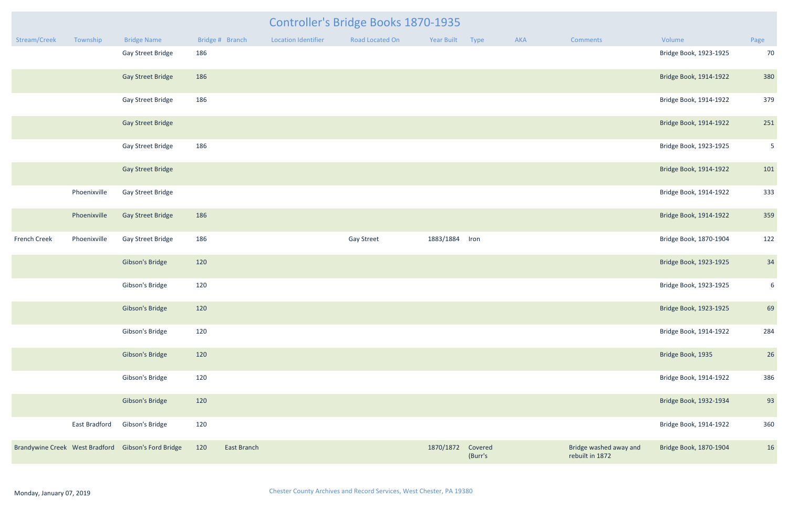|                     | <b>Controller's Bridge Books 1870-1935</b><br>Bridge # Branch<br><b>Location Identifier</b><br>Year Built Type<br>Township<br><b>Bridge Name</b><br>Road Located On<br>AKA<br>Comments<br>Volume<br>Page |                                                     |     |             |  |                   |                   |         |  |                                           |                        |                 |  |
|---------------------|----------------------------------------------------------------------------------------------------------------------------------------------------------------------------------------------------------|-----------------------------------------------------|-----|-------------|--|-------------------|-------------------|---------|--|-------------------------------------------|------------------------|-----------------|--|
| Stream/Creek        |                                                                                                                                                                                                          |                                                     |     |             |  |                   |                   |         |  |                                           |                        |                 |  |
|                     |                                                                                                                                                                                                          | Gay Street Bridge                                   | 186 |             |  |                   |                   |         |  |                                           | Bridge Book, 1923-1925 | 70              |  |
|                     |                                                                                                                                                                                                          | <b>Gay Street Bridge</b>                            | 186 |             |  |                   |                   |         |  |                                           | Bridge Book, 1914-1922 | 380             |  |
|                     |                                                                                                                                                                                                          | <b>Gay Street Bridge</b>                            | 186 |             |  |                   |                   |         |  |                                           | Bridge Book, 1914-1922 | 379             |  |
|                     |                                                                                                                                                                                                          | <b>Gay Street Bridge</b>                            |     |             |  |                   |                   |         |  |                                           | Bridge Book, 1914-1922 | 251             |  |
|                     |                                                                                                                                                                                                          | <b>Gay Street Bridge</b>                            | 186 |             |  |                   |                   |         |  |                                           | Bridge Book, 1923-1925 | 5 <sub>o</sub>  |  |
|                     |                                                                                                                                                                                                          | <b>Gay Street Bridge</b>                            |     |             |  |                   |                   |         |  |                                           | Bridge Book, 1914-1922 | 101             |  |
|                     | Phoenixville                                                                                                                                                                                             | <b>Gay Street Bridge</b>                            |     |             |  |                   |                   |         |  |                                           | Bridge Book, 1914-1922 | 333             |  |
|                     | Phoenixville                                                                                                                                                                                             | <b>Gay Street Bridge</b>                            | 186 |             |  |                   |                   |         |  |                                           | Bridge Book, 1914-1922 | 359             |  |
| <b>French Creek</b> | Phoenixville                                                                                                                                                                                             | <b>Gay Street Bridge</b>                            | 186 |             |  | <b>Gay Street</b> | 1883/1884 Iron    |         |  |                                           | Bridge Book, 1870-1904 | 122             |  |
|                     |                                                                                                                                                                                                          | <b>Gibson's Bridge</b>                              | 120 |             |  |                   |                   |         |  |                                           | Bridge Book, 1923-1925 | 34              |  |
|                     |                                                                                                                                                                                                          | Gibson's Bridge                                     | 120 |             |  |                   |                   |         |  |                                           | Bridge Book, 1923-1925 | $6\overline{6}$ |  |
|                     |                                                                                                                                                                                                          | Gibson's Bridge                                     | 120 |             |  |                   |                   |         |  |                                           | Bridge Book, 1923-1925 | 69              |  |
|                     |                                                                                                                                                                                                          | Gibson's Bridge                                     | 120 |             |  |                   |                   |         |  |                                           | Bridge Book, 1914-1922 | 284             |  |
|                     |                                                                                                                                                                                                          | <b>Gibson's Bridge</b>                              | 120 |             |  |                   |                   |         |  |                                           | Bridge Book, 1935      | 26              |  |
|                     |                                                                                                                                                                                                          | Gibson's Bridge                                     | 120 |             |  |                   |                   |         |  |                                           | Bridge Book, 1914-1922 | 386             |  |
|                     |                                                                                                                                                                                                          | <b>Gibson's Bridge</b>                              | 120 |             |  |                   |                   |         |  |                                           | Bridge Book, 1932-1934 | 93              |  |
|                     | East Bradford                                                                                                                                                                                            | Gibson's Bridge                                     | 120 |             |  |                   |                   |         |  |                                           | Bridge Book, 1914-1922 | 360             |  |
|                     |                                                                                                                                                                                                          | Brandywine Creek West Bradford Gibson's Ford Bridge | 120 | East Branch |  |                   | 1870/1872 Covered | (Burr's |  | Bridge washed away and<br>rebuilt in 1872 | Bridge Book, 1870-1904 | 16              |  |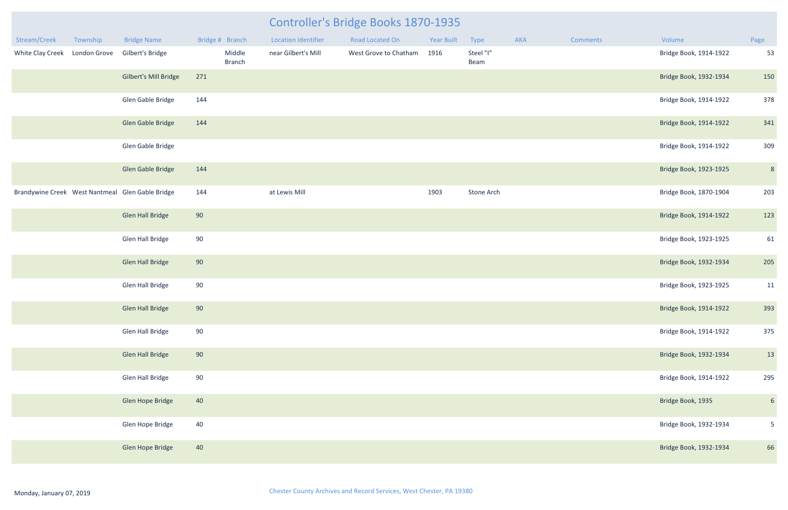| Stream/Creek     | Township            | <b>Bridge Name</b>                               | Bridge # Branch         | <b>Location Identifier</b> | Road Located On       | Year Built | Type              | <b>AKA</b> | Comments | Volume                 | Page            |
|------------------|---------------------|--------------------------------------------------|-------------------------|----------------------------|-----------------------|------------|-------------------|------------|----------|------------------------|-----------------|
| White Clay Creek | <b>London Grove</b> | Gilbert's Bridge                                 | Middle<br><b>Branch</b> | near Gilbert's Mill        | West Grove to Chatham | 1916       | Steel "I"<br>Beam |            |          | Bridge Book, 1914-1922 | 53              |
|                  |                     | Gilbert's Mill Bridge                            | 271                     |                            |                       |            |                   |            |          | Bridge Book, 1932-1934 | 150             |
|                  |                     | Glen Gable Bridge                                | 144                     |                            |                       |            |                   |            |          | Bridge Book, 1914-1922 | 378             |
|                  |                     | Glen Gable Bridge                                | 144                     |                            |                       |            |                   |            |          | Bridge Book, 1914-1922 | 341             |
|                  |                     | Glen Gable Bridge                                |                         |                            |                       |            |                   |            |          | Bridge Book, 1914-1922 | 309             |
|                  |                     | Glen Gable Bridge                                | 144                     |                            |                       |            |                   |            |          | Bridge Book, 1923-1925 | $8\phantom{.}$  |
|                  |                     | Brandywine Creek West Nantmeal Glen Gable Bridge | 144                     | at Lewis Mill              |                       | 1903       | Stone Arch        |            |          | Bridge Book, 1870-1904 | 203             |
|                  |                     | Glen Hall Bridge                                 | 90                      |                            |                       |            |                   |            |          | Bridge Book, 1914-1922 | 123             |
|                  |                     | Glen Hall Bridge                                 | 90                      |                            |                       |            |                   |            |          | Bridge Book, 1923-1925 | 61              |
|                  |                     | <b>Glen Hall Bridge</b>                          | 90                      |                            |                       |            |                   |            |          | Bridge Book, 1932-1934 | 205             |
|                  |                     | Glen Hall Bridge                                 | 90                      |                            |                       |            |                   |            |          | Bridge Book, 1923-1925 | 11              |
|                  |                     | <b>Glen Hall Bridge</b>                          | 90                      |                            |                       |            |                   |            |          | Bridge Book, 1914-1922 | 393             |
|                  |                     | Glen Hall Bridge                                 | 90                      |                            |                       |            |                   |            |          | Bridge Book, 1914-1922 | 375             |
|                  |                     | <b>Glen Hall Bridge</b>                          | 90                      |                            |                       |            |                   |            |          | Bridge Book, 1932-1934 | 13              |
|                  |                     | <b>Glen Hall Bridge</b>                          | 90                      |                            |                       |            |                   |            |          | Bridge Book, 1914-1922 | 295             |
|                  |                     | Glen Hope Bridge                                 | 40                      |                            |                       |            |                   |            |          | Bridge Book, 1935      | $6\overline{6}$ |
|                  |                     | Glen Hope Bridge                                 | 40                      |                            |                       |            |                   |            |          | Bridge Book, 1932-1934 | $5\phantom{.}$  |
|                  |                     | Glen Hope Bridge                                 | 40                      |                            |                       |            |                   |            |          | Bridge Book, 1932-1934 | 66              |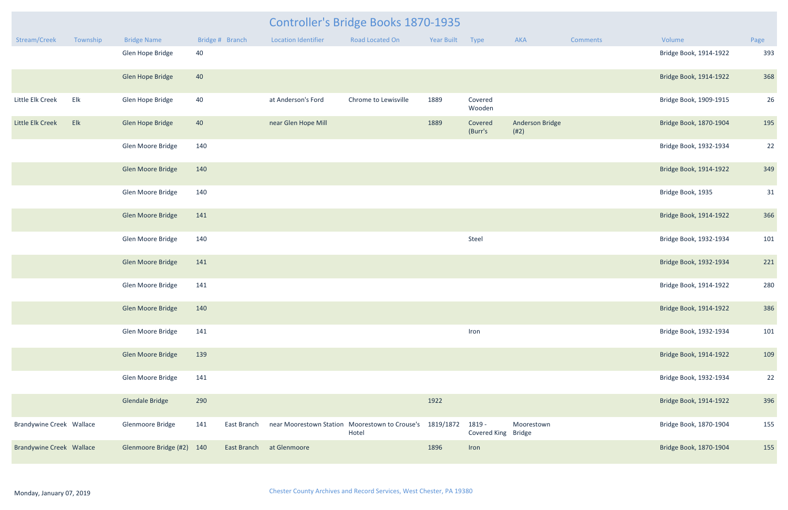|                                 |          |                           |                    | <b>Controller's Bridge Books 1870-1935</b> |                                                                   |            |                               |                                |                 |                        |      |  |
|---------------------------------|----------|---------------------------|--------------------|--------------------------------------------|-------------------------------------------------------------------|------------|-------------------------------|--------------------------------|-----------------|------------------------|------|--|
| Stream/Creek                    | Township | <b>Bridge Name</b>        | Bridge # Branch    | <b>Location Identifier</b>                 | Road Located On                                                   | Year Built | Type                          | AKA                            | <b>Comments</b> | Volume                 | Page |  |
|                                 |          | Glen Hope Bridge          | 40                 |                                            |                                                                   |            |                               |                                |                 | Bridge Book, 1914-1922 | 393  |  |
|                                 |          | Glen Hope Bridge          | 40                 |                                            |                                                                   |            |                               |                                |                 | Bridge Book, 1914-1922 | 368  |  |
| Little Elk Creek                | Elk      | Glen Hope Bridge          | 40                 | at Anderson's Ford                         | Chrome to Lewisville                                              | 1889       | Covered<br>Wooden             |                                |                 | Bridge Book, 1909-1915 | 26   |  |
| Little Elk Creek                | Elk      | Glen Hope Bridge          | 40                 | near Glen Hope Mill                        |                                                                   | 1889       | Covered<br>(Burr's            | <b>Anderson Bridge</b><br>(#2) |                 | Bridge Book, 1870-1904 | 195  |  |
|                                 |          | Glen Moore Bridge         | 140                |                                            |                                                                   |            |                               |                                |                 | Bridge Book, 1932-1934 | 22   |  |
|                                 |          | Glen Moore Bridge         | 140                |                                            |                                                                   |            |                               |                                |                 | Bridge Book, 1914-1922 | 349  |  |
|                                 |          | Glen Moore Bridge         | 140                |                                            |                                                                   |            |                               |                                |                 | Bridge Book, 1935      | 31   |  |
|                                 |          | Glen Moore Bridge         | 141                |                                            |                                                                   |            |                               |                                |                 | Bridge Book, 1914-1922 | 366  |  |
|                                 |          | Glen Moore Bridge         | 140                |                                            |                                                                   |            | Steel                         |                                |                 | Bridge Book, 1932-1934 | 101  |  |
|                                 |          | Glen Moore Bridge         | 141                |                                            |                                                                   |            |                               |                                |                 | Bridge Book, 1932-1934 | 221  |  |
|                                 |          | Glen Moore Bridge         | 141                |                                            |                                                                   |            |                               |                                |                 | Bridge Book, 1914-1922 | 280  |  |
|                                 |          | Glen Moore Bridge         | 140                |                                            |                                                                   |            |                               |                                |                 | Bridge Book, 1914-1922 | 386  |  |
|                                 |          | Glen Moore Bridge         | 141                |                                            |                                                                   |            | Iron                          |                                |                 | Bridge Book, 1932-1934 | 101  |  |
|                                 |          | Glen Moore Bridge         | 139                |                                            |                                                                   |            |                               |                                |                 | Bridge Book, 1914-1922 | 109  |  |
|                                 |          | Glen Moore Bridge         | 141                |                                            |                                                                   |            |                               |                                |                 | Bridge Book, 1932-1934 | 22   |  |
|                                 |          | Glendale Bridge           | 290                |                                            |                                                                   | 1922       |                               |                                |                 | Bridge Book, 1914-1922 | 396  |  |
| Brandywine Creek Wallace        |          | Glenmoore Bridge          | 141<br>East Branch |                                            | near Moorestown Station Moorestown to Crouse's 1819/1872<br>Hotel |            | 1819 -<br>Covered King Bridge | Moorestown                     |                 | Bridge Book, 1870-1904 | 155  |  |
| <b>Brandywine Creek Wallace</b> |          | Glenmoore Bridge (#2) 140 | East Branch        | at Glenmoore                               |                                                                   | 1896       | Iron                          |                                |                 | Bridge Book, 1870-1904 | 155  |  |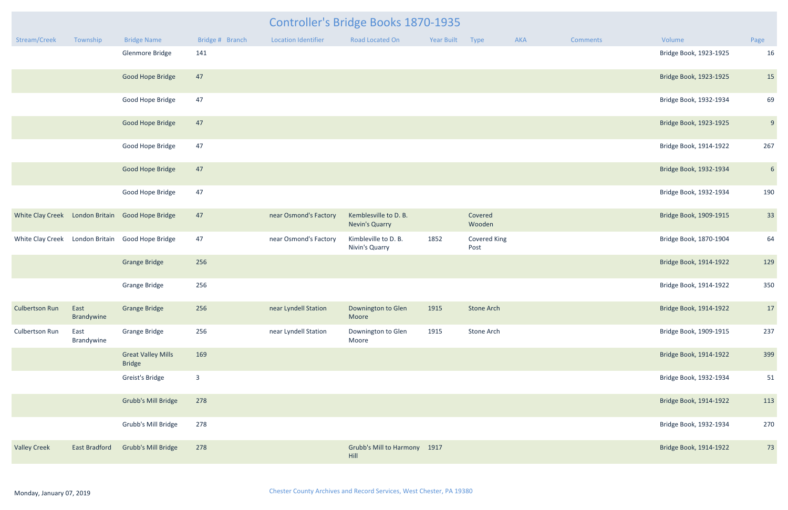| Stream/Creek                    | Township             | <b>Bridge Name</b>                         | Bridge # Branch         | <b>Location Identifier</b> | <b>Road Located On</b>                         | Year Built | Type                        | AKA | <b>Comments</b> | Volume                 | Page            |
|---------------------------------|----------------------|--------------------------------------------|-------------------------|----------------------------|------------------------------------------------|------------|-----------------------------|-----|-----------------|------------------------|-----------------|
|                                 |                      | Glenmore Bridge                            | 141                     |                            |                                                |            |                             |     |                 | Bridge Book, 1923-1925 | 16              |
|                                 |                      | Good Hope Bridge                           | 47                      |                            |                                                |            |                             |     |                 | Bridge Book, 1923-1925 | 15              |
|                                 |                      | Good Hope Bridge                           | 47                      |                            |                                                |            |                             |     |                 | Bridge Book, 1932-1934 | 69              |
|                                 |                      | Good Hope Bridge                           | 47                      |                            |                                                |            |                             |     |                 | Bridge Book, 1923-1925 | 9               |
|                                 |                      | Good Hope Bridge                           | 47                      |                            |                                                |            |                             |     |                 | Bridge Book, 1914-1922 | 267             |
|                                 |                      | Good Hope Bridge                           | 47                      |                            |                                                |            |                             |     |                 | Bridge Book, 1932-1934 | $6\overline{6}$ |
|                                 |                      | Good Hope Bridge                           | 47                      |                            |                                                |            |                             |     |                 | Bridge Book, 1932-1934 | 190             |
| White Clay Creek London Britain |                      | <b>Good Hope Bridge</b>                    | 47                      | near Osmond's Factory      | Kemblesville to D. B.<br><b>Nevin's Quarry</b> |            | Covered<br>Wooden           |     |                 | Bridge Book, 1909-1915 | 33              |
| White Clay Creek London Britain |                      | Good Hope Bridge                           | 47                      | near Osmond's Factory      | Kimbleville to D. B.<br>Nivin's Quarry         | 1852       | <b>Covered King</b><br>Post |     |                 | Bridge Book, 1870-1904 | 64              |
|                                 |                      | <b>Grange Bridge</b>                       | 256                     |                            |                                                |            |                             |     |                 | Bridge Book, 1914-1922 | 129             |
|                                 |                      | <b>Grange Bridge</b>                       | 256                     |                            |                                                |            |                             |     |                 | Bridge Book, 1914-1922 | 350             |
| <b>Culbertson Run</b>           | East<br>Brandywine   | <b>Grange Bridge</b>                       | 256                     | near Lyndell Station       | Downington to Glen<br>Moore                    | 1915       | <b>Stone Arch</b>           |     |                 | Bridge Book, 1914-1922 | 17              |
| Culbertson Run                  | East<br>Brandywine   | <b>Grange Bridge</b>                       | 256                     | near Lyndell Station       | Downington to Glen<br>Moore                    | 1915       | Stone Arch                  |     |                 | Bridge Book, 1909-1915 | 237             |
|                                 |                      | <b>Great Valley Mills</b><br><b>Bridge</b> | 169                     |                            |                                                |            |                             |     |                 | Bridge Book, 1914-1922 | 399             |
|                                 |                      | Greist's Bridge                            | $\overline{\mathbf{3}}$ |                            |                                                |            |                             |     |                 | Bridge Book, 1932-1934 | 51              |
|                                 |                      | Grubb's Mill Bridge                        | 278                     |                            |                                                |            |                             |     |                 | Bridge Book, 1914-1922 | 113             |
|                                 |                      | Grubb's Mill Bridge                        | 278                     |                            |                                                |            |                             |     |                 | Bridge Book, 1932-1934 | 270             |
| <b>Valley Creek</b>             | <b>East Bradford</b> | <b>Grubb's Mill Bridge</b>                 | 278                     |                            | Grubb's Mill to Harmony 1917<br>Hill           |            |                             |     |                 | Bridge Book, 1914-1922 | 73              |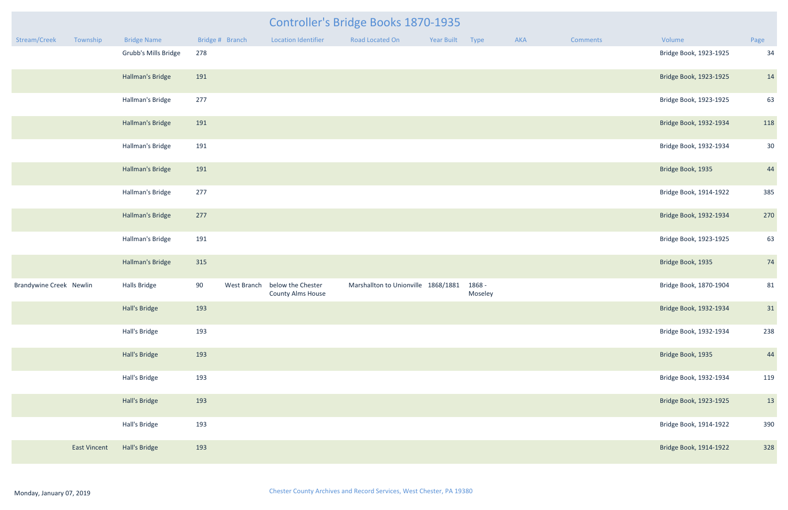|                                | <b>Controller's Bridge Books 1870-1935</b> |                         |                 |             |                                               |                                     |                 |                   |     |          |                        |                 |
|--------------------------------|--------------------------------------------|-------------------------|-----------------|-------------|-----------------------------------------------|-------------------------------------|-----------------|-------------------|-----|----------|------------------------|-----------------|
| Stream/Creek                   | Township                                   | <b>Bridge Name</b>      | Bridge # Branch |             | <b>Location Identifier</b>                    | Road Located On                     | Year Built Type |                   | AKA | Comments | Volume                 | Page            |
|                                |                                            | Grubb's Mills Bridge    | 278             |             |                                               |                                     |                 |                   |     |          | Bridge Book, 1923-1925 | 34              |
|                                |                                            | <b>Hallman's Bridge</b> | 191             |             |                                               |                                     |                 |                   |     |          | Bridge Book, 1923-1925 | 14              |
|                                |                                            | Hallman's Bridge        | 277             |             |                                               |                                     |                 |                   |     |          | Bridge Book, 1923-1925 | 63              |
|                                |                                            | Hallman's Bridge        | 191             |             |                                               |                                     |                 |                   |     |          | Bridge Book, 1932-1934 | 118             |
|                                |                                            | Hallman's Bridge        | 191             |             |                                               |                                     |                 |                   |     |          | Bridge Book, 1932-1934 | 30 <sup>°</sup> |
|                                |                                            | Hallman's Bridge        | 191             |             |                                               |                                     |                 |                   |     |          | Bridge Book, 1935      | 44              |
|                                |                                            | Hallman's Bridge        | 277             |             |                                               |                                     |                 |                   |     |          | Bridge Book, 1914-1922 | 385             |
|                                |                                            | Hallman's Bridge        | 277             |             |                                               |                                     |                 |                   |     |          | Bridge Book, 1932-1934 | 270             |
|                                |                                            | Hallman's Bridge        | 191             |             |                                               |                                     |                 |                   |     |          | Bridge Book, 1923-1925 | 63              |
|                                |                                            | Hallman's Bridge        | 315             |             |                                               |                                     |                 |                   |     |          | Bridge Book, 1935      | 74              |
| <b>Brandywine Creek Newlin</b> |                                            | Halls Bridge            | 90              | West Branch | below the Chester<br><b>County Alms House</b> | Marshallton to Unionville 1868/1881 |                 | 1868 -<br>Moseley |     |          | Bridge Book, 1870-1904 | 81              |
|                                |                                            | Hall's Bridge           | 193             |             |                                               |                                     |                 |                   |     |          | Bridge Book, 1932-1934 | 31              |
|                                |                                            | Hall's Bridge           | 193             |             |                                               |                                     |                 |                   |     |          | Bridge Book, 1932-1934 | 238             |
|                                |                                            | Hall's Bridge           | 193             |             |                                               |                                     |                 |                   |     |          | Bridge Book, 1935      | 44              |
|                                |                                            | Hall's Bridge           | 193             |             |                                               |                                     |                 |                   |     |          | Bridge Book, 1932-1934 | 119             |
|                                |                                            | Hall's Bridge           | 193             |             |                                               |                                     |                 |                   |     |          | Bridge Book, 1923-1925 | 13              |
|                                |                                            | Hall's Bridge           | 193             |             |                                               |                                     |                 |                   |     |          | Bridge Book, 1914-1922 | 390             |
|                                | <b>East Vincent</b>                        | Hall's Bridge           | 193             |             |                                               |                                     |                 |                   |     |          | Bridge Book, 1914-1922 | 328             |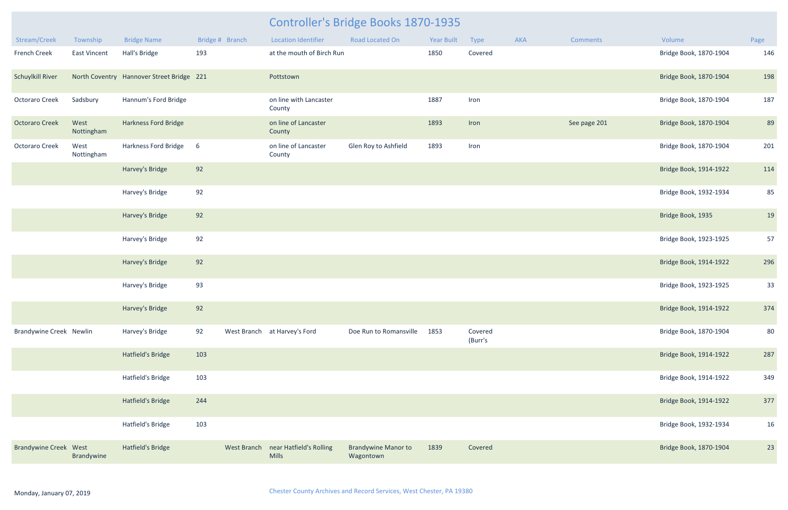| Stream/Creek                   | Township           | <b>Bridge Name</b>                        | Bridge # Branch | <b>Location Identifier</b>                          | <b>Road Located On</b>                  | <b>Year Built</b> | Type               | AKA | Comments     | Volume                 | Page |
|--------------------------------|--------------------|-------------------------------------------|-----------------|-----------------------------------------------------|-----------------------------------------|-------------------|--------------------|-----|--------------|------------------------|------|
| <b>French Creek</b>            | East Vincent       | Hall's Bridge                             | 193             | at the mouth of Birch Run                           |                                         | 1850              | Covered            |     |              | Bridge Book, 1870-1904 | 146  |
| <b>Schuylkill River</b>        |                    | North Coventry Hannover Street Bridge 221 |                 | Pottstown                                           |                                         |                   |                    |     |              | Bridge Book, 1870-1904 | 198  |
| <b>Octoraro Creek</b>          | Sadsbury           | Hannum's Ford Bridge                      |                 | on line with Lancaster<br>County                    |                                         | 1887              | Iron               |     |              | Bridge Book, 1870-1904 | 187  |
| <b>Octoraro Creek</b>          | West<br>Nottingham | <b>Harkness Ford Bridge</b>               |                 | on line of Lancaster<br>County                      |                                         | 1893              | Iron               |     | See page 201 | Bridge Book, 1870-1904 | 89   |
| <b>Octoraro Creek</b>          | West<br>Nottingham | Harkness Ford Bridge                      | 6               | on line of Lancaster<br>County                      | Glen Roy to Ashfield                    | 1893              | Iron               |     |              | Bridge Book, 1870-1904 | 201  |
|                                |                    | Harvey's Bridge                           | 92              |                                                     |                                         |                   |                    |     |              | Bridge Book, 1914-1922 | 114  |
|                                |                    | Harvey's Bridge                           | 92              |                                                     |                                         |                   |                    |     |              | Bridge Book, 1932-1934 | 85   |
|                                |                    | Harvey's Bridge                           | 92              |                                                     |                                         |                   |                    |     |              | Bridge Book, 1935      | 19   |
|                                |                    | Harvey's Bridge                           | 92              |                                                     |                                         |                   |                    |     |              | Bridge Book, 1923-1925 | 57   |
|                                |                    | Harvey's Bridge                           | 92              |                                                     |                                         |                   |                    |     |              | Bridge Book, 1914-1922 | 296  |
|                                |                    | Harvey's Bridge                           | 93              |                                                     |                                         |                   |                    |     |              | Bridge Book, 1923-1925 | 33   |
|                                |                    | Harvey's Bridge                           | 92              |                                                     |                                         |                   |                    |     |              | Bridge Book, 1914-1922 | 374  |
| <b>Brandywine Creek Newlin</b> |                    | Harvey's Bridge                           | 92              | West Branch at Harvey's Ford                        | Doe Run to Romansville                  | 1853              | Covered<br>(Burr's |     |              | Bridge Book, 1870-1904 | 80   |
|                                |                    | Hatfield's Bridge                         | 103             |                                                     |                                         |                   |                    |     |              | Bridge Book, 1914-1922 | 287  |
|                                |                    | Hatfield's Bridge                         | 103             |                                                     |                                         |                   |                    |     |              | Bridge Book, 1914-1922 | 349  |
|                                |                    | Hatfield's Bridge                         | 244             |                                                     |                                         |                   |                    |     |              | Bridge Book, 1914-1922 | 377  |
|                                |                    | Hatfield's Bridge                         | 103             |                                                     |                                         |                   |                    |     |              | Bridge Book, 1932-1934 | 16   |
| <b>Brandywine Creek West</b>   | Brandywine         | Hatfield's Bridge                         |                 | West Branch near Hatfield's Rolling<br><b>Mills</b> | <b>Brandywine Manor to</b><br>Wagontown | 1839              | Covered            |     |              | Bridge Book, 1870-1904 | 23   |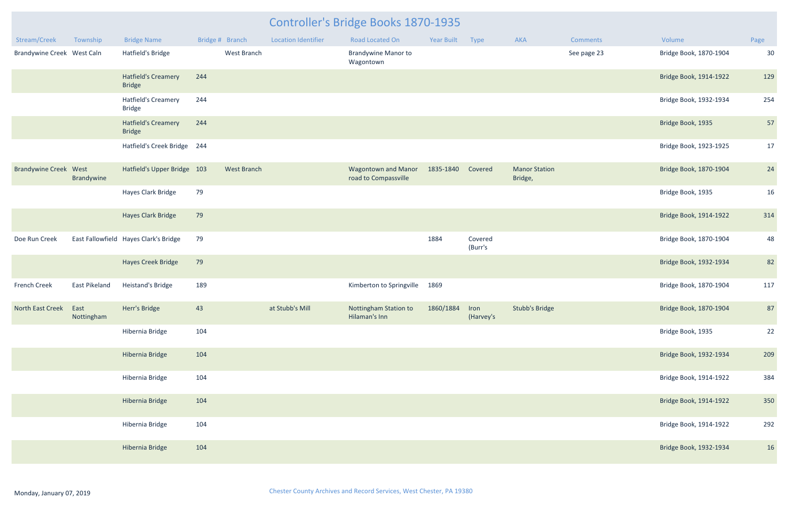| Stream/Creek                 | Township           | <b>Bridge Name</b>                          |     | Bridge # Branch    | <b>Location Identifier</b> | <b>Road Located On</b>                             | <b>Year Built</b> | Type               | <b>AKA</b>                      | <b>Comments</b> | Volume                 | Page |
|------------------------------|--------------------|---------------------------------------------|-----|--------------------|----------------------------|----------------------------------------------------|-------------------|--------------------|---------------------------------|-----------------|------------------------|------|
| Brandywine Creek West Caln   |                    | Hatfield's Bridge                           |     | West Branch        |                            | <b>Brandywine Manor to</b><br>Wagontown            |                   |                    |                                 | See page 23     | Bridge Book, 1870-1904 | 30   |
|                              |                    | <b>Hatfield's Creamery</b><br><b>Bridge</b> | 244 |                    |                            |                                                    |                   |                    |                                 |                 | Bridge Book, 1914-1922 | 129  |
|                              |                    | <b>Hatfield's Creamery</b><br><b>Bridge</b> | 244 |                    |                            |                                                    |                   |                    |                                 |                 | Bridge Book, 1932-1934 | 254  |
|                              |                    | <b>Hatfield's Creamery</b><br><b>Bridge</b> | 244 |                    |                            |                                                    |                   |                    |                                 |                 | Bridge Book, 1935      | 57   |
|                              |                    | Hatfield's Creek Bridge 244                 |     |                    |                            |                                                    |                   |                    |                                 |                 | Bridge Book, 1923-1925 | 17   |
| <b>Brandywine Creek West</b> | Brandywine         | Hatfield's Upper Bridge 103                 |     | <b>West Branch</b> |                            | <b>Wagontown and Manor</b><br>road to Compassville | 1835-1840         | Covered            | <b>Manor Station</b><br>Bridge, |                 | Bridge Book, 1870-1904 | 24   |
|                              |                    | Hayes Clark Bridge                          | 79  |                    |                            |                                                    |                   |                    |                                 |                 | Bridge Book, 1935      | 16   |
|                              |                    | <b>Hayes Clark Bridge</b>                   | 79  |                    |                            |                                                    |                   |                    |                                 |                 | Bridge Book, 1914-1922 | 314  |
| Doe Run Creek                |                    | East Fallowfield Hayes Clark's Bridge       | 79  |                    |                            |                                                    | 1884              | Covered<br>(Burr's |                                 |                 | Bridge Book, 1870-1904 | 48   |
|                              |                    | <b>Hayes Creek Bridge</b>                   | 79  |                    |                            |                                                    |                   |                    |                                 |                 | Bridge Book, 1932-1934 | 82   |
| French Creek                 | East Pikeland      | Heistand's Bridge                           | 189 |                    |                            | Kimberton to Springville                           | 1869              |                    |                                 |                 | Bridge Book, 1870-1904 | 117  |
| North East Creek             | East<br>Nottingham | Herr's Bridge                               | 43  |                    | at Stubb's Mill            | Nottingham Station to<br>Hilaman's Inn             | 1860/1884         | Iron<br>(Harvey's  | <b>Stubb's Bridge</b>           |                 | Bridge Book, 1870-1904 | 87   |
|                              |                    | Hibernia Bridge                             | 104 |                    |                            |                                                    |                   |                    |                                 |                 | Bridge Book, 1935      | 22   |
|                              |                    | Hibernia Bridge                             | 104 |                    |                            |                                                    |                   |                    |                                 |                 | Bridge Book, 1932-1934 | 209  |
|                              |                    | Hibernia Bridge                             | 104 |                    |                            |                                                    |                   |                    |                                 |                 | Bridge Book, 1914-1922 | 384  |
|                              |                    | Hibernia Bridge                             | 104 |                    |                            |                                                    |                   |                    |                                 |                 | Bridge Book, 1914-1922 | 350  |
|                              |                    | Hibernia Bridge                             | 104 |                    |                            |                                                    |                   |                    |                                 |                 | Bridge Book, 1914-1922 | 292  |
|                              |                    | Hibernia Bridge                             | 104 |                    |                            |                                                    |                   |                    |                                 |                 | Bridge Book, 1932-1934 | 16   |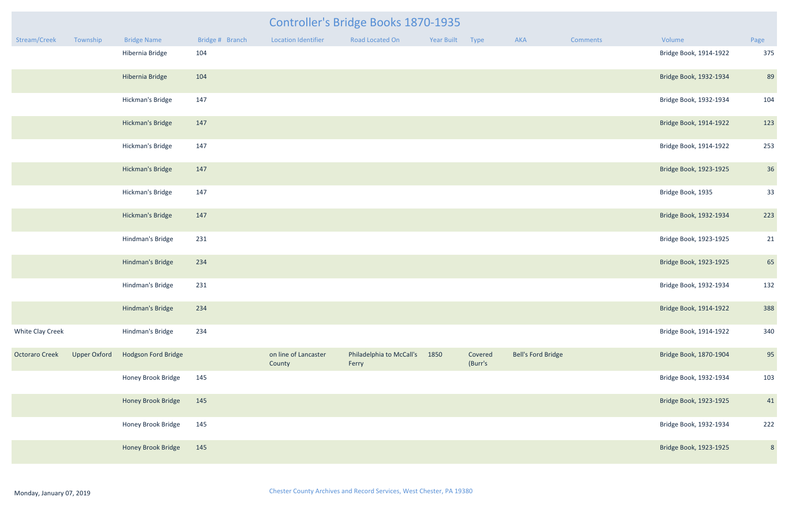|                   |                     | <b>Controller's Bridge Books 1870-1935</b> |                              |            |  |
|-------------------|---------------------|--------------------------------------------|------------------------------|------------|--|
| $Dridao + Dranch$ | Location Identifier | <b>Donal ocatod On</b>                     | $V \circ \circ \circ D$ wilt | $T_{VIRQ}$ |  |

| Stream/Creek          | Township            | <b>Bridge Name</b>      | Bridge # Branch | <b>Location Identifier</b>     | <b>Road Located On</b>            | Year Built | Type               | AKA                       | Comments | Volume                 | Page           |
|-----------------------|---------------------|-------------------------|-----------------|--------------------------------|-----------------------------------|------------|--------------------|---------------------------|----------|------------------------|----------------|
|                       |                     | Hibernia Bridge         | 104             |                                |                                   |            |                    |                           |          | Bridge Book, 1914-1922 | 375            |
|                       |                     | Hibernia Bridge         | 104             |                                |                                   |            |                    |                           |          | Bridge Book, 1932-1934 | 89             |
|                       |                     | Hickman's Bridge        | 147             |                                |                                   |            |                    |                           |          | Bridge Book, 1932-1934 | 104            |
|                       |                     | <b>Hickman's Bridge</b> | 147             |                                |                                   |            |                    |                           |          | Bridge Book, 1914-1922 | 123            |
|                       |                     | Hickman's Bridge        | 147             |                                |                                   |            |                    |                           |          | Bridge Book, 1914-1922 | 253            |
|                       |                     | <b>Hickman's Bridge</b> | 147             |                                |                                   |            |                    |                           |          | Bridge Book, 1923-1925 | 36             |
|                       |                     | Hickman's Bridge        | 147             |                                |                                   |            |                    |                           |          | Bridge Book, 1935      | 33             |
|                       |                     | <b>Hickman's Bridge</b> | 147             |                                |                                   |            |                    |                           |          | Bridge Book, 1932-1934 | 223            |
|                       |                     | Hindman's Bridge        | 231             |                                |                                   |            |                    |                           |          | Bridge Book, 1923-1925 | 21             |
|                       |                     | Hindman's Bridge        | 234             |                                |                                   |            |                    |                           |          | Bridge Book, 1923-1925 | 65             |
|                       |                     | Hindman's Bridge        | 231             |                                |                                   |            |                    |                           |          | Bridge Book, 1932-1934 | 132            |
|                       |                     | Hindman's Bridge        | 234             |                                |                                   |            |                    |                           |          | Bridge Book, 1914-1922 | 388            |
| White Clay Creek      |                     | Hindman's Bridge        | 234             |                                |                                   |            |                    |                           |          | Bridge Book, 1914-1922 | 340            |
| <b>Octoraro Creek</b> | <b>Upper Oxford</b> | Hodgson Ford Bridge     |                 | on line of Lancaster<br>County | Philadelphia to McCall's<br>Ferry | 1850       | Covered<br>(Burr's | <b>Bell's Ford Bridge</b> |          | Bridge Book, 1870-1904 | 95             |
|                       |                     | Honey Brook Bridge      | 145             |                                |                                   |            |                    |                           |          | Bridge Book, 1932-1934 | 103            |
|                       |                     | Honey Brook Bridge      | 145             |                                |                                   |            |                    |                           |          | Bridge Book, 1923-1925 | 41             |
|                       |                     | Honey Brook Bridge      | 145             |                                |                                   |            |                    |                           |          | Bridge Book, 1932-1934 | 222            |
|                       |                     | Honey Brook Bridge      | 145             |                                |                                   |            |                    |                           |          | Bridge Book, 1923-1925 | $8\phantom{1}$ |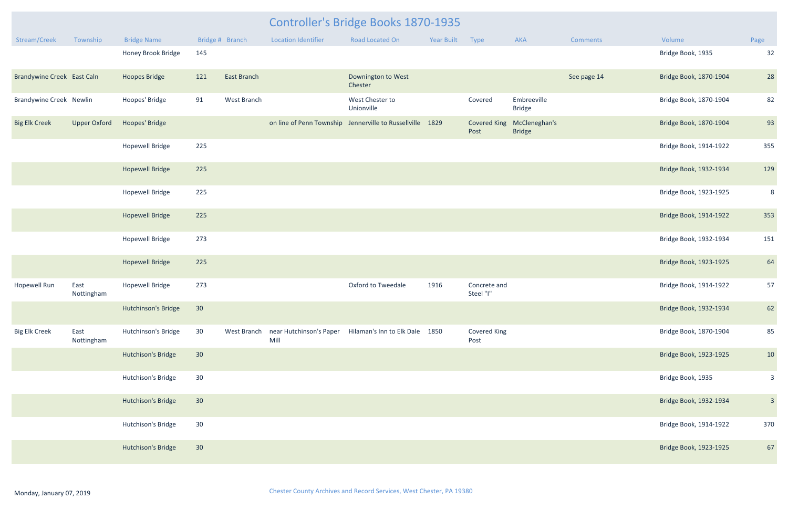| <b>Comments</b> | Volume                 | Page |
|-----------------|------------------------|------|
|                 | Bridge Book, 1935      | 32   |
| See page 14     | Bridge Book, 1870-1904 | 28   |
|                 | Bridge Book, 1870-1904 | 82   |
|                 | Bridge Book, 1870-1904 | 93   |
|                 | Bridge Book, 1914-1922 | 355  |
|                 | Bridge Book, 1932-1934 | 129  |
|                 | Bridge Book, 1923-1925 | 8    |
|                 | Bridge Book, 1914-1922 | 353  |
|                 | Bridge Book, 1932-1934 | 151  |
|                 | Bridge Book, 1923-1925 | 64   |
|                 | Bridge Book, 1914-1922 | 57   |
|                 | Bridge Book, 1932-1934 | 62   |
|                 | Bridge Book, 1870-1904 | 85   |
|                 | Bridge Book, 1923-1925 | 10   |
|                 | Bridge Book, 1935      | 3    |
|                 | Bridge Book, 1932-1934 | 3    |
|                 | Bridge Book, 1914-1922 | 370  |
|                 | Bridge Book, 1923-1925 | 67   |

|                                |                     |                        |                 |                    |                            | <b>Controller's Bridge Books 1870-1935</b>                         |                   |                             |                                |                 |                        |         |
|--------------------------------|---------------------|------------------------|-----------------|--------------------|----------------------------|--------------------------------------------------------------------|-------------------|-----------------------------|--------------------------------|-----------------|------------------------|---------|
| Stream/Creek                   | Township            | <b>Bridge Name</b>     |                 | Bridge # Branch    | <b>Location Identifier</b> | Road Located On                                                    | <b>Year Built</b> | Type                        | <b>AKA</b>                     | <b>Comments</b> | Volume                 | Page    |
|                                |                     | Honey Brook Bridge     | 145             |                    |                            |                                                                    |                   |                             |                                |                 | Bridge Book, 1935      | 32      |
| Brandywine Creek East Caln     |                     | <b>Hoopes Bridge</b>   | 121             | <b>East Branch</b> |                            | Downington to West<br>Chester                                      |                   |                             |                                | See page 14     | Bridge Book, 1870-1904 | 28      |
| <b>Brandywine Creek Newlin</b> |                     | Hoopes' Bridge         | 91              | West Branch        |                            | West Chester to<br>Unionville                                      |                   | Covered                     | Embreeville<br><b>Bridge</b>   |                 | Bridge Book, 1870-1904 | 82      |
| <b>Big Elk Creek</b>           | <b>Upper Oxford</b> | Hoopes' Bridge         |                 |                    |                            | on line of Penn Township Jennerville to Russellville 1829          |                   | <b>Covered King</b><br>Post | McCleneghan's<br><b>Bridge</b> |                 | Bridge Book, 1870-1904 | 93      |
|                                |                     | <b>Hopewell Bridge</b> | 225             |                    |                            |                                                                    |                   |                             |                                |                 | Bridge Book, 1914-1922 | 355     |
|                                |                     | <b>Hopewell Bridge</b> | 225             |                    |                            |                                                                    |                   |                             |                                |                 | Bridge Book, 1932-1934 | 129     |
|                                |                     | <b>Hopewell Bridge</b> | 225             |                    |                            |                                                                    |                   |                             |                                |                 | Bridge Book, 1923-1925 | ξ       |
|                                |                     | <b>Hopewell Bridge</b> | 225             |                    |                            |                                                                    |                   |                             |                                |                 | Bridge Book, 1914-1922 | 353     |
|                                |                     | <b>Hopewell Bridge</b> | 273             |                    |                            |                                                                    |                   |                             |                                |                 | Bridge Book, 1932-1934 | 151     |
|                                |                     | <b>Hopewell Bridge</b> | 225             |                    |                            |                                                                    |                   |                             |                                |                 | Bridge Book, 1923-1925 | 64      |
| <b>Hopewell Run</b>            | East<br>Nottingham  | <b>Hopewell Bridge</b> | 273             |                    |                            | Oxford to Tweedale                                                 | 1916              | Concrete and<br>Steel "I"   |                                |                 | Bridge Book, 1914-1922 | 57      |
|                                |                     | Hutchinson's Bridge    | 30              |                    |                            |                                                                    |                   |                             |                                |                 | Bridge Book, 1932-1934 | 62      |
| <b>Big Elk Creek</b>           | East<br>Nottingham  | Hutchinson's Bridge    | 30 <sup>°</sup> |                    | Mill                       | West Branch near Hutchinson's Paper Hilaman's Inn to Elk Dale 1850 |                   | Covered King<br>Post        |                                |                 | Bridge Book, 1870-1904 | 85      |
|                                |                     | Hutchison's Bridge     | 30              |                    |                            |                                                                    |                   |                             |                                |                 | Bridge Book, 1923-1925 | 10      |
|                                |                     | Hutchison's Bridge     | 30 <sup>°</sup> |                    |                            |                                                                    |                   |                             |                                |                 | Bridge Book, 1935      |         |
|                                |                     | Hutchison's Bridge     | 30              |                    |                            |                                                                    |                   |                             |                                |                 | Bridge Book, 1932-1934 | $\beta$ |
|                                |                     | Hutchison's Bridge     | 30 <sup>°</sup> |                    |                            |                                                                    |                   |                             |                                |                 | Bridge Book, 1914-1922 | 370     |
|                                |                     | Hutchison's Bridge     | 30              |                    |                            |                                                                    |                   |                             |                                |                 | Bridge Book, 1923-1925 | 67      |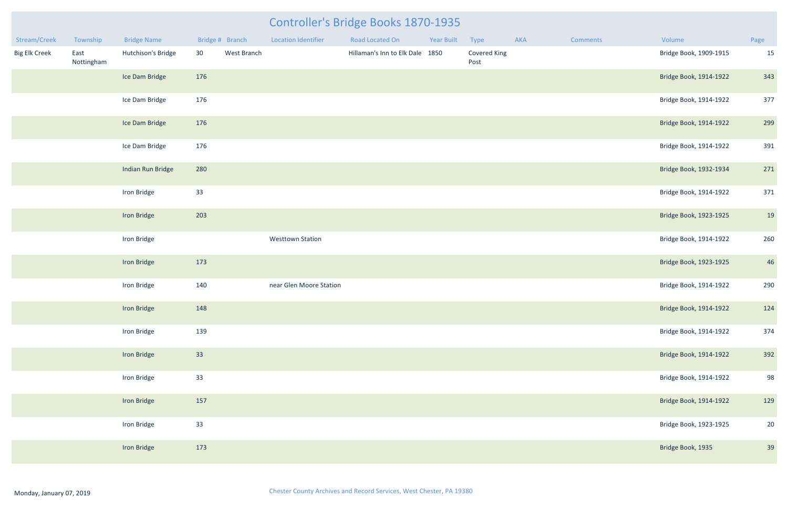| Stream/Creek         | Township           | <b>Bridge Name</b> | Bridge # Branch |             | <b>Location Identifier</b> | Road Located On                 | <b>Year Built</b> | Type                 | AKA | Comments | Volume                 | Page |
|----------------------|--------------------|--------------------|-----------------|-------------|----------------------------|---------------------------------|-------------------|----------------------|-----|----------|------------------------|------|
| <b>Big Elk Creek</b> | East<br>Nottingham | Hutchison's Bridge | 30              | West Branch |                            | Hillaman's Inn to Elk Dale 1850 |                   | Covered King<br>Post |     |          | Bridge Book, 1909-1915 | 15   |
|                      |                    | Ice Dam Bridge     | 176             |             |                            |                                 |                   |                      |     |          | Bridge Book, 1914-1922 | 343  |
|                      |                    | Ice Dam Bridge     | 176             |             |                            |                                 |                   |                      |     |          | Bridge Book, 1914-1922 | 377  |
|                      |                    | Ice Dam Bridge     | 176             |             |                            |                                 |                   |                      |     |          | Bridge Book, 1914-1922 | 299  |
|                      |                    | Ice Dam Bridge     | 176             |             |                            |                                 |                   |                      |     |          | Bridge Book, 1914-1922 | 391  |
|                      |                    | Indian Run Bridge  | 280             |             |                            |                                 |                   |                      |     |          | Bridge Book, 1932-1934 | 271  |
|                      |                    | Iron Bridge        | 33              |             |                            |                                 |                   |                      |     |          | Bridge Book, 1914-1922 | 371  |
|                      |                    | Iron Bridge        | 203             |             |                            |                                 |                   |                      |     |          | Bridge Book, 1923-1925 | 19   |
|                      |                    | Iron Bridge        |                 |             | <b>Westtown Station</b>    |                                 |                   |                      |     |          | Bridge Book, 1914-1922 | 260  |
|                      |                    | Iron Bridge        | 173             |             |                            |                                 |                   |                      |     |          | Bridge Book, 1923-1925 | 46   |
|                      |                    | Iron Bridge        | 140             |             | near Glen Moore Station    |                                 |                   |                      |     |          | Bridge Book, 1914-1922 | 290  |
|                      |                    | Iron Bridge        | 148             |             |                            |                                 |                   |                      |     |          | Bridge Book, 1914-1922 | 124  |
|                      |                    | Iron Bridge        | 139             |             |                            |                                 |                   |                      |     |          | Bridge Book, 1914-1922 | 374  |
|                      |                    | Iron Bridge        | 33              |             |                            |                                 |                   |                      |     |          | Bridge Book, 1914-1922 | 392  |
|                      |                    | Iron Bridge        | 33              |             |                            |                                 |                   |                      |     |          | Bridge Book, 1914-1922 | 98   |
|                      |                    | Iron Bridge        | 157             |             |                            |                                 |                   |                      |     |          | Bridge Book, 1914-1922 | 129  |
|                      |                    | Iron Bridge        | 33              |             |                            |                                 |                   |                      |     |          | Bridge Book, 1923-1925 | 20   |
|                      |                    | Iron Bridge        | 173             |             |                            |                                 |                   |                      |     |          | Bridge Book, 1935      | 39   |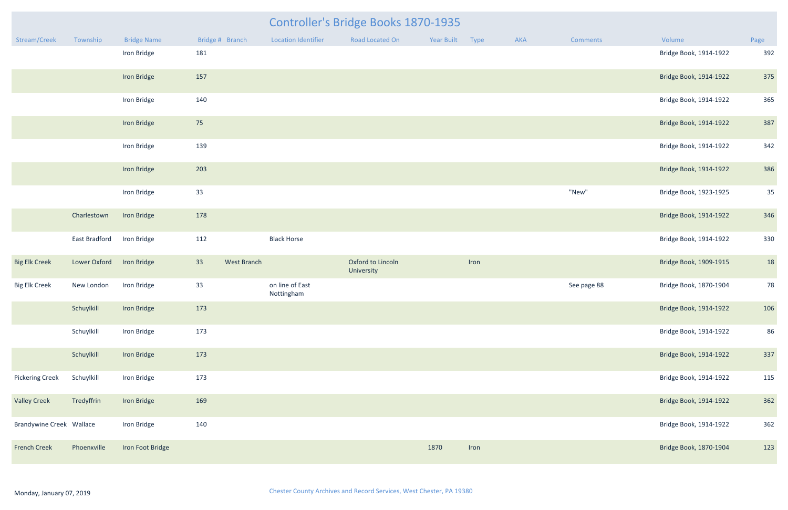|                                 |                        |                    |                 |             |                               | <b>Controller's Bridge Books 1870-1935</b> |                 |      |     |             |                        |      |
|---------------------------------|------------------------|--------------------|-----------------|-------------|-------------------------------|--------------------------------------------|-----------------|------|-----|-------------|------------------------|------|
| Stream/Creek                    | Township               | <b>Bridge Name</b> | Bridge # Branch |             | <b>Location Identifier</b>    | Road Located On                            | Year Built Type |      | AKA | Comments    | Volume                 | Page |
|                                 |                        | Iron Bridge        | 181             |             |                               |                                            |                 |      |     |             | Bridge Book, 1914-1922 | 392  |
|                                 |                        | Iron Bridge        | 157             |             |                               |                                            |                 |      |     |             | Bridge Book, 1914-1922 | 375  |
|                                 |                        | Iron Bridge        | 140             |             |                               |                                            |                 |      |     |             | Bridge Book, 1914-1922 | 365  |
|                                 |                        | Iron Bridge        | 75              |             |                               |                                            |                 |      |     |             | Bridge Book, 1914-1922 | 387  |
|                                 |                        | Iron Bridge        | 139             |             |                               |                                            |                 |      |     |             | Bridge Book, 1914-1922 | 342  |
|                                 |                        | Iron Bridge        | 203             |             |                               |                                            |                 |      |     |             | Bridge Book, 1914-1922 | 386  |
|                                 |                        | Iron Bridge        | 33              |             |                               |                                            |                 |      |     | "New"       | Bridge Book, 1923-1925 | 35   |
|                                 | Charlestown            | Iron Bridge        | 178             |             |                               |                                            |                 |      |     |             | Bridge Book, 1914-1922 | 346  |
|                                 | East Bradford          | Iron Bridge        | 112             |             | <b>Black Horse</b>            |                                            |                 |      |     |             | Bridge Book, 1914-1922 | 330  |
| <b>Big Elk Creek</b>            | Lower Oxford           | <b>Iron Bridge</b> | 33              | West Branch |                               | Oxford to Lincoln<br>University            |                 | Iron |     |             | Bridge Book, 1909-1915 | 18   |
| <b>Big Elk Creek</b>            | New London             | Iron Bridge        | 33              |             | on line of East<br>Nottingham |                                            |                 |      |     | See page 88 | Bridge Book, 1870-1904 | 78   |
|                                 | Schuylkill Iron Bridge |                    | 173             |             |                               |                                            |                 |      |     |             | Bridge Book, 1914-1922 | 106  |
|                                 | Schuylkill             | Iron Bridge        | 173             |             |                               |                                            |                 |      |     |             | Bridge Book, 1914-1922 | 86   |
|                                 | Schuylkill             | Iron Bridge        | 173             |             |                               |                                            |                 |      |     |             | Bridge Book, 1914-1922 | 337  |
| <b>Pickering Creek</b>          | Schuylkill             | Iron Bridge        | 173             |             |                               |                                            |                 |      |     |             | Bridge Book, 1914-1922 | 115  |
| <b>Valley Creek</b>             | Tredyffrin             | Iron Bridge        | 169             |             |                               |                                            |                 |      |     |             | Bridge Book, 1914-1922 | 362  |
| <b>Brandywine Creek Wallace</b> |                        | Iron Bridge        | 140             |             |                               |                                            |                 |      |     |             | Bridge Book, 1914-1922 | 362  |
| <b>French Creek</b>             | Phoenxville            | Iron Foot Bridge   |                 |             |                               |                                            | 1870            | Iron |     |             | Bridge Book, 1870-1904 | 123  |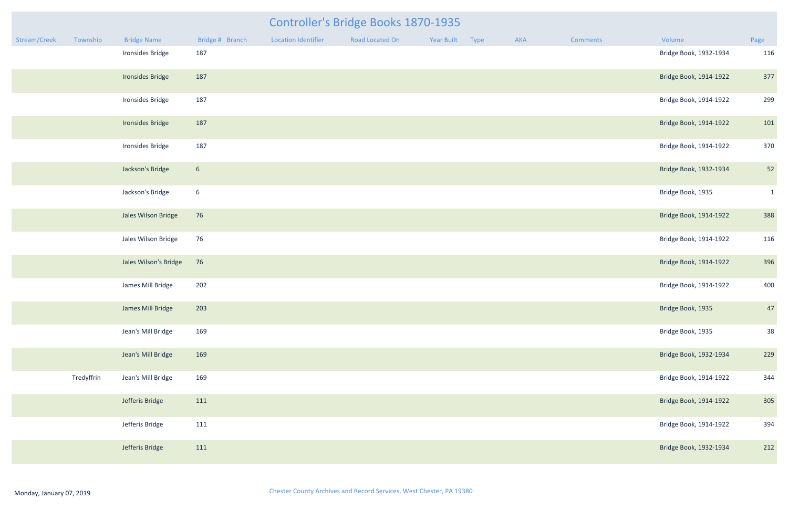|              |            |                       |                 |                            | Controller's Bridge Books 1870-1935 |            |      |     |          |                        |              |
|--------------|------------|-----------------------|-----------------|----------------------------|-------------------------------------|------------|------|-----|----------|------------------------|--------------|
| Stream/Creek | Township   | <b>Bridge Name</b>    | Bridge # Branch | <b>Location Identifier</b> | Road Located On                     | Year Built | Type | AKA | Comments | Volume                 | Page         |
|              |            | Ironsides Bridge      | 187             |                            |                                     |            |      |     |          | Bridge Book, 1932-1934 | 116          |
|              |            | Ironsides Bridge      | 187             |                            |                                     |            |      |     |          | Bridge Book, 1914-1922 | 377          |
|              |            | Ironsides Bridge      | 187             |                            |                                     |            |      |     |          | Bridge Book, 1914-1922 | 299          |
|              |            | Ironsides Bridge      | 187             |                            |                                     |            |      |     |          | Bridge Book, 1914-1922 | 101          |
|              |            | Ironsides Bridge      | 187             |                            |                                     |            |      |     |          | Bridge Book, 1914-1922 | 370          |
|              |            | Jackson's Bridge      | 6 <sup>1</sup>  |                            |                                     |            |      |     |          | Bridge Book, 1932-1934 | 52           |
|              |            | Jackson's Bridge      | $6\overline{6}$ |                            |                                     |            |      |     |          | Bridge Book, 1935      | $\mathbf{1}$ |
|              |            | Jales Wilson Bridge   | 76              |                            |                                     |            |      |     |          | Bridge Book, 1914-1922 | 388          |
|              |            | Jales Wilson Bridge   | 76              |                            |                                     |            |      |     |          | Bridge Book, 1914-1922 | 116          |
|              |            | Jales Wilson's Bridge | 76              |                            |                                     |            |      |     |          | Bridge Book, 1914-1922 | 396          |
|              |            | James Mill Bridge     | 202             |                            |                                     |            |      |     |          | Bridge Book, 1914-1922 | 400          |
|              |            | James Mill Bridge     | 203             |                            |                                     |            |      |     |          | Bridge Book, 1935      | 47           |
|              |            | Jean's Mill Bridge    | 169             |                            |                                     |            |      |     |          | Bridge Book, 1935      | 38           |
|              |            | Jean's Mill Bridge    | 169             |                            |                                     |            |      |     |          | Bridge Book, 1932-1934 | 229          |
|              | Tredyffrin | Jean's Mill Bridge    | 169             |                            |                                     |            |      |     |          | Bridge Book, 1914-1922 | 344          |
|              |            | Jefferis Bridge       | 111             |                            |                                     |            |      |     |          | Bridge Book, 1914-1922 | 305          |
|              |            | Jefferis Bridge       | 111             |                            |                                     |            |      |     |          | Bridge Book, 1914-1922 | 394          |
|              |            | Jefferis Bridge       | 111             |                            |                                     |            |      |     |          | Bridge Book, 1932-1934 | 212          |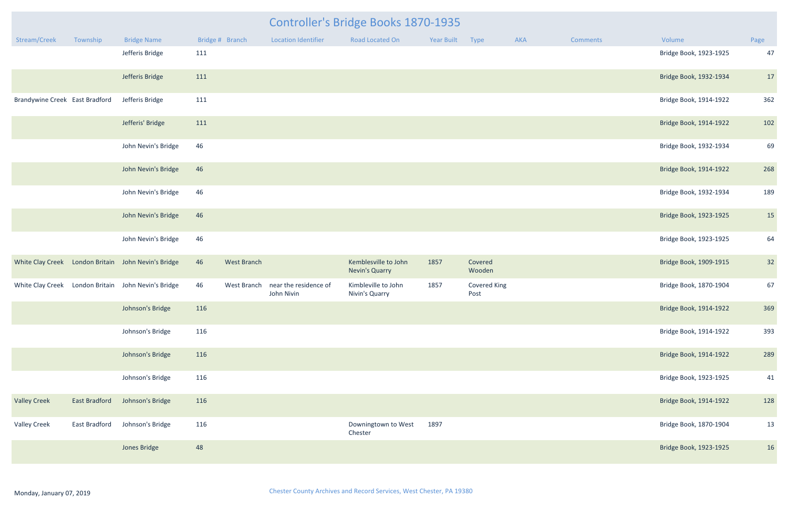|                                |               |                                                     |     |                    |                                     | <b>Controller's Bridge Books 1870-1935</b>    |            |                             |     |                 |                        |      |
|--------------------------------|---------------|-----------------------------------------------------|-----|--------------------|-------------------------------------|-----------------------------------------------|------------|-----------------------------|-----|-----------------|------------------------|------|
| Stream/Creek                   | Township      | <b>Bridge Name</b>                                  |     | Bridge # Branch    | <b>Location Identifier</b>          | Road Located On                               | Year Built | Type                        | AKA | <b>Comments</b> | Volume                 | Page |
|                                |               | Jefferis Bridge                                     | 111 |                    |                                     |                                               |            |                             |     |                 | Bridge Book, 1923-1925 | 47   |
|                                |               | Jefferis Bridge                                     | 111 |                    |                                     |                                               |            |                             |     |                 | Bridge Book, 1932-1934 | 17   |
| Brandywine Creek East Bradford |               | Jefferis Bridge                                     | 111 |                    |                                     |                                               |            |                             |     |                 | Bridge Book, 1914-1922 | 362  |
|                                |               | Jefferis' Bridge                                    | 111 |                    |                                     |                                               |            |                             |     |                 | Bridge Book, 1914-1922 | 102  |
|                                |               | John Nevin's Bridge                                 | 46  |                    |                                     |                                               |            |                             |     |                 | Bridge Book, 1932-1934 | 69   |
|                                |               | John Nevin's Bridge                                 | 46  |                    |                                     |                                               |            |                             |     |                 | Bridge Book, 1914-1922 | 268  |
|                                |               | John Nevin's Bridge                                 | 46  |                    |                                     |                                               |            |                             |     |                 | Bridge Book, 1932-1934 | 189  |
|                                |               | John Nevin's Bridge                                 | 46  |                    |                                     |                                               |            |                             |     |                 | Bridge Book, 1923-1925 | 15   |
|                                |               | John Nevin's Bridge                                 | 46  |                    |                                     |                                               |            |                             |     |                 | Bridge Book, 1923-1925 | 64   |
|                                |               | White Clay Creek London Britain John Nevin's Bridge | 46  | <b>West Branch</b> |                                     | Kemblesville to John<br><b>Nevin's Quarry</b> | 1857       | Covered<br>Wooden           |     |                 | Bridge Book, 1909-1915 | 32   |
|                                |               | White Clay Creek London Britain John Nevin's Bridge | 46  | West Branch        | near the residence of<br>John Nivin | Kimbleville to John<br>Nivin's Quarry         | 1857       | <b>Covered King</b><br>Post |     |                 | Bridge Book, 1870-1904 | 67   |
|                                |               | Johnson's Bridge                                    | 116 |                    |                                     |                                               |            |                             |     |                 | Bridge Book, 1914-1922 | 369  |
|                                |               | Johnson's Bridge                                    | 116 |                    |                                     |                                               |            |                             |     |                 | Bridge Book, 1914-1922 | 393  |
|                                |               | Johnson's Bridge                                    | 116 |                    |                                     |                                               |            |                             |     |                 | Bridge Book, 1914-1922 | 289  |
|                                |               | Johnson's Bridge                                    | 116 |                    |                                     |                                               |            |                             |     |                 | Bridge Book, 1923-1925 | 41   |
| <b>Valley Creek</b>            | East Bradford | Johnson's Bridge                                    | 116 |                    |                                     |                                               |            |                             |     |                 | Bridge Book, 1914-1922 | 128  |
| <b>Valley Creek</b>            | East Bradford | Johnson's Bridge                                    | 116 |                    |                                     | Downingtown to West<br>Chester                | 1897       |                             |     |                 | Bridge Book, 1870-1904 | 13   |
|                                |               | Jones Bridge                                        | 48  |                    |                                     |                                               |            |                             |     |                 | Bridge Book, 1923-1925 | 16   |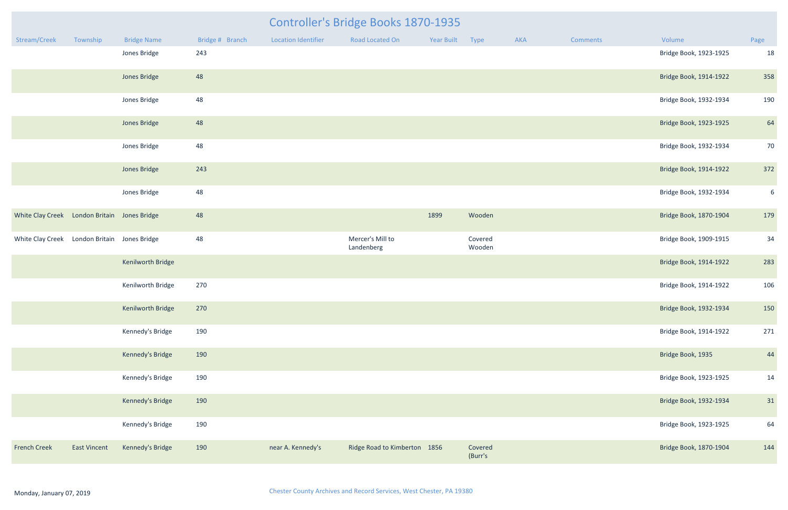|                                              |                     |                    |                 |                            | <b>Controller's Bridge Books 1870-1935</b> |                 |                    |     |          |                        |      |
|----------------------------------------------|---------------------|--------------------|-----------------|----------------------------|--------------------------------------------|-----------------|--------------------|-----|----------|------------------------|------|
| Stream/Creek                                 | Township            | <b>Bridge Name</b> | Bridge # Branch | <b>Location Identifier</b> | Road Located On                            | Year Built Type |                    | AKA | Comments | Volume                 | Page |
|                                              |                     | Jones Bridge       | 243             |                            |                                            |                 |                    |     |          | Bridge Book, 1923-1925 | 18   |
|                                              |                     | Jones Bridge       | 48              |                            |                                            |                 |                    |     |          | Bridge Book, 1914-1922 | 358  |
|                                              |                     | Jones Bridge       | 48              |                            |                                            |                 |                    |     |          | Bridge Book, 1932-1934 | 190  |
|                                              |                     | Jones Bridge       | 48              |                            |                                            |                 |                    |     |          | Bridge Book, 1923-1925 | 64   |
|                                              |                     | Jones Bridge       | 48              |                            |                                            |                 |                    |     |          | Bridge Book, 1932-1934 | 70   |
|                                              |                     | Jones Bridge       | 243             |                            |                                            |                 |                    |     |          | Bridge Book, 1914-1922 | 372  |
|                                              |                     | Jones Bridge       | 48              |                            |                                            |                 |                    |     |          | Bridge Book, 1932-1934 | 6    |
| White Clay Creek London Britain Jones Bridge |                     |                    | 48              |                            |                                            | 1899            | Wooden             |     |          | Bridge Book, 1870-1904 | 179  |
| White Clay Creek London Britain Jones Bridge |                     |                    | 48              |                            | Mercer's Mill to<br>Landenberg             |                 | Covered<br>Wooden  |     |          | Bridge Book, 1909-1915 | 34   |
|                                              |                     | Kenilworth Bridge  |                 |                            |                                            |                 |                    |     |          | Bridge Book, 1914-1922 | 283  |
|                                              |                     | Kenilworth Bridge  | 270             |                            |                                            |                 |                    |     |          | Bridge Book, 1914-1922 | 106  |
|                                              |                     | Kenilworth Bridge  | 270             |                            |                                            |                 |                    |     |          | Bridge Book, 1932-1934 | 150  |
|                                              |                     | Kennedy's Bridge   | 190             |                            |                                            |                 |                    |     |          | Bridge Book, 1914-1922 | 271  |
|                                              |                     | Kennedy's Bridge   | 190             |                            |                                            |                 |                    |     |          | Bridge Book, 1935      | 44   |
|                                              |                     | Kennedy's Bridge   | 190             |                            |                                            |                 |                    |     |          | Bridge Book, 1923-1925 | 14   |
|                                              |                     | Kennedy's Bridge   | 190             |                            |                                            |                 |                    |     |          | Bridge Book, 1932-1934 | 31   |
|                                              |                     | Kennedy's Bridge   | 190             |                            |                                            |                 |                    |     |          | Bridge Book, 1923-1925 | 64   |
| <b>French Creek</b>                          | <b>East Vincent</b> | Kennedy's Bridge   | 190             | near A. Kennedy's          | Ridge Road to Kimberton 1856               |                 | Covered<br>(Burr's |     |          | Bridge Book, 1870-1904 | 144  |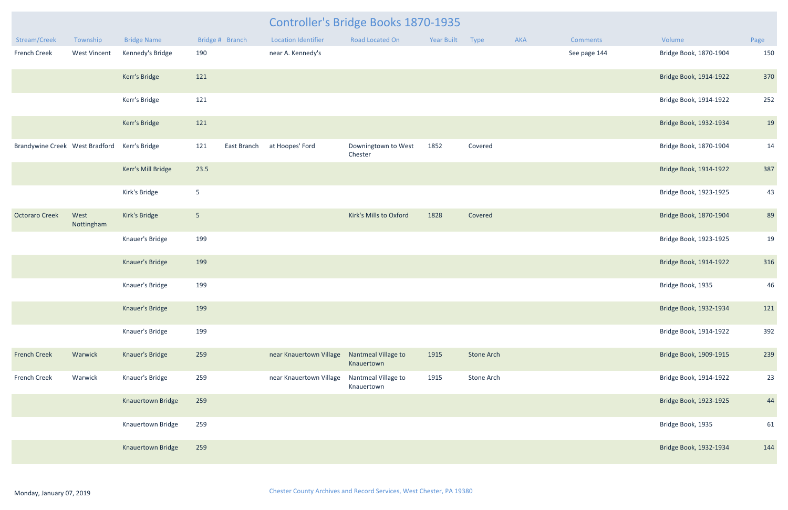|                                              |                     |                    |                    |                            | <b>Controller's Bridge Books 1870-1935</b> |                 |                   |     |              |                        |      |
|----------------------------------------------|---------------------|--------------------|--------------------|----------------------------|--------------------------------------------|-----------------|-------------------|-----|--------------|------------------------|------|
| Stream/Creek                                 | Township            | <b>Bridge Name</b> | Bridge # Branch    | <b>Location Identifier</b> | Road Located On                            | Year Built Type |                   | AKA | Comments     | Volume                 | Page |
| French Creek                                 | <b>West Vincent</b> | Kennedy's Bridge   | 190                | near A. Kennedy's          |                                            |                 |                   |     | See page 144 | Bridge Book, 1870-1904 | 150  |
|                                              |                     | Kerr's Bridge      | 121                |                            |                                            |                 |                   |     |              | Bridge Book, 1914-1922 | 370  |
|                                              |                     | Kerr's Bridge      | 121                |                            |                                            |                 |                   |     |              | Bridge Book, 1914-1922 | 252  |
|                                              |                     | Kerr's Bridge      | 121                |                            |                                            |                 |                   |     |              | Bridge Book, 1932-1934 | 19   |
| Brandywine Creek West Bradford Kerr's Bridge |                     |                    | 121<br>East Branch | at Hoopes' Ford            | Downingtown to West<br>Chester             | 1852            | Covered           |     |              | Bridge Book, 1870-1904 | 14   |
|                                              |                     | Kerr's Mill Bridge | 23.5               |                            |                                            |                 |                   |     |              | Bridge Book, 1914-1922 | 387  |
|                                              |                     | Kirk's Bridge      | 5 <sub>1</sub>     |                            |                                            |                 |                   |     |              | Bridge Book, 1923-1925 | 43   |
| <b>Octoraro Creek</b>                        | West<br>Nottingham  | Kirk's Bridge      | 5 <sub>5</sub>     |                            | Kirk's Mills to Oxford                     | 1828            | Covered           |     |              | Bridge Book, 1870-1904 | 89   |
|                                              |                     | Knauer's Bridge    | 199                |                            |                                            |                 |                   |     |              | Bridge Book, 1923-1925 | 19   |
|                                              |                     | Knauer's Bridge    | 199                |                            |                                            |                 |                   |     |              | Bridge Book, 1914-1922 | 316  |
|                                              |                     | Knauer's Bridge    | 199                |                            |                                            |                 |                   |     |              | Bridge Book, 1935      | 46   |
|                                              |                     | Knauer's Bridge    | 199                |                            |                                            |                 |                   |     |              | Bridge Book, 1932-1934 | 121  |
|                                              |                     | Knauer's Bridge    | 199                |                            |                                            |                 |                   |     |              | Bridge Book, 1914-1922 | 392  |
| <b>French Creek</b>                          | Warwick             | Knauer's Bridge    | 259                | near Knauertown Village    | Nantmeal Village to<br>Knauertown          | 1915            | <b>Stone Arch</b> |     |              | Bridge Book, 1909-1915 | 239  |
| French Creek                                 | Warwick             | Knauer's Bridge    | 259                | near Knauertown Village    | Nantmeal Village to<br>Knauertown          | 1915            | Stone Arch        |     |              | Bridge Book, 1914-1922 | 23   |
|                                              |                     | Knauertown Bridge  | 259                |                            |                                            |                 |                   |     |              | Bridge Book, 1923-1925 | 44   |
|                                              |                     | Knauertown Bridge  | 259                |                            |                                            |                 |                   |     |              | Bridge Book, 1935      | 61   |
|                                              |                     | Knauertown Bridge  | 259                |                            |                                            |                 |                   |     |              | Bridge Book, 1932-1934 | 144  |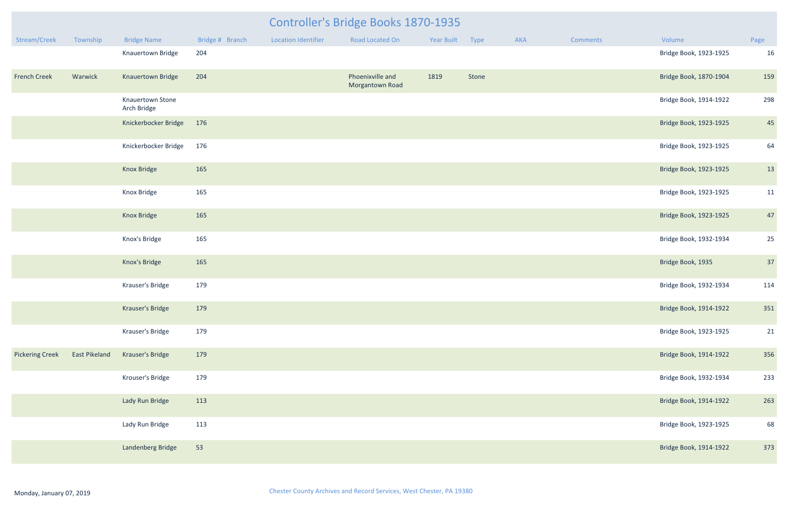|                        |               |                                 |                 |                            | Controller's Bridge Books 1870-1935 |            |       |     |          |                        |      |
|------------------------|---------------|---------------------------------|-----------------|----------------------------|-------------------------------------|------------|-------|-----|----------|------------------------|------|
| Stream/Creek           | Township      | <b>Bridge Name</b>              | Bridge # Branch | <b>Location Identifier</b> | <b>Road Located On</b>              | Year Built | Type  | AKA | Comments | Volume                 | Page |
|                        |               | Knauertown Bridge               | 204             |                            |                                     |            |       |     |          | Bridge Book, 1923-1925 | 16   |
| <b>French Creek</b>    | Warwick       | Knauertown Bridge               | 204             |                            | Phoenixville and<br>Morgantown Road | 1819       | Stone |     |          | Bridge Book, 1870-1904 | 159  |
|                        |               | Knauertown Stone<br>Arch Bridge |                 |                            |                                     |            |       |     |          | Bridge Book, 1914-1922 | 298  |
|                        |               | Knickerbocker Bridge            | 176             |                            |                                     |            |       |     |          | Bridge Book, 1923-1925 | 45   |
|                        |               | Knickerbocker Bridge            | 176             |                            |                                     |            |       |     |          | Bridge Book, 1923-1925 | 64   |
|                        |               | Knox Bridge                     | 165             |                            |                                     |            |       |     |          | Bridge Book, 1923-1925 | 13   |
|                        |               | Knox Bridge                     | 165             |                            |                                     |            |       |     |          | Bridge Book, 1923-1925 | 11   |
|                        |               | Knox Bridge                     | 165             |                            |                                     |            |       |     |          | Bridge Book, 1923-1925 | 47   |
|                        |               | Knox's Bridge                   | 165             |                            |                                     |            |       |     |          | Bridge Book, 1932-1934 | 25   |
|                        |               | Knox's Bridge                   | 165             |                            |                                     |            |       |     |          | Bridge Book, 1935      | 37   |
|                        |               | Krauser's Bridge                | 179             |                            |                                     |            |       |     |          | Bridge Book, 1932-1934 | 114  |
|                        |               | Krauser's Bridge                | 179             |                            |                                     |            |       |     |          | Bridge Book, 1914-1922 | 351  |
|                        |               | Krauser's Bridge                | 179             |                            |                                     |            |       |     |          | Bridge Book, 1923-1925 | 21   |
| <b>Pickering Creek</b> | East Pikeland | Krauser's Bridge                | 179             |                            |                                     |            |       |     |          | Bridge Book, 1914-1922 | 356  |
|                        |               | Krouser's Bridge                | 179             |                            |                                     |            |       |     |          | Bridge Book, 1932-1934 | 233  |
|                        |               | Lady Run Bridge                 | 113             |                            |                                     |            |       |     |          | Bridge Book, 1914-1922 | 263  |
|                        |               | Lady Run Bridge                 | 113             |                            |                                     |            |       |     |          | Bridge Book, 1923-1925 | 68   |
|                        |               | Landenberg Bridge               | 53              |                            |                                     |            |       |     |          | Bridge Book, 1914-1922 | 373  |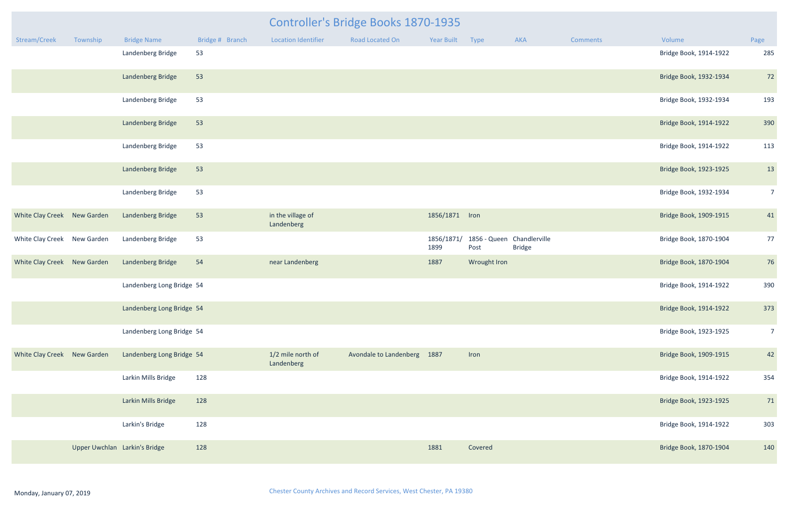| Stream/Creek                | Township                      | <b>Bridge Name</b>        | Bridge # Branch | <b>Location Identifier</b>      | <b>Road Located On</b>      | Year Built         | Type         | <b>AKA</b>                                  | <b>Comments</b> | Volume                 | Page           |
|-----------------------------|-------------------------------|---------------------------|-----------------|---------------------------------|-----------------------------|--------------------|--------------|---------------------------------------------|-----------------|------------------------|----------------|
|                             |                               | Landenberg Bridge         | 53              |                                 |                             |                    |              |                                             |                 | Bridge Book, 1914-1922 | 285            |
|                             |                               | Landenberg Bridge         | 53              |                                 |                             |                    |              |                                             |                 | Bridge Book, 1932-1934 | 72             |
|                             |                               | Landenberg Bridge         | 53              |                                 |                             |                    |              |                                             |                 | Bridge Book, 1932-1934 | 193            |
|                             |                               | Landenberg Bridge         | 53              |                                 |                             |                    |              |                                             |                 | Bridge Book, 1914-1922 | 390            |
|                             |                               | Landenberg Bridge         | 53              |                                 |                             |                    |              |                                             |                 | Bridge Book, 1914-1922 | 113            |
|                             |                               | Landenberg Bridge         | 53              |                                 |                             |                    |              |                                             |                 | Bridge Book, 1923-1925 | 13             |
|                             |                               | Landenberg Bridge         | 53              |                                 |                             |                    |              |                                             |                 | Bridge Book, 1932-1934 | $\overline{7}$ |
| White Clay Creek New Garden |                               | Landenberg Bridge         | 53              | in the village of<br>Landenberg |                             | 1856/1871 Iron     |              |                                             |                 | Bridge Book, 1909-1915 | 41             |
| White Clay Creek New Garden |                               | Landenberg Bridge         | 53              |                                 |                             | 1856/1871/<br>1899 | Post         | 1856 - Queen Chandlerville<br><b>Bridge</b> |                 | Bridge Book, 1870-1904 | 77             |
| White Clay Creek New Garden |                               | Landenberg Bridge         | 54              | near Landenberg                 |                             | 1887               | Wrought Iron |                                             |                 | Bridge Book, 1870-1904 | 76             |
|                             |                               | Landenberg Long Bridge 54 |                 |                                 |                             |                    |              |                                             |                 | Bridge Book, 1914-1922 | 390            |
|                             |                               | Landenberg Long Bridge 54 |                 |                                 |                             |                    |              |                                             |                 | Bridge Book, 1914-1922 | 373            |
|                             |                               | Landenberg Long Bridge 54 |                 |                                 |                             |                    |              |                                             |                 | Bridge Book, 1923-1925 | $\overline{7}$ |
| White Clay Creek New Garden |                               | Landenberg Long Bridge 54 |                 | 1/2 mile north of<br>Landenberg | Avondale to Landenberg 1887 |                    | Iron         |                                             |                 | Bridge Book, 1909-1915 | 42             |
|                             |                               | Larkin Mills Bridge       | 128             |                                 |                             |                    |              |                                             |                 | Bridge Book, 1914-1922 | 354            |
|                             |                               | Larkin Mills Bridge       | 128             |                                 |                             |                    |              |                                             |                 | Bridge Book, 1923-1925 | 71             |
|                             |                               | Larkin's Bridge           | 128             |                                 |                             |                    |              |                                             |                 | Bridge Book, 1914-1922 | 303            |
|                             | Upper Uwchlan Larkin's Bridge |                           | 128             |                                 |                             | 1881               | Covered      |                                             |                 | Bridge Book, 1870-1904 | 140            |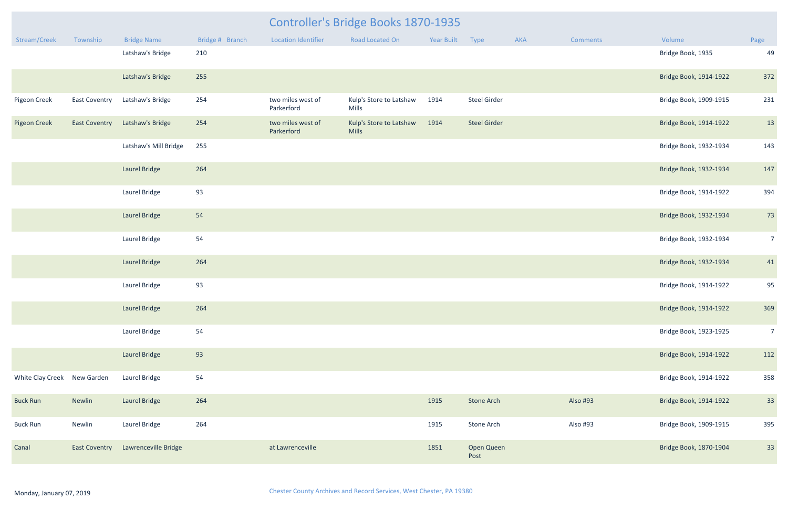|                             |                      |                                |                 |                                 | <b>Controller's Bridge Books 1870-1935</b> |            |                     |     |                 |                        |                |
|-----------------------------|----------------------|--------------------------------|-----------------|---------------------------------|--------------------------------------------|------------|---------------------|-----|-----------------|------------------------|----------------|
| Stream/Creek                | Township             | <b>Bridge Name</b>             | Bridge # Branch | <b>Location Identifier</b>      | <b>Road Located On</b>                     | Year Built | Type                | AKA | <b>Comments</b> | Volume                 | Page           |
|                             |                      | Latshaw's Bridge               | 210             |                                 |                                            |            |                     |     |                 | Bridge Book, 1935      | 4 <sup>c</sup> |
|                             |                      | Latshaw's Bridge               | 255             |                                 |                                            |            |                     |     |                 | Bridge Book, 1914-1922 | 372            |
| Pigeon Creek                | <b>East Coventry</b> | Latshaw's Bridge               | 254             | two miles west of<br>Parkerford | Kulp's Store to Latshaw<br>Mills           | 1914       | <b>Steel Girder</b> |     |                 | Bridge Book, 1909-1915 | 231            |
| <b>Pigeon Creek</b>         |                      | East Coventry Latshaw's Bridge | 254             | two miles west of<br>Parkerford | Kulp's Store to Latshaw<br><b>Mills</b>    | 1914       | <b>Steel Girder</b> |     |                 | Bridge Book, 1914-1922 | 13             |
|                             |                      | Latshaw's Mill Bridge          | 255             |                                 |                                            |            |                     |     |                 | Bridge Book, 1932-1934 | 143            |
|                             |                      | Laurel Bridge                  | 264             |                                 |                                            |            |                     |     |                 | Bridge Book, 1932-1934 | 147            |
|                             |                      | Laurel Bridge                  | 93              |                                 |                                            |            |                     |     |                 | Bridge Book, 1914-1922 | 394            |
|                             |                      | Laurel Bridge                  | 54              |                                 |                                            |            |                     |     |                 | Bridge Book, 1932-1934 | 73             |
|                             |                      | Laurel Bridge                  | 54              |                                 |                                            |            |                     |     |                 | Bridge Book, 1932-1934 | 7              |
|                             |                      | Laurel Bridge                  | 264             |                                 |                                            |            |                     |     |                 | Bridge Book, 1932-1934 | 41             |
|                             |                      | Laurel Bridge                  | 93              |                                 |                                            |            |                     |     |                 | Bridge Book, 1914-1922 | 95             |
|                             |                      | Laurel Bridge                  | 264             |                                 |                                            |            |                     |     |                 | Bridge Book, 1914-1922 | 369            |
|                             |                      | Laurel Bridge                  | 54              |                                 |                                            |            |                     |     |                 | Bridge Book, 1923-1925 | -7             |
|                             |                      | <b>Laurel Bridge</b>           | 93              |                                 |                                            |            |                     |     |                 | Bridge Book, 1914-1922 | 112            |
| White Clay Creek New Garden |                      | Laurel Bridge                  | 54              |                                 |                                            |            |                     |     |                 | Bridge Book, 1914-1922 | 358            |
| <b>Buck Run</b>             | Newlin               | <b>Laurel Bridge</b>           | 264             |                                 |                                            | 1915       | <b>Stone Arch</b>   |     | Also #93        | Bridge Book, 1914-1922 | 33             |
| <b>Buck Run</b>             | Newlin               | Laurel Bridge                  | 264             |                                 |                                            | 1915       | Stone Arch          |     | Also #93        | Bridge Book, 1909-1915 | 395            |
| Canal                       | <b>East Coventry</b> | Lawrenceville Bridge           |                 | at Lawrenceville                |                                            | 1851       | Open Queen<br>Post  |     |                 | Bridge Book, 1870-1904 | 33             |

| <b>Year Built</b> | <b>Type</b>         | <b>AKA</b> | <b>Comments</b> | Volume                 | Page           |
|-------------------|---------------------|------------|-----------------|------------------------|----------------|
|                   |                     |            |                 | Bridge Book, 1935      | 49             |
|                   |                     |            |                 | Bridge Book, 1914-1922 | 372            |
| 1914              | <b>Steel Girder</b> |            |                 | Bridge Book, 1909-1915 | 231            |
| 1914              | <b>Steel Girder</b> |            |                 | Bridge Book, 1914-1922 | 13             |
|                   |                     |            |                 | Bridge Book, 1932-1934 | 143            |
|                   |                     |            |                 | Bridge Book, 1932-1934 | 147            |
|                   |                     |            |                 | Bridge Book, 1914-1922 | 394            |
|                   |                     |            |                 | Bridge Book, 1932-1934 | 73             |
|                   |                     |            |                 | Bridge Book, 1932-1934 | $\overline{7}$ |
|                   |                     |            |                 | Bridge Book, 1932-1934 | 41             |
|                   |                     |            |                 | Bridge Book, 1914-1922 | 95             |
|                   |                     |            |                 | Bridge Book, 1914-1922 | 369            |
|                   |                     |            |                 | Bridge Book, 1923-1925 | $\overline{7}$ |
|                   |                     |            |                 | Bridge Book, 1914-1922 | 112            |
|                   |                     |            |                 | Bridge Book, 1914-1922 | 358            |
| 1915              | <b>Stone Arch</b>   |            | Also #93        | Bridge Book, 1914-1922 | 33             |
| 1915              | <b>Stone Arch</b>   |            | Also #93        | Bridge Book, 1909-1915 | 395            |
| 1851              | Open Queen<br>Post  |            |                 | Bridge Book, 1870-1904 | 33             |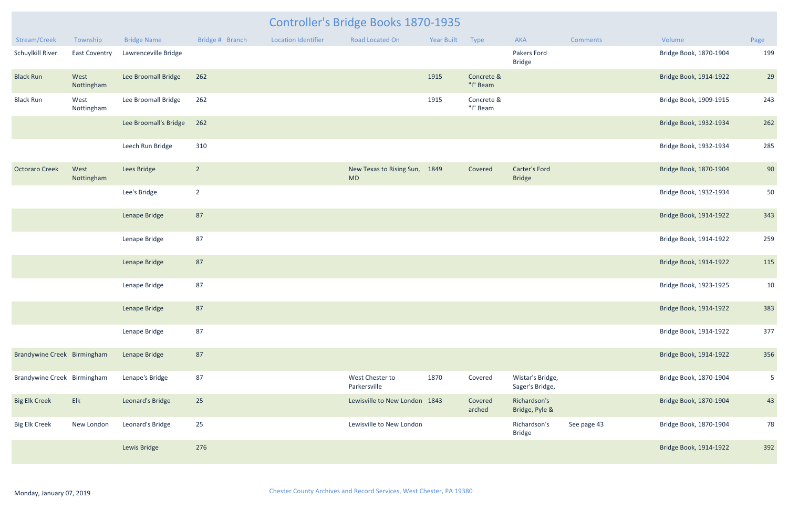| Stream/Creek                | Township             | <b>Bridge Name</b>    | Bridge # Branch | <b>Location Identifier</b> | <b>Road Located On</b>                     | Year Built | Type                   | <b>AKA</b>                            | <b>Comments</b> | Volume                 | Page           |
|-----------------------------|----------------------|-----------------------|-----------------|----------------------------|--------------------------------------------|------------|------------------------|---------------------------------------|-----------------|------------------------|----------------|
| Schuylkill River            | <b>East Coventry</b> | Lawrenceville Bridge  |                 |                            |                                            |            |                        | Pakers Ford<br><b>Bridge</b>          |                 | Bridge Book, 1870-1904 | 199            |
| <b>Black Run</b>            | West<br>Nottingham   | Lee Broomall Bridge   | 262             |                            |                                            | 1915       | Concrete &<br>"I" Beam |                                       |                 | Bridge Book, 1914-1922 | 29             |
| <b>Black Run</b>            | West<br>Nottingham   | Lee Broomall Bridge   | 262             |                            |                                            | 1915       | Concrete &<br>"I" Beam |                                       |                 | Bridge Book, 1909-1915 | 243            |
|                             |                      | Lee Broomall's Bridge | 262             |                            |                                            |            |                        |                                       |                 | Bridge Book, 1932-1934 | 262            |
|                             |                      | Leech Run Bridge      | 310             |                            |                                            |            |                        |                                       |                 | Bridge Book, 1932-1934 | 285            |
| <b>Octoraro Creek</b>       | West<br>Nottingham   | Lees Bridge           | $\overline{2}$  |                            | New Texas to Rising Sun, 1849<br><b>MD</b> |            | Covered                | <b>Carter's Ford</b><br><b>Bridge</b> |                 | Bridge Book, 1870-1904 | 90             |
|                             |                      | Lee's Bridge          | $\overline{2}$  |                            |                                            |            |                        |                                       |                 | Bridge Book, 1932-1934 | 50             |
|                             |                      | Lenape Bridge         | 87              |                            |                                            |            |                        |                                       |                 | Bridge Book, 1914-1922 | 343            |
|                             |                      | Lenape Bridge         | 87              |                            |                                            |            |                        |                                       |                 | Bridge Book, 1914-1922 | 259            |
|                             |                      | Lenape Bridge         | 87              |                            |                                            |            |                        |                                       |                 | Bridge Book, 1914-1922 | 115            |
|                             |                      | Lenape Bridge         | 87              |                            |                                            |            |                        |                                       |                 | Bridge Book, 1923-1925 | 10             |
|                             |                      | Lenape Bridge         | 87              |                            |                                            |            |                        |                                       |                 | Bridge Book, 1914-1922 | 383            |
|                             |                      | Lenape Bridge         | 87              |                            |                                            |            |                        |                                       |                 | Bridge Book, 1914-1922 | 377            |
| Brandywine Creek Birmingham |                      | Lenape Bridge         | 87              |                            |                                            |            |                        |                                       |                 | Bridge Book, 1914-1922 | 356            |
| Brandywine Creek Birmingham |                      | Lenape's Bridge       | 87              |                            | West Chester to<br>Parkersville            | 1870       | Covered                | Wistar's Bridge,<br>Sager's Bridge,   |                 | Bridge Book, 1870-1904 | $5\phantom{.}$ |
| <b>Big Elk Creek</b>        | Elk                  | Leonard's Bridge      | 25              |                            | Lewisville to New London 1843              |            | Covered<br>arched      | Richardson's<br>Bridge, Pyle &        |                 | Bridge Book, 1870-1904 | 43             |
| <b>Big Elk Creek</b>        | New London           | Leonard's Bridge      | 25              |                            | Lewisville to New London                   |            |                        | Richardson's<br><b>Bridge</b>         | See page 43     | Bridge Book, 1870-1904 | 78             |
|                             |                      | Lewis Bridge          | 276             |                            |                                            |            |                        |                                       |                 | Bridge Book, 1914-1922 | 392            |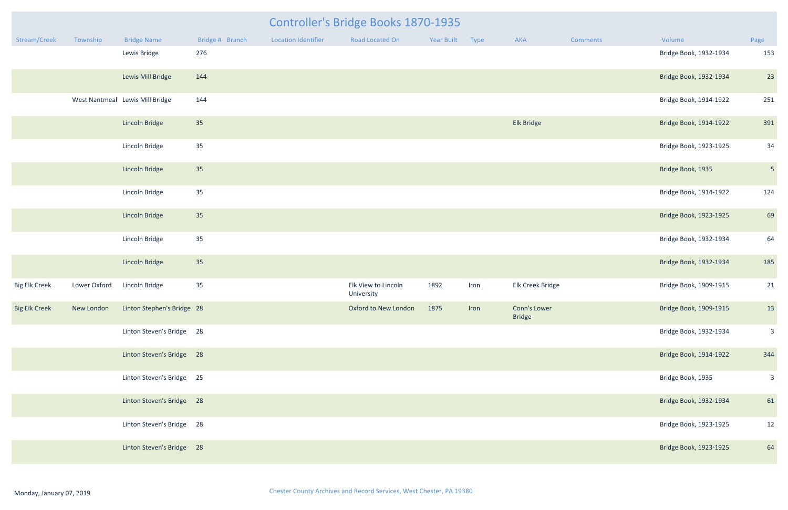| <b>Controller's Bridge Books 1870-1935</b> |              |                                                     |                 |                     |                                   |                 |      |                               |                 |                        |                |  |
|--------------------------------------------|--------------|-----------------------------------------------------|-----------------|---------------------|-----------------------------------|-----------------|------|-------------------------------|-----------------|------------------------|----------------|--|
| Stream/Creek                               | Township     | <b>Bridge Name</b>                                  | Bridge # Branch | Location Identifier | Road Located On                   | Year Built Type |      | AKA                           | <b>Comments</b> | Volume                 | Page           |  |
|                                            |              | Lewis Bridge                                        | 276             |                     |                                   |                 |      |                               |                 | Bridge Book, 1932-1934 | 153            |  |
|                                            |              | Lewis Mill Bridge                                   | 144             |                     |                                   |                 |      |                               |                 | Bridge Book, 1932-1934 | 23             |  |
|                                            |              | West Nantmeal Lewis Mill Bridge                     | 144             |                     |                                   |                 |      |                               |                 | Bridge Book, 1914-1922 | 251            |  |
|                                            |              | <b>Lincoln Bridge</b>                               | 35              |                     |                                   |                 |      | Elk Bridge                    |                 | Bridge Book, 1914-1922 | 391            |  |
|                                            |              | Lincoln Bridge                                      | 35              |                     |                                   |                 |      |                               |                 | Bridge Book, 1923-1925 | 34             |  |
|                                            |              | <b>Lincoln Bridge</b>                               | 35              |                     |                                   |                 |      |                               |                 | Bridge Book, 1935      | $5\phantom{.}$ |  |
|                                            |              | Lincoln Bridge                                      | 35              |                     |                                   |                 |      |                               |                 | Bridge Book, 1914-1922 | 124            |  |
|                                            |              | Lincoln Bridge                                      | 35              |                     |                                   |                 |      |                               |                 | Bridge Book, 1923-1925 | 69             |  |
|                                            |              | Lincoln Bridge                                      | 35              |                     |                                   |                 |      |                               |                 | Bridge Book, 1932-1934 | 64             |  |
|                                            |              | <b>Lincoln Bridge</b>                               | 35              |                     |                                   |                 |      |                               |                 | Bridge Book, 1932-1934 | 185            |  |
| <b>Big Elk Creek</b>                       | Lower Oxford | Lincoln Bridge                                      | 35              |                     | Elk View to Lincoln<br>University | 1892            | Iron | Elk Creek Bridge              |                 | Bridge Book, 1909-1915 | 21             |  |
|                                            |              | Big Elk Creek New London Linton Stephen's Bridge 28 |                 |                     | Oxford to New London 1875 Iron    |                 |      | Conn's Lower<br><b>Bridge</b> |                 | Bridge Book, 1909-1915 | 13             |  |
|                                            |              | Linton Steven's Bridge 28                           |                 |                     |                                   |                 |      |                               |                 | Bridge Book, 1932-1934 | $\overline{3}$ |  |
|                                            |              | Linton Steven's Bridge 28                           |                 |                     |                                   |                 |      |                               |                 | Bridge Book, 1914-1922 | 344            |  |
|                                            |              | Linton Steven's Bridge 25                           |                 |                     |                                   |                 |      |                               |                 | Bridge Book, 1935      | 3 <sup>7</sup> |  |
|                                            |              | Linton Steven's Bridge 28                           |                 |                     |                                   |                 |      |                               |                 | Bridge Book, 1932-1934 | 61             |  |
|                                            |              | Linton Steven's Bridge 28                           |                 |                     |                                   |                 |      |                               |                 | Bridge Book, 1923-1925 | 12             |  |
|                                            |              | Linton Steven's Bridge 28                           |                 |                     |                                   |                 |      |                               |                 | Bridge Book, 1923-1925 | 64             |  |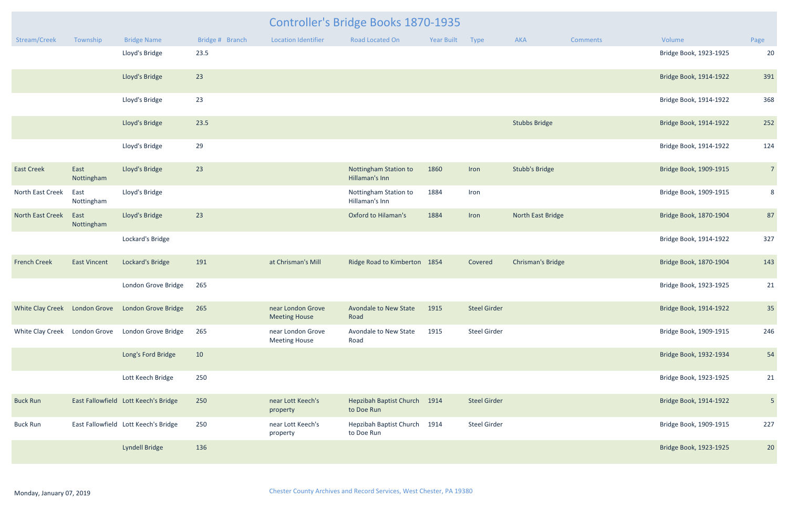|                               |                     | Controller's Bridge Books 1870-1935               |                 |                                           |                                              |            |                     |                          |                 |                        |                 |  |  |
|-------------------------------|---------------------|---------------------------------------------------|-----------------|-------------------------------------------|----------------------------------------------|------------|---------------------|--------------------------|-----------------|------------------------|-----------------|--|--|
| Stream/Creek                  | Township            | <b>Bridge Name</b>                                | Bridge # Branch | <b>Location Identifier</b>                | <b>Road Located On</b>                       | Year Built | Type                | <b>AKA</b>               | <b>Comments</b> | Volume                 | Page            |  |  |
|                               |                     | Lloyd's Bridge                                    | 23.5            |                                           |                                              |            |                     |                          |                 | Bridge Book, 1923-1925 | 20              |  |  |
|                               |                     | Lloyd's Bridge                                    | 23              |                                           |                                              |            |                     |                          |                 | Bridge Book, 1914-1922 | 391             |  |  |
|                               |                     | Lloyd's Bridge                                    | 23              |                                           |                                              |            |                     |                          |                 | Bridge Book, 1914-1922 | 368             |  |  |
|                               |                     | Lloyd's Bridge                                    | 23.5            |                                           |                                              |            |                     | <b>Stubbs Bridge</b>     |                 | Bridge Book, 1914-1922 | 252             |  |  |
|                               |                     | Lloyd's Bridge                                    | 29              |                                           |                                              |            |                     |                          |                 | Bridge Book, 1914-1922 | 124             |  |  |
| <b>East Creek</b>             | East<br>Nottingham  | Lloyd's Bridge                                    | 23              |                                           | Nottingham Station to<br>Hillaman's Inn      | 1860       | Iron                | <b>Stubb's Bridge</b>    |                 | Bridge Book, 1909-1915 | $7\overline{ }$ |  |  |
| North East Creek              | East<br>Nottingham  | Lloyd's Bridge                                    |                 |                                           | Nottingham Station to<br>Hillaman's Inn      | 1884       | Iron                |                          |                 | Bridge Book, 1909-1915 | 8               |  |  |
| North East Creek              | East<br>Nottingham  | Lloyd's Bridge                                    | 23              |                                           | <b>Oxford to Hilaman's</b>                   | 1884       | Iron                | North East Bridge        |                 | Bridge Book, 1870-1904 | 87              |  |  |
|                               |                     | Lockard's Bridge                                  |                 |                                           |                                              |            |                     |                          |                 | Bridge Book, 1914-1922 | 327             |  |  |
| <b>French Creek</b>           | <b>East Vincent</b> | Lockard's Bridge                                  | 191             | at Chrisman's Mill                        | Ridge Road to Kimberton 1854                 |            | Covered             | <b>Chrisman's Bridge</b> |                 | Bridge Book, 1870-1904 | 143             |  |  |
|                               |                     | London Grove Bridge                               | 265             |                                           |                                              |            |                     |                          |                 | Bridge Book, 1923-1925 | 21              |  |  |
|                               |                     | White Clay Creek London Grove London Grove Bridge | 265             | near London Grove<br><b>Meeting House</b> | Avondale to New State<br>Road                | 1915       | <b>Steel Girder</b> |                          |                 | Bridge Book, 1914-1922 | 35              |  |  |
| White Clay Creek London Grove |                     | London Grove Bridge                               | 265             | near London Grove<br><b>Meeting House</b> | Avondale to New State<br>Road                | 1915       | <b>Steel Girder</b> |                          |                 | Bridge Book, 1909-1915 | 246             |  |  |
|                               |                     | Long's Ford Bridge                                | 10              |                                           |                                              |            |                     |                          |                 | Bridge Book, 1932-1934 | 54              |  |  |
|                               |                     | Lott Keech Bridge                                 | 250             |                                           |                                              |            |                     |                          |                 | Bridge Book, 1923-1925 | 21              |  |  |
| <b>Buck Run</b>               |                     | East Fallowfield Lott Keech's Bridge              | 250             | near Lott Keech's<br>property             | <b>Hepzibah Baptist Church</b><br>to Doe Run | 1914       | <b>Steel Girder</b> |                          |                 | Bridge Book, 1914-1922 | 5 <sub>1</sub>  |  |  |
| <b>Buck Run</b>               |                     | East Fallowfield Lott Keech's Bridge              | 250             | near Lott Keech's<br>property             | Hepzibah Baptist Church<br>to Doe Run        | 1914       | <b>Steel Girder</b> |                          |                 | Bridge Book, 1909-1915 | 227             |  |  |
|                               |                     | Lyndell Bridge                                    | 136             |                                           |                                              |            |                     |                          |                 | Bridge Book, 1923-1925 | 20              |  |  |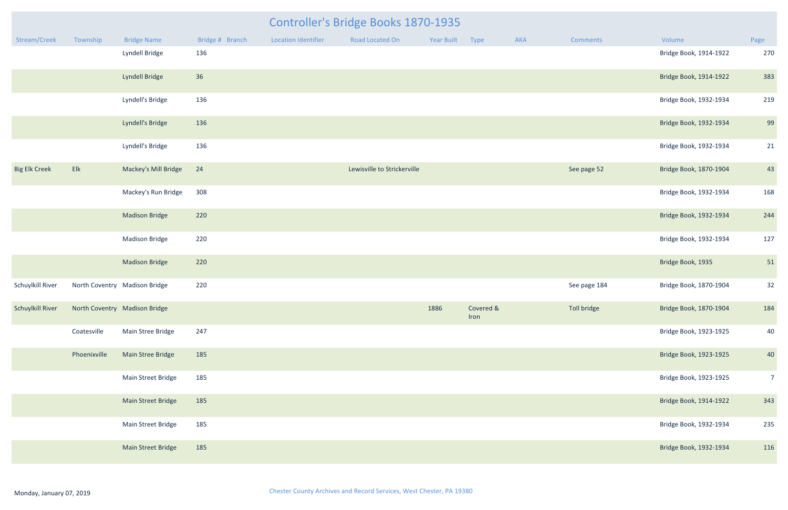| <b>Controller's Bridge Books 1870-1935</b> |                                                |                               |                 |                            |                             |                 |                        |     |                 |                        |                |  |
|--------------------------------------------|------------------------------------------------|-------------------------------|-----------------|----------------------------|-----------------------------|-----------------|------------------------|-----|-----------------|------------------------|----------------|--|
| Stream/Creek                               | Township                                       | <b>Bridge Name</b>            | Bridge # Branch | <b>Location Identifier</b> | Road Located On             | Year Built Type |                        | AKA | <b>Comments</b> | Volume                 | Page           |  |
|                                            |                                                | Lyndell Bridge                | 136             |                            |                             |                 |                        |     |                 | Bridge Book, 1914-1922 | 270            |  |
|                                            |                                                | Lyndell Bridge                | 36              |                            |                             |                 |                        |     |                 | Bridge Book, 1914-1922 | 383            |  |
|                                            |                                                | Lyndell's Bridge              | 136             |                            |                             |                 |                        |     |                 | Bridge Book, 1932-1934 | 219            |  |
|                                            |                                                | Lyndell's Bridge              | 136             |                            |                             |                 |                        |     |                 | Bridge Book, 1932-1934 | 99             |  |
|                                            |                                                | Lyndell's Bridge              | 136             |                            |                             |                 |                        |     |                 | Bridge Book, 1932-1934 | 21             |  |
| <b>Big Elk Creek</b>                       | E                                              | Mackey's Mill Bridge          | 24              |                            | Lewisville to Strickerville |                 |                        |     | See page 52     | Bridge Book, 1870-1904 | 43             |  |
|                                            |                                                | Mackey's Run Bridge           | 308             |                            |                             |                 |                        |     |                 | Bridge Book, 1932-1934 | 168            |  |
|                                            |                                                | <b>Madison Bridge</b>         | 220             |                            |                             |                 |                        |     |                 | Bridge Book, 1932-1934 | 244            |  |
|                                            |                                                | <b>Madison Bridge</b>         | 220             |                            |                             |                 |                        |     |                 | Bridge Book, 1932-1934 | 127            |  |
|                                            |                                                | <b>Madison Bridge</b>         | 220             |                            |                             |                 |                        |     |                 | Bridge Book, 1935      | 51             |  |
| Schuylkill River                           |                                                | North Coventry Madison Bridge | 220             |                            |                             |                 |                        |     | See page 184    | Bridge Book, 1870-1904 | 32             |  |
|                                            | Schuylkill River North Coventry Madison Bridge |                               |                 |                            |                             |                 | 1886 Covered &<br>Iron |     | Toll bridge     | Bridge Book, 1870-1904 | 184            |  |
|                                            | Coatesville                                    | Main Stree Bridge             | 247             |                            |                             |                 |                        |     |                 | Bridge Book, 1923-1925 | 40             |  |
|                                            | Phoenixville                                   | <b>Main Stree Bridge</b>      | 185             |                            |                             |                 |                        |     |                 | Bridge Book, 1923-1925 | 40             |  |
|                                            |                                                | Main Street Bridge            | 185             |                            |                             |                 |                        |     |                 | Bridge Book, 1923-1925 | $\overline{7}$ |  |
|                                            |                                                | <b>Main Street Bridge</b>     | 185             |                            |                             |                 |                        |     |                 | Bridge Book, 1914-1922 | 343            |  |
|                                            |                                                | Main Street Bridge            | 185             |                            |                             |                 |                        |     |                 | Bridge Book, 1932-1934 | 235            |  |
|                                            |                                                | Main Street Bridge            | 185             |                            |                             |                 |                        |     |                 | Bridge Book, 1932-1934 | 116            |  |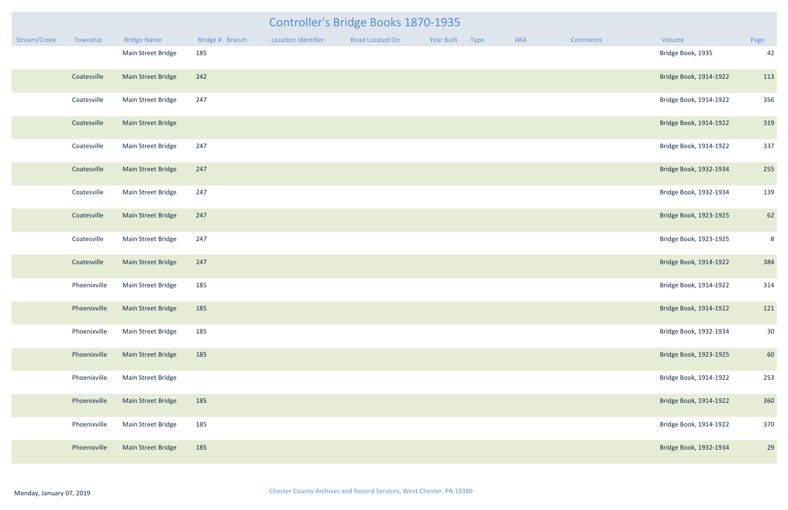| mments | Volume                 | Page |
|--------|------------------------|------|
|        | Bridge Book, 1935      | 42   |
|        | Bridge Book, 1914-1922 | 113  |
|        | Bridge Book, 1914-1922 | 356  |
|        | Bridge Book, 1914-1922 | 319  |
|        | Bridge Book, 1914-1922 | 337  |
|        | Bridge Book, 1932-1934 | 255  |
|        | Bridge Book, 1932-1934 | 139  |
|        | Bridge Book, 1923-1925 | 62   |
|        | Bridge Book, 1923-1925 | 8    |
|        | Bridge Book, 1914-1922 | 384  |
|        | Bridge Book, 1914-1922 | 314  |
|        | Bridge Book, 1914-1922 | 121  |
|        | Bridge Book, 1932-1934 | 30   |
|        | Bridge Book, 1923-1925 | 60   |
|        | Bridge Book, 1914-1922 | 253  |
|        | Bridge Book, 1914-1922 | 360  |
|        | Bridge Book, 1914-1922 | 370  |
|        | Bridge Book, 1932-1934 | 29   |

|              |              |                                 |                 |                            | <b>Controller's Bridge Books 1870-1935</b> |                 |     |                 |                        |                |
|--------------|--------------|---------------------------------|-----------------|----------------------------|--------------------------------------------|-----------------|-----|-----------------|------------------------|----------------|
| Stream/Creek | Township     | <b>Bridge Name</b>              | Bridge # Branch | <b>Location Identifier</b> | Road Located On                            | Year Built Type | AKA | <b>Comments</b> | Volume                 | Page           |
|              |              | Main Street Bridge              | 185             |                            |                                            |                 |     |                 | Bridge Book, 1935      | 42             |
|              | Coatesville  | Main Street Bridge              | 242             |                            |                                            |                 |     |                 | Bridge Book, 1914-1922 | 113            |
|              | Coatesville  | Main Street Bridge              | 247             |                            |                                            |                 |     |                 | Bridge Book, 1914-1922 | 356            |
|              | Coatesville  | Main Street Bridge              |                 |                            |                                            |                 |     |                 | Bridge Book, 1914-1922 | 319            |
|              | Coatesville  | Main Street Bridge              | 247             |                            |                                            |                 |     |                 | Bridge Book, 1914-1922 | 337            |
|              | Coatesville  | Main Street Bridge              | 247             |                            |                                            |                 |     |                 | Bridge Book, 1932-1934 | 255            |
|              | Coatesville  | Main Street Bridge              | 247             |                            |                                            |                 |     |                 | Bridge Book, 1932-1934 | 139            |
|              | Coatesville  | <b>Main Street Bridge</b>       | 247             |                            |                                            |                 |     |                 | Bridge Book, 1923-1925 | 62             |
|              | Coatesville  | Main Street Bridge              | 247             |                            |                                            |                 |     |                 | Bridge Book, 1923-1925 | ξ              |
|              | Coatesville  | <b>Main Street Bridge</b>       | 247             |                            |                                            |                 |     |                 | Bridge Book, 1914-1922 | 384            |
|              | Phoenixville | Main Street Bridge              | 185             |                            |                                            |                 |     |                 | Bridge Book, 1914-1922 | 314            |
|              |              | Phoenixville Main Street Bridge | 185             |                            |                                            |                 |     |                 | Bridge Book, 1914-1922 | 121            |
|              | Phoenixville | Main Street Bridge              | 185             |                            |                                            |                 |     |                 | Bridge Book, 1932-1934 | 3 <sup>c</sup> |
|              | Phoenixville | Main Street Bridge              | 185             |                            |                                            |                 |     |                 | Bridge Book, 1923-1925 | 60             |
|              | Phoenixville | Main Street Bridge              |                 |                            |                                            |                 |     |                 | Bridge Book, 1914-1922 | 253            |
|              | Phoenixville | Main Street Bridge              | 185             |                            |                                            |                 |     |                 | Bridge Book, 1914-1922 | 360            |
|              | Phoenixville | Main Street Bridge              | 185             |                            |                                            |                 |     |                 | Bridge Book, 1914-1922 | 370            |
|              | Phoenixville | Main Street Bridge              | 185             |                            |                                            |                 |     |                 | Bridge Book, 1932-1934 | 2 <sup>c</sup> |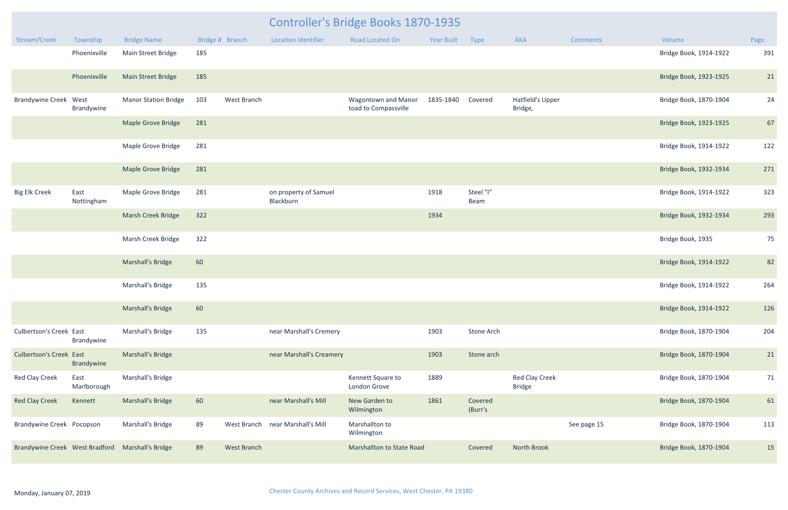|                                                  | <b>Controller's Bridge Books 1870-1935</b> |                             |     |                    |                                    |                                                    |            |                    |                                        |                 |                        |      |
|--------------------------------------------------|--------------------------------------------|-----------------------------|-----|--------------------|------------------------------------|----------------------------------------------------|------------|--------------------|----------------------------------------|-----------------|------------------------|------|
| Stream/Creek                                     | Township                                   | <b>Bridge Name</b>          |     | Bridge # Branch    | <b>Location Identifier</b>         | <b>Road Located On</b>                             | Year Built | Type               | <b>AKA</b>                             | <b>Comments</b> | Volume                 | Page |
|                                                  | Phoenixville                               | Main Street Bridge          | 185 |                    |                                    |                                                    |            |                    |                                        |                 | Bridge Book, 1914-1922 | 391  |
|                                                  | Phoenixville                               | Main Street Bridge          | 185 |                    |                                    |                                                    |            |                    |                                        |                 | Bridge Book, 1923-1925 | 21   |
| <b>Brandywine Creek West</b>                     | Brandywine                                 | <b>Manor Station Bridge</b> | 103 | West Branch        |                                    | <b>Wagontown and Manor</b><br>toad to Compassville | 1835-1840  | Covered            | <b>Hatfield's Upper</b><br>Bridge,     |                 | Bridge Book, 1870-1904 | 24   |
|                                                  |                                            | <b>Maple Grove Bridge</b>   | 281 |                    |                                    |                                                    |            |                    |                                        |                 | Bridge Book, 1923-1925 | 67   |
|                                                  |                                            | Maple Grove Bridge          | 281 |                    |                                    |                                                    |            |                    |                                        |                 | Bridge Book, 1914-1922 | 122  |
|                                                  |                                            | <b>Maple Grove Bridge</b>   | 281 |                    |                                    |                                                    |            |                    |                                        |                 | Bridge Book, 1932-1934 | 271  |
| <b>Big Elk Creek</b>                             | East<br>Nottingham                         | Maple Grove Bridge          | 281 |                    | on property of Samuel<br>Blackburn |                                                    | 1918       | Steel "I"<br>Beam  |                                        |                 | Bridge Book, 1914-1922 | 323  |
|                                                  |                                            | <b>Marsh Creek Bridge</b>   | 322 |                    |                                    |                                                    | 1934       |                    |                                        |                 | Bridge Book, 1932-1934 | 293  |
|                                                  |                                            | Marsh Creek Bridge          | 322 |                    |                                    |                                                    |            |                    |                                        |                 | Bridge Book, 1935      | 75   |
|                                                  |                                            | <b>Marshall's Bridge</b>    | 60  |                    |                                    |                                                    |            |                    |                                        |                 | Bridge Book, 1914-1922 | 82   |
|                                                  |                                            | Marshall's Bridge           | 135 |                    |                                    |                                                    |            |                    |                                        |                 | Bridge Book, 1914-1922 | 264  |
|                                                  |                                            | <b>Marshall's Bridge</b>    | 60  |                    |                                    |                                                    |            |                    |                                        |                 | Bridge Book, 1914-1922 | 126  |
| <b>Culbertson's Creek East</b>                   | Brandywine                                 | Marshall's Bridge           | 135 |                    | near Marshall's Cremery            |                                                    | 1903       | Stone Arch         |                                        |                 | Bridge Book, 1870-1904 | 204  |
| <b>Culbertson's Creek East</b>                   | Brandywine                                 | <b>Marshall's Bridge</b>    |     |                    | near Marshall's Creamery           |                                                    | 1903       | Stone arch         |                                        |                 | Bridge Book, 1870-1904 | 21   |
| <b>Red Clay Creek</b>                            | East<br>Marlborough                        | Marshall's Bridge           |     |                    |                                    | Kennett Square to<br>London Grove                  | 1889       |                    | <b>Red Clay Creek</b><br><b>Bridge</b> |                 | Bridge Book, 1870-1904 | 71   |
| <b>Red Clay Creek</b>                            | Kennett                                    | <b>Marshall's Bridge</b>    | 60  |                    | near Marshall's Mill               | New Garden to<br>Wilmington                        | 1861       | Covered<br>(Burr's |                                        |                 | Bridge Book, 1870-1904 | 61   |
| Brandywine Creek Pocopson                        |                                            | Marshall's Bridge           | 89  |                    | West Branch near Marshall's Mill   | Marshallton to<br>Wilmington                       |            |                    |                                        | See page 15     | Bridge Book, 1870-1904 | 113  |
| Brandywine Creek West Bradford Marshall's Bridge |                                            |                             | 89  | <b>West Branch</b> |                                    | <b>Marshallton to State Road</b>                   |            | Covered            | North Brook                            |                 | Bridge Book, 1870-1904 | 15   |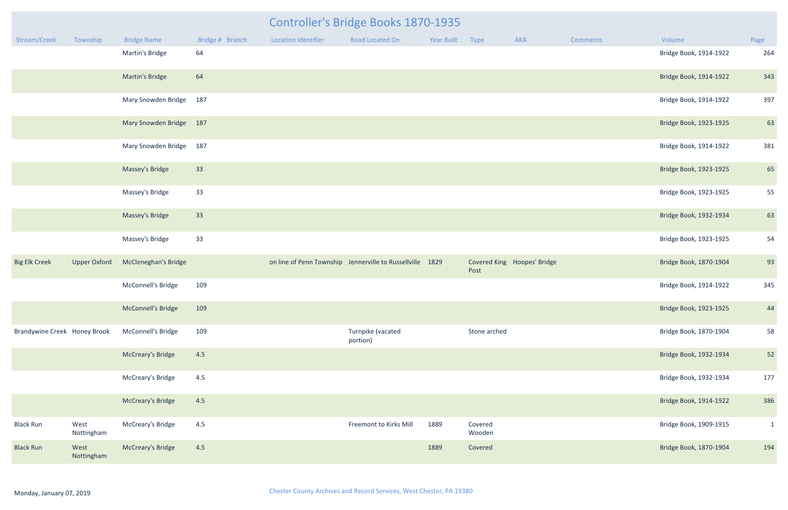|                              |                     |                             |                 |                            | <b>Controller's Bridge Books 1870-1935</b>                |                 |                   |                             |          |                        |              |
|------------------------------|---------------------|-----------------------------|-----------------|----------------------------|-----------------------------------------------------------|-----------------|-------------------|-----------------------------|----------|------------------------|--------------|
| Stream/Creek                 | Township            | <b>Bridge Name</b>          | Bridge # Branch | <b>Location Identifier</b> | Road Located On                                           | Year Built Type |                   | AKA                         | Comments | Volume                 | Page         |
|                              |                     | Martin's Bridge             | 64              |                            |                                                           |                 |                   |                             |          | Bridge Book, 1914-1922 | 264          |
|                              |                     | Martin's Bridge             | 64              |                            |                                                           |                 |                   |                             |          | Bridge Book, 1914-1922 | 343          |
|                              |                     | Mary Snowden Bridge 187     |                 |                            |                                                           |                 |                   |                             |          | Bridge Book, 1914-1922 | 397          |
|                              |                     | Mary Snowden Bridge 187     |                 |                            |                                                           |                 |                   |                             |          | Bridge Book, 1923-1925 | 63           |
|                              |                     | Mary Snowden Bridge 187     |                 |                            |                                                           |                 |                   |                             |          | Bridge Book, 1914-1922 | 381          |
|                              |                     | Massey's Bridge             | 33              |                            |                                                           |                 |                   |                             |          | Bridge Book, 1923-1925 | 65           |
|                              |                     | Massey's Bridge             | 33              |                            |                                                           |                 |                   |                             |          | Bridge Book, 1923-1925 | 55           |
|                              |                     | Massey's Bridge             | 33              |                            |                                                           |                 |                   |                             |          | Bridge Book, 1932-1934 | 63           |
|                              |                     | Massey's Bridge             | 33              |                            |                                                           |                 |                   |                             |          | Bridge Book, 1923-1925 | 54           |
| <b>Big Elk Creek</b>         | <b>Upper Oxford</b> | <b>McCleneghan's Bridge</b> |                 |                            | on line of Penn Township Jennerville to Russellville 1829 |                 | Post              | Covered King Hoopes' Bridge |          | Bridge Book, 1870-1904 | 93           |
|                              |                     | McConnell's Bridge          | 109             |                            |                                                           |                 |                   |                             |          | Bridge Book, 1914-1922 | 345          |
|                              |                     | McConnell's Bridge 109      |                 |                            |                                                           |                 |                   |                             |          | Bridge Book, 1923-1925 | 44           |
| Brandywine Creek Honey Brook |                     | McConnell's Bridge          | 109             |                            | Turnpike (vacated<br>portion)                             |                 | Stone arched      |                             |          | Bridge Book, 1870-1904 | 58           |
|                              |                     | <b>McCreary's Bridge</b>    | 4.5             |                            |                                                           |                 |                   |                             |          | Bridge Book, 1932-1934 | 52           |
|                              |                     | McCreary's Bridge           | 4.5             |                            |                                                           |                 |                   |                             |          | Bridge Book, 1932-1934 | 177          |
|                              |                     | <b>McCreary's Bridge</b>    | 4.5             |                            |                                                           |                 |                   |                             |          | Bridge Book, 1914-1922 | 386          |
| <b>Black Run</b>             | West<br>Nottingham  | McCreary's Bridge           | 4.5             |                            | Freemont to Kirks Mill                                    | 1889            | Covered<br>Wooden |                             |          | Bridge Book, 1909-1915 | $\mathbf{1}$ |
| <b>Black Run</b>             | West<br>Nottingham  | <b>McCreary's Bridge</b>    | 4.5             |                            |                                                           | 1889            | Covered           |                             |          | Bridge Book, 1870-1904 | 194          |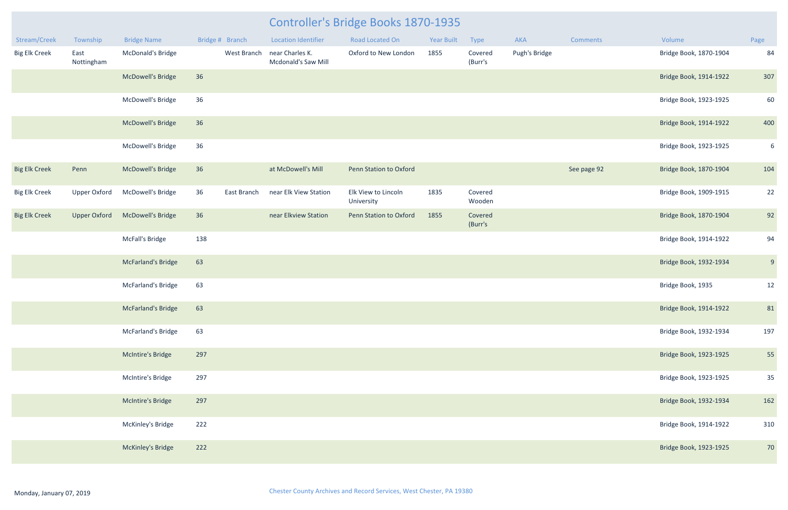| Stream/Creek         | Township            | <b>Bridge Name</b>       | Bridge # Branch   | <b>Location Identifier</b>             | Road Located On                   | <b>Year Built</b> | Type               | AKA           | Comments    | Volume                 | Page           |
|----------------------|---------------------|--------------------------|-------------------|----------------------------------------|-----------------------------------|-------------------|--------------------|---------------|-------------|------------------------|----------------|
| <b>Big Elk Creek</b> | East<br>Nottingham  | McDonald's Bridge        | West Branch       | near Charles K.<br>Mcdonald's Saw Mill | Oxford to New London              | 1855              | Covered<br>(Burr's | Pugh's Bridge |             | Bridge Book, 1870-1904 | 84             |
|                      |                     | <b>McDowell's Bridge</b> | 36                |                                        |                                   |                   |                    |               |             | Bridge Book, 1914-1922 | 307            |
|                      |                     | McDowell's Bridge        | 36                |                                        |                                   |                   |                    |               |             | Bridge Book, 1923-1925 | 60             |
|                      |                     | <b>McDowell's Bridge</b> | 36                |                                        |                                   |                   |                    |               |             | Bridge Book, 1914-1922 | 400            |
|                      |                     | McDowell's Bridge        | 36                |                                        |                                   |                   |                    |               |             | Bridge Book, 1923-1925 | 6 <sup>1</sup> |
| <b>Big Elk Creek</b> | Penn                | <b>McDowell's Bridge</b> | 36                | at McDowell's Mill                     | Penn Station to Oxford            |                   |                    |               | See page 92 | Bridge Book, 1870-1904 | 104            |
| <b>Big Elk Creek</b> | <b>Upper Oxford</b> | McDowell's Bridge        | 36<br>East Branch | near Elk View Station                  | Elk View to Lincoln<br>University | 1835              | Covered<br>Wooden  |               |             | Bridge Book, 1909-1915 | 22             |
| <b>Big Elk Creek</b> | <b>Upper Oxford</b> | McDowell's Bridge        | 36                | near Elkview Station                   | Penn Station to Oxford            | 1855              | Covered<br>(Burr's |               |             | Bridge Book, 1870-1904 | 92             |
|                      |                     | McFall's Bridge          | 138               |                                        |                                   |                   |                    |               |             | Bridge Book, 1914-1922 | 94             |
|                      |                     | McFarland's Bridge       | 63                |                                        |                                   |                   |                    |               |             | Bridge Book, 1932-1934 | 9              |
|                      |                     | McFarland's Bridge       | 63                |                                        |                                   |                   |                    |               |             | Bridge Book, 1935      | 12             |
|                      |                     | McFarland's Bridge       | 63                |                                        |                                   |                   |                    |               |             | Bridge Book, 1914-1922 | 81             |
|                      |                     | McFarland's Bridge       | 63                |                                        |                                   |                   |                    |               |             | Bridge Book, 1932-1934 | 197            |
|                      |                     | McIntire's Bridge        | 297               |                                        |                                   |                   |                    |               |             | Bridge Book, 1923-1925 | 55             |
|                      |                     | McIntire's Bridge        | 297               |                                        |                                   |                   |                    |               |             | Bridge Book, 1923-1925 | 35             |
|                      |                     | McIntire's Bridge        | 297               |                                        |                                   |                   |                    |               |             | Bridge Book, 1932-1934 | 162            |
|                      |                     | McKinley's Bridge        | 222               |                                        |                                   |                   |                    |               |             | Bridge Book, 1914-1922 | 310            |
|                      |                     | McKinley's Bridge        | 222               |                                        |                                   |                   |                    |               |             | Bridge Book, 1923-1925 | 70             |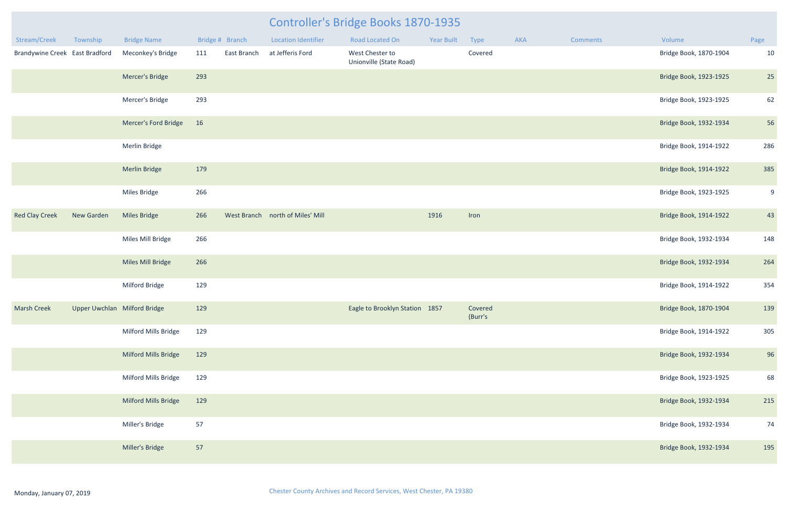|                                |                              |                      |     |                 |                                  | Controller's Bridge Books 1870-1935        |            |                    |     |                 |                        |      |
|--------------------------------|------------------------------|----------------------|-----|-----------------|----------------------------------|--------------------------------------------|------------|--------------------|-----|-----------------|------------------------|------|
| Stream/Creek                   | Township                     | <b>Bridge Name</b>   |     | Bridge # Branch | <b>Location Identifier</b>       | <b>Road Located On</b>                     | Year Built | Type               | AKA | <b>Comments</b> | Volume                 | Page |
| Brandywine Creek East Bradford |                              | Meconkey's Bridge    | 111 | East Branch     | at Jefferis Ford                 | West Chester to<br>Unionville (State Road) |            | Covered            |     |                 | Bridge Book, 1870-1904 | 10   |
|                                |                              | Mercer's Bridge      | 293 |                 |                                  |                                            |            |                    |     |                 | Bridge Book, 1923-1925 | 25   |
|                                |                              | Mercer's Bridge      | 293 |                 |                                  |                                            |            |                    |     |                 | Bridge Book, 1923-1925 | 62   |
|                                |                              | Mercer's Ford Bridge | 16  |                 |                                  |                                            |            |                    |     |                 | Bridge Book, 1932-1934 | 56   |
|                                |                              | Merlin Bridge        |     |                 |                                  |                                            |            |                    |     |                 | Bridge Book, 1914-1922 | 286  |
|                                |                              | <b>Merlin Bridge</b> | 179 |                 |                                  |                                            |            |                    |     |                 | Bridge Book, 1914-1922 | 385  |
|                                |                              | Miles Bridge         | 266 |                 |                                  |                                            |            |                    |     |                 | Bridge Book, 1923-1925 | 9    |
| <b>Red Clay Creek</b>          | New Garden                   | Miles Bridge         | 266 |                 | West Branch north of Miles' Mill |                                            | 1916       | Iron               |     |                 | Bridge Book, 1914-1922 | 43   |
|                                |                              | Miles Mill Bridge    | 266 |                 |                                  |                                            |            |                    |     |                 | Bridge Book, 1932-1934 | 148  |
|                                |                              | Miles Mill Bridge    | 266 |                 |                                  |                                            |            |                    |     |                 | Bridge Book, 1932-1934 | 264  |
|                                |                              | Milford Bridge       | 129 |                 |                                  |                                            |            |                    |     |                 | Bridge Book, 1914-1922 | 354  |
| <b>Marsh Creek</b>             | Upper Uwchlan Milford Bridge |                      | 129 |                 |                                  | Eagle to Brooklyn Station 1857             |            | Covered<br>(Burr's |     |                 | Bridge Book, 1870-1904 | 139  |
|                                |                              | Milford Mills Bridge | 129 |                 |                                  |                                            |            |                    |     |                 | Bridge Book, 1914-1922 | 305  |
|                                |                              | Milford Mills Bridge | 129 |                 |                                  |                                            |            |                    |     |                 | Bridge Book, 1932-1934 | 96   |
|                                |                              | Milford Mills Bridge | 129 |                 |                                  |                                            |            |                    |     |                 | Bridge Book, 1923-1925 | 68   |
|                                |                              | Milford Mills Bridge | 129 |                 |                                  |                                            |            |                    |     |                 | Bridge Book, 1932-1934 | 215  |
|                                |                              | Miller's Bridge      | 57  |                 |                                  |                                            |            |                    |     |                 | Bridge Book, 1932-1934 | 74   |
|                                |                              | Miller's Bridge      | 57  |                 |                                  |                                            |            |                    |     |                 | Bridge Book, 1932-1934 | 195  |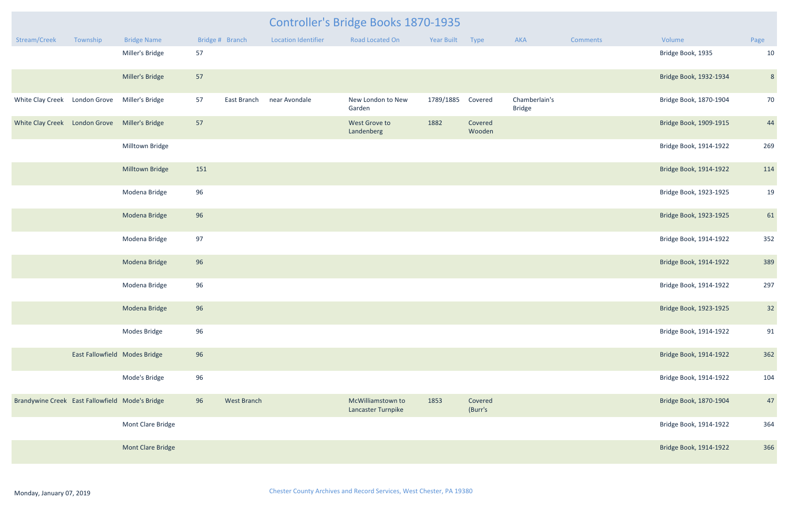| mments | Volume                 | Page |
|--------|------------------------|------|
|        | Bridge Book, 1935      | 10   |
|        | Bridge Book, 1932-1934 | 8    |
|        | Bridge Book, 1870-1904 | 70   |
|        | Bridge Book, 1909-1915 | 44   |
|        | Bridge Book, 1914-1922 | 269  |
|        | Bridge Book, 1914-1922 | 114  |
|        | Bridge Book, 1923-1925 | 19   |
|        | Bridge Book, 1923-1925 | 61   |
|        | Bridge Book, 1914-1922 | 352  |
|        | Bridge Book, 1914-1922 | 389  |
|        | Bridge Book, 1914-1922 | 297  |
|        | Bridge Book, 1923-1925 | 32   |
|        | Bridge Book, 1914-1922 | 91   |
|        | Bridge Book, 1914-1922 | 362  |
|        | Bridge Book, 1914-1922 | 104  |
|        | Bridge Book, 1870-1904 | 47   |
|        | Bridge Book, 1914-1922 | 364  |
|        | Bridge Book, 1914-1922 | 366  |

|                                                 |                               |                    |     | Controller's Bridge Books 1870-1935 |                            |                                         |                   |                    |                                |                 |                        |                |  |
|-------------------------------------------------|-------------------------------|--------------------|-----|-------------------------------------|----------------------------|-----------------------------------------|-------------------|--------------------|--------------------------------|-----------------|------------------------|----------------|--|
| Stream/Creek                                    | Township                      | <b>Bridge Name</b> |     | Bridge # Branch                     | <b>Location Identifier</b> | Road Located On                         | <b>Year Built</b> | Type               | AKA                            | <b>Comments</b> | Volume                 | Page           |  |
|                                                 |                               | Miller's Bridge    | 57  |                                     |                            |                                         |                   |                    |                                |                 | Bridge Book, 1935      | 10             |  |
|                                                 |                               | Miller's Bridge    | 57  |                                     |                            |                                         |                   |                    |                                |                 | Bridge Book, 1932-1934 | $\epsilon$     |  |
| White Clay Creek London Grove Miller's Bridge   |                               |                    | 57  | East Branch                         | near Avondale              | New London to New<br>Garden             | 1789/1885         | Covered            | Chamberlain's<br><b>Bridge</b> |                 | Bridge Book, 1870-1904 | 7 <sup>C</sup> |  |
| White Clay Creek London Grove Miller's Bridge   |                               |                    | 57  |                                     |                            | West Grove to<br>Landenberg             | 1882              | Covered<br>Wooden  |                                |                 | Bridge Book, 1909-1915 | 44             |  |
|                                                 |                               | Milltown Bridge    |     |                                     |                            |                                         |                   |                    |                                |                 | Bridge Book, 1914-1922 | 269            |  |
|                                                 |                               | Milltown Bridge    | 151 |                                     |                            |                                         |                   |                    |                                |                 | Bridge Book, 1914-1922 | 114            |  |
|                                                 |                               | Modena Bridge      | 96  |                                     |                            |                                         |                   |                    |                                |                 | Bridge Book, 1923-1925 | 1 <sup>c</sup> |  |
|                                                 |                               | Modena Bridge      | 96  |                                     |                            |                                         |                   |                    |                                |                 | Bridge Book, 1923-1925 | 61             |  |
|                                                 |                               | Modena Bridge      | 97  |                                     |                            |                                         |                   |                    |                                |                 | Bridge Book, 1914-1922 | 352            |  |
|                                                 |                               | Modena Bridge      | 96  |                                     |                            |                                         |                   |                    |                                |                 | Bridge Book, 1914-1922 | 389            |  |
|                                                 |                               | Modena Bridge      | 96  |                                     |                            |                                         |                   |                    |                                |                 | Bridge Book, 1914-1922 | 297            |  |
|                                                 |                               | Modena Bridge      | 96  |                                     |                            |                                         |                   |                    |                                |                 | Bridge Book, 1923-1925 | 32             |  |
|                                                 |                               | Modes Bridge       | 96  |                                     |                            |                                         |                   |                    |                                |                 | Bridge Book, 1914-1922 | 91             |  |
|                                                 | East Fallowfield Modes Bridge |                    | 96  |                                     |                            |                                         |                   |                    |                                |                 | Bridge Book, 1914-1922 | 362            |  |
|                                                 |                               | Mode's Bridge      | 96  |                                     |                            |                                         |                   |                    |                                |                 | Bridge Book, 1914-1922 | 104            |  |
| Brandywine Creek East Fallowfield Mode's Bridge |                               |                    | 96  | <b>West Branch</b>                  |                            | McWilliamstown to<br>Lancaster Turnpike | 1853              | Covered<br>(Burr's |                                |                 | Bridge Book, 1870-1904 | 47             |  |
|                                                 |                               | Mont Clare Bridge  |     |                                     |                            |                                         |                   |                    |                                |                 | Bridge Book, 1914-1922 | 364            |  |
|                                                 |                               | Mont Clare Bridge  |     |                                     |                            |                                         |                   |                    |                                |                 | Bridge Book, 1914-1922 | 366            |  |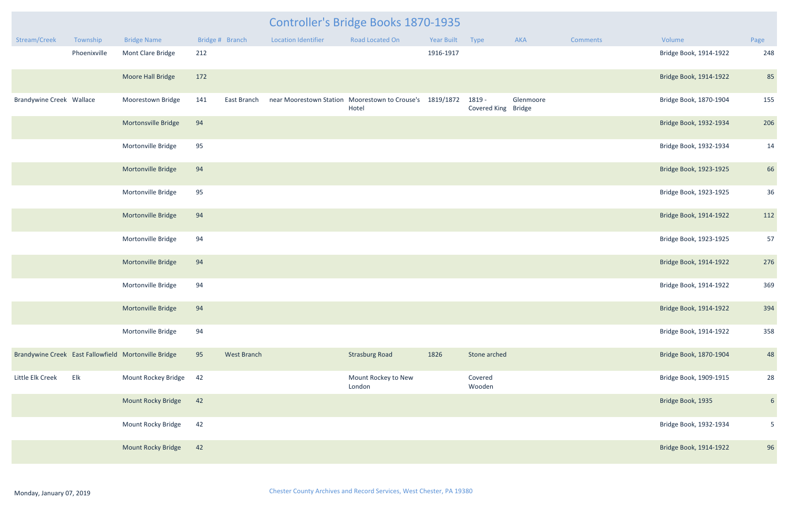|                                 |              |                                                      |     | <b>Controller's Bridge Books 1870-1935</b> |                            |                                                                   |            |                               |           |          |                        |                 |
|---------------------------------|--------------|------------------------------------------------------|-----|--------------------------------------------|----------------------------|-------------------------------------------------------------------|------------|-------------------------------|-----------|----------|------------------------|-----------------|
| Stream/Creek                    | Township     | <b>Bridge Name</b>                                   |     | Bridge # Branch                            | <b>Location Identifier</b> | Road Located On                                                   | Year Built | Type                          | AKA       | Comments | Volume                 | Page            |
|                                 | Phoenixville | Mont Clare Bridge                                    | 212 |                                            |                            |                                                                   | 1916-1917  |                               |           |          | Bridge Book, 1914-1922 | 248             |
|                                 |              | Moore Hall Bridge                                    | 172 |                                            |                            |                                                                   |            |                               |           |          | Bridge Book, 1914-1922 | 85              |
| <b>Brandywine Creek Wallace</b> |              | <b>Moorestown Bridge</b>                             | 141 | East Branch                                |                            | near Moorestown Station Moorestown to Crouse's 1819/1872<br>Hotel |            | 1819 -<br>Covered King Bridge | Glenmoore |          | Bridge Book, 1870-1904 | 155             |
|                                 |              | Mortonsville Bridge                                  | 94  |                                            |                            |                                                                   |            |                               |           |          | Bridge Book, 1932-1934 | 206             |
|                                 |              | Mortonville Bridge                                   | 95  |                                            |                            |                                                                   |            |                               |           |          | Bridge Book, 1932-1934 | 14              |
|                                 |              | Mortonville Bridge                                   | 94  |                                            |                            |                                                                   |            |                               |           |          | Bridge Book, 1923-1925 | 66              |
|                                 |              | Mortonville Bridge                                   | 95  |                                            |                            |                                                                   |            |                               |           |          | Bridge Book, 1923-1925 | 36              |
|                                 |              | Mortonville Bridge                                   | 94  |                                            |                            |                                                                   |            |                               |           |          | Bridge Book, 1914-1922 | 112             |
|                                 |              | Mortonville Bridge                                   | 94  |                                            |                            |                                                                   |            |                               |           |          | Bridge Book, 1923-1925 | 57              |
|                                 |              | Mortonville Bridge                                   | 94  |                                            |                            |                                                                   |            |                               |           |          | Bridge Book, 1914-1922 | 276             |
|                                 |              | Mortonville Bridge                                   | 94  |                                            |                            |                                                                   |            |                               |           |          | Bridge Book, 1914-1922 | 369             |
|                                 |              | Mortonville Bridge                                   | 94  |                                            |                            |                                                                   |            |                               |           |          | Bridge Book, 1914-1922 | 394             |
|                                 |              | Mortonville Bridge                                   | 94  |                                            |                            |                                                                   |            |                               |           |          | Bridge Book, 1914-1922 | 358             |
|                                 |              | Brandywine Creek East Fallowfield Mortonville Bridge | 95  | <b>West Branch</b>                         |                            | <b>Strasburg Road</b>                                             | 1826       | Stone arched                  |           |          | Bridge Book, 1870-1904 | 48              |
| Little Elk Creek                | Elk          | Mount Rockey Bridge                                  | 42  |                                            |                            | Mount Rockey to New<br>London                                     |            | Covered<br>Wooden             |           |          | Bridge Book, 1909-1915 | 28              |
|                                 |              | Mount Rocky Bridge                                   | 42  |                                            |                            |                                                                   |            |                               |           |          | Bridge Book, 1935      | $6\overline{6}$ |
|                                 |              | Mount Rocky Bridge                                   | 42  |                                            |                            |                                                                   |            |                               |           |          | Bridge Book, 1932-1934 | 5 <sub>1</sub>  |
|                                 |              | Mount Rocky Bridge                                   | 42  |                                            |                            |                                                                   |            |                               |           |          | Bridge Book, 1914-1922 | 96              |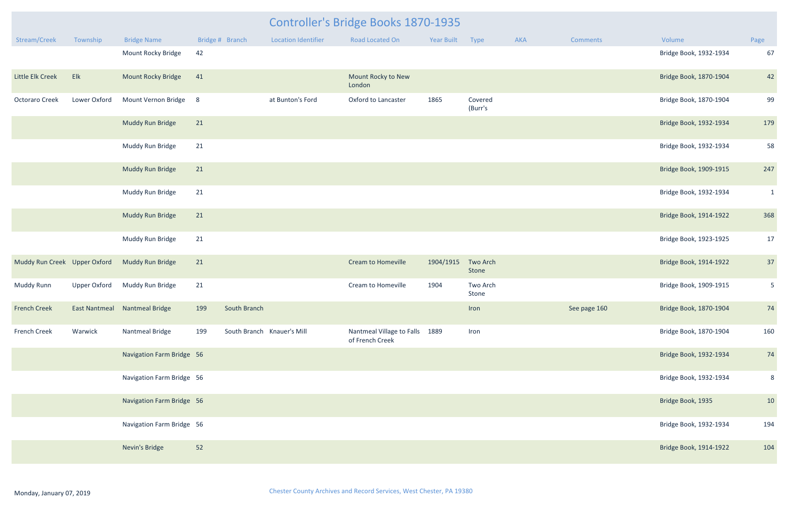|                              |                     |                                            |                  | <b>Controller's Bridge Books 1870-1935</b> |                            |                                                   |                 |                    |     |              |                        |                |
|------------------------------|---------------------|--------------------------------------------|------------------|--------------------------------------------|----------------------------|---------------------------------------------------|-----------------|--------------------|-----|--------------|------------------------|----------------|
| Stream/Creek                 | Township            | <b>Bridge Name</b>                         | Bridge # Branch  |                                            | <b>Location Identifier</b> | Road Located On                                   | Year Built Type |                    | AKA | Comments     | Volume                 | Page           |
|                              |                     | Mount Rocky Bridge                         | 42               |                                            |                            |                                                   |                 |                    |     |              | Bridge Book, 1932-1934 | 67             |
| Little Elk Creek             | Elk                 | <b>Mount Rocky Bridge</b>                  | 41               |                                            |                            | Mount Rocky to New<br>London                      |                 |                    |     |              | Bridge Book, 1870-1904 | 42             |
| Octoraro Creek               | Lower Oxford        | Mount Vernon Bridge                        | 8                |                                            | at Bunton's Ford           | Oxford to Lancaster                               | 1865            | Covered<br>(Burr's |     |              | Bridge Book, 1870-1904 | 99             |
|                              |                     | Muddy Run Bridge                           | 21               |                                            |                            |                                                   |                 |                    |     |              | Bridge Book, 1932-1934 | 179            |
|                              |                     | Muddy Run Bridge                           | 21               |                                            |                            |                                                   |                 |                    |     |              | Bridge Book, 1932-1934 | 58             |
|                              |                     | Muddy Run Bridge                           | 21               |                                            |                            |                                                   |                 |                    |     |              | Bridge Book, 1909-1915 | 247            |
|                              |                     | Muddy Run Bridge                           | 21               |                                            |                            |                                                   |                 |                    |     |              | Bridge Book, 1932-1934 | $\mathbf{1}$   |
|                              |                     | Muddy Run Bridge                           | 21               |                                            |                            |                                                   |                 |                    |     |              | Bridge Book, 1914-1922 | 368            |
|                              |                     | Muddy Run Bridge                           | 21               |                                            |                            |                                                   |                 |                    |     |              | Bridge Book, 1923-1925 | 17             |
| Muddy Run Creek Upper Oxford |                     | Muddy Run Bridge                           | 21               |                                            |                            | <b>Cream to Homeville</b>                         | 1904/1915       | Two Arch<br>Stone  |     |              | Bridge Book, 1914-1922 | 37             |
| <b>Muddy Runn</b>            | <b>Upper Oxford</b> | Muddy Run Bridge                           | 21               |                                            |                            | Cream to Homeville                                | 1904            | Two Arch<br>Stone  |     |              | Bridge Book, 1909-1915 | 5 <sub>1</sub> |
|                              |                     | French Creek East Nantmeal Nantmeal Bridge | 199 South Branch |                                            |                            |                                                   |                 | Iron               |     | See page 160 | Bridge Book, 1870-1904 | 74             |
| <b>French Creek</b>          | Warwick             | Nantmeal Bridge                            | 199              |                                            | South Branch Knauer's Mill | Nantmeal Village to Falls 1889<br>of French Creek |                 | Iron               |     |              | Bridge Book, 1870-1904 | 160            |
|                              |                     | Navigation Farm Bridge 56                  |                  |                                            |                            |                                                   |                 |                    |     |              | Bridge Book, 1932-1934 | 74             |
|                              |                     | Navigation Farm Bridge 56                  |                  |                                            |                            |                                                   |                 |                    |     |              | Bridge Book, 1932-1934 | 8              |
|                              |                     | Navigation Farm Bridge 56                  |                  |                                            |                            |                                                   |                 |                    |     |              | Bridge Book, 1935      | 10             |
|                              |                     | Navigation Farm Bridge 56                  |                  |                                            |                            |                                                   |                 |                    |     |              | Bridge Book, 1932-1934 | 194            |
|                              |                     | Nevin's Bridge                             | 52               |                                            |                            |                                                   |                 |                    |     |              | Bridge Book, 1914-1922 | 104            |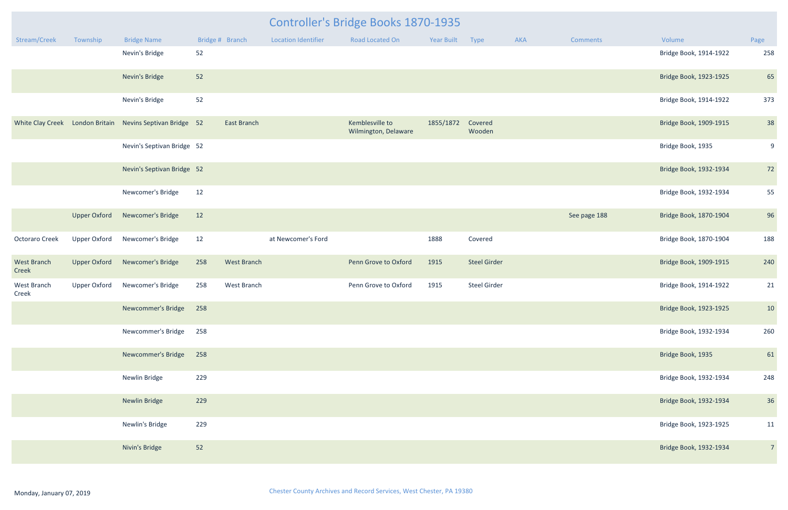|                             |                     |                                                           |                 | <b>Controller's Bridge Books 1870-1935</b> |                            |                                         |            |                     |     |              |                        |                |
|-----------------------------|---------------------|-----------------------------------------------------------|-----------------|--------------------------------------------|----------------------------|-----------------------------------------|------------|---------------------|-----|--------------|------------------------|----------------|
| Stream/Creek                | Township            | <b>Bridge Name</b>                                        | Bridge # Branch |                                            | <b>Location Identifier</b> | <b>Road Located On</b>                  | Year Built | Type                | AKA | Comments     | Volume                 | Page           |
|                             |                     | Nevin's Bridge                                            | 52              |                                            |                            |                                         |            |                     |     |              | Bridge Book, 1914-1922 | 258            |
|                             |                     | Nevin's Bridge                                            | 52              |                                            |                            |                                         |            |                     |     |              | Bridge Book, 1923-1925 | 65             |
|                             |                     | Nevin's Bridge                                            | 52              |                                            |                            |                                         |            |                     |     |              | Bridge Book, 1914-1922 | 373            |
|                             |                     | White Clay Creek London Britain Nevins Septivan Bridge 52 |                 | East Branch                                |                            | Kemblesville to<br>Wilmington, Delaware | 1855/1872  | Covered<br>Wooden   |     |              | Bridge Book, 1909-1915 | 38             |
|                             |                     | Nevin's Septivan Bridge 52                                |                 |                                            |                            |                                         |            |                     |     |              | Bridge Book, 1935      | 9              |
|                             |                     | Nevin's Septivan Bridge 52                                |                 |                                            |                            |                                         |            |                     |     |              | Bridge Book, 1932-1934 | 72             |
|                             |                     | Newcomer's Bridge                                         | 12              |                                            |                            |                                         |            |                     |     |              | Bridge Book, 1932-1934 | 55             |
|                             | <b>Upper Oxford</b> | Newcomer's Bridge                                         | 12              |                                            |                            |                                         |            |                     |     | See page 188 | Bridge Book, 1870-1904 | 96             |
| <b>Octoraro Creek</b>       | <b>Upper Oxford</b> | Newcomer's Bridge                                         | 12              |                                            | at Newcomer's Ford         |                                         | 1888       | Covered             |     |              | Bridge Book, 1870-1904 | 188            |
| <b>West Branch</b><br>Creek | <b>Upper Oxford</b> | Newcomer's Bridge                                         | 258             | <b>West Branch</b>                         |                            | Penn Grove to Oxford                    | 1915       | <b>Steel Girder</b> |     |              | Bridge Book, 1909-1915 | 240            |
| West Branch<br>Creek        | <b>Upper Oxford</b> | Newcomer's Bridge                                         | 258             | West Branch                                |                            | Penn Grove to Oxford                    | 1915       | Steel Girder        |     |              | Bridge Book, 1914-1922 | 21             |
|                             |                     | Newcommer's Bridge 258                                    |                 |                                            |                            |                                         |            |                     |     |              | Bridge Book, 1923-1925 | 10             |
|                             |                     | Newcommer's Bridge                                        | 258             |                                            |                            |                                         |            |                     |     |              | Bridge Book, 1932-1934 | 260            |
|                             |                     | Newcommer's Bridge                                        | 258             |                                            |                            |                                         |            |                     |     |              | Bridge Book, 1935      | 61             |
|                             |                     | Newlin Bridge                                             | 229             |                                            |                            |                                         |            |                     |     |              | Bridge Book, 1932-1934 | 248            |
|                             |                     | <b>Newlin Bridge</b>                                      | 229             |                                            |                            |                                         |            |                     |     |              | Bridge Book, 1932-1934 | 36             |
|                             |                     | Newlin's Bridge                                           | 229             |                                            |                            |                                         |            |                     |     |              | Bridge Book, 1923-1925 | 11             |
|                             |                     | Nivin's Bridge                                            | 52              |                                            |                            |                                         |            |                     |     |              | Bridge Book, 1932-1934 | $\overline{7}$ |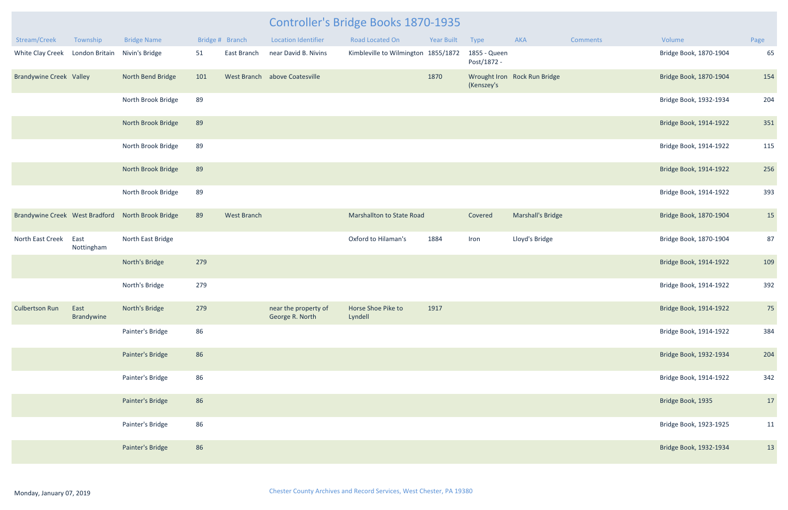| Stream/Creek                   | Township           | <b>Bridge Name</b> |     | Bridge # Branch    | <b>Location Identifier</b>              | <b>Road Located On</b>              | <b>Year Built</b> | Type                        | AKA                          | <b>Comments</b> | Volume                 | Page |
|--------------------------------|--------------------|--------------------|-----|--------------------|-----------------------------------------|-------------------------------------|-------------------|-----------------------------|------------------------------|-----------------|------------------------|------|
| White Clay Creek               | London Britain     | Nivin's Bridge     | 51  | East Branch        | near David B. Nivins                    | Kimbleville to Wilmington 1855/1872 |                   | 1855 - Queen<br>Post/1872 - |                              |                 | Bridge Book, 1870-1904 | 65   |
| <b>Brandywine Creek Valley</b> |                    | North Bend Bridge  | 101 |                    | West Branch above Coatesville           |                                     | 1870              | (Kenszey's                  | Wrought Iron Rock Run Bridge |                 | Bridge Book, 1870-1904 | 154  |
|                                |                    | North Brook Bridge | 89  |                    |                                         |                                     |                   |                             |                              |                 | Bridge Book, 1932-1934 | 204  |
|                                |                    | North Brook Bridge | 89  |                    |                                         |                                     |                   |                             |                              |                 | Bridge Book, 1914-1922 | 351  |
|                                |                    | North Brook Bridge | 89  |                    |                                         |                                     |                   |                             |                              |                 | Bridge Book, 1914-1922 | 115  |
|                                |                    | North Brook Bridge | 89  |                    |                                         |                                     |                   |                             |                              |                 | Bridge Book, 1914-1922 | 256  |
|                                |                    | North Brook Bridge | 89  |                    |                                         |                                     |                   |                             |                              |                 | Bridge Book, 1914-1922 | 393  |
| Brandywine Creek West Bradford |                    | North Brook Bridge | 89  | <b>West Branch</b> |                                         | Marshallton to State Road           |                   | Covered                     | <b>Marshall's Bridge</b>     |                 | Bridge Book, 1870-1904 | 15   |
| North East Creek               | East<br>Nottingham | North East Bridge  |     |                    |                                         | Oxford to Hilaman's                 | 1884              | Iron                        | Lloyd's Bridge               |                 | Bridge Book, 1870-1904 | 87   |
|                                |                    | North's Bridge     | 279 |                    |                                         |                                     |                   |                             |                              |                 | Bridge Book, 1914-1922 | 109  |
|                                |                    | North's Bridge     | 279 |                    |                                         |                                     |                   |                             |                              |                 | Bridge Book, 1914-1922 | 392  |
| <b>Culbertson Run</b>          | East<br>Brandywine | North's Bridge     | 279 |                    | near the property of<br>George R. North | Horse Shoe Pike to<br>Lyndell       | 1917              |                             |                              |                 | Bridge Book, 1914-1922 | 75   |
|                                |                    | Painter's Bridge   | 86  |                    |                                         |                                     |                   |                             |                              |                 | Bridge Book, 1914-1922 | 384  |
|                                |                    | Painter's Bridge   | 86  |                    |                                         |                                     |                   |                             |                              |                 | Bridge Book, 1932-1934 | 204  |
|                                |                    | Painter's Bridge   | 86  |                    |                                         |                                     |                   |                             |                              |                 | Bridge Book, 1914-1922 | 342  |
|                                |                    | Painter's Bridge   | 86  |                    |                                         |                                     |                   |                             |                              |                 | Bridge Book, 1935      | 17   |
|                                |                    | Painter's Bridge   | 86  |                    |                                         |                                     |                   |                             |                              |                 | Bridge Book, 1923-1925 | 11   |
|                                |                    | Painter's Bridge   | 86  |                    |                                         |                                     |                   |                             |                              |                 | Bridge Book, 1932-1934 | 13   |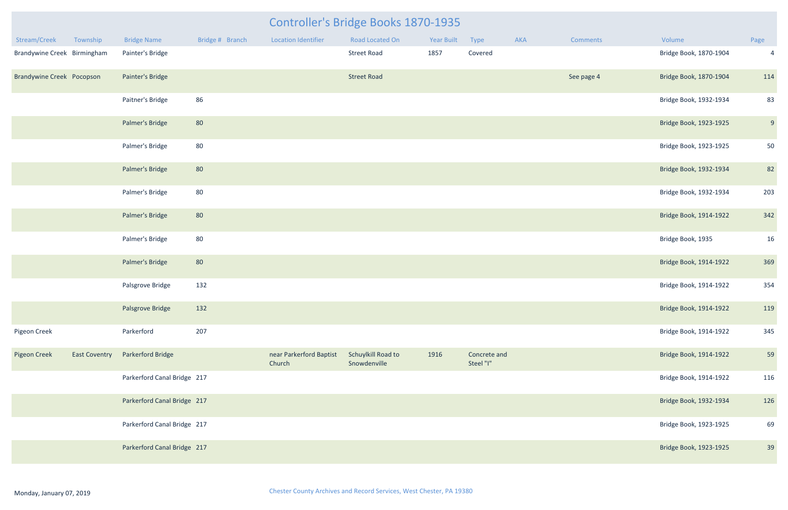|                                  |                      |                             |                 |                                   | <b>Controller's Bridge Books 1870-1935</b> |            |                           |     |                 |                        |                |
|----------------------------------|----------------------|-----------------------------|-----------------|-----------------------------------|--------------------------------------------|------------|---------------------------|-----|-----------------|------------------------|----------------|
| Stream/Creek                     | Township             | <b>Bridge Name</b>          | Bridge # Branch | <b>Location Identifier</b>        | Road Located On                            | Year Built | Type                      | AKA | <b>Comments</b> | Volume                 | Page           |
| Brandywine Creek Birmingham      |                      | Painter's Bridge            |                 |                                   | <b>Street Road</b>                         | 1857       | Covered                   |     |                 | Bridge Book, 1870-1904 | $\overline{4}$ |
| <b>Brandywine Creek Pocopson</b> |                      | Painter's Bridge            |                 |                                   | <b>Street Road</b>                         |            |                           |     | See page 4      | Bridge Book, 1870-1904 | 114            |
|                                  |                      | Paitner's Bridge            | 86              |                                   |                                            |            |                           |     |                 | Bridge Book, 1932-1934 | 83             |
|                                  |                      | Palmer's Bridge             | 80              |                                   |                                            |            |                           |     |                 | Bridge Book, 1923-1925 | 9              |
|                                  |                      | Palmer's Bridge             | 80              |                                   |                                            |            |                           |     |                 | Bridge Book, 1923-1925 | 50             |
|                                  |                      | Palmer's Bridge             | 80              |                                   |                                            |            |                           |     |                 | Bridge Book, 1932-1934 | 82             |
|                                  |                      | Palmer's Bridge             | 80              |                                   |                                            |            |                           |     |                 | Bridge Book, 1932-1934 | 203            |
|                                  |                      | Palmer's Bridge             | 80              |                                   |                                            |            |                           |     |                 | Bridge Book, 1914-1922 | 342            |
|                                  |                      | Palmer's Bridge             | 80              |                                   |                                            |            |                           |     |                 | Bridge Book, 1935      | 16             |
|                                  |                      | Palmer's Bridge             | 80              |                                   |                                            |            |                           |     |                 | Bridge Book, 1914-1922 | 369            |
|                                  |                      | Palsgrove Bridge            | 132             |                                   |                                            |            |                           |     |                 | Bridge Book, 1914-1922 | 354            |
|                                  |                      | Palsgrove Bridge            | 132             |                                   |                                            |            |                           |     |                 | Bridge Book, 1914-1922 | 119            |
| Pigeon Creek                     |                      | Parkerford                  | 207             |                                   |                                            |            |                           |     |                 | Bridge Book, 1914-1922 | 345            |
| <b>Pigeon Creek</b>              | <b>East Coventry</b> | <b>Parkerford Bridge</b>    |                 | near Parkerford Baptist<br>Church | Schuylkill Road to<br>Snowdenville         | 1916       | Concrete and<br>Steel "I" |     |                 | Bridge Book, 1914-1922 | 59             |
|                                  |                      | Parkerford Canal Bridge 217 |                 |                                   |                                            |            |                           |     |                 | Bridge Book, 1914-1922 | 116            |
|                                  |                      | Parkerford Canal Bridge 217 |                 |                                   |                                            |            |                           |     |                 | Bridge Book, 1932-1934 | 126            |
|                                  |                      | Parkerford Canal Bridge 217 |                 |                                   |                                            |            |                           |     |                 | Bridge Book, 1923-1925 | 69             |
|                                  |                      | Parkerford Canal Bridge 217 |                 |                                   |                                            |            |                           |     |                 | Bridge Book, 1923-1925 | 39             |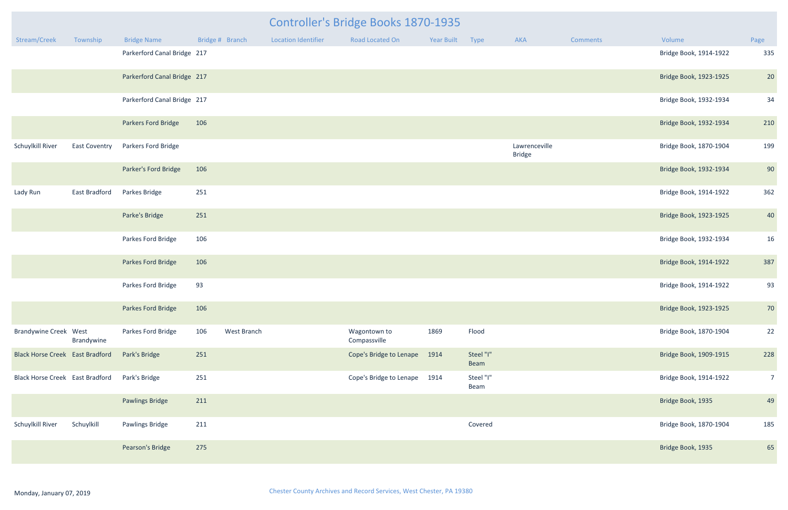| <b>Controller's Bridge Books 1870-1935</b> |                      |                             |                 |             |                            |                              |                 |                   |                                |          |                        |                |
|--------------------------------------------|----------------------|-----------------------------|-----------------|-------------|----------------------------|------------------------------|-----------------|-------------------|--------------------------------|----------|------------------------|----------------|
| Stream/Creek                               | Township             | <b>Bridge Name</b>          | Bridge # Branch |             | <b>Location Identifier</b> | Road Located On              | Year Built Type |                   | AKA                            | Comments | Volume                 | Page           |
|                                            |                      | Parkerford Canal Bridge 217 |                 |             |                            |                              |                 |                   |                                |          | Bridge Book, 1914-1922 | 335            |
|                                            |                      | Parkerford Canal Bridge 217 |                 |             |                            |                              |                 |                   |                                |          | Bridge Book, 1923-1925 | 20             |
|                                            |                      | Parkerford Canal Bridge 217 |                 |             |                            |                              |                 |                   |                                |          | Bridge Book, 1932-1934 | 34             |
|                                            |                      | Parkers Ford Bridge         | 106             |             |                            |                              |                 |                   |                                |          | Bridge Book, 1932-1934 | 210            |
| Schuylkill River                           | <b>East Coventry</b> | Parkers Ford Bridge         |                 |             |                            |                              |                 |                   | Lawrenceville<br><b>Bridge</b> |          | Bridge Book, 1870-1904 | 199            |
|                                            |                      | Parker's Ford Bridge        | 106             |             |                            |                              |                 |                   |                                |          | Bridge Book, 1932-1934 | 90             |
| Lady Run                                   | <b>East Bradford</b> | Parkes Bridge               | 251             |             |                            |                              |                 |                   |                                |          | Bridge Book, 1914-1922 | 362            |
|                                            |                      | Parke's Bridge              | 251             |             |                            |                              |                 |                   |                                |          | Bridge Book, 1923-1925 | 40             |
|                                            |                      | Parkes Ford Bridge          | 106             |             |                            |                              |                 |                   |                                |          | Bridge Book, 1932-1934 | 16             |
|                                            |                      | Parkes Ford Bridge          | 106             |             |                            |                              |                 |                   |                                |          | Bridge Book, 1914-1922 | 387            |
|                                            |                      | Parkes Ford Bridge          | 93              |             |                            |                              |                 |                   |                                |          | Bridge Book, 1914-1922 | 93             |
|                                            |                      | Parkes Ford Bridge          | 106             |             |                            |                              |                 |                   |                                |          | Bridge Book, 1923-1925 | 70             |
| <b>Brandywine Creek West</b>               | Brandywine           | Parkes Ford Bridge          | 106             | West Branch |                            | Wagontown to<br>Compassville | 1869            | Flood             |                                |          | Bridge Book, 1870-1904 | 22             |
| <b>Black Horse Creek East Bradford</b>     |                      | Park's Bridge               | 251             |             |                            | Cope's Bridge to Lenape      | 1914            | Steel "I"<br>Beam |                                |          | Bridge Book, 1909-1915 | 228            |
| <b>Black Horse Creek East Bradford</b>     |                      | Park's Bridge               | 251             |             |                            | Cope's Bridge to Lenape      | 1914            | Steel "I"<br>Beam |                                |          | Bridge Book, 1914-1922 | 7 <sup>7</sup> |
|                                            |                      | <b>Pawlings Bridge</b>      | 211             |             |                            |                              |                 |                   |                                |          | Bridge Book, 1935      | 49             |
| Schuylkill River                           | Schuylkill           | Pawlings Bridge             | 211             |             |                            |                              |                 | Covered           |                                |          | Bridge Book, 1870-1904 | 185            |
|                                            |                      | Pearson's Bridge            | 275             |             |                            |                              |                 |                   |                                |          | Bridge Book, 1935      | 65             |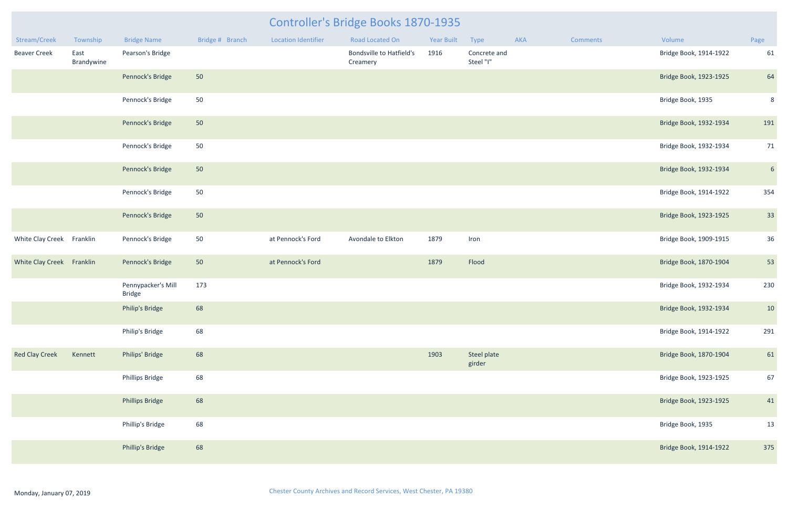| Stream/Creek              | Township           | <b>Bridge Name</b>                  | Bridge # Branch | <b>Location Identifier</b> | <b>Road Located On</b>                      | <b>Year Built</b> | Type                      | AKA | Comments | Volume                 | Page            |
|---------------------------|--------------------|-------------------------------------|-----------------|----------------------------|---------------------------------------------|-------------------|---------------------------|-----|----------|------------------------|-----------------|
| <b>Beaver Creek</b>       | East<br>Brandywine | Pearson's Bridge                    |                 |                            | <b>Bondsville to Hatfield's</b><br>Creamery | 1916              | Concrete and<br>Steel "I" |     |          | Bridge Book, 1914-1922 | 61              |
|                           |                    | Pennock's Bridge                    | 50              |                            |                                             |                   |                           |     |          | Bridge Book, 1923-1925 | 64              |
|                           |                    | Pennock's Bridge                    | 50              |                            |                                             |                   |                           |     |          | Bridge Book, 1935      | 8               |
|                           |                    | Pennock's Bridge                    | 50              |                            |                                             |                   |                           |     |          | Bridge Book, 1932-1934 | 191             |
|                           |                    | Pennock's Bridge                    | 50              |                            |                                             |                   |                           |     |          | Bridge Book, 1932-1934 | 71              |
|                           |                    | Pennock's Bridge                    | 50              |                            |                                             |                   |                           |     |          | Bridge Book, 1932-1934 | $6\overline{6}$ |
|                           |                    | Pennock's Bridge                    | 50              |                            |                                             |                   |                           |     |          | Bridge Book, 1914-1922 | 354             |
|                           |                    | Pennock's Bridge                    | 50              |                            |                                             |                   |                           |     |          | Bridge Book, 1923-1925 | 33              |
| White Clay Creek Franklin |                    | Pennock's Bridge                    | 50              | at Pennock's Ford          | Avondale to Elkton                          | 1879              | Iron                      |     |          | Bridge Book, 1909-1915 | 36              |
| White Clay Creek Franklin |                    | Pennock's Bridge                    | 50              | at Pennock's Ford          |                                             | 1879              | Flood                     |     |          | Bridge Book, 1870-1904 | 53              |
|                           |                    | Pennypacker's Mill<br><b>Bridge</b> | 173             |                            |                                             |                   |                           |     |          | Bridge Book, 1932-1934 | 230             |
|                           |                    | Philip's Bridge                     | 68              |                            |                                             |                   |                           |     |          | Bridge Book, 1932-1934 | 10              |
|                           |                    | Philip's Bridge                     | 68              |                            |                                             |                   |                           |     |          | Bridge Book, 1914-1922 | 291             |
| <b>Red Clay Creek</b>     | Kennett            | Philips' Bridge                     | 68              |                            |                                             | 1903              | Steel plate<br>girder     |     |          | Bridge Book, 1870-1904 | 61              |
|                           |                    | Phillips Bridge                     | 68              |                            |                                             |                   |                           |     |          | Bridge Book, 1923-1925 | 67              |
|                           |                    | <b>Phillips Bridge</b>              | 68              |                            |                                             |                   |                           |     |          | Bridge Book, 1923-1925 | 41              |
|                           |                    | Phillip's Bridge                    | 68              |                            |                                             |                   |                           |     |          | Bridge Book, 1935      | 13              |
|                           |                    | Phillip's Bridge                    | 68              |                            |                                             |                   |                           |     |          | Bridge Book, 1914-1922 | 375             |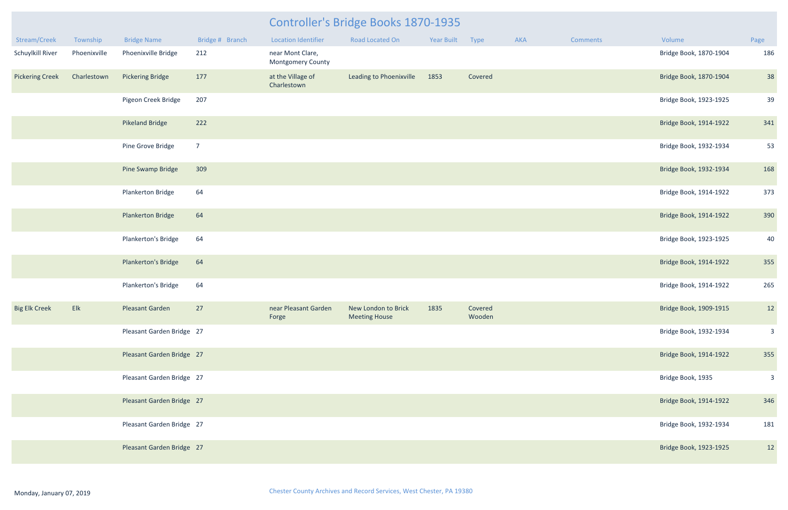|                        |              |                           |                 | Controller's Bridge Books 1870-1935          |                                             |            |                   |     |          |                        |                |  |
|------------------------|--------------|---------------------------|-----------------|----------------------------------------------|---------------------------------------------|------------|-------------------|-----|----------|------------------------|----------------|--|
| Stream/Creek           | Township     | <b>Bridge Name</b>        | Bridge # Branch | <b>Location Identifier</b>                   | <b>Road Located On</b>                      | Year Built | Type              | AKA | Comments | Volume                 | Page           |  |
| Schuylkill River       | Phoenixville | Phoenixville Bridge       | 212             | near Mont Clare,<br><b>Montgomery County</b> |                                             |            |                   |     |          | Bridge Book, 1870-1904 | 186            |  |
| <b>Pickering Creek</b> | Charlestown  | <b>Pickering Bridge</b>   | 177             | at the Village of<br>Charlestown             | Leading to Phoenixville                     | 1853       | Covered           |     |          | Bridge Book, 1870-1904 | 38             |  |
|                        |              | Pigeon Creek Bridge       | 207             |                                              |                                             |            |                   |     |          | Bridge Book, 1923-1925 | 39             |  |
|                        |              | <b>Pikeland Bridge</b>    | 222             |                                              |                                             |            |                   |     |          | Bridge Book, 1914-1922 | 341            |  |
|                        |              | Pine Grove Bridge         | $7\overline{ }$ |                                              |                                             |            |                   |     |          | Bridge Book, 1932-1934 | 53             |  |
|                        |              | Pine Swamp Bridge         | 309             |                                              |                                             |            |                   |     |          | Bridge Book, 1932-1934 | 168            |  |
|                        |              | Plankerton Bridge         | 64              |                                              |                                             |            |                   |     |          | Bridge Book, 1914-1922 | 373            |  |
|                        |              | <b>Plankerton Bridge</b>  | 64              |                                              |                                             |            |                   |     |          | Bridge Book, 1914-1922 | 390            |  |
|                        |              | Plankerton's Bridge       | 64              |                                              |                                             |            |                   |     |          | Bridge Book, 1923-1925 | 40             |  |
|                        |              | Plankerton's Bridge       | 64              |                                              |                                             |            |                   |     |          | Bridge Book, 1914-1922 | 355            |  |
|                        |              | Plankerton's Bridge       | 64              |                                              |                                             |            |                   |     |          | Bridge Book, 1914-1922 | 265            |  |
| <b>Big Elk Creek</b>   | Elk          | Pleasant Garden           | 27              | near Pleasant Garden<br>Forge                | New London to Brick<br><b>Meeting House</b> | 1835       | Covered<br>Wooden |     |          | Bridge Book, 1909-1915 | 12             |  |
|                        |              | Pleasant Garden Bridge 27 |                 |                                              |                                             |            |                   |     |          | Bridge Book, 1932-1934 | $\overline{3}$ |  |
|                        |              | Pleasant Garden Bridge 27 |                 |                                              |                                             |            |                   |     |          | Bridge Book, 1914-1922 | 355            |  |
|                        |              | Pleasant Garden Bridge 27 |                 |                                              |                                             |            |                   |     |          | Bridge Book, 1935      | $\overline{3}$ |  |
|                        |              | Pleasant Garden Bridge 27 |                 |                                              |                                             |            |                   |     |          | Bridge Book, 1914-1922 | 346            |  |
|                        |              | Pleasant Garden Bridge 27 |                 |                                              |                                             |            |                   |     |          | Bridge Book, 1932-1934 | 181            |  |
|                        |              | Pleasant Garden Bridge 27 |                 |                                              |                                             |            |                   |     |          | Bridge Book, 1923-1925 | 12             |  |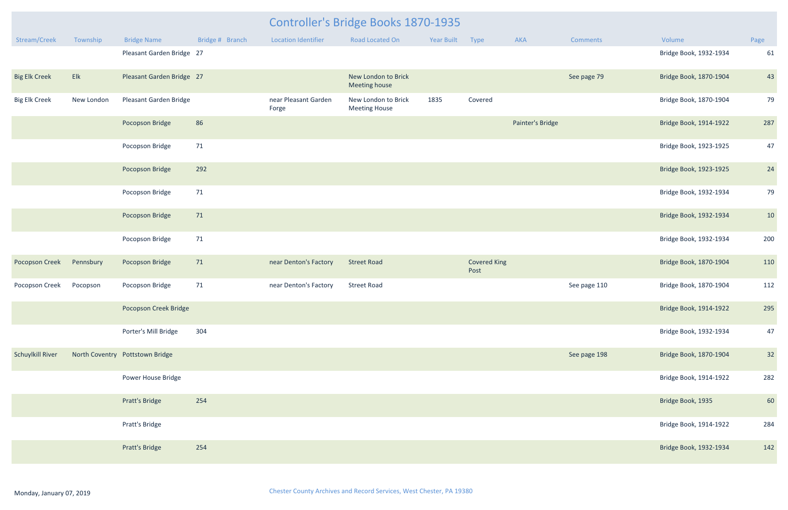|                         |            |                                 |                 | <b>Controller's Bridge Books 1870-1935</b> |                                             |                   |                             |                  |              |                        |      |  |
|-------------------------|------------|---------------------------------|-----------------|--------------------------------------------|---------------------------------------------|-------------------|-----------------------------|------------------|--------------|------------------------|------|--|
| Stream/Creek            | Township   | <b>Bridge Name</b>              | Bridge # Branch | <b>Location Identifier</b>                 | Road Located On                             | <b>Year Built</b> | Type                        | AKA              | Comments     | Volume                 | Page |  |
|                         |            | Pleasant Garden Bridge 27       |                 |                                            |                                             |                   |                             |                  |              | Bridge Book, 1932-1934 | 61   |  |
| <b>Big Elk Creek</b>    | Elk        | Pleasant Garden Bridge 27       |                 |                                            | New London to Brick<br>Meeting house        |                   |                             |                  | See page 79  | Bridge Book, 1870-1904 | 43   |  |
| <b>Big Elk Creek</b>    | New London | Pleasant Garden Bridge          |                 | near Pleasant Garden<br>Forge              | New London to Brick<br><b>Meeting House</b> | 1835              | Covered                     |                  |              | Bridge Book, 1870-1904 | 79   |  |
|                         |            | Pocopson Bridge                 | 86              |                                            |                                             |                   |                             | Painter's Bridge |              | Bridge Book, 1914-1922 | 287  |  |
|                         |            | Pocopson Bridge                 | 71              |                                            |                                             |                   |                             |                  |              | Bridge Book, 1923-1925 | 47   |  |
|                         |            | Pocopson Bridge                 | 292             |                                            |                                             |                   |                             |                  |              | Bridge Book, 1923-1925 | 24   |  |
|                         |            | Pocopson Bridge                 | 71              |                                            |                                             |                   |                             |                  |              | Bridge Book, 1932-1934 | 79   |  |
|                         |            | Pocopson Bridge                 | 71              |                                            |                                             |                   |                             |                  |              | Bridge Book, 1932-1934 | 10   |  |
|                         |            | Pocopson Bridge                 | 71              |                                            |                                             |                   |                             |                  |              | Bridge Book, 1932-1934 | 200  |  |
| <b>Pocopson Creek</b>   | Pennsbury  | Pocopson Bridge                 | 71              | near Denton's Factory                      | <b>Street Road</b>                          |                   | <b>Covered King</b><br>Post |                  |              | Bridge Book, 1870-1904 | 110  |  |
| Pocopson Creek          | Pocopson   | Pocopson Bridge                 | 71              | near Denton's Factory                      | <b>Street Road</b>                          |                   |                             |                  | See page 110 | Bridge Book, 1870-1904 | 112  |  |
|                         |            | Pocopson Creek Bridge           |                 |                                            |                                             |                   |                             |                  |              | Bridge Book, 1914-1922 | 295  |  |
|                         |            | Porter's Mill Bridge            | 304             |                                            |                                             |                   |                             |                  |              | Bridge Book, 1932-1934 | 47   |  |
| <b>Schuylkill River</b> |            | North Coventry Pottstown Bridge |                 |                                            |                                             |                   |                             |                  | See page 198 | Bridge Book, 1870-1904 | 32   |  |
|                         |            | Power House Bridge              |                 |                                            |                                             |                   |                             |                  |              | Bridge Book, 1914-1922 | 282  |  |
|                         |            | Pratt's Bridge                  | 254             |                                            |                                             |                   |                             |                  |              | Bridge Book, 1935      | 60   |  |
|                         |            | Pratt's Bridge                  |                 |                                            |                                             |                   |                             |                  |              | Bridge Book, 1914-1922 | 284  |  |
|                         |            | Pratt's Bridge                  | 254             |                                            |                                             |                   |                             |                  |              | Bridge Book, 1932-1934 | 142  |  |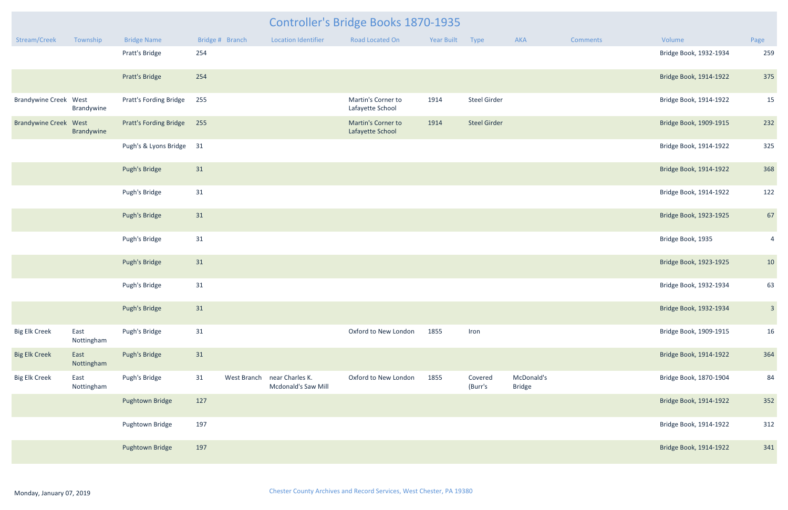|                              | <b>Controller's Bridge Books 1870-1935</b> |                               |                 |             |                                        |                                        |                 |                     |                             |          |                        |                |
|------------------------------|--------------------------------------------|-------------------------------|-----------------|-------------|----------------------------------------|----------------------------------------|-----------------|---------------------|-----------------------------|----------|------------------------|----------------|
| Stream/Creek                 | Township                                   | <b>Bridge Name</b>            | Bridge # Branch |             | <b>Location Identifier</b>             | Road Located On                        | Year Built Type |                     | AKA                         | Comments | Volume                 | Page           |
|                              |                                            | Pratt's Bridge                | 254             |             |                                        |                                        |                 |                     |                             |          | Bridge Book, 1932-1934 | 259            |
|                              |                                            | Pratt's Bridge                | 254             |             |                                        |                                        |                 |                     |                             |          | Bridge Book, 1914-1922 | 375            |
| <b>Brandywine Creek West</b> | Brandywine                                 | <b>Pratt's Fording Bridge</b> | 255             |             |                                        | Martin's Corner to<br>Lafayette School | 1914            | Steel Girder        |                             |          | Bridge Book, 1914-1922 | 15             |
| <b>Brandywine Creek West</b> | Brandywine                                 | Pratt's Fording Bridge 255    |                 |             |                                        | Martin's Corner to<br>Lafayette School | 1914            | <b>Steel Girder</b> |                             |          | Bridge Book, 1909-1915 | 232            |
|                              |                                            | Pugh's & Lyons Bridge 31      |                 |             |                                        |                                        |                 |                     |                             |          | Bridge Book, 1914-1922 | 325            |
|                              |                                            | Pugh's Bridge                 | 31              |             |                                        |                                        |                 |                     |                             |          | Bridge Book, 1914-1922 | 368            |
|                              |                                            | Pugh's Bridge                 | 31              |             |                                        |                                        |                 |                     |                             |          | Bridge Book, 1914-1922 | 122            |
|                              |                                            | Pugh's Bridge                 | 31              |             |                                        |                                        |                 |                     |                             |          | Bridge Book, 1923-1925 | 67             |
|                              |                                            | Pugh's Bridge                 | 31              |             |                                        |                                        |                 |                     |                             |          | Bridge Book, 1935      | $\overline{4}$ |
|                              |                                            | Pugh's Bridge                 | 31              |             |                                        |                                        |                 |                     |                             |          | Bridge Book, 1923-1925 | 10             |
|                              |                                            | Pugh's Bridge                 | $31\,$          |             |                                        |                                        |                 |                     |                             |          | Bridge Book, 1932-1934 | 63             |
|                              |                                            | Pugh's Bridge                 | 31              |             |                                        |                                        |                 |                     |                             |          | Bridge Book, 1932-1934 | 3 <sup>1</sup> |
| <b>Big Elk Creek</b>         | East<br>Nottingham                         | Pugh's Bridge                 | 31              |             |                                        | Oxford to New London                   | 1855            | Iron                |                             |          | Bridge Book, 1909-1915 | 16             |
| <b>Big Elk Creek</b>         | East<br>Nottingham                         | Pugh's Bridge                 | 31              |             |                                        |                                        |                 |                     |                             |          | Bridge Book, 1914-1922 | 364            |
| <b>Big Elk Creek</b>         | East<br>Nottingham                         | Pugh's Bridge                 | 31              | West Branch | near Charles K.<br>Mcdonald's Saw Mill | Oxford to New London                   | 1855            | Covered<br>(Burr's  | McDonald's<br><b>Bridge</b> |          | Bridge Book, 1870-1904 | 84             |
|                              |                                            | Pughtown Bridge               | 127             |             |                                        |                                        |                 |                     |                             |          | Bridge Book, 1914-1922 | 352            |
|                              |                                            | Pughtown Bridge               | 197             |             |                                        |                                        |                 |                     |                             |          | Bridge Book, 1914-1922 | 312            |
|                              |                                            | Pughtown Bridge               | 197             |             |                                        |                                        |                 |                     |                             |          | Bridge Book, 1914-1922 | 341            |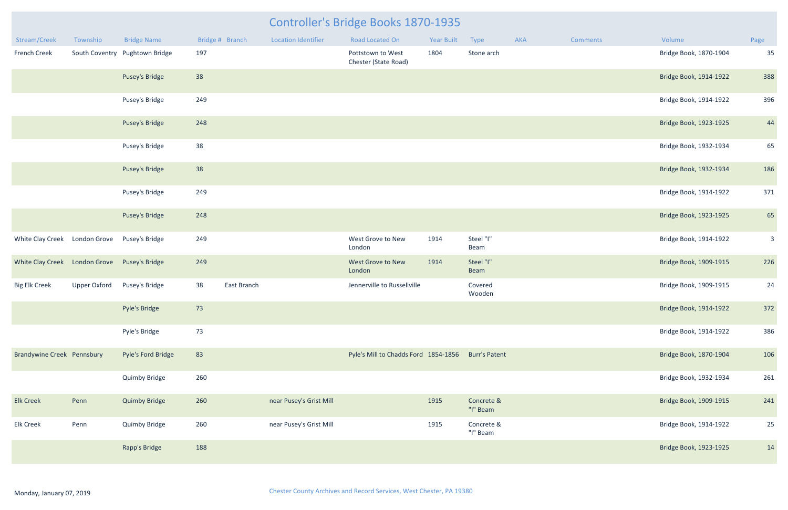| Stream/Creek                      | Township            | <b>Bridge Name</b>             | Bridge # Branch |             | <b>Location Identifier</b> | Road Located On                                    | <b>Year Built</b> | Type                   | AKA | <b>Comments</b> | Volume                 | Page           |
|-----------------------------------|---------------------|--------------------------------|-----------------|-------------|----------------------------|----------------------------------------------------|-------------------|------------------------|-----|-----------------|------------------------|----------------|
| French Creek                      |                     | South Coventry Pughtown Bridge | 197             |             |                            | Pottstown to West<br>Chester (State Road)          | 1804              | Stone arch             |     |                 | Bridge Book, 1870-1904 | 35             |
|                                   |                     | Pusey's Bridge                 | 38              |             |                            |                                                    |                   |                        |     |                 | Bridge Book, 1914-1922 | 388            |
|                                   |                     | Pusey's Bridge                 | 249             |             |                            |                                                    |                   |                        |     |                 | Bridge Book, 1914-1922 | 396            |
|                                   |                     | Pusey's Bridge                 | 248             |             |                            |                                                    |                   |                        |     |                 | Bridge Book, 1923-1925 | 44             |
|                                   |                     | Pusey's Bridge                 | 38              |             |                            |                                                    |                   |                        |     |                 | Bridge Book, 1932-1934 | 65             |
|                                   |                     | Pusey's Bridge                 | 38              |             |                            |                                                    |                   |                        |     |                 | Bridge Book, 1932-1934 | 186            |
|                                   |                     | Pusey's Bridge                 | 249             |             |                            |                                                    |                   |                        |     |                 | Bridge Book, 1914-1922 | 371            |
|                                   |                     | Pusey's Bridge                 | 248             |             |                            |                                                    |                   |                        |     |                 | Bridge Book, 1923-1925 | 65             |
| White Clay Creek                  | London Grove        | Pusey's Bridge                 | 249             |             |                            | West Grove to New<br>London                        | 1914              | Steel "I"<br>Beam      |     |                 | Bridge Book, 1914-1922 | $\overline{3}$ |
| White Clay Creek London Grove     |                     | Pusey's Bridge                 | 249             |             |                            | West Grove to New<br>London                        | 1914              | Steel "I"<br>Beam      |     |                 | Bridge Book, 1909-1915 | 226            |
| <b>Big Elk Creek</b>              | <b>Upper Oxford</b> | Pusey's Bridge                 | 38              | East Branch |                            | Jennerville to Russellville                        |                   | Covered<br>Wooden      |     |                 | Bridge Book, 1909-1915 | 24             |
|                                   |                     | Pyle's Bridge                  | 73              |             |                            |                                                    |                   |                        |     |                 | Bridge Book, 1914-1922 | 372            |
|                                   |                     | Pyle's Bridge                  | 73              |             |                            |                                                    |                   |                        |     |                 | Bridge Book, 1914-1922 | 386            |
| <b>Brandywine Creek Pennsbury</b> |                     | Pyle's Ford Bridge             | 83              |             |                            | Pyle's Mill to Chadds Ford 1854-1856 Burr's Patent |                   |                        |     |                 | Bridge Book, 1870-1904 | 106            |
|                                   |                     | <b>Quimby Bridge</b>           | 260             |             |                            |                                                    |                   |                        |     |                 | Bridge Book, 1932-1934 | 261            |
| <b>Elk Creek</b>                  | Penn                | <b>Quimby Bridge</b>           | 260             |             | near Pusey's Grist Mill    |                                                    | 1915              | Concrete &<br>"I" Beam |     |                 | Bridge Book, 1909-1915 | 241            |
| <b>Elk Creek</b>                  | Penn                | <b>Quimby Bridge</b>           | 260             |             | near Pusey's Grist Mill    |                                                    | 1915              | Concrete &<br>"I" Beam |     |                 | Bridge Book, 1914-1922 | 25             |
|                                   |                     | Rapp's Bridge                  | 188             |             |                            |                                                    |                   |                        |     |                 | Bridge Book, 1923-1925 | 14             |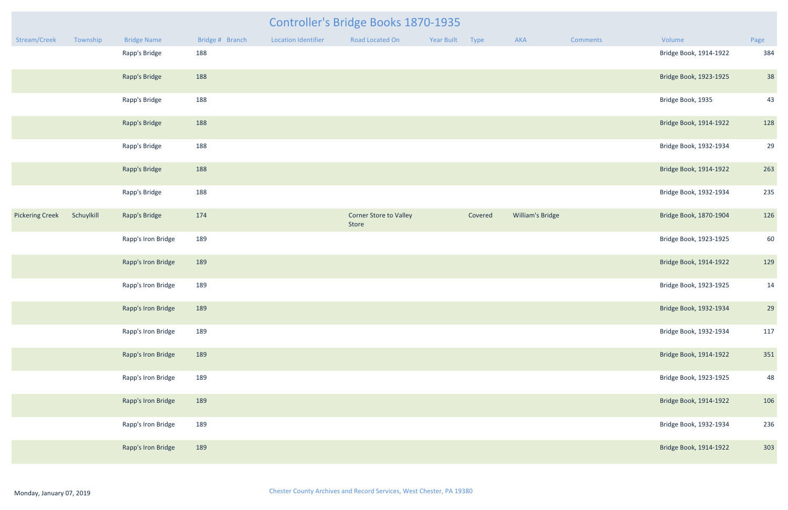| <b>Type</b> | <b>AKA</b>       | <b>Comments</b> | Volume                 | Page |
|-------------|------------------|-----------------|------------------------|------|
|             |                  |                 | Bridge Book, 1914-1922 | 384  |
|             |                  |                 | Bridge Book, 1923-1925 | 38   |
|             |                  |                 | Bridge Book, 1935      | 43   |
|             |                  |                 | Bridge Book, 1914-1922 | 128  |
|             |                  |                 | Bridge Book, 1932-1934 | 29   |
|             |                  |                 | Bridge Book, 1914-1922 | 263  |
|             |                  |                 | Bridge Book, 1932-1934 | 235  |
| Covered     | William's Bridge |                 | Bridge Book, 1870-1904 | 126  |
|             |                  |                 | Bridge Book, 1923-1925 | 60   |
|             |                  |                 | Bridge Book, 1914-1922 | 129  |
|             |                  |                 | Bridge Book, 1923-1925 | 14   |
|             |                  |                 | Bridge Book, 1932-1934 | 29   |
|             |                  |                 | Bridge Book, 1932-1934 | 117  |
|             |                  |                 | Bridge Book, 1914-1922 | 351  |
|             |                  |                 | Bridge Book, 1923-1925 | 48   |
|             |                  |                 | Bridge Book, 1914-1922 | 106  |
|             |                  |                 | Bridge Book, 1932-1934 | 236  |
|             |                  |                 | Bridge Book, 1914-1922 | 303  |

|                        |            |                    |                 |                            | <b>Controller's Bridge Books 1870-1935</b> |            |             |                         |                 |                                             |                |
|------------------------|------------|--------------------|-----------------|----------------------------|--------------------------------------------|------------|-------------|-------------------------|-----------------|---------------------------------------------|----------------|
| Stream/Creek           | Township   | <b>Bridge Name</b> | Bridge # Branch | <b>Location Identifier</b> | Road Located On                            | Year Built | <b>Type</b> | AKA                     | <b>Comments</b> | Volume                                      | Page           |
|                        |            | Rapp's Bridge      | 188             |                            |                                            |            |             |                         |                 | Bridge Book, 1914-1922<br>Bridge Book, 1935 | 384            |
|                        |            | Rapp's Bridge      | 188             |                            |                                            |            |             |                         |                 | Bridge Book, 1923-1925                      | 38             |
|                        |            | Rapp's Bridge      | 188             |                            |                                            |            |             |                         |                 |                                             | 43             |
|                        |            | Rapp's Bridge      | 188             |                            |                                            |            |             |                         |                 | Bridge Book, 1914-1922                      | 128            |
|                        |            | Rapp's Bridge      | 188             |                            |                                            |            |             |                         |                 | Bridge Book, 1932-1934                      | 2 <sup>c</sup> |
|                        |            | Rapp's Bridge      | 188             |                            |                                            |            |             |                         |                 | Bridge Book, 1914-1922                      | 263            |
|                        |            | Rapp's Bridge      | 188             |                            |                                            |            |             |                         |                 | Bridge Book, 1932-1934                      | 235            |
| <b>Pickering Creek</b> | Schuylkill | Rapp's Bridge      | 174             |                            | Corner Store to Valley<br>Store            |            | Covered     | <b>William's Bridge</b> |                 | Bridge Book, 1870-1904                      | 126            |
|                        |            | Rapp's Iron Bridge | 189             |                            |                                            |            |             |                         |                 | Bridge Book, 1923-1925                      | 60             |
|                        |            | Rapp's Iron Bridge | 189             |                            |                                            |            |             |                         |                 | Bridge Book, 1914-1922                      | <b>129</b>     |
|                        |            | Rapp's Iron Bridge | 189             |                            |                                            |            |             |                         |                 | Bridge Book, 1923-1925                      | 14             |
|                        |            | Rapp's Iron Bridge | 189             |                            |                                            |            |             |                         |                 | Bridge Book, 1932-1934                      | 2 <sup>c</sup> |
|                        |            | Rapp's Iron Bridge | 189             |                            |                                            |            |             |                         |                 | Bridge Book, 1932-1934                      | 117            |
|                        |            | Rapp's Iron Bridge | 189             |                            |                                            |            |             |                         |                 | Bridge Book, 1914-1922                      | 351            |
|                        |            | Rapp's Iron Bridge | 189             |                            |                                            |            |             |                         |                 | Bridge Book, 1923-1925                      | 48             |
|                        |            | Rapp's Iron Bridge | 189             |                            |                                            |            |             |                         |                 | Bridge Book, 1914-1922                      | 106            |
|                        |            | Rapp's Iron Bridge | 189             |                            |                                            |            |             |                         |                 | Bridge Book, 1932-1934                      | 236            |
|                        |            | Rapp's Iron Bridge | 189             |                            |                                            |            |             |                         |                 | Bridge Book, 1914-1922                      | 303            |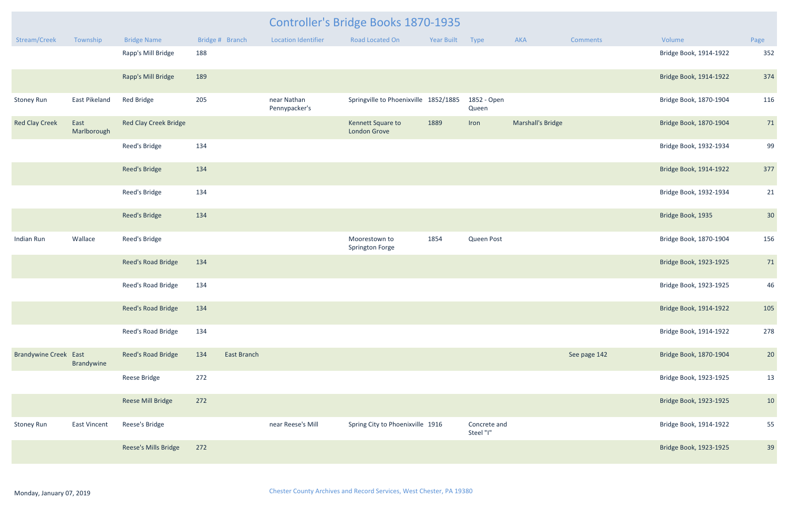|                              |                     |                              | <b>Controller's Bridge Books 1870-1935</b> |                              |  |                                         |            |                           |                          |                 |                        |      |
|------------------------------|---------------------|------------------------------|--------------------------------------------|------------------------------|--|-----------------------------------------|------------|---------------------------|--------------------------|-----------------|------------------------|------|
| Stream/Creek                 | Township            | <b>Bridge Name</b>           | Bridge # Branch                            | <b>Location Identifier</b>   |  | Road Located On                         | Year Built | Type                      | AKA                      | <b>Comments</b> | Volume                 | Page |
|                              |                     | Rapp's Mill Bridge           | 188                                        |                              |  |                                         |            |                           |                          |                 | Bridge Book, 1914-1922 | 352  |
|                              |                     | Rapp's Mill Bridge           | 189                                        |                              |  |                                         |            |                           |                          |                 | Bridge Book, 1914-1922 | 374  |
| <b>Stoney Run</b>            | East Pikeland       | <b>Red Bridge</b>            | 205                                        | near Nathan<br>Pennypacker's |  | Springville to Phoenixville 1852/1885   |            | 1852 - Open<br>Queen      |                          |                 | Bridge Book, 1870-1904 | 116  |
| <b>Red Clay Creek</b>        | East<br>Marlborough | <b>Red Clay Creek Bridge</b> |                                            |                              |  | Kennett Square to<br>London Grove       | 1889       | Iron                      | <b>Marshall's Bridge</b> |                 | Bridge Book, 1870-1904 | 71   |
|                              |                     | Reed's Bridge                | 134                                        |                              |  |                                         |            |                           |                          |                 | Bridge Book, 1932-1934 | 99   |
|                              |                     | Reed's Bridge                | 134                                        |                              |  |                                         |            |                           |                          |                 | Bridge Book, 1914-1922 | 377  |
|                              |                     | Reed's Bridge                | 134                                        |                              |  |                                         |            |                           |                          |                 | Bridge Book, 1932-1934 | 21   |
|                              |                     | Reed's Bridge                | 134                                        |                              |  |                                         |            |                           |                          |                 | Bridge Book, 1935      | 30   |
| Indian Run                   | Wallace             | Reed's Bridge                |                                            |                              |  | Moorestown to<br><b>Springton Forge</b> | 1854       | Queen Post                |                          |                 | Bridge Book, 1870-1904 | 156  |
|                              |                     | Reed's Road Bridge           | 134                                        |                              |  |                                         |            |                           |                          |                 | Bridge Book, 1923-1925 | 71   |
|                              |                     | Reed's Road Bridge           | 134                                        |                              |  |                                         |            |                           |                          |                 | Bridge Book, 1923-1925 | 46   |
|                              |                     | Reed's Road Bridge           | 134                                        |                              |  |                                         |            |                           |                          |                 | Bridge Book, 1914-1922 | 105  |
|                              |                     | Reed's Road Bridge           | 134                                        |                              |  |                                         |            |                           |                          |                 | Bridge Book, 1914-1922 | 278  |
| <b>Brandywine Creek East</b> | Brandywine          | Reed's Road Bridge           | 134<br>East Branch                         |                              |  |                                         |            |                           |                          | See page 142    | Bridge Book, 1870-1904 | 20   |
|                              |                     | Reese Bridge                 | 272                                        |                              |  |                                         |            |                           |                          |                 | Bridge Book, 1923-1925 | 13   |
|                              |                     | Reese Mill Bridge            | 272                                        |                              |  |                                         |            |                           |                          |                 | Bridge Book, 1923-1925 | 10   |
| <b>Stoney Run</b>            | East Vincent        | Reese's Bridge               |                                            | near Reese's Mill            |  | Spring City to Phoenixville 1916        |            | Concrete and<br>Steel "I" |                          |                 | Bridge Book, 1914-1922 | 55   |
|                              |                     | Reese's Mills Bridge         | 272                                        |                              |  |                                         |            |                           |                          |                 | Bridge Book, 1923-1925 | 39   |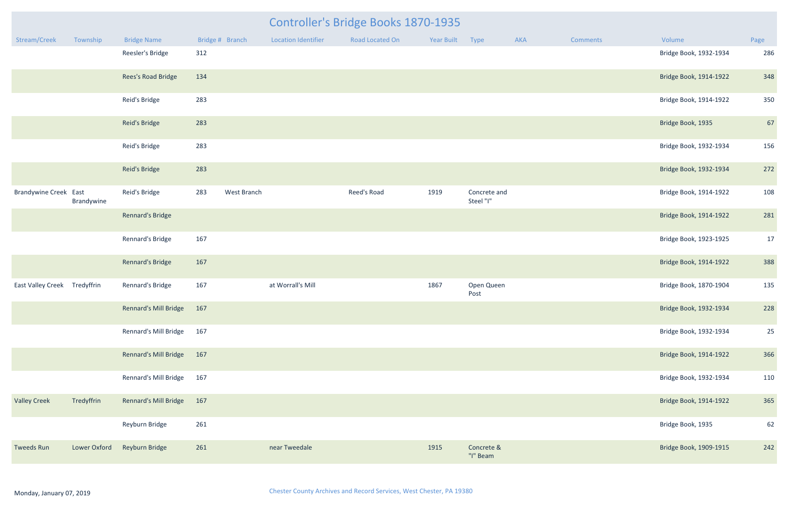|                              | <b>Controller's Bridge Books 1870-1935</b> |                           |                    |                            |                 |                 |                           |     |                 |                                                                                                                                                                                                                                                                                                                                                                                                                                                                        |      |  |  |
|------------------------------|--------------------------------------------|---------------------------|--------------------|----------------------------|-----------------|-----------------|---------------------------|-----|-----------------|------------------------------------------------------------------------------------------------------------------------------------------------------------------------------------------------------------------------------------------------------------------------------------------------------------------------------------------------------------------------------------------------------------------------------------------------------------------------|------|--|--|
| Stream/Creek                 | Township                                   | <b>Bridge Name</b>        | Bridge # Branch    | <b>Location Identifier</b> | Road Located On | Year Built Type |                           | AKA | <b>Comments</b> | Volume                                                                                                                                                                                                                                                                                                                                                                                                                                                                 | Page |  |  |
|                              |                                            | Reesler's Bridge          | 312                |                            |                 |                 |                           |     |                 | Bridge Book, 1932-1934<br>Bridge Book, 1914-1922<br>Bridge Book, 1914-1922<br>Bridge Book, 1935<br>Bridge Book, 1932-1934<br>Bridge Book, 1932-1934<br>Bridge Book, 1914-1922<br>Bridge Book, 1914-1922<br>Bridge Book, 1923-1925<br>Bridge Book, 1914-1922<br>Bridge Book, 1870-1904<br>Bridge Book, 1932-1934<br>Bridge Book, 1932-1934<br>Bridge Book, 1914-1922<br>Bridge Book, 1932-1934<br>Bridge Book, 1914-1922<br>Bridge Book, 1935<br>Bridge Book, 1909-1915 | 286  |  |  |
|                              |                                            | Rees's Road Bridge        | 134                |                            |                 |                 |                           |     |                 |                                                                                                                                                                                                                                                                                                                                                                                                                                                                        | 348  |  |  |
|                              |                                            | Reid's Bridge             | 283                |                            |                 |                 |                           |     |                 |                                                                                                                                                                                                                                                                                                                                                                                                                                                                        | 350  |  |  |
|                              |                                            | Reid's Bridge             | 283                |                            |                 |                 |                           |     |                 |                                                                                                                                                                                                                                                                                                                                                                                                                                                                        | 67   |  |  |
|                              |                                            | Reid's Bridge             | 283                |                            |                 |                 |                           |     |                 |                                                                                                                                                                                                                                                                                                                                                                                                                                                                        | 156  |  |  |
|                              |                                            | Reid's Bridge             | 283                |                            |                 |                 |                           |     |                 |                                                                                                                                                                                                                                                                                                                                                                                                                                                                        | 272  |  |  |
| <b>Brandywine Creek East</b> | Brandywine                                 | Reid's Bridge             | 283<br>West Branch |                            | Reed's Road     | 1919            | Concrete and<br>Steel "I" |     |                 |                                                                                                                                                                                                                                                                                                                                                                                                                                                                        | 108  |  |  |
|                              |                                            | <b>Rennard's Bridge</b>   |                    |                            |                 |                 |                           |     |                 |                                                                                                                                                                                                                                                                                                                                                                                                                                                                        | 281  |  |  |
|                              |                                            | Rennard's Bridge          | 167                |                            |                 |                 |                           |     |                 |                                                                                                                                                                                                                                                                                                                                                                                                                                                                        | 17   |  |  |
|                              |                                            | Rennard's Bridge          | 167                |                            |                 |                 |                           |     |                 |                                                                                                                                                                                                                                                                                                                                                                                                                                                                        | 388  |  |  |
| East Valley Creek Tredyffrin |                                            | Rennard's Bridge          | 167                | at Worrall's Mill          |                 | 1867            | Open Queen<br>Post        |     |                 |                                                                                                                                                                                                                                                                                                                                                                                                                                                                        | 135  |  |  |
|                              |                                            | Rennard's Mill Bridge 167 |                    |                            |                 |                 |                           |     |                 |                                                                                                                                                                                                                                                                                                                                                                                                                                                                        | 228  |  |  |
|                              |                                            | Rennard's Mill Bridge 167 |                    |                            |                 |                 |                           |     |                 |                                                                                                                                                                                                                                                                                                                                                                                                                                                                        | 25   |  |  |
|                              |                                            | Rennard's Mill Bridge 167 |                    |                            |                 |                 |                           |     |                 |                                                                                                                                                                                                                                                                                                                                                                                                                                                                        | 366  |  |  |
|                              |                                            | Rennard's Mill Bridge 167 |                    |                            |                 |                 |                           |     |                 |                                                                                                                                                                                                                                                                                                                                                                                                                                                                        | 110  |  |  |
| <b>Valley Creek</b>          | Tredyffrin                                 | Rennard's Mill Bridge 167 |                    |                            |                 |                 |                           |     |                 |                                                                                                                                                                                                                                                                                                                                                                                                                                                                        | 365  |  |  |
|                              |                                            | Reyburn Bridge            | 261                |                            |                 |                 |                           |     |                 |                                                                                                                                                                                                                                                                                                                                                                                                                                                                        | 62   |  |  |
| <b>Tweeds Run</b>            | Lower Oxford                               | Reyburn Bridge            | 261                | near Tweedale              |                 | 1915            | Concrete &<br>"I" Beam    |     |                 |                                                                                                                                                                                                                                                                                                                                                                                                                                                                        | 242  |  |  |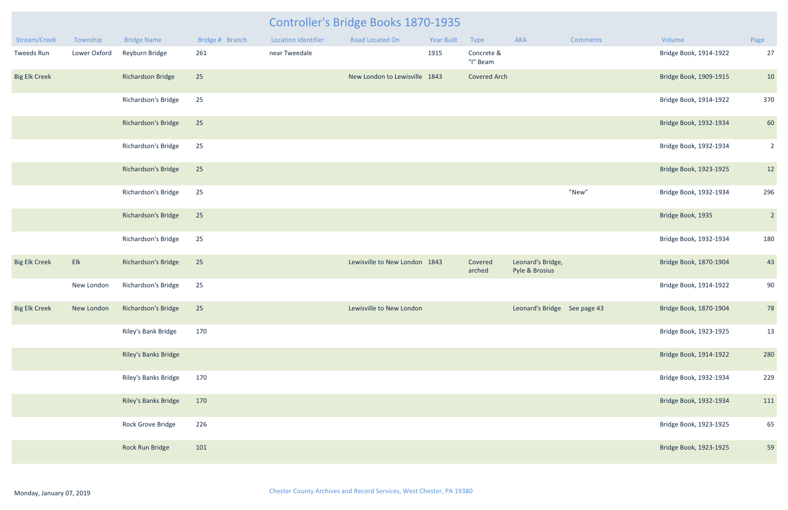| Stream/Creek         | Township     | <b>Bridge Name</b>          | Bridge # Branch | <b>Location Identifier</b> | Road Located On               | Year Built | Type                   | AKA                                 | <b>Comments</b> | Volume                 | Page           |
|----------------------|--------------|-----------------------------|-----------------|----------------------------|-------------------------------|------------|------------------------|-------------------------------------|-----------------|------------------------|----------------|
| Tweeds Run           | Lower Oxford | Reyburn Bridge              | 261             | near Tweedale              |                               | 1915       | Concrete &<br>"I" Beam |                                     |                 | Bridge Book, 1914-1922 | 27             |
| <b>Big Elk Creek</b> |              | <b>Richardson Bridge</b>    | 25              |                            | New London to Lewisville 1843 |            | <b>Covered Arch</b>    |                                     |                 | Bridge Book, 1909-1915 | 10             |
|                      |              | Richardson's Bridge         | 25              |                            |                               |            |                        |                                     |                 | Bridge Book, 1914-1922 | 370            |
|                      |              | Richardson's Bridge         | 25              |                            |                               |            |                        |                                     |                 | Bridge Book, 1932-1934 | 60             |
|                      |              | Richardson's Bridge         | 25              |                            |                               |            |                        |                                     |                 | Bridge Book, 1932-1934 | $\overline{2}$ |
|                      |              | Richardson's Bridge         | 25              |                            |                               |            |                        |                                     |                 | Bridge Book, 1923-1925 | 12             |
|                      |              | Richardson's Bridge         | 25              |                            |                               |            |                        |                                     | "New"           | Bridge Book, 1932-1934 | 296            |
|                      |              | Richardson's Bridge         | 25              |                            |                               |            |                        |                                     |                 | Bridge Book, 1935      | $\overline{2}$ |
|                      |              | Richardson's Bridge         | 25              |                            |                               |            |                        |                                     |                 | Bridge Book, 1932-1934 | 180            |
| <b>Big Elk Creek</b> | Elk          | Richardson's Bridge         | 25              |                            | Lewisville to New London 1843 |            | Covered<br>arched      | Leonard's Bridge,<br>Pyle & Brosius |                 | Bridge Book, 1870-1904 | 43             |
|                      | New London   | Richardson's Bridge         | 25              |                            |                               |            |                        |                                     |                 | Bridge Book, 1914-1922 | 90             |
| <b>Big Elk Creek</b> | New London   | Richardson's Bridge         | 25              |                            | Lewisville to New London      |            |                        | Leonard's Bridge See page 43        |                 | Bridge Book, 1870-1904 | 78             |
|                      |              | Riley's Bank Bridge         | 170             |                            |                               |            |                        |                                     |                 | Bridge Book, 1923-1925 | 13             |
|                      |              | <b>Riley's Banks Bridge</b> |                 |                            |                               |            |                        |                                     |                 | Bridge Book, 1914-1922 | 280            |
|                      |              | Riley's Banks Bridge        | 170             |                            |                               |            |                        |                                     |                 | Bridge Book, 1932-1934 | 229            |
|                      |              | Riley's Banks Bridge        | 170             |                            |                               |            |                        |                                     |                 | Bridge Book, 1932-1934 | 111            |
|                      |              | Rock Grove Bridge           | 226             |                            |                               |            |                        |                                     |                 | Bridge Book, 1923-1925 | 65             |
|                      |              | Rock Run Bridge             | 101             |                            |                               |            |                        |                                     |                 | Bridge Book, 1923-1925 | 59             |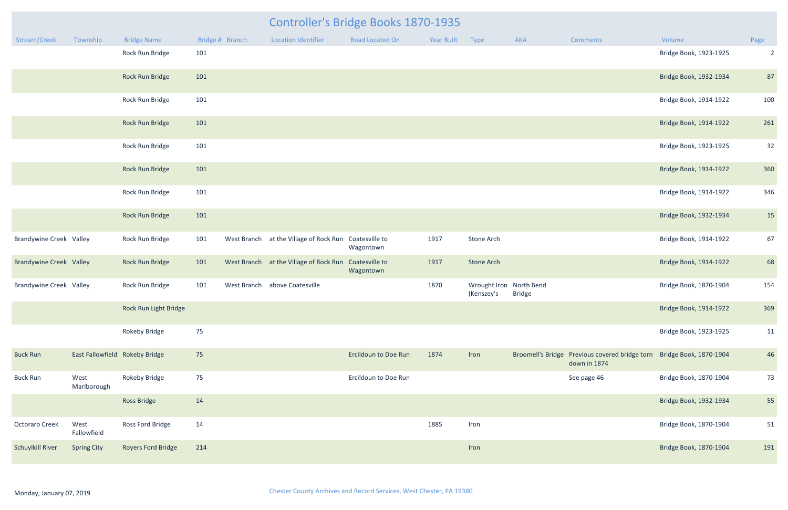|                                |                                |                           |     |                 | Controller's Bridge Books 1870-1935    |                             |                   |                                       |               |                                                                                       |                        |                |
|--------------------------------|--------------------------------|---------------------------|-----|-----------------|----------------------------------------|-----------------------------|-------------------|---------------------------------------|---------------|---------------------------------------------------------------------------------------|------------------------|----------------|
| Stream/Creek                   | Township                       | <b>Bridge Name</b>        |     | Bridge # Branch | <b>Location Identifier</b>             | <b>Road Located On</b>      | <b>Year Built</b> | Type                                  | AKA           | <b>Comments</b>                                                                       | Volume                 | Page           |
|                                |                                | Rock Run Bridge           | 101 |                 |                                        |                             |                   |                                       |               |                                                                                       | Bridge Book, 1923-1925 | $\overline{2}$ |
|                                |                                | Rock Run Bridge           | 101 |                 |                                        |                             |                   |                                       |               |                                                                                       | Bridge Book, 1932-1934 | 87             |
|                                |                                | Rock Run Bridge           | 101 |                 |                                        |                             |                   |                                       |               |                                                                                       | Bridge Book, 1914-1922 | 100            |
|                                |                                | Rock Run Bridge           | 101 |                 |                                        |                             |                   |                                       |               |                                                                                       | Bridge Book, 1914-1922 | 261            |
|                                |                                | Rock Run Bridge           | 101 |                 |                                        |                             |                   |                                       |               |                                                                                       | Bridge Book, 1923-1925 | 32             |
|                                |                                | Rock Run Bridge           | 101 |                 |                                        |                             |                   |                                       |               |                                                                                       | Bridge Book, 1914-1922 | 360            |
|                                |                                | Rock Run Bridge           | 101 |                 |                                        |                             |                   |                                       |               |                                                                                       | Bridge Book, 1914-1922 | 346            |
|                                |                                | Rock Run Bridge           | 101 |                 |                                        |                             |                   |                                       |               |                                                                                       | Bridge Book, 1932-1934 | 15             |
| <b>Brandywine Creek Valley</b> |                                | Rock Run Bridge           | 101 |                 | West Branch at the Village of Rock Run | Coatesville to<br>Wagontown | 1917              | Stone Arch                            |               |                                                                                       | Bridge Book, 1914-1922 | 67             |
| <b>Brandywine Creek Valley</b> |                                | Rock Run Bridge           | 101 |                 | West Branch at the Village of Rock Run | Coatesville to<br>Wagontown | 1917              | <b>Stone Arch</b>                     |               |                                                                                       | Bridge Book, 1914-1922 | 68             |
| <b>Brandywine Creek Valley</b> |                                | Rock Run Bridge           | 101 | West Branch     | above Coatesville                      |                             | 1870              | Wrought Iron North Bend<br>(Kenszey's | <b>Bridge</b> |                                                                                       | Bridge Book, 1870-1904 | 154            |
|                                |                                | Rock Run Light Bridge     |     |                 |                                        |                             |                   |                                       |               |                                                                                       | Bridge Book, 1914-1922 | 369            |
|                                |                                | <b>Rokeby Bridge</b>      | 75  |                 |                                        |                             |                   |                                       |               |                                                                                       | Bridge Book, 1923-1925 | 11             |
| <b>Buck Run</b>                | East Fallowfield Rokeby Bridge |                           | 75  |                 |                                        | <b>Ercildoun to Doe Run</b> | 1874              | Iron                                  |               | Broomell's Bridge Previous covered bridge torn Bridge Book, 1870-1904<br>down in 1874 |                        | 46             |
| <b>Buck Run</b>                | West<br>Marlborough            | <b>Rokeby Bridge</b>      | 75  |                 |                                        | Ercildoun to Doe Run        |                   |                                       |               | See page 46                                                                           | Bridge Book, 1870-1904 | 73             |
|                                |                                | <b>Ross Bridge</b>        | 14  |                 |                                        |                             |                   |                                       |               |                                                                                       | Bridge Book, 1932-1934 | 55             |
| Octoraro Creek                 | West<br>Fallowfield            | Ross Ford Bridge          | 14  |                 |                                        |                             | 1885              | Iron                                  |               |                                                                                       | Bridge Book, 1870-1904 | 51             |
| Schuylkill River               | <b>Spring City</b>             | <b>Royers Ford Bridge</b> | 214 |                 |                                        |                             |                   | Iron                                  |               |                                                                                       | Bridge Book, 1870-1904 | 191            |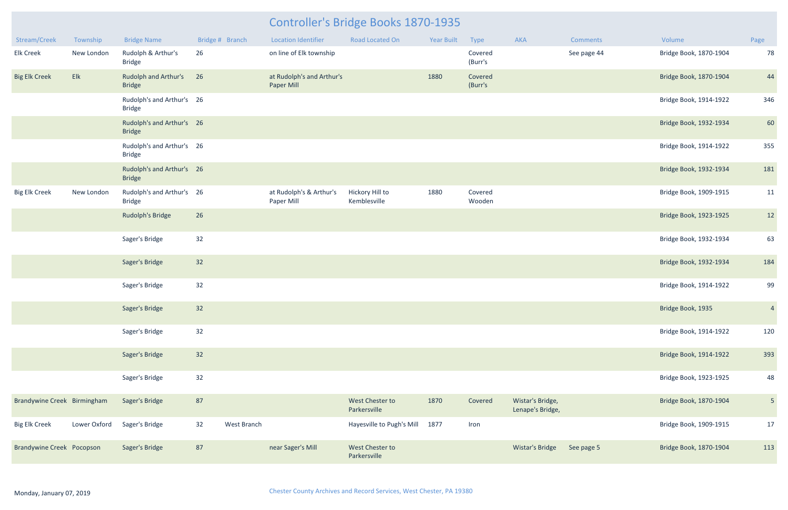## Controller's Bridge Books 1870-1935

| Stream/Creek                     | Township     | <b>Bridge Name</b>                           | Bridge # Branch   | <b>Location Identifier</b>              | <b>Road Located On</b>          | <b>Year Built</b> | Type               | <b>AKA</b>                           | <b>Comments</b> | Volume                 | Page            |
|----------------------------------|--------------|----------------------------------------------|-------------------|-----------------------------------------|---------------------------------|-------------------|--------------------|--------------------------------------|-----------------|------------------------|-----------------|
| <b>Elk Creek</b>                 | New London   | Rudolph & Arthur's<br><b>Bridge</b>          | 26                | on line of Elk township                 |                                 |                   | Covered<br>(Burr's |                                      | See page 44     | Bridge Book, 1870-1904 | 78              |
| <b>Big Elk Creek</b>             | Elk          | <b>Rudolph and Arthur's</b><br><b>Bridge</b> | 26                | at Rudolph's and Arthur's<br>Paper Mill |                                 | 1880              | Covered<br>(Burr's |                                      |                 | Bridge Book, 1870-1904 | 44              |
|                                  |              | Rudolph's and Arthur's 26<br><b>Bridge</b>   |                   |                                         |                                 |                   |                    |                                      |                 | Bridge Book, 1914-1922 | 346             |
|                                  |              | Rudolph's and Arthur's 26<br><b>Bridge</b>   |                   |                                         |                                 |                   |                    |                                      |                 | Bridge Book, 1932-1934 | 60              |
|                                  |              | Rudolph's and Arthur's 26<br><b>Bridge</b>   |                   |                                         |                                 |                   |                    |                                      |                 | Bridge Book, 1914-1922 | 355             |
|                                  |              | Rudolph's and Arthur's 26<br><b>Bridge</b>   |                   |                                         |                                 |                   |                    |                                      |                 | Bridge Book, 1932-1934 | 181             |
| <b>Big Elk Creek</b>             | New London   | Rudolph's and Arthur's 26<br><b>Bridge</b>   |                   | at Rudolph's & Arthur's<br>Paper Mill   | Hickory Hill to<br>Kemblesville | 1880              | Covered<br>Wooden  |                                      |                 | Bridge Book, 1909-1915 | 11              |
|                                  |              | <b>Rudolph's Bridge</b>                      | 26                |                                         |                                 |                   |                    |                                      |                 | Bridge Book, 1923-1925 | 12              |
|                                  |              | Sager's Bridge                               | 32                |                                         |                                 |                   |                    |                                      |                 | Bridge Book, 1932-1934 | 63              |
|                                  |              | Sager's Bridge                               | 32                |                                         |                                 |                   |                    |                                      |                 | Bridge Book, 1932-1934 | 184             |
|                                  |              | Sager's Bridge                               | 32                |                                         |                                 |                   |                    |                                      |                 | Bridge Book, 1914-1922 | 99              |
|                                  |              | Sager's Bridge                               | 32                |                                         |                                 |                   |                    |                                      |                 | Bridge Book, 1935      | $\overline{4}$  |
|                                  |              | Sager's Bridge                               | 32                |                                         |                                 |                   |                    |                                      |                 | Bridge Book, 1914-1922 | 120             |
|                                  |              | Sager's Bridge                               | 32                |                                         |                                 |                   |                    |                                      |                 | Bridge Book, 1914-1922 | 393             |
|                                  |              | Sager's Bridge                               | 32                |                                         |                                 |                   |                    |                                      |                 | Bridge Book, 1923-1925 | 48              |
| Brandywine Creek Birmingham      |              | Sager's Bridge                               | 87                |                                         | West Chester to<br>Parkersville | 1870              | Covered            | Wistar's Bridge,<br>Lenape's Bridge, |                 | Bridge Book, 1870-1904 | $5\phantom{.0}$ |
| <b>Big Elk Creek</b>             | Lower Oxford | Sager's Bridge                               | 32<br>West Branch |                                         | Hayesville to Pugh's Mill       | 1877              | Iron               |                                      |                 | Bridge Book, 1909-1915 | 17              |
| <b>Brandywine Creek Pocopson</b> |              | Sager's Bridge                               | 87                | near Sager's Mill                       | West Chester to<br>Parkersville |                   |                    | Wistar's Bridge                      | See page 5      | Bridge Book, 1870-1904 | 113             |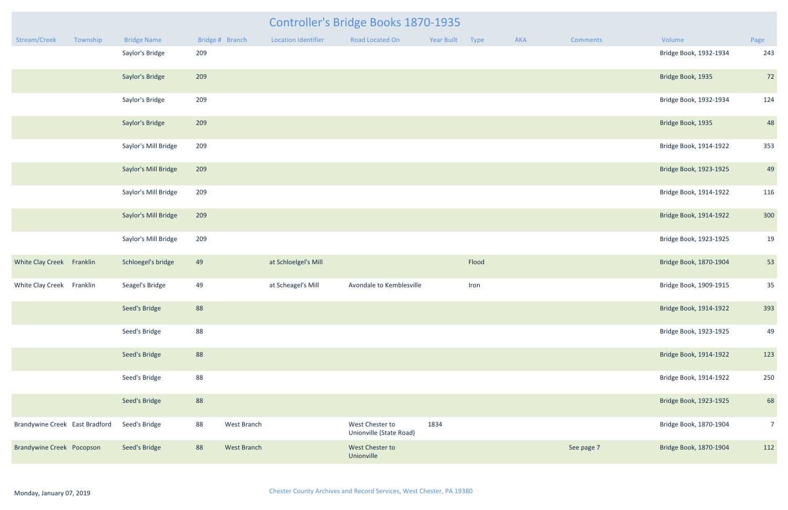| <b>Year Built</b> | <b>Type</b> | <b>AKA</b> | <b>Comments</b> | Volume                 | Page           |
|-------------------|-------------|------------|-----------------|------------------------|----------------|
|                   |             |            |                 | Bridge Book, 1932-1934 | 243            |
|                   |             |            |                 | Bridge Book, 1935      | 72             |
|                   |             |            |                 | Bridge Book, 1932-1934 | 124            |
|                   |             |            |                 | Bridge Book, 1935      | 48             |
|                   |             |            |                 | Bridge Book, 1914-1922 | 353            |
|                   |             |            |                 | Bridge Book, 1923-1925 | 49             |
|                   |             |            |                 | Bridge Book, 1914-1922 | 116            |
|                   |             |            |                 | Bridge Book, 1914-1922 | 300            |
|                   |             |            |                 | Bridge Book, 1923-1925 | 19             |
|                   | Flood       |            |                 | Bridge Book, 1870-1904 | 53             |
|                   | Iron        |            |                 | Bridge Book, 1909-1915 | 35             |
|                   |             |            |                 | Bridge Book, 1914-1922 | 393            |
|                   |             |            |                 | Bridge Book, 1923-1925 | 49             |
|                   |             |            |                 | Bridge Book, 1914-1922 | 123            |
|                   |             |            |                 | Bridge Book, 1914-1922 | 250            |
|                   |             |            |                 | Bridge Book, 1923-1925 | 68             |
| 1834              |             |            |                 | Bridge Book, 1870-1904 | $\overline{7}$ |
|                   |             |            | See page 7      | Bridge Book, 1870-1904 | 112            |

|                                  |          |                      |                   |                      | <b>Controller's Bridge Books 1870-1935</b> |                 |       |     |                 |                        |                          |
|----------------------------------|----------|----------------------|-------------------|----------------------|--------------------------------------------|-----------------|-------|-----|-----------------|------------------------|--------------------------|
| Stream/Creek                     | Township | <b>Bridge Name</b>   | Bridge # Branch   | Location Identifier  | Road Located On                            | Year Built Type |       | AKA | <b>Comments</b> | Volume                 | Page                     |
|                                  |          | Saylor's Bridge      | 209               |                      |                                            |                 |       |     |                 | Bridge Book, 1932-1934 | 243                      |
|                                  |          | Saylor's Bridge      | 209               |                      |                                            |                 |       |     |                 | Bridge Book, 1935      | 72                       |
|                                  |          | Saylor's Bridge      | 209               |                      |                                            |                 |       |     |                 | Bridge Book, 1932-1934 | 124                      |
|                                  |          | Saylor's Bridge      | 209               |                      |                                            |                 |       |     |                 | Bridge Book, 1935      | 48                       |
|                                  |          | Saylor's Mill Bridge | 209               |                      |                                            |                 |       |     |                 | Bridge Book, 1914-1922 | 353                      |
|                                  |          | Saylor's Mill Bridge | 209               |                      |                                            |                 |       |     |                 | Bridge Book, 1923-1925 | 4 <sup>c</sup>           |
|                                  |          | Saylor's Mill Bridge | 209               |                      |                                            |                 |       |     |                 | Bridge Book, 1914-1922 | 116                      |
|                                  |          | Saylor's Mill Bridge | 209               |                      |                                            |                 |       |     |                 | Bridge Book, 1914-1922 | 300                      |
|                                  |          | Saylor's Mill Bridge | 209               |                      |                                            |                 |       |     |                 | Bridge Book, 1923-1925 | 1 <sup>c</sup>           |
| White Clay Creek Franklin        |          | Schloegel's bridge   | 49                | at Schloelgel's Mill |                                            |                 | Flood |     |                 | Bridge Book, 1870-1904 | 53                       |
| White Clay Creek Franklin        |          | Seagel's Bridge      | 49                | at Scheagel's Mill   | Avondale to Kemblesville                   |                 | Iron  |     |                 | Bridge Book, 1909-1915 | 35                       |
|                                  |          | Seed's Bridge        | 88                |                      |                                            |                 |       |     |                 | Bridge Book, 1914-1922 | 393                      |
|                                  |          | Seed's Bridge        | 88                |                      |                                            |                 |       |     |                 | Bridge Book, 1923-1925 | 4 <sup>c</sup>           |
|                                  |          | Seed's Bridge        | 88                |                      |                                            |                 |       |     |                 | Bridge Book, 1914-1922 | 123                      |
|                                  |          | Seed's Bridge        | 88                |                      |                                            |                 |       |     |                 | Bridge Book, 1914-1922 | 250                      |
|                                  |          | Seed's Bridge        | 88                |                      |                                            |                 |       |     |                 | Bridge Book, 1923-1925 | 68                       |
| Brandywine Creek East Bradford   |          | Seed's Bridge        | 88<br>West Branch |                      | West Chester to<br>Unionville (State Road) | 1834            |       |     |                 | Bridge Book, 1870-1904 | $\overline{\phantom{a}}$ |
| <b>Brandywine Creek Pocopson</b> |          | Seed's Bridge        | 88<br>West Branch |                      | West Chester to<br>Unionville              |                 |       |     | See page 7      | Bridge Book, 1870-1904 | 112                      |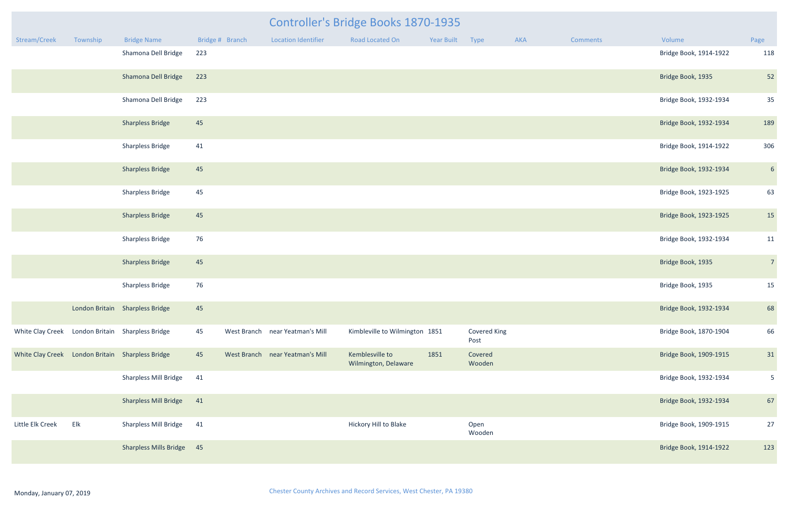|                  |          |                                                  |                 |                                 | Controller's Bridge Books 1870-1935     |            |                      |     |          |                        |                |
|------------------|----------|--------------------------------------------------|-----------------|---------------------------------|-----------------------------------------|------------|----------------------|-----|----------|------------------------|----------------|
| Stream/Creek     | Township | <b>Bridge Name</b>                               | Bridge # Branch | <b>Location Identifier</b>      | <b>Road Located On</b>                  | Year Built | Type                 | AKA | Comments | Volume                 | Page           |
|                  |          | Shamona Dell Bridge                              | 223             |                                 |                                         |            |                      |     |          | Bridge Book, 1914-1922 | 118            |
|                  |          | Shamona Dell Bridge                              | 223             |                                 |                                         |            |                      |     |          | Bridge Book, 1935      | 52             |
|                  |          | Shamona Dell Bridge                              | 223             |                                 |                                         |            |                      |     |          | Bridge Book, 1932-1934 | 35             |
|                  |          | <b>Sharpless Bridge</b>                          | 45              |                                 |                                         |            |                      |     |          | Bridge Book, 1932-1934 | 189            |
|                  |          | <b>Sharpless Bridge</b>                          | 41              |                                 |                                         |            |                      |     |          | Bridge Book, 1914-1922 | 306            |
|                  |          | <b>Sharpless Bridge</b>                          | 45              |                                 |                                         |            |                      |     |          | Bridge Book, 1932-1934 | 6 <sup>1</sup> |
|                  |          | <b>Sharpless Bridge</b>                          | 45              |                                 |                                         |            |                      |     |          | Bridge Book, 1923-1925 | 63             |
|                  |          | <b>Sharpless Bridge</b>                          | 45              |                                 |                                         |            |                      |     |          | Bridge Book, 1923-1925 | 15             |
|                  |          | <b>Sharpless Bridge</b>                          | 76              |                                 |                                         |            |                      |     |          | Bridge Book, 1932-1934 | 11             |
|                  |          | <b>Sharpless Bridge</b>                          | 45              |                                 |                                         |            |                      |     |          | Bridge Book, 1935      | $\overline{7}$ |
|                  |          | <b>Sharpless Bridge</b>                          | 76              |                                 |                                         |            |                      |     |          | Bridge Book, 1935      | 15             |
|                  |          | London Britain Sharpless Bridge                  | 45              |                                 |                                         |            |                      |     |          | Bridge Book, 1932-1934 | 68             |
|                  |          | White Clay Creek London Britain Sharpless Bridge | 45              | West Branch near Yeatman's Mill | Kimbleville to Wilmington 1851          |            | Covered King<br>Post |     |          | Bridge Book, 1870-1904 | 66             |
|                  |          | White Clay Creek London Britain Sharpless Bridge | 45              | West Branch near Yeatman's Mill | Kemblesville to<br>Wilmington, Delaware | 1851       | Covered<br>Wooden    |     |          | Bridge Book, 1909-1915 | 31             |
|                  |          | Sharpless Mill Bridge                            | 41              |                                 |                                         |            |                      |     |          | Bridge Book, 1932-1934 | $5\phantom{.}$ |
|                  |          | <b>Sharpless Mill Bridge</b>                     | 41              |                                 |                                         |            |                      |     |          | Bridge Book, 1932-1934 | 67             |
| Little Elk Creek | Elk      | <b>Sharpless Mill Bridge</b>                     | 41              |                                 | Hickory Hill to Blake                   |            | Open<br>Wooden       |     |          | Bridge Book, 1909-1915 | 27             |
|                  |          | Sharpless Mills Bridge 45                        |                 |                                 |                                         |            |                      |     |          | Bridge Book, 1914-1922 | 123            |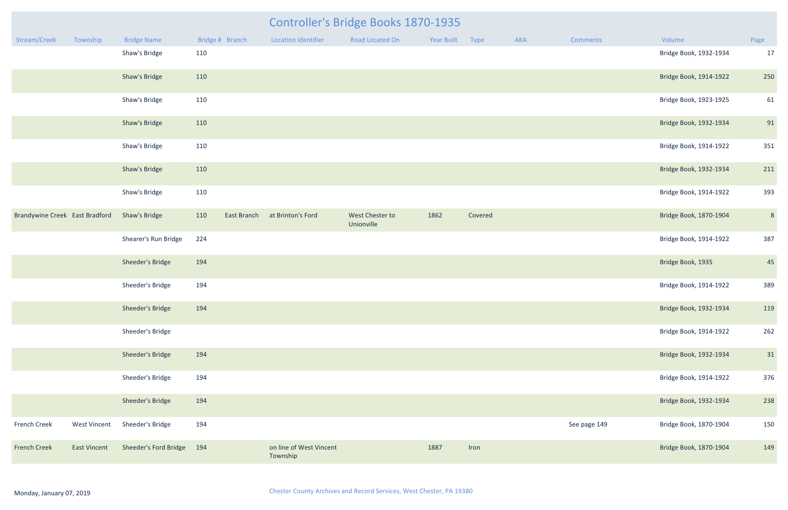|                                |                     |                           |                    |                                     | <b>Controller's Bridge Books 1870-1935</b> |                 |         |     |              |                        |      |
|--------------------------------|---------------------|---------------------------|--------------------|-------------------------------------|--------------------------------------------|-----------------|---------|-----|--------------|------------------------|------|
| Stream/Creek                   | Township            | <b>Bridge Name</b>        | Bridge # Branch    | <b>Location Identifier</b>          | Road Located On                            | Year Built Type |         | AKA | Comments     | Volume                 | Page |
|                                |                     | Shaw's Bridge             | 110                |                                     |                                            |                 |         |     |              | Bridge Book, 1932-1934 | 17   |
|                                |                     | Shaw's Bridge             | 110                |                                     |                                            |                 |         |     |              | Bridge Book, 1914-1922 | 250  |
|                                |                     | Shaw's Bridge             | 110                |                                     |                                            |                 |         |     |              | Bridge Book, 1923-1925 | 61   |
|                                |                     | Shaw's Bridge             | 110                |                                     |                                            |                 |         |     |              | Bridge Book, 1932-1934 | 91   |
|                                |                     | Shaw's Bridge             | 110                |                                     |                                            |                 |         |     |              | Bridge Book, 1914-1922 | 351  |
|                                |                     | Shaw's Bridge             | 110                |                                     |                                            |                 |         |     |              | Bridge Book, 1932-1934 | 211  |
|                                |                     | Shaw's Bridge             | 110                |                                     |                                            |                 |         |     |              | Bridge Book, 1914-1922 | 393  |
| Brandywine Creek East Bradford |                     | <b>Shaw's Bridge</b>      | 110<br>East Branch | at Brinton's Ford                   | West Chester to<br>Unionville              | 1862            | Covered |     |              | Bridge Book, 1870-1904 | 8    |
|                                |                     | Shearer's Run Bridge      | 224                |                                     |                                            |                 |         |     |              | Bridge Book, 1914-1922 | 387  |
|                                |                     | Sheeder's Bridge          | 194                |                                     |                                            |                 |         |     |              | Bridge Book, 1935      | 45   |
|                                |                     | Sheeder's Bridge          | 194                |                                     |                                            |                 |         |     |              | Bridge Book, 1914-1922 | 389  |
|                                |                     | Sheeder's Bridge          | 194                |                                     |                                            |                 |         |     |              | Bridge Book, 1932-1934 | 119  |
|                                |                     | Sheeder's Bridge          |                    |                                     |                                            |                 |         |     |              | Bridge Book, 1914-1922 | 262  |
|                                |                     | Sheeder's Bridge          | 194                |                                     |                                            |                 |         |     |              | Bridge Book, 1932-1934 | 31   |
|                                |                     | Sheeder's Bridge          | 194                |                                     |                                            |                 |         |     |              | Bridge Book, 1914-1922 | 376  |
|                                |                     | Sheeder's Bridge          | 194                |                                     |                                            |                 |         |     |              | Bridge Book, 1932-1934 | 238  |
| <b>French Creek</b>            | <b>West Vincent</b> | Sheeder's Bridge          | 194                |                                     |                                            |                 |         |     | See page 149 | Bridge Book, 1870-1904 | 150  |
| <b>French Creek</b>            | <b>East Vincent</b> | Sheeder's Ford Bridge 194 |                    | on line of West Vincent<br>Township |                                            | 1887            | Iron    |     |              | Bridge Book, 1870-1904 | 149  |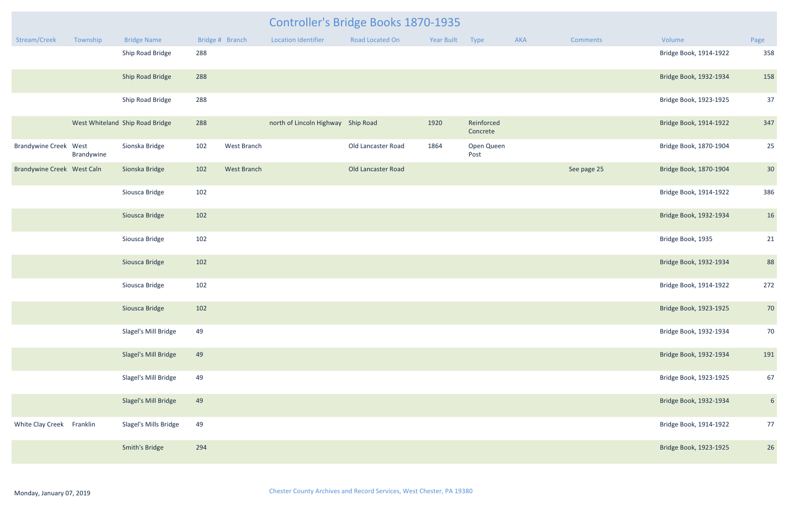|                              |            |                                 |     |                    | Controller's Bridge Books 1870-1935 |                    |            |                        |     |             |                        |                |
|------------------------------|------------|---------------------------------|-----|--------------------|-------------------------------------|--------------------|------------|------------------------|-----|-------------|------------------------|----------------|
| Stream/Creek                 | Township   | <b>Bridge Name</b>              |     | Bridge # Branch    | <b>Location Identifier</b>          | Road Located On    | Year Built | Type                   | AKA | Comments    | Volume                 | Page           |
|                              |            | Ship Road Bridge                | 288 |                    |                                     |                    |            |                        |     |             | Bridge Book, 1914-1922 | 358            |
|                              |            | Ship Road Bridge                | 288 |                    |                                     |                    |            |                        |     |             | Bridge Book, 1932-1934 | 158            |
|                              |            | Ship Road Bridge                | 288 |                    |                                     |                    |            |                        |     |             | Bridge Book, 1923-1925 | 37             |
|                              |            | West Whiteland Ship Road Bridge | 288 |                    | north of Lincoln Highway Ship Road  |                    | 1920       | Reinforced<br>Concrete |     |             | Bridge Book, 1914-1922 | 347            |
| <b>Brandywine Creek West</b> | Brandywine | Sionska Bridge                  | 102 | West Branch        |                                     | Old Lancaster Road | 1864       | Open Queen<br>Post     |     |             | Bridge Book, 1870-1904 | 25             |
| Brandywine Creek West Caln   |            | Sionska Bridge                  | 102 | <b>West Branch</b> |                                     | Old Lancaster Road |            |                        |     | See page 25 | Bridge Book, 1870-1904 | 30             |
|                              |            | Siousca Bridge                  | 102 |                    |                                     |                    |            |                        |     |             | Bridge Book, 1914-1922 | 386            |
|                              |            | Siousca Bridge                  | 102 |                    |                                     |                    |            |                        |     |             | Bridge Book, 1932-1934 | 16             |
|                              |            | Siousca Bridge                  | 102 |                    |                                     |                    |            |                        |     |             | Bridge Book, 1935      | 21             |
|                              |            | Siousca Bridge                  | 102 |                    |                                     |                    |            |                        |     |             | Bridge Book, 1932-1934 | 88             |
|                              |            | Siousca Bridge                  | 102 |                    |                                     |                    |            |                        |     |             | Bridge Book, 1914-1922 | 272            |
|                              |            | Siousca Bridge                  | 102 |                    |                                     |                    |            |                        |     |             | Bridge Book, 1923-1925 | 70             |
|                              |            | Slagel's Mill Bridge            | 49  |                    |                                     |                    |            |                        |     |             | Bridge Book, 1932-1934 | 70             |
|                              |            | Slagel's Mill Bridge            | 49  |                    |                                     |                    |            |                        |     |             | Bridge Book, 1932-1934 | 191            |
|                              |            | Slagel's Mill Bridge            | 49  |                    |                                     |                    |            |                        |     |             | Bridge Book, 1923-1925 | 67             |
|                              |            | Slagel's Mill Bridge            | 49  |                    |                                     |                    |            |                        |     |             | Bridge Book, 1932-1934 | 6 <sup>1</sup> |
| White Clay Creek Franklin    |            | Slagel's Mills Bridge           | 49  |                    |                                     |                    |            |                        |     |             | Bridge Book, 1914-1922 | 77             |
|                              |            | <b>Smith's Bridge</b>           | 294 |                    |                                     |                    |            |                        |     |             | Bridge Book, 1923-1925 | 26             |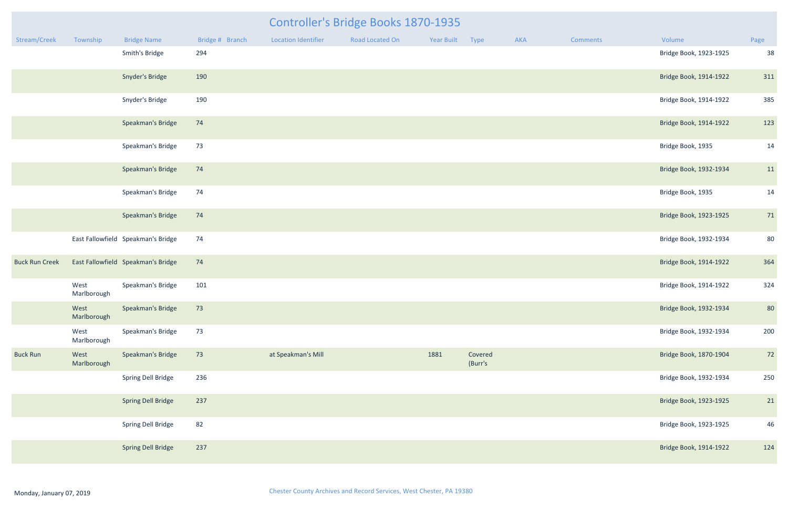|                       |                     |                                    | Controller's Bridge Books 1870-1935<br>Bridge # Branch<br><b>Road Located On</b><br>Year Built<br>Type<br><b>Location Identifier</b><br>AKA<br>Volume<br><b>Comments</b> |                    |  |      |                    |  |  |                        |      |  |  |
|-----------------------|---------------------|------------------------------------|--------------------------------------------------------------------------------------------------------------------------------------------------------------------------|--------------------|--|------|--------------------|--|--|------------------------|------|--|--|
| Stream/Creek          | Township            | <b>Bridge Name</b>                 |                                                                                                                                                                          |                    |  |      |                    |  |  |                        | Page |  |  |
|                       |                     | Smith's Bridge                     | 294                                                                                                                                                                      |                    |  |      |                    |  |  | Bridge Book, 1923-1925 | 38   |  |  |
|                       |                     | Snyder's Bridge                    | 190                                                                                                                                                                      |                    |  |      |                    |  |  | Bridge Book, 1914-1922 | 311  |  |  |
|                       |                     | Snyder's Bridge                    | 190                                                                                                                                                                      |                    |  |      |                    |  |  | Bridge Book, 1914-1922 | 385  |  |  |
|                       |                     | Speakman's Bridge                  | 74                                                                                                                                                                       |                    |  |      |                    |  |  | Bridge Book, 1914-1922 | 123  |  |  |
|                       |                     | Speakman's Bridge                  | 73                                                                                                                                                                       |                    |  |      |                    |  |  | Bridge Book, 1935      | 14   |  |  |
|                       |                     | Speakman's Bridge                  | 74                                                                                                                                                                       |                    |  |      |                    |  |  | Bridge Book, 1932-1934 | 11   |  |  |
|                       |                     | Speakman's Bridge                  | 74                                                                                                                                                                       |                    |  |      |                    |  |  | Bridge Book, 1935      | 14   |  |  |
|                       |                     | Speakman's Bridge                  | 74                                                                                                                                                                       |                    |  |      |                    |  |  | Bridge Book, 1923-1925 | 71   |  |  |
|                       |                     | East Fallowfield Speakman's Bridge | 74                                                                                                                                                                       |                    |  |      |                    |  |  | Bridge Book, 1932-1934 | 80   |  |  |
| <b>Buck Run Creek</b> |                     | East Fallowfield Speakman's Bridge | 74                                                                                                                                                                       |                    |  |      |                    |  |  | Bridge Book, 1914-1922 | 364  |  |  |
|                       | West<br>Marlborough | Speakman's Bridge                  | 101                                                                                                                                                                      |                    |  |      |                    |  |  | Bridge Book, 1914-1922 | 324  |  |  |
|                       | West<br>Marlborough | Speakman's Bridge                  | 73                                                                                                                                                                       |                    |  |      |                    |  |  | Bridge Book, 1932-1934 | 80   |  |  |
|                       | West<br>Marlborough | Speakman's Bridge                  | 73                                                                                                                                                                       |                    |  |      |                    |  |  | Bridge Book, 1932-1934 | 200  |  |  |
| <b>Buck Run</b>       | West<br>Marlborough | Speakman's Bridge                  | 73                                                                                                                                                                       | at Speakman's Mill |  | 1881 | Covered<br>(Burr's |  |  | Bridge Book, 1870-1904 | 72   |  |  |
|                       |                     | Spring Dell Bridge                 | 236                                                                                                                                                                      |                    |  |      |                    |  |  | Bridge Book, 1932-1934 | 250  |  |  |
|                       |                     | <b>Spring Dell Bridge</b>          | 237                                                                                                                                                                      |                    |  |      |                    |  |  | Bridge Book, 1923-1925 | 21   |  |  |
|                       |                     | Spring Dell Bridge                 | 82                                                                                                                                                                       |                    |  |      |                    |  |  | Bridge Book, 1923-1925 | 46   |  |  |
|                       |                     | <b>Spring Dell Bridge</b>          | 237                                                                                                                                                                      |                    |  |      |                    |  |  | Bridge Book, 1914-1922 | 124  |  |  |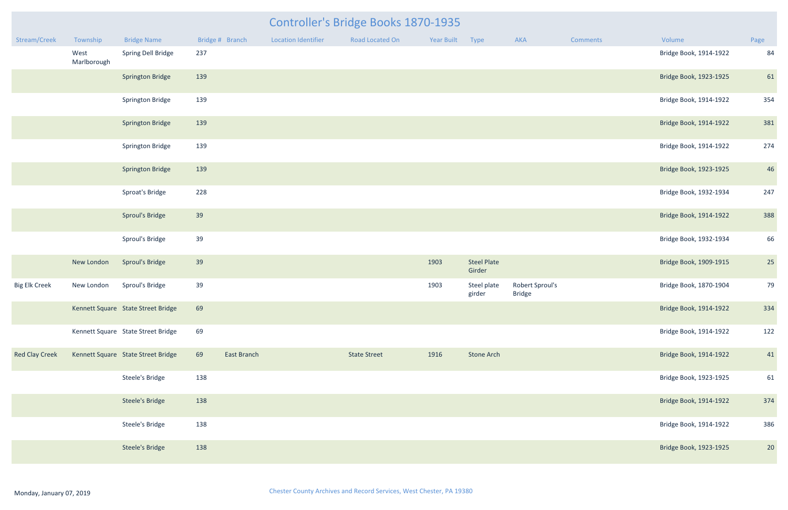| <b>Controller's Bridge Books 1870-1935</b> |  |
|--------------------------------------------|--|
|                                            |  |

| Stream/Creek          | Township            | <b>Bridge Name</b>                 |     | Bridge # Branch | <b>Location Identifier</b> | <b>Road Located On</b> | Year Built | Type                         | AKA                              | Comments | Volume                 | Page |
|-----------------------|---------------------|------------------------------------|-----|-----------------|----------------------------|------------------------|------------|------------------------------|----------------------------------|----------|------------------------|------|
|                       | West<br>Marlborough | Spring Dell Bridge                 | 237 |                 |                            |                        |            |                              |                                  |          | Bridge Book, 1914-1922 | 84   |
|                       |                     | <b>Springton Bridge</b>            | 139 |                 |                            |                        |            |                              |                                  |          | Bridge Book, 1923-1925 | 61   |
|                       |                     | <b>Springton Bridge</b>            | 139 |                 |                            |                        |            |                              |                                  |          | Bridge Book, 1914-1922 | 354  |
|                       |                     | <b>Springton Bridge</b>            | 139 |                 |                            |                        |            |                              |                                  |          | Bridge Book, 1914-1922 | 381  |
|                       |                     | <b>Springton Bridge</b>            | 139 |                 |                            |                        |            |                              |                                  |          | Bridge Book, 1914-1922 | 274  |
|                       |                     | <b>Springton Bridge</b>            | 139 |                 |                            |                        |            |                              |                                  |          | Bridge Book, 1923-1925 | 46   |
|                       |                     | Sproat's Bridge                    | 228 |                 |                            |                        |            |                              |                                  |          | Bridge Book, 1932-1934 | 247  |
|                       |                     | <b>Sproul's Bridge</b>             | 39  |                 |                            |                        |            |                              |                                  |          | Bridge Book, 1914-1922 | 388  |
|                       |                     | Sproul's Bridge                    | 39  |                 |                            |                        |            |                              |                                  |          | Bridge Book, 1932-1934 | 66   |
|                       | New London          | <b>Sproul's Bridge</b>             | 39  |                 |                            |                        | 1903       | <b>Steel Plate</b><br>Girder |                                  |          | Bridge Book, 1909-1915 | 25   |
| <b>Big Elk Creek</b>  | New London          | Sproul's Bridge                    | 39  |                 |                            |                        | 1903       | Steel plate<br>girder        | Robert Sproul's<br><b>Bridge</b> |          | Bridge Book, 1870-1904 | 79   |
|                       |                     | Kennett Square State Street Bridge | 69  |                 |                            |                        |            |                              |                                  |          | Bridge Book, 1914-1922 | 334  |
|                       |                     | Kennett Square State Street Bridge | 69  |                 |                            |                        |            |                              |                                  |          | Bridge Book, 1914-1922 | 122  |
| <b>Red Clay Creek</b> |                     | Kennett Square State Street Bridge | 69  | East Branch     |                            | <b>State Street</b>    | 1916       | <b>Stone Arch</b>            |                                  |          | Bridge Book, 1914-1922 | 41   |
|                       |                     | Steele's Bridge                    | 138 |                 |                            |                        |            |                              |                                  |          | Bridge Book, 1923-1925 | 61   |
|                       |                     | <b>Steele's Bridge</b>             | 138 |                 |                            |                        |            |                              |                                  |          | Bridge Book, 1914-1922 | 374  |
|                       |                     | Steele's Bridge                    | 138 |                 |                            |                        |            |                              |                                  |          | Bridge Book, 1914-1922 | 386  |
|                       |                     | <b>Steele's Bridge</b>             | 138 |                 |                            |                        |            |                              |                                  |          | Bridge Book, 1923-1925 | 20   |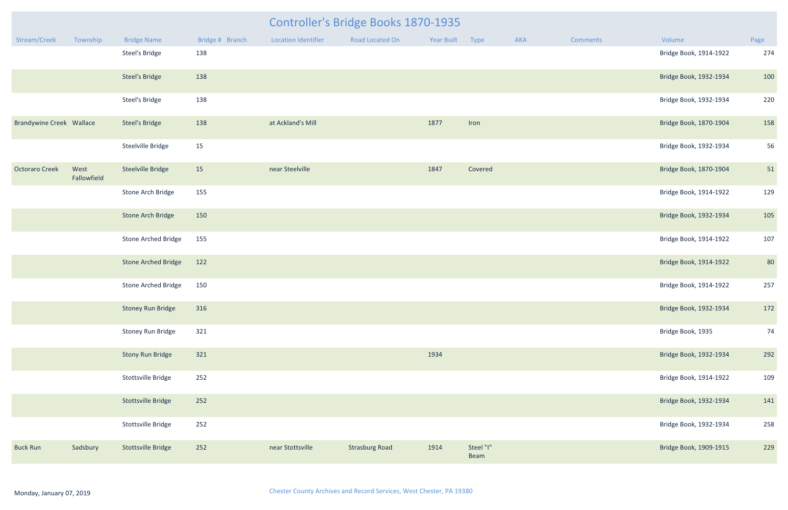|                                 |                     |                            |                 | <b>Controller's Bridge Books 1870-1935</b> |                       |            |                   |     |                 |                        |      |  |
|---------------------------------|---------------------|----------------------------|-----------------|--------------------------------------------|-----------------------|------------|-------------------|-----|-----------------|------------------------|------|--|
| Stream/Creek                    | Township            | <b>Bridge Name</b>         | Bridge # Branch | <b>Location Identifier</b>                 | Road Located On       | Year Built | Type              | AKA | <b>Comments</b> | Volume                 | Page |  |
|                                 |                     | <b>Steel's Bridge</b>      | 138             |                                            |                       |            |                   |     |                 | Bridge Book, 1914-1922 | 274  |  |
|                                 |                     | <b>Steel's Bridge</b>      | 138             |                                            |                       |            |                   |     |                 | Bridge Book, 1932-1934 | 100  |  |
|                                 |                     | <b>Steel's Bridge</b>      | 138             |                                            |                       |            |                   |     |                 | Bridge Book, 1932-1934 | 220  |  |
| <b>Brandywine Creek Wallace</b> |                     | <b>Steel's Bridge</b>      | 138             | at Ackland's Mill                          |                       | 1877       | Iron              |     |                 | Bridge Book, 1870-1904 | 158  |  |
|                                 |                     | Steelville Bridge          | 15              |                                            |                       |            |                   |     |                 | Bridge Book, 1932-1934 | 56   |  |
| <b>Octoraro Creek</b>           | West<br>Fallowfield | <b>Steelville Bridge</b>   | 15              | near Steelville                            |                       | 1847       | Covered           |     |                 | Bridge Book, 1870-1904 | 51   |  |
|                                 |                     | Stone Arch Bridge          | 155             |                                            |                       |            |                   |     |                 | Bridge Book, 1914-1922 | 129  |  |
|                                 |                     | <b>Stone Arch Bridge</b>   | 150             |                                            |                       |            |                   |     |                 | Bridge Book, 1932-1934 | 105  |  |
|                                 |                     | <b>Stone Arched Bridge</b> | 155             |                                            |                       |            |                   |     |                 | Bridge Book, 1914-1922 | 107  |  |
|                                 |                     | <b>Stone Arched Bridge</b> | 122             |                                            |                       |            |                   |     |                 | Bridge Book, 1914-1922 | 80   |  |
|                                 |                     | <b>Stone Arched Bridge</b> | 150             |                                            |                       |            |                   |     |                 | Bridge Book, 1914-1922 | 257  |  |
|                                 |                     | <b>Stoney Run Bridge</b>   | 316             |                                            |                       |            |                   |     |                 | Bridge Book, 1932-1934 | 172  |  |
|                                 |                     | Stoney Run Bridge          | 321             |                                            |                       |            |                   |     |                 | Bridge Book, 1935      | 74   |  |
|                                 |                     | <b>Stony Run Bridge</b>    | 321             |                                            |                       | 1934       |                   |     |                 | Bridge Book, 1932-1934 | 292  |  |
|                                 |                     | Stottsville Bridge         | 252             |                                            |                       |            |                   |     |                 | Bridge Book, 1914-1922 | 109  |  |
|                                 |                     | <b>Stottsville Bridge</b>  | 252             |                                            |                       |            |                   |     |                 | Bridge Book, 1932-1934 | 141  |  |
|                                 |                     | Stottsville Bridge         | 252             |                                            |                       |            |                   |     |                 | Bridge Book, 1932-1934 | 258  |  |
| <b>Buck Run</b>                 | Sadsbury            | <b>Stottsville Bridge</b>  | 252             | near Stottsville                           | <b>Strasburg Road</b> | 1914       | Steel "I"<br>Beam |     |                 | Bridge Book, 1909-1915 | 229  |  |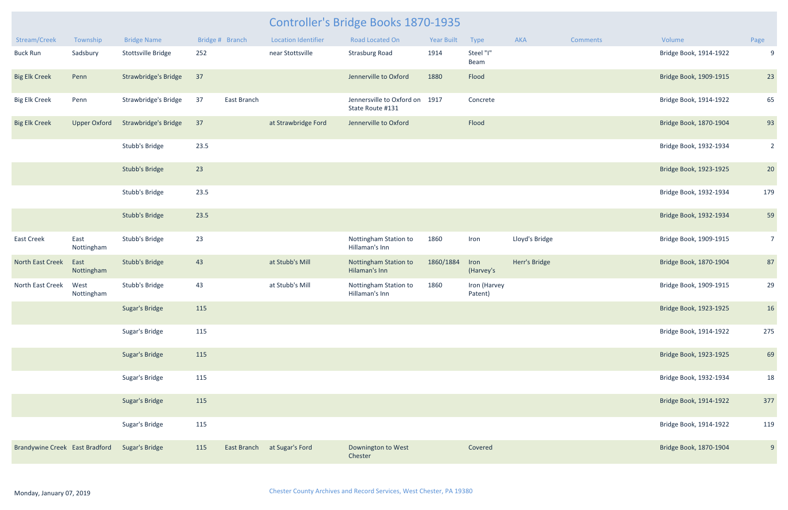## Controller's Bridge Books 1870-1935

| Stream/Creek                   | Township            | <b>Bridge Name</b>          |      | Bridge # Branch | <b>Location Identifier</b> | <b>Road Located On</b>                        | <b>Year Built</b> | Type                    | <b>AKA</b>     | <b>Comments</b> | Volume                 | Page            |
|--------------------------------|---------------------|-----------------------------|------|-----------------|----------------------------|-----------------------------------------------|-------------------|-------------------------|----------------|-----------------|------------------------|-----------------|
| <b>Buck Run</b>                | Sadsbury            | Stottsville Bridge          | 252  |                 | near Stottsville           | <b>Strasburg Road</b>                         | 1914              | Steel "I"<br>Beam       |                |                 | Bridge Book, 1914-1922 | 9               |
| <b>Big Elk Creek</b>           | Penn                | <b>Strawbridge's Bridge</b> | 37   |                 |                            | Jennerville to Oxford                         | 1880              | Flood                   |                |                 | Bridge Book, 1909-1915 | 23              |
| <b>Big Elk Creek</b>           | Penn                | Strawbridge's Bridge        | 37   | East Branch     |                            | Jennersville to Oxford on<br>State Route #131 | 1917              | Concrete                |                |                 | Bridge Book, 1914-1922 | 65              |
| <b>Big Elk Creek</b>           | <b>Upper Oxford</b> | <b>Strawbridge's Bridge</b> | 37   |                 | at Strawbridge Ford        | Jennerville to Oxford                         |                   | Flood                   |                |                 | Bridge Book, 1870-1904 | 93              |
|                                |                     | Stubb's Bridge              | 23.5 |                 |                            |                                               |                   |                         |                |                 | Bridge Book, 1932-1934 | $\overline{2}$  |
|                                |                     | <b>Stubb's Bridge</b>       | 23   |                 |                            |                                               |                   |                         |                |                 | Bridge Book, 1923-1925 | 20              |
|                                |                     | Stubb's Bridge              | 23.5 |                 |                            |                                               |                   |                         |                |                 | Bridge Book, 1932-1934 | 179             |
|                                |                     | <b>Stubb's Bridge</b>       | 23.5 |                 |                            |                                               |                   |                         |                |                 | Bridge Book, 1932-1934 | 59              |
| <b>East Creek</b>              | East<br>Nottingham  | Stubb's Bridge              | 23   |                 |                            | Nottingham Station to<br>Hillaman's Inn       | 1860              | Iron                    | Lloyd's Bridge |                 | Bridge Book, 1909-1915 | $7\overline{ }$ |
| North East Creek               | East<br>Nottingham  | <b>Stubb's Bridge</b>       | 43   |                 | at Stubb's Mill            | Nottingham Station to<br>Hilaman's Inn        | 1860/1884         | Iron<br>(Harvey's       | Herr's Bridge  |                 | Bridge Book, 1870-1904 | 87              |
| North East Creek               | West<br>Nottingham  | Stubb's Bridge              | 43   |                 | at Stubb's Mill            | Nottingham Station to<br>Hillaman's Inn       | 1860              | Iron (Harvey<br>Patent) |                |                 | Bridge Book, 1909-1915 | 29              |
|                                |                     | <b>Sugar's Bridge</b>       | 115  |                 |                            |                                               |                   |                         |                |                 | Bridge Book, 1923-1925 | 16              |
|                                |                     | Sugar's Bridge              | 115  |                 |                            |                                               |                   |                         |                |                 | Bridge Book, 1914-1922 | 275             |
|                                |                     | Sugar's Bridge              | 115  |                 |                            |                                               |                   |                         |                |                 | Bridge Book, 1923-1925 | 69              |
|                                |                     | Sugar's Bridge              | 115  |                 |                            |                                               |                   |                         |                |                 | Bridge Book, 1932-1934 | 18              |
|                                |                     | Sugar's Bridge              | 115  |                 |                            |                                               |                   |                         |                |                 | Bridge Book, 1914-1922 | 377             |
|                                |                     | Sugar's Bridge              | 115  |                 |                            |                                               |                   |                         |                |                 | Bridge Book, 1914-1922 | 119             |
| Brandywine Creek East Bradford |                     | <b>Sugar's Bridge</b>       | 115  | East Branch     | at Sugar's Ford            | Downington to West<br>Chester                 |                   | Covered                 |                |                 | Bridge Book, 1870-1904 | 9               |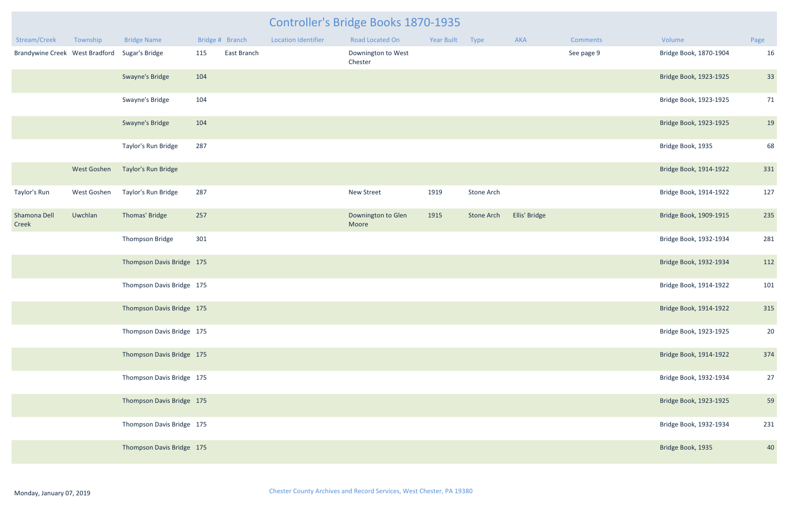| <b>Year Built</b> | <b>Type</b>       | <b>AKA</b>    | <b>Comments</b> | Volume                 | Page |
|-------------------|-------------------|---------------|-----------------|------------------------|------|
|                   |                   |               | See page 9      | Bridge Book, 1870-1904 | 16   |
|                   |                   |               |                 | Bridge Book, 1923-1925 | 33   |
|                   |                   |               |                 | Bridge Book, 1923-1925 | 71   |
|                   |                   |               |                 | Bridge Book, 1923-1925 | 19   |
|                   |                   |               |                 | Bridge Book, 1935      | 68   |
|                   |                   |               |                 | Bridge Book, 1914-1922 | 331  |
| 1919              | Stone Arch        |               |                 | Bridge Book, 1914-1922 | 127  |
| 1915              | <b>Stone Arch</b> | Ellis' Bridge |                 | Bridge Book, 1909-1915 | 235  |
|                   |                   |               |                 | Bridge Book, 1932-1934 | 281  |
|                   |                   |               |                 | Bridge Book, 1932-1934 | 112  |
|                   |                   |               |                 | Bridge Book, 1914-1922 | 101  |
|                   |                   |               |                 | Bridge Book, 1914-1922 | 315  |
|                   |                   |               |                 | Bridge Book, 1923-1925 | 20   |
|                   |                   |               |                 | Bridge Book, 1914-1922 | 374  |
|                   |                   |               |                 | Bridge Book, 1932-1934 | 27   |
|                   |                   |               |                 | Bridge Book, 1923-1925 | 59   |
|                   |                   |               |                 | Bridge Book, 1932-1934 | 231  |
|                   |                   |               |                 | Bridge Book, 1935      | 40   |

|                                               |                    |                           |     |                 |                            | Controller's Bridge Books 1870-1935 |            |            |               |                 |                        |                |
|-----------------------------------------------|--------------------|---------------------------|-----|-----------------|----------------------------|-------------------------------------|------------|------------|---------------|-----------------|------------------------|----------------|
| Stream/Creek                                  | Township           | <b>Bridge Name</b>        |     | Bridge # Branch | <b>Location Identifier</b> | <b>Road Located On</b>              | Year Built | Type       | AKA           | <b>Comments</b> | Volume                 | Page           |
| Brandywine Creek West Bradford Sugar's Bridge |                    |                           | 115 | East Branch     |                            | Downington to West<br>Chester       |            |            |               | See page 9      | Bridge Book, 1870-1904 | 16             |
|                                               |                    | Swayne's Bridge           | 104 |                 |                            |                                     |            |            |               |                 | Bridge Book, 1923-1925 | 33             |
|                                               |                    | Swayne's Bridge           | 104 |                 |                            |                                     |            |            |               |                 | Bridge Book, 1923-1925 | 71             |
|                                               |                    | Swayne's Bridge           | 104 |                 |                            |                                     |            |            |               |                 | Bridge Book, 1923-1925 | 1 <sup>c</sup> |
|                                               |                    | Taylor's Run Bridge       | 287 |                 |                            |                                     |            |            |               |                 | Bridge Book, 1935      | 68             |
|                                               | <b>West Goshen</b> | Taylor's Run Bridge       |     |                 |                            |                                     |            |            |               |                 | Bridge Book, 1914-1922 | 331            |
| Taylor's Run                                  | West Goshen        | Taylor's Run Bridge       | 287 |                 |                            | New Street                          | 1919       | Stone Arch |               |                 | Bridge Book, 1914-1922 | 127            |
| Shamona Dell<br>Creek                         | Uwchlan            | Thomas' Bridge            | 257 |                 |                            | Downington to Glen<br>Moore         | 1915       | Stone Arch | Ellis' Bridge |                 | Bridge Book, 1909-1915 | 235            |
|                                               |                    | Thompson Bridge           | 301 |                 |                            |                                     |            |            |               |                 | Bridge Book, 1932-1934 | 281            |
|                                               |                    | Thompson Davis Bridge 175 |     |                 |                            |                                     |            |            |               |                 | Bridge Book, 1932-1934 | 112            |
|                                               |                    | Thompson Davis Bridge 175 |     |                 |                            |                                     |            |            |               |                 | Bridge Book, 1914-1922 | 101            |
|                                               |                    | Thompson Davis Bridge 175 |     |                 |                            |                                     |            |            |               |                 | Bridge Book, 1914-1922 | 315            |
|                                               |                    | Thompson Davis Bridge 175 |     |                 |                            |                                     |            |            |               |                 | Bridge Book, 1923-1925 | 20             |
|                                               |                    | Thompson Davis Bridge 175 |     |                 |                            |                                     |            |            |               |                 | Bridge Book, 1914-1922 | 374            |
|                                               |                    | Thompson Davis Bridge 175 |     |                 |                            |                                     |            |            |               |                 | Bridge Book, 1932-1934 | 27             |
|                                               |                    | Thompson Davis Bridge 175 |     |                 |                            |                                     |            |            |               |                 | Bridge Book, 1923-1925 | 5 <sup>5</sup> |
|                                               |                    | Thompson Davis Bridge 175 |     |                 |                            |                                     |            |            |               |                 | Bridge Book, 1932-1934 | 231            |
|                                               |                    | Thompson Davis Bridge 175 |     |                 |                            |                                     |            |            |               |                 | Bridge Book, 1935      | 40             |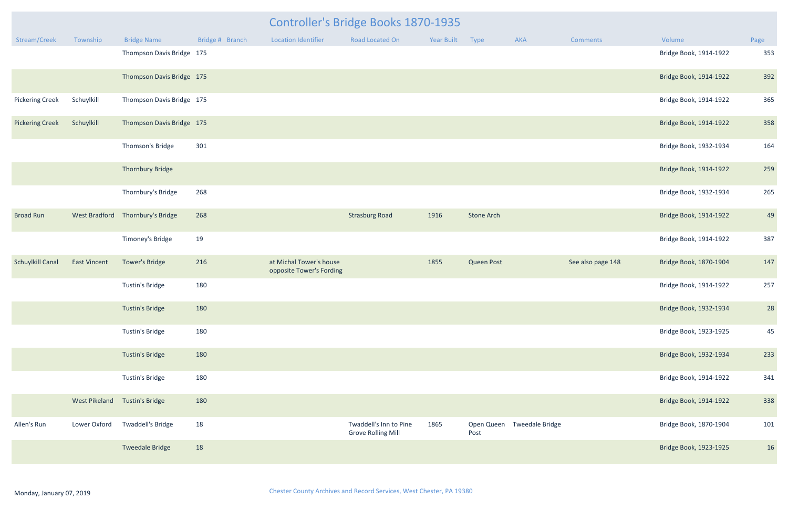|                        |                      |                               |                 |                                                     | <b>Controller's Bridge Books 1870-1935</b>          |            |                   |                            |                   |                        |      |
|------------------------|----------------------|-------------------------------|-----------------|-----------------------------------------------------|-----------------------------------------------------|------------|-------------------|----------------------------|-------------------|------------------------|------|
| Stream/Creek           | Township             | <b>Bridge Name</b>            | Bridge # Branch | <b>Location Identifier</b>                          | <b>Road Located On</b>                              | Year Built | Type              | AKA                        | <b>Comments</b>   | Volume                 | Page |
|                        |                      | Thompson Davis Bridge 175     |                 |                                                     |                                                     |            |                   |                            |                   | Bridge Book, 1914-1922 | 353  |
|                        |                      | Thompson Davis Bridge 175     |                 |                                                     |                                                     |            |                   |                            |                   | Bridge Book, 1914-1922 | 392  |
| <b>Pickering Creek</b> | Schuylkill           | Thompson Davis Bridge 175     |                 |                                                     |                                                     |            |                   |                            |                   | Bridge Book, 1914-1922 | 365  |
| <b>Pickering Creek</b> | Schuylkill           | Thompson Davis Bridge 175     |                 |                                                     |                                                     |            |                   |                            |                   | Bridge Book, 1914-1922 | 358  |
|                        |                      | Thomson's Bridge              | 301             |                                                     |                                                     |            |                   |                            |                   | Bridge Book, 1932-1934 | 164  |
|                        |                      | <b>Thornbury Bridge</b>       |                 |                                                     |                                                     |            |                   |                            |                   | Bridge Book, 1914-1922 | 259  |
|                        |                      | Thornbury's Bridge            | 268             |                                                     |                                                     |            |                   |                            |                   | Bridge Book, 1932-1934 | 265  |
| <b>Broad Run</b>       | <b>West Bradford</b> | Thornbury's Bridge            | 268             |                                                     | <b>Strasburg Road</b>                               | 1916       | <b>Stone Arch</b> |                            |                   | Bridge Book, 1914-1922 | 49   |
|                        |                      | Timoney's Bridge              | 19              |                                                     |                                                     |            |                   |                            |                   | Bridge Book, 1914-1922 | 387  |
| Schuylkill Canal       | <b>East Vincent</b>  | <b>Tower's Bridge</b>         | 216             | at Michal Tower's house<br>opposite Tower's Fording |                                                     | 1855       | <b>Queen Post</b> |                            | See also page 148 | Bridge Book, 1870-1904 | 147  |
|                        |                      | Tustin's Bridge               | 180             |                                                     |                                                     |            |                   |                            |                   | Bridge Book, 1914-1922 | 257  |
|                        |                      | <b>Tustin's Bridge</b>        | 180             |                                                     |                                                     |            |                   |                            |                   | Bridge Book, 1932-1934 | 28   |
|                        |                      | <b>Tustin's Bridge</b>        | 180             |                                                     |                                                     |            |                   |                            |                   | Bridge Book, 1923-1925 | 45   |
|                        |                      | <b>Tustin's Bridge</b>        | 180             |                                                     |                                                     |            |                   |                            |                   | Bridge Book, 1932-1934 | 233  |
|                        |                      | <b>Tustin's Bridge</b>        | 180             |                                                     |                                                     |            |                   |                            |                   | Bridge Book, 1914-1922 | 341  |
|                        |                      | West Pikeland Tustin's Bridge | 180             |                                                     |                                                     |            |                   |                            |                   | Bridge Book, 1914-1922 | 338  |
| Allen's Run            | Lower Oxford         | Twaddell's Bridge             | 18              |                                                     | Twaddell's Inn to Pine<br><b>Grove Rolling Mill</b> | 1865       | Post              | Open Queen Tweedale Bridge |                   | Bridge Book, 1870-1904 | 101  |
|                        |                      | <b>Tweedale Bridge</b>        | 18              |                                                     |                                                     |            |                   |                            |                   | Bridge Book, 1923-1925 | 16   |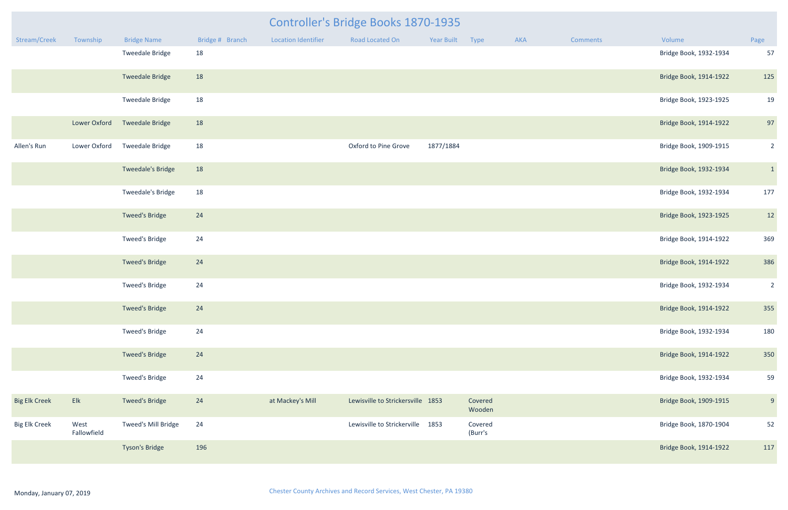|                      |                     |                        |                 |                            | <b>Controller's Bridge Books 1870-1935</b> |                 |                    |     |                 |                        |                 |
|----------------------|---------------------|------------------------|-----------------|----------------------------|--------------------------------------------|-----------------|--------------------|-----|-----------------|------------------------|-----------------|
| Stream/Creek         | Township            | <b>Bridge Name</b>     | Bridge # Branch | <b>Location Identifier</b> | Road Located On                            | Year Built Type |                    | AKA | <b>Comments</b> | Volume                 | Page            |
|                      |                     | <b>Tweedale Bridge</b> | 18              |                            |                                            |                 |                    |     |                 | Bridge Book, 1932-1934 | 57              |
|                      |                     | <b>Tweedale Bridge</b> | 18              |                            |                                            |                 |                    |     |                 | Bridge Book, 1914-1922 | 125             |
|                      |                     | <b>Tweedale Bridge</b> | 18              |                            |                                            |                 |                    |     |                 | Bridge Book, 1923-1925 | 19              |
|                      | Lower Oxford        | <b>Tweedale Bridge</b> | 18              |                            |                                            |                 |                    |     |                 | Bridge Book, 1914-1922 | 97              |
| Allen's Run          | Lower Oxford        | <b>Tweedale Bridge</b> | 18              |                            | Oxford to Pine Grove                       | 1877/1884       |                    |     |                 | Bridge Book, 1909-1915 | $\overline{2}$  |
|                      |                     | Tweedale's Bridge      | 18              |                            |                                            |                 |                    |     |                 | Bridge Book, 1932-1934 | $\vert 1 \vert$ |
|                      |                     | Tweedale's Bridge      | 18              |                            |                                            |                 |                    |     |                 | Bridge Book, 1932-1934 | 177             |
|                      |                     | <b>Tweed's Bridge</b>  | 24              |                            |                                            |                 |                    |     |                 | Bridge Book, 1923-1925 | 12              |
|                      |                     | Tweed's Bridge         | 24              |                            |                                            |                 |                    |     |                 | Bridge Book, 1914-1922 | 369             |
|                      |                     | <b>Tweed's Bridge</b>  | 24              |                            |                                            |                 |                    |     |                 | Bridge Book, 1914-1922 | 386             |
|                      |                     | Tweed's Bridge         | 24              |                            |                                            |                 |                    |     |                 | Bridge Book, 1932-1934 | $\overline{2}$  |
|                      |                     | Tweed's Bridge         | 24              |                            |                                            |                 |                    |     |                 | Bridge Book, 1914-1922 | 355             |
|                      |                     | Tweed's Bridge         | 24              |                            |                                            |                 |                    |     |                 | Bridge Book, 1932-1934 | 180             |
|                      |                     | <b>Tweed's Bridge</b>  | 24              |                            |                                            |                 |                    |     |                 | Bridge Book, 1914-1922 | 350             |
|                      |                     | <b>Tweed's Bridge</b>  | 24              |                            |                                            |                 |                    |     |                 | Bridge Book, 1932-1934 | 59              |
| <b>Big Elk Creek</b> | Elk                 | <b>Tweed's Bridge</b>  | 24              | at Mackey's Mill           | Lewisville to Strickersville 1853          |                 | Covered<br>Wooden  |     |                 | Bridge Book, 1909-1915 | 9               |
| <b>Big Elk Creek</b> | West<br>Fallowfield | Tweed's Mill Bridge    | 24              |                            | Lewisville to Strickerville 1853           |                 | Covered<br>(Burr's |     |                 | Bridge Book, 1870-1904 | 52              |
|                      |                     | <b>Tyson's Bridge</b>  | 196             |                            |                                            |                 |                    |     |                 | Bridge Book, 1914-1922 | 117             |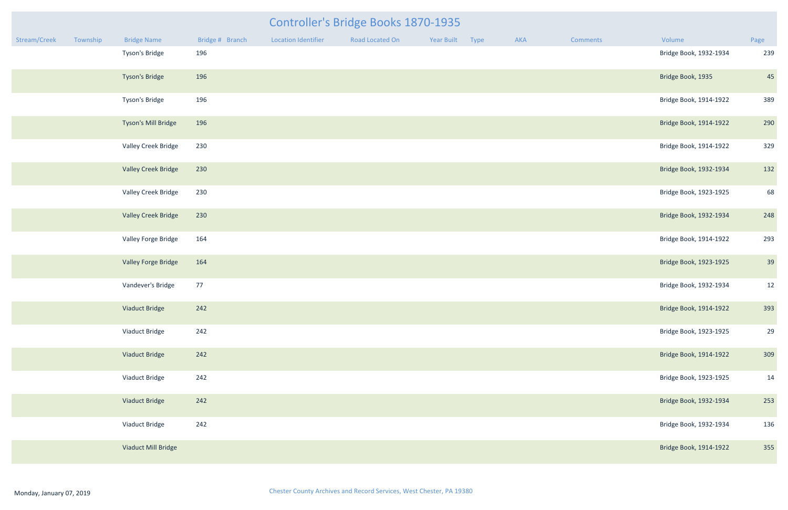|              |          |                            |                 |                     | <b>Controller's Bridge Books 1870-1935</b> |                 |     |          |                        |      |
|--------------|----------|----------------------------|-----------------|---------------------|--------------------------------------------|-----------------|-----|----------|------------------------|------|
| Stream/Creek | Township | <b>Bridge Name</b>         | Bridge # Branch | Location Identifier | Road Located On                            | Year Built Type | AKA | Comments | Volume                 | Page |
|              |          | Tyson's Bridge             | 196             |                     |                                            |                 |     |          | Bridge Book, 1932-1934 | 239  |
|              |          | <b>Tyson's Bridge</b>      | 196             |                     |                                            |                 |     |          | Bridge Book, 1935      | 45   |
|              |          | Tyson's Bridge             | 196             |                     |                                            |                 |     |          | Bridge Book, 1914-1922 | 389  |
|              |          | Tyson's Mill Bridge        | 196             |                     |                                            |                 |     |          | Bridge Book, 1914-1922 | 290  |
|              |          | Valley Creek Bridge        | 230             |                     |                                            |                 |     |          | Bridge Book, 1914-1922 | 329  |
|              |          | <b>Valley Creek Bridge</b> | 230             |                     |                                            |                 |     |          | Bridge Book, 1932-1934 | 132  |
|              |          | Valley Creek Bridge        | 230             |                     |                                            |                 |     |          | Bridge Book, 1923-1925 | 68   |
|              |          | <b>Valley Creek Bridge</b> | 230             |                     |                                            |                 |     |          | Bridge Book, 1932-1934 | 248  |
|              |          | Valley Forge Bridge        | 164             |                     |                                            |                 |     |          | Bridge Book, 1914-1922 | 293  |
|              |          | Valley Forge Bridge        | 164             |                     |                                            |                 |     |          | Bridge Book, 1923-1925 | 39   |
|              |          | Vandever's Bridge          | 77              |                     |                                            |                 |     |          | Bridge Book, 1932-1934 | 12   |
|              |          | Viaduct Bridge             | 242             |                     |                                            |                 |     |          | Bridge Book, 1914-1922 | 393  |
|              |          | Viaduct Bridge             | 242             |                     |                                            |                 |     |          | Bridge Book, 1923-1925 | 29   |
|              |          | Viaduct Bridge             | 242             |                     |                                            |                 |     |          | Bridge Book, 1914-1922 | 309  |
|              |          | Viaduct Bridge             | 242             |                     |                                            |                 |     |          | Bridge Book, 1923-1925 | 14   |
|              |          | <b>Viaduct Bridge</b>      | 242             |                     |                                            |                 |     |          | Bridge Book, 1932-1934 | 253  |
|              |          | Viaduct Bridge             | 242             |                     |                                            |                 |     |          | Bridge Book, 1932-1934 | 136  |
|              |          | Viaduct Mill Bridge        |                 |                     |                                            |                 |     |          | Bridge Book, 1914-1922 | 355  |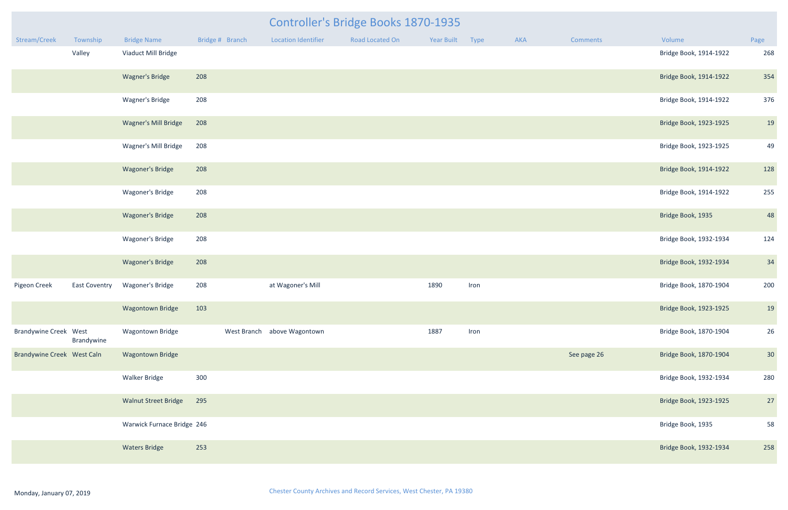|          |                        |                 | <b>Controller's Bridge Books 1870-1935</b> |                 |            |      |            |      |  |  |  |  |
|----------|------------------------|-----------------|--------------------------------------------|-----------------|------------|------|------------|------|--|--|--|--|
| Township | <b>Bridge Name</b>     | Bridge # Branch | <b>Location Identifier</b>                 | Road Located On | Year Built | Type | <b>AKA</b> | Comn |  |  |  |  |
| Valley   | Viaduct Mill Bridge    |                 |                                            |                 |            |      |            |      |  |  |  |  |
|          | <b>Wagner's Bridge</b> | 208             |                                            |                 |            |      |            |      |  |  |  |  |

| <b>Wagner's Mill Bridge</b> | 208 |
|-----------------------------|-----|
| Wagner's Mill Bridge        | 208 |
| <b>Wagoner's Bridge</b>     | 208 |
| Wagoner's Bridge            | 208 |
| Wagoner's Bridge            | 208 |

| Stream/Creek                 | Township             | <b>Bridge Name</b>          | Bridge # Branch | <b>Location Identifier</b>  | <b>Road Located On</b> | Year Built | Type | AKA | <b>Comments</b> | Volume                 | Page |
|------------------------------|----------------------|-----------------------------|-----------------|-----------------------------|------------------------|------------|------|-----|-----------------|------------------------|------|
|                              | Valley               | Viaduct Mill Bridge         |                 |                             |                        |            |      |     |                 | Bridge Book, 1914-1922 | 268  |
|                              |                      | <b>Wagner's Bridge</b>      | 208             |                             |                        |            |      |     |                 | Bridge Book, 1914-1922 | 354  |
|                              |                      | Wagner's Bridge             | 208             |                             |                        |            |      |     |                 | Bridge Book, 1914-1922 | 376  |
|                              |                      | <b>Wagner's Mill Bridge</b> | 208             |                             |                        |            |      |     |                 | Bridge Book, 1923-1925 | 19   |
|                              |                      | Wagner's Mill Bridge        | 208             |                             |                        |            |      |     |                 | Bridge Book, 1923-1925 | 49   |
|                              |                      | <b>Wagoner's Bridge</b>     | 208             |                             |                        |            |      |     |                 | Bridge Book, 1914-1922 | 128  |
|                              |                      | Wagoner's Bridge            | 208             |                             |                        |            |      |     |                 | Bridge Book, 1914-1922 | 255  |
|                              |                      | <b>Wagoner's Bridge</b>     | 208             |                             |                        |            |      |     |                 | Bridge Book, 1935      | 48   |
|                              |                      | Wagoner's Bridge            | 208             |                             |                        |            |      |     |                 | Bridge Book, 1932-1934 | 124  |
|                              |                      | Wagoner's Bridge            | 208             |                             |                        |            |      |     |                 | Bridge Book, 1932-1934 | 34   |
| Pigeon Creek                 | <b>East Coventry</b> | <b>Wagoner's Bridge</b>     | 208             | at Wagoner's Mill           |                        | 1890       | Iron |     |                 | Bridge Book, 1870-1904 | 200  |
|                              |                      | <b>Wagontown Bridge</b>     | 103             |                             |                        |            |      |     |                 | Bridge Book, 1923-1925 | 19   |
| <b>Brandywine Creek West</b> | Brandywine           | <b>Wagontown Bridge</b>     |                 | West Branch above Wagontown |                        | 1887       | Iron |     |                 | Bridge Book, 1870-1904 | 26   |
| Brandywine Creek West Caln   |                      | <b>Wagontown Bridge</b>     |                 |                             |                        |            |      |     | See page 26     | Bridge Book, 1870-1904 | 30   |
|                              |                      | <b>Walker Bridge</b>        | 300             |                             |                        |            |      |     |                 | Bridge Book, 1932-1934 | 280  |
|                              |                      | <b>Walnut Street Bridge</b> | 295             |                             |                        |            |      |     |                 | Bridge Book, 1923-1925 | 27   |
|                              |                      | Warwick Furnace Bridge 246  |                 |                             |                        |            |      |     |                 | Bridge Book, 1935      | 58   |
|                              |                      | <b>Waters Bridge</b>        | 253             |                             |                        |            |      |     |                 | Bridge Book, 1932-1934 | 258  |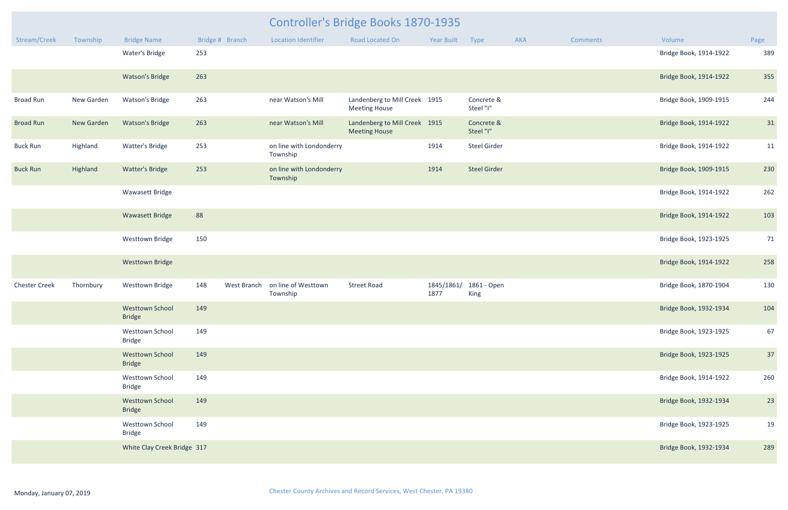|                      |            |                                         |                    |                                      | <b>Controller's Bridge Books 1870-1935</b>            |                    |                         |     |                 |                        |      |
|----------------------|------------|-----------------------------------------|--------------------|--------------------------------------|-------------------------------------------------------|--------------------|-------------------------|-----|-----------------|------------------------|------|
| Stream/Creek         | Township   | <b>Bridge Name</b>                      | Bridge # Branch    | <b>Location Identifier</b>           | Road Located On                                       | Year Built Type    |                         | AKA | <b>Comments</b> | Volume                 | Page |
|                      |            | Water's Bridge                          | 253                |                                      |                                                       |                    |                         |     |                 | Bridge Book, 1914-1922 | 389  |
|                      |            | <b>Watson's Bridge</b>                  | 263                |                                      |                                                       |                    |                         |     |                 | Bridge Book, 1914-1922 | 355  |
| <b>Broad Run</b>     | New Garden | <b>Watson's Bridge</b>                  | 263                | near Watson's Mill                   | Landenberg to Mill Creek 1915<br><b>Meeting House</b> |                    | Concrete &<br>Steel "I" |     |                 | Bridge Book, 1909-1915 | 244  |
| <b>Broad Run</b>     | New Garden | <b>Watson's Bridge</b>                  | 263                | near Watson's Mill                   | Landenberg to Mill Creek 1915<br><b>Meeting House</b> |                    | Concrete &<br>Steel "I" |     |                 | Bridge Book, 1914-1922 | 31   |
| <b>Buck Run</b>      | Highland   | <b>Watter's Bridge</b>                  | 253                | on line with Londonderry<br>Township |                                                       | 1914               | <b>Steel Girder</b>     |     |                 | Bridge Book, 1914-1922 | 11   |
| <b>Buck Run</b>      | Highland   | <b>Watter's Bridge</b>                  | 253                | on line with Londonderry<br>Township |                                                       | 1914               | <b>Steel Girder</b>     |     |                 | Bridge Book, 1909-1915 | 230  |
|                      |            | Wawasett Bridge                         |                    |                                      |                                                       |                    |                         |     |                 | Bridge Book, 1914-1922 | 262  |
|                      |            | <b>Wawasett Bridge</b>                  | 88                 |                                      |                                                       |                    |                         |     |                 | Bridge Book, 1914-1922 | 103  |
|                      |            | <b>Westtown Bridge</b>                  | 150                |                                      |                                                       |                    |                         |     |                 | Bridge Book, 1923-1925 | 71   |
|                      |            | <b>Westtown Bridge</b>                  |                    |                                      |                                                       |                    |                         |     |                 | Bridge Book, 1914-1922 | 258  |
| <b>Chester Creek</b> | Thornbury  | <b>Westtown Bridge</b>                  | 148<br>West Branch | on line of Westtown<br>Township      | <b>Street Road</b>                                    | 1845/1861/<br>1877 | 1861 - Open<br>King     |     |                 | Bridge Book, 1870-1904 | 130  |
|                      |            | Westtown School 149<br><b>Bridge</b>    |                    |                                      |                                                       |                    |                         |     |                 | Bridge Book, 1932-1934 | 104  |
|                      |            | <b>Westtown School</b><br><b>Bridge</b> | 149                |                                      |                                                       |                    |                         |     |                 | Bridge Book, 1923-1925 | 67   |
|                      |            | <b>Westtown School</b><br><b>Bridge</b> | 149                |                                      |                                                       |                    |                         |     |                 | Bridge Book, 1923-1925 | 37   |
|                      |            | <b>Westtown School</b><br><b>Bridge</b> | 149                |                                      |                                                       |                    |                         |     |                 | Bridge Book, 1914-1922 | 260  |
|                      |            | <b>Westtown School</b><br><b>Bridge</b> | 149                |                                      |                                                       |                    |                         |     |                 | Bridge Book, 1932-1934 | 23   |
|                      |            | <b>Westtown School</b><br><b>Bridge</b> | 149                |                                      |                                                       |                    |                         |     |                 | Bridge Book, 1923-1925 | 19   |
|                      |            | White Clay Creek Bridge 317             |                    |                                      |                                                       |                    |                         |     |                 | Bridge Book, 1932-1934 | 289  |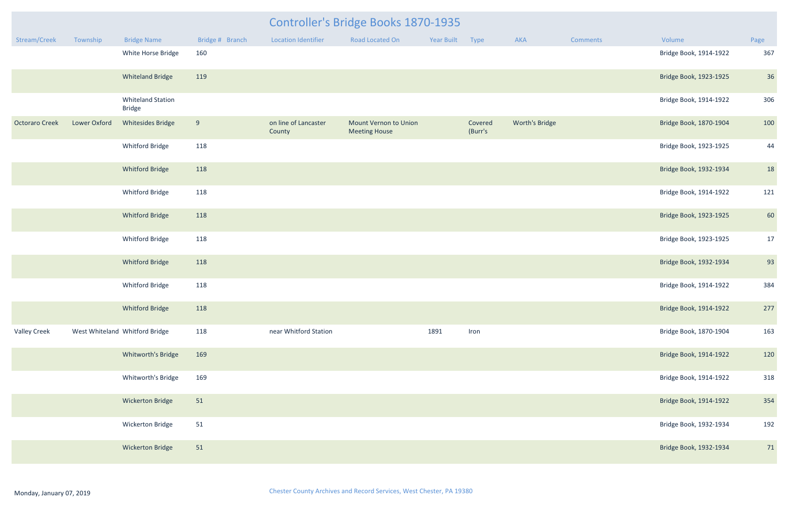|                       |                     |                                           |                 |                                | <b>Controller's Bridge Books 1870-1935</b>           |            |                    |                |                 |                        |      |
|-----------------------|---------------------|-------------------------------------------|-----------------|--------------------------------|------------------------------------------------------|------------|--------------------|----------------|-----------------|------------------------|------|
| Stream/Creek          | Township            | <b>Bridge Name</b>                        | Bridge # Branch | <b>Location Identifier</b>     | Road Located On                                      | Year Built | <b>Type</b>        | AKA            | <b>Comments</b> | Volume                 | Page |
|                       |                     | White Horse Bridge                        | 160             |                                |                                                      |            |                    |                |                 | Bridge Book, 1914-1922 | 367  |
|                       |                     | <b>Whiteland Bridge</b>                   | 119             |                                |                                                      |            |                    |                |                 | Bridge Book, 1923-1925 | 36   |
|                       |                     | <b>Whiteland Station</b><br><b>Bridge</b> |                 |                                |                                                      |            |                    |                |                 | Bridge Book, 1914-1922 | 306  |
| <b>Octoraro Creek</b> | <b>Lower Oxford</b> | <b>Whitesides Bridge</b>                  | 9               | on line of Lancaster<br>County | <b>Mount Vernon to Union</b><br><b>Meeting House</b> |            | Covered<br>(Burr's | Worth's Bridge |                 | Bridge Book, 1870-1904 | 100  |
|                       |                     | Whitford Bridge                           | 118             |                                |                                                      |            |                    |                |                 | Bridge Book, 1923-1925 | 44   |
|                       |                     | <b>Whitford Bridge</b>                    | 118             |                                |                                                      |            |                    |                |                 | Bridge Book, 1932-1934 | 18   |
|                       |                     | Whitford Bridge                           | 118             |                                |                                                      |            |                    |                |                 | Bridge Book, 1914-1922 | 121  |
|                       |                     | <b>Whitford Bridge</b>                    | 118             |                                |                                                      |            |                    |                |                 | Bridge Book, 1923-1925 | 60   |
|                       |                     | Whitford Bridge                           | 118             |                                |                                                      |            |                    |                |                 | Bridge Book, 1923-1925 | 17   |
|                       |                     | <b>Whitford Bridge</b>                    | 118             |                                |                                                      |            |                    |                |                 | Bridge Book, 1932-1934 | 93   |
|                       |                     | Whitford Bridge                           | 118             |                                |                                                      |            |                    |                |                 | Bridge Book, 1914-1922 | 384  |
|                       |                     | Whitford Bridge                           | 118             |                                |                                                      |            |                    |                |                 | Bridge Book, 1914-1922 | 277  |
| <b>Valley Creek</b>   |                     | West Whiteland Whitford Bridge            | 118             | near Whitford Station          |                                                      | 1891       | Iron               |                |                 | Bridge Book, 1870-1904 | 163  |
|                       |                     | Whitworth's Bridge                        | 169             |                                |                                                      |            |                    |                |                 | Bridge Book, 1914-1922 | 120  |
|                       |                     | Whitworth's Bridge                        | 169             |                                |                                                      |            |                    |                |                 | Bridge Book, 1914-1922 | 318  |
|                       |                     | <b>Wickerton Bridge</b>                   | 51              |                                |                                                      |            |                    |                |                 | Bridge Book, 1914-1922 | 354  |
|                       |                     | Wickerton Bridge                          | 51              |                                |                                                      |            |                    |                |                 | Bridge Book, 1932-1934 | 192  |
|                       |                     | <b>Wickerton Bridge</b>                   | 51              |                                |                                                      |            |                    |                |                 | Bridge Book, 1932-1934 | 71   |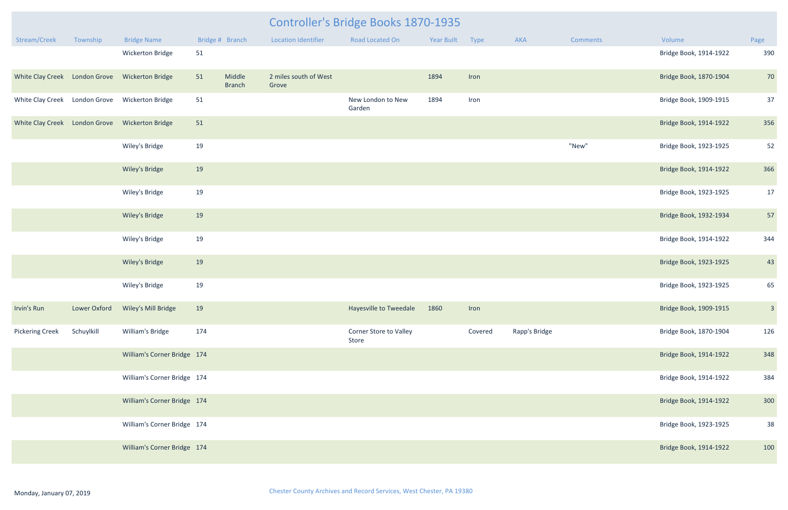|                               |              |                             |     |                         |                                | Controller's Bridge Books 1870-1935 |            |         |               |                 |                        |                         |
|-------------------------------|--------------|-----------------------------|-----|-------------------------|--------------------------------|-------------------------------------|------------|---------|---------------|-----------------|------------------------|-------------------------|
| Stream/Creek                  | Township     | <b>Bridge Name</b>          |     | Bridge # Branch         | <b>Location Identifier</b>     | <b>Road Located On</b>              | Year Built | Type    | <b>AKA</b>    | <b>Comments</b> | Volume                 | Page                    |
|                               |              | Wickerton Bridge            | 51  |                         |                                |                                     |            |         |               |                 | Bridge Book, 1914-1922 | 390                     |
| White Clay Creek London Grove |              | <b>Wickerton Bridge</b>     | 51  | Middle<br><b>Branch</b> | 2 miles south of West<br>Grove |                                     | 1894       | Iron    |               |                 | Bridge Book, 1870-1904 | 70                      |
| White Clay Creek London Grove |              | <b>Wickerton Bridge</b>     | 51  |                         |                                | New London to New<br>Garden         | 1894       | Iron    |               |                 | Bridge Book, 1909-1915 | 37                      |
| White Clay Creek London Grove |              | <b>Wickerton Bridge</b>     | 51  |                         |                                |                                     |            |         |               |                 | Bridge Book, 1914-1922 | 356                     |
|                               |              | Wiley's Bridge              | 19  |                         |                                |                                     |            |         |               | "New"           | Bridge Book, 1923-1925 | 52                      |
|                               |              | Wiley's Bridge              | 19  |                         |                                |                                     |            |         |               |                 | Bridge Book, 1914-1922 | 366                     |
|                               |              | Wiley's Bridge              | 19  |                         |                                |                                     |            |         |               |                 | Bridge Book, 1923-1925 | 17                      |
|                               |              | Wiley's Bridge              | 19  |                         |                                |                                     |            |         |               |                 | Bridge Book, 1932-1934 | 57                      |
|                               |              | Wiley's Bridge              | 19  |                         |                                |                                     |            |         |               |                 | Bridge Book, 1914-1922 | 344                     |
|                               |              | Wiley's Bridge              | 19  |                         |                                |                                     |            |         |               |                 | Bridge Book, 1923-1925 | 43                      |
|                               |              | Wiley's Bridge              | 19  |                         |                                |                                     |            |         |               |                 | Bridge Book, 1923-1925 | 65                      |
| Irvin's Run                   | Lower Oxford | Wiley's Mill Bridge         | 19  |                         |                                | Hayesville to Tweedale              | 1860       | Iron    |               |                 | Bridge Book, 1909-1915 | $\overline{\mathbf{3}}$ |
| <b>Pickering Creek</b>        | Schuylkill   | William's Bridge            | 174 |                         |                                | Corner Store to Valley<br>Store     |            | Covered | Rapp's Bridge |                 | Bridge Book, 1870-1904 | 126                     |
|                               |              | William's Corner Bridge 174 |     |                         |                                |                                     |            |         |               |                 | Bridge Book, 1914-1922 | 348                     |
|                               |              | William's Corner Bridge 174 |     |                         |                                |                                     |            |         |               |                 | Bridge Book, 1914-1922 | 384                     |
|                               |              | William's Corner Bridge 174 |     |                         |                                |                                     |            |         |               |                 | Bridge Book, 1914-1922 | 300                     |
|                               |              | William's Corner Bridge 174 |     |                         |                                |                                     |            |         |               |                 | Bridge Book, 1923-1925 | 38                      |
|                               |              | William's Corner Bridge 174 |     |                         |                                |                                     |            |         |               |                 | Bridge Book, 1914-1922 | 100                     |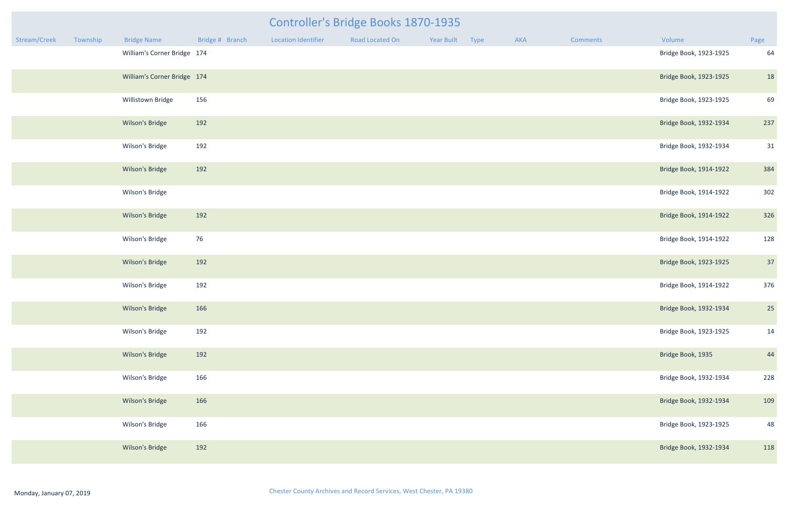|              |          |                             |                 |                            | <b>Controller's Bridge Books 1870-1935</b> |                 |     |                 |                        |      |
|--------------|----------|-----------------------------|-----------------|----------------------------|--------------------------------------------|-----------------|-----|-----------------|------------------------|------|
| Stream/Creek | Township | <b>Bridge Name</b>          | Bridge # Branch | <b>Location Identifier</b> | Road Located On                            | Year Built Type | AKA | <b>Comments</b> | Volume                 | Page |
|              |          | William's Corner Bridge 174 |                 |                            |                                            |                 |     |                 | Bridge Book, 1923-1925 | 64   |
|              |          | William's Corner Bridge 174 |                 |                            |                                            |                 |     |                 | Bridge Book, 1923-1925 | 18   |
|              |          | Willistown Bridge           | 156             |                            |                                            |                 |     |                 | Bridge Book, 1923-1925 | 69   |
|              |          | Wilson's Bridge             | 192             |                            |                                            |                 |     |                 | Bridge Book, 1932-1934 | 237  |
|              |          | Wilson's Bridge             | 192             |                            |                                            |                 |     |                 | Bridge Book, 1932-1934 | 31   |
|              |          | Wilson's Bridge             | 192             |                            |                                            |                 |     |                 | Bridge Book, 1914-1922 | 384  |
|              |          | Wilson's Bridge             |                 |                            |                                            |                 |     |                 | Bridge Book, 1914-1922 | 302  |
|              |          | Wilson's Bridge             | 192             |                            |                                            |                 |     |                 | Bridge Book, 1914-1922 | 326  |
|              |          | Wilson's Bridge             | 76              |                            |                                            |                 |     |                 | Bridge Book, 1914-1922 | 128  |
|              |          | Wilson's Bridge             | 192             |                            |                                            |                 |     |                 | Bridge Book, 1923-1925 | 37   |
|              |          | Wilson's Bridge             | 192             |                            |                                            |                 |     |                 | Bridge Book, 1914-1922 | 376  |
|              |          | Wilson's Bridge             | 166             |                            |                                            |                 |     |                 | Bridge Book, 1932-1934 | 25   |
|              |          | Wilson's Bridge             | 192             |                            |                                            |                 |     |                 | Bridge Book, 1923-1925 | 14   |
|              |          | Wilson's Bridge             | 192             |                            |                                            |                 |     |                 | Bridge Book, 1935      | 44   |
|              |          | Wilson's Bridge             | 166             |                            |                                            |                 |     |                 | Bridge Book, 1932-1934 | 228  |
|              |          | Wilson's Bridge             | 166             |                            |                                            |                 |     |                 | Bridge Book, 1932-1934 | 109  |
|              |          | Wilson's Bridge             | 166             |                            |                                            |                 |     |                 | Bridge Book, 1923-1925 | 48   |
|              |          | Wilson's Bridge             | 192             |                            |                                            |                 |     |                 | Bridge Book, 1932-1934 | 118  |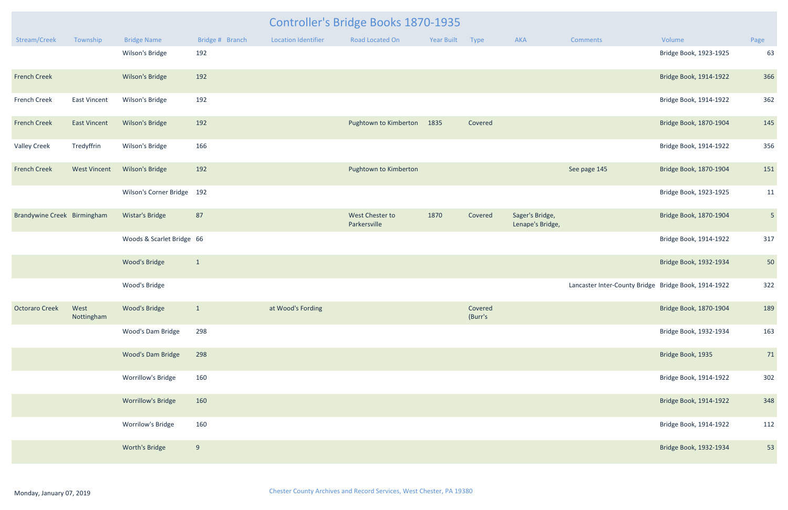|                             |                     | Controller's Bridge Books 1870-1935 |                 |                            |                                 |            |                    |                                     |                                                      |                        |                |  |
|-----------------------------|---------------------|-------------------------------------|-----------------|----------------------------|---------------------------------|------------|--------------------|-------------------------------------|------------------------------------------------------|------------------------|----------------|--|
| Stream/Creek                | Township            | <b>Bridge Name</b>                  | Bridge # Branch | <b>Location Identifier</b> | <b>Road Located On</b>          | Year Built | Type               | AKA                                 | Comments                                             | Volume                 | Page           |  |
|                             |                     | Wilson's Bridge                     | 192             |                            |                                 |            |                    |                                     |                                                      | Bridge Book, 1923-1925 | 63             |  |
| <b>French Creek</b>         |                     | Wilson's Bridge                     | 192             |                            |                                 |            |                    |                                     |                                                      | Bridge Book, 1914-1922 | 366            |  |
| French Creek                | <b>East Vincent</b> | Wilson's Bridge                     | 192             |                            |                                 |            |                    |                                     |                                                      | Bridge Book, 1914-1922 | 362            |  |
| <b>French Creek</b>         | <b>East Vincent</b> | Wilson's Bridge                     | 192             |                            | Pughtown to Kimberton           | 1835       | Covered            |                                     |                                                      | Bridge Book, 1870-1904 | 145            |  |
| <b>Valley Creek</b>         | Tredyffrin          | Wilson's Bridge                     | 166             |                            |                                 |            |                    |                                     |                                                      | Bridge Book, 1914-1922 | 356            |  |
| <b>French Creek</b>         | <b>West Vincent</b> | Wilson's Bridge                     | 192             |                            | Pughtown to Kimberton           |            |                    |                                     | See page 145                                         | Bridge Book, 1870-1904 | 151            |  |
|                             |                     | Wilson's Corner Bridge 192          |                 |                            |                                 |            |                    |                                     |                                                      | Bridge Book, 1923-1925 | 11             |  |
| Brandywine Creek Birmingham |                     | Wistar's Bridge                     | 87              |                            | West Chester to<br>Parkersville | 1870       | Covered            | Sager's Bridge,<br>Lenape's Bridge, |                                                      | Bridge Book, 1870-1904 | $5\phantom{.}$ |  |
|                             |                     | Woods & Scarlet Bridge 66           |                 |                            |                                 |            |                    |                                     |                                                      | Bridge Book, 1914-1922 | 317            |  |
|                             |                     | <b>Wood's Bridge</b>                | $\mathbf{1}$    |                            |                                 |            |                    |                                     |                                                      | Bridge Book, 1932-1934 | 50             |  |
|                             |                     | Wood's Bridge                       |                 |                            |                                 |            |                    |                                     | Lancaster Inter-County Bridge Bridge Book, 1914-1922 |                        | 322            |  |
| <b>Octoraro Creek</b>       | West<br>Nottingham  | <b>Wood's Bridge</b>                | $\mathbf{1}$    | at Wood's Fording          |                                 |            | Covered<br>(Burr's |                                     |                                                      | Bridge Book, 1870-1904 | 189            |  |
|                             |                     | Wood's Dam Bridge                   | 298             |                            |                                 |            |                    |                                     |                                                      | Bridge Book, 1932-1934 | 163            |  |
|                             |                     | <b>Wood's Dam Bridge</b>            | 298             |                            |                                 |            |                    |                                     |                                                      | Bridge Book, 1935      | 71             |  |
|                             |                     | Worrillow's Bridge                  | 160             |                            |                                 |            |                    |                                     |                                                      | Bridge Book, 1914-1922 | 302            |  |
|                             |                     | <b>Worrillow's Bridge</b>           | 160             |                            |                                 |            |                    |                                     |                                                      | Bridge Book, 1914-1922 | 348            |  |
|                             |                     | Worrilow's Bridge                   | 160             |                            |                                 |            |                    |                                     |                                                      | Bridge Book, 1914-1922 | 112            |  |
|                             |                     | Worth's Bridge                      | 9               |                            |                                 |            |                    |                                     |                                                      | Bridge Book, 1932-1934 | 53             |  |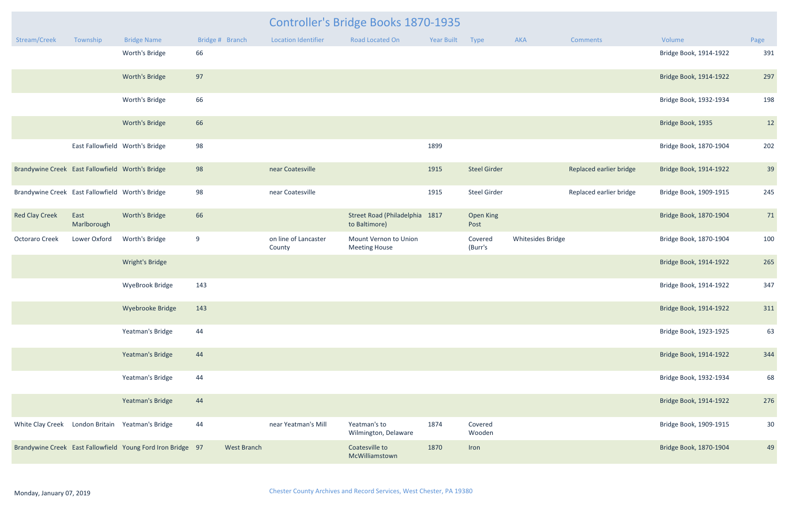|                                                  |                                 |                                                             |                    | <b>Controller's Bridge Books 1870-1935</b> |                                                 |                 |                          |                          |                         |                        |                 |
|--------------------------------------------------|---------------------------------|-------------------------------------------------------------|--------------------|--------------------------------------------|-------------------------------------------------|-----------------|--------------------------|--------------------------|-------------------------|------------------------|-----------------|
| Stream/Creek                                     | Township                        | <b>Bridge Name</b>                                          | Bridge # Branch    | <b>Location Identifier</b>                 | Road Located On                                 | Year Built Type |                          | AKA                      | <b>Comments</b>         | Volume                 | Page            |
|                                                  |                                 | Worth's Bridge                                              | 66                 |                                            |                                                 |                 |                          |                          |                         | Bridge Book, 1914-1922 | 391             |
|                                                  |                                 | Worth's Bridge                                              | 97                 |                                            |                                                 |                 |                          |                          |                         | Bridge Book, 1914-1922 | 297             |
|                                                  |                                 | Worth's Bridge                                              | 66                 |                                            |                                                 |                 |                          |                          |                         | Bridge Book, 1932-1934 | 198             |
|                                                  |                                 | Worth's Bridge                                              | 66                 |                                            |                                                 |                 |                          |                          |                         | Bridge Book, 1935      | 12              |
|                                                  | East Fallowfield Worth's Bridge |                                                             | 98                 |                                            |                                                 | 1899            |                          |                          |                         | Bridge Book, 1870-1904 | 202             |
| Brandywine Creek East Fallowfield Worth's Bridge |                                 |                                                             | 98                 | near Coatesville                           |                                                 | 1915            | <b>Steel Girder</b>      |                          | Replaced earlier bridge | Bridge Book, 1914-1922 | 39              |
| Brandywine Creek East Fallowfield Worth's Bridge |                                 |                                                             | 98                 | near Coatesville                           |                                                 | 1915            | <b>Steel Girder</b>      |                          | Replaced earlier bridge | Bridge Book, 1909-1915 | 245             |
| <b>Red Clay Creek</b>                            | East<br>Marlborough             | Worth's Bridge                                              | 66                 |                                            | Street Road (Philadelphia 1817<br>to Baltimore) |                 | <b>Open King</b><br>Post |                          |                         | Bridge Book, 1870-1904 | 71              |
| <b>Octoraro Creek</b>                            | Lower Oxford                    | Worth's Bridge                                              | 9                  | on line of Lancaster<br>County             | Mount Vernon to Union<br><b>Meeting House</b>   |                 | Covered<br>(Burr's       | <b>Whitesides Bridge</b> |                         | Bridge Book, 1870-1904 | 100             |
|                                                  |                                 | Wright's Bridge                                             |                    |                                            |                                                 |                 |                          |                          |                         | Bridge Book, 1914-1922 | 265             |
|                                                  |                                 | <b>WyeBrook Bridge</b>                                      | 143                |                                            |                                                 |                 |                          |                          |                         | Bridge Book, 1914-1922 | 347             |
|                                                  |                                 | Wyebrooke Bridge                                            | 143                |                                            |                                                 |                 |                          |                          |                         | Bridge Book, 1914-1922 | 311             |
|                                                  |                                 | Yeatman's Bridge                                            | 44                 |                                            |                                                 |                 |                          |                          |                         | Bridge Book, 1923-1925 | 63              |
|                                                  |                                 | Yeatman's Bridge                                            | 44                 |                                            |                                                 |                 |                          |                          |                         | Bridge Book, 1914-1922 | 344             |
|                                                  |                                 | Yeatman's Bridge                                            | 44                 |                                            |                                                 |                 |                          |                          |                         | Bridge Book, 1932-1934 | 68              |
|                                                  |                                 | Yeatman's Bridge                                            | 44                 |                                            |                                                 |                 |                          |                          |                         | Bridge Book, 1914-1922 | 276             |
| White Clay Creek London Britain Yeatman's Bridge |                                 |                                                             | 44                 | near Yeatman's Mill                        | Yeatman's to<br>Wilmington, Delaware            | 1874            | Covered<br>Wooden        |                          |                         | Bridge Book, 1909-1915 | 30 <sup>°</sup> |
|                                                  |                                 | Brandywine Creek East Fallowfield Young Ford Iron Bridge 97 | <b>West Branch</b> |                                            | Coatesville to<br>McWilliamstown                | 1870            | Iron                     |                          |                         | Bridge Book, 1870-1904 | 49              |